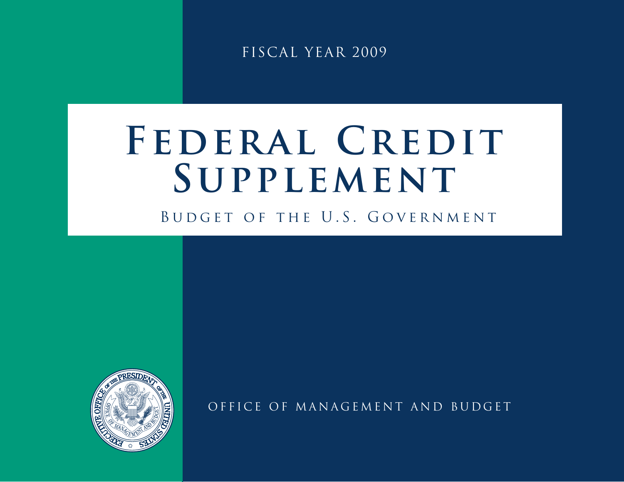FISCAL YEAR 2009

# FEDERAL CREDIT **SUPPLEMENT**

BUDGET OF THE U.S. GOVERNMENT



OFFICE OF MANAGEMENT AND BUDGET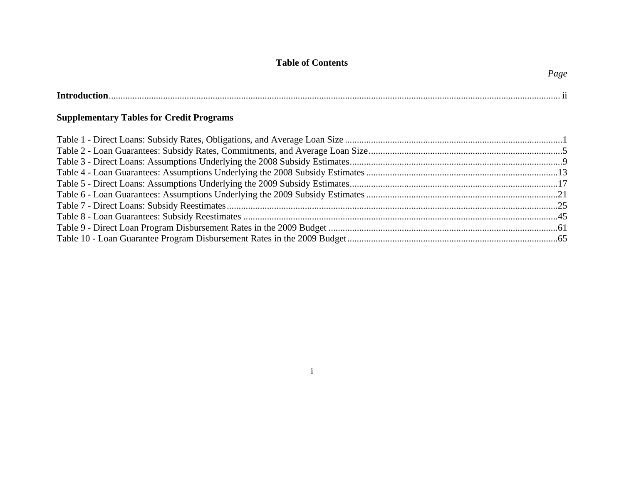# **Table of Contents**

*Page*

| <b>Introduc</b> |  |
|-----------------|--|
|                 |  |

# **Supplementary Tables for Credit Programs**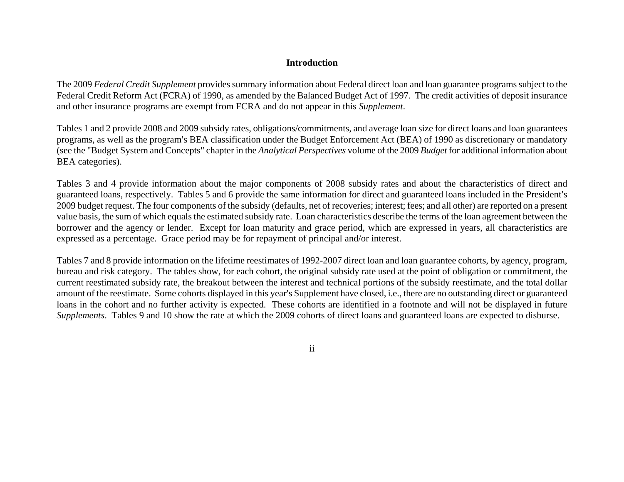# **Introduction**

The 2009 *Federal Credit Supplement* provides summary information about Federal direct loan and loan guarantee programs subject to the Federal Credit Reform Act (FCRA) of 1990, as amended by the Balanced Budget Act of 1997. The credit activities of deposit insurance and other insurance programs are exempt from FCRA and do not appear in this *Supplement*.

Tables 1 and 2 provide 2008 and 2009 subsidy rates, obligations/commitments, and average loan size for direct loans and loan guarantees programs, as well as the program's BEA classification under the Budget Enforcement Act (BEA) of 1990 as discretionary or mandatory (see the "Budget System and Concepts" chapter in the *Analytical Perspectives* volume of the 2009 *Budget* for additional information about BEA categories).

Tables 3 and 4 provide information about the major components of 2008 subsidy rates and about the characteristics of direct and guaranteed loans, respectively. Tables 5 and 6 provide the same information for direct and guaranteed loans included in the President's 2009 budget request. The four components of the subsidy (defaults, net of recoveries; interest; fees; and all other) are reported on a present value basis, the sum of which equals the estimated subsidy rate. Loan characteristics describe the terms of the loan agreement between the borrower and the agency or lender. Except for loan maturity and grace period, which are expressed in years, all characteristics are expressed as a percentage. Grace period may be for repayment of principal and/or interest.

Tables 7 and 8 provide information on the lifetime reestimates of 1992-2007 direct loan and loan guarantee cohorts, by agency, program, bureau and risk category. The tables show, for each cohort, the original subsidy rate used at the point of obligation or commitment, the current reestimated subsidy rate, the breakout between the interest and technical portions of the subsidy reestimate, and the total dollar amount of the reestimate. Some cohorts displayed in this year's Supplement have closed, i.e., there are no outstanding direct or guaranteed loans in the cohort and no further activity is expected. These cohorts are identified in a footnote and will not be displayed in future *Supplements*. Tables 9 and 10 show the rate at which the 2009 cohorts of direct loans and guaranteed loans are expected to disburse.

ii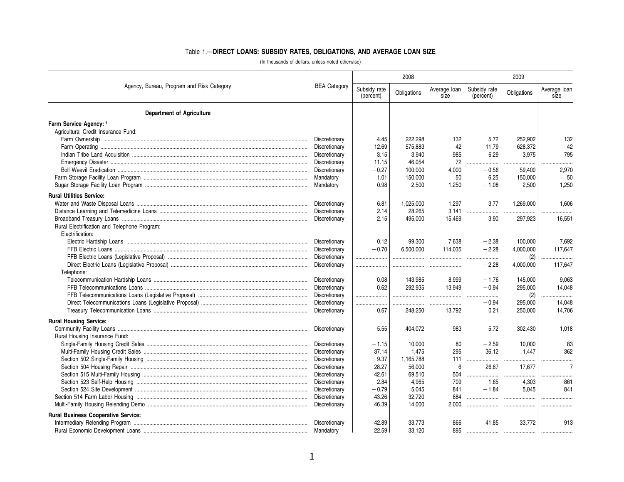# Table 1.—**DIRECT LOANS: SUBSIDY RATES, OBLIGATIONS, AND AVERAGE LOAN SIZE**

(In thousands of dollars, unless noted otherwise)

|                                              |                     |                           | 2008        |                      | 2009                      |             |                      |  |
|----------------------------------------------|---------------------|---------------------------|-------------|----------------------|---------------------------|-------------|----------------------|--|
| Agency, Bureau, Program and Risk Category    | <b>BEA Category</b> | Subsidy rate<br>(percent) | Obligations | Average loan<br>size | Subsidy rate<br>(percent) | Obligations | Average loan<br>size |  |
| <b>Department of Agriculture</b>             |                     |                           |             |                      |                           |             |                      |  |
| Farm Service Agency: 1                       |                     |                           |             |                      |                           |             |                      |  |
| Agricultural Credit Insurance Fund:          |                     |                           |             |                      |                           |             |                      |  |
|                                              | Discretionary       | 4.45                      | 222.298     | 132                  | 5.72                      | 252,902     | 132                  |  |
|                                              | Discretionary       | 12.69                     | 575,883     | 42                   | 11.79                     | 628,372     | 42                   |  |
|                                              | Discretionary       | 3.15                      | 3,940       | 985                  | 6.29                      | 3,975       | 795                  |  |
|                                              | Discretionary       | 11.15                     | 46,054      | 72                   |                           |             |                      |  |
|                                              | Discretionary       | $-0.27$                   | 100,000     | 4,000                | $-0.56$                   | 59,400      | 2,970                |  |
|                                              | Mandatory           | 1.01                      | 150,000     | 50                   | 6.25                      | 150,000     | 50                   |  |
|                                              | Mandatory           | 0.98                      | 2.500       | 1.250                | $-1.08$                   | 2.500       | 1.250                |  |
|                                              |                     |                           |             |                      |                           |             |                      |  |
| <b>Rural Utilities Service:</b>              |                     |                           |             |                      |                           |             |                      |  |
|                                              | Discretionary       | 6.81                      | 1,025,000   | 1,297                | 3.77                      | 1,269,000   | 1,606                |  |
|                                              | Discretionary       | 2.14                      | 28,265      | 3,141                |                           |             |                      |  |
|                                              | Discretionary       | 2.15                      | 495.000     | 15.469               | 3.90                      | 297,923     | 16.551               |  |
| Rural Electrification and Telephone Program: |                     |                           |             |                      |                           |             |                      |  |
| Electrification:                             |                     |                           |             |                      |                           |             |                      |  |
|                                              | Discretionary       | 0.12                      | 99,300      | 7.638                | $-2.38$                   | 100.000     | 7,692                |  |
|                                              | Discretionary       | $-0.70$                   | 6.500.000   | 114.035              | $-2.28$                   | 4,000,000   | 117.647              |  |
|                                              | Discretionary       |                           |             | .                    | .                         | (2)         |                      |  |
|                                              | Discretionary       | .                         |             |                      | $-2.28$                   | 4,000,000   | 117,647              |  |
| Telephone:                                   |                     |                           |             |                      |                           |             |                      |  |
|                                              | Discretionary       | 0.08                      | 143,985     | 8,999                | $-1.76$                   | 145,000     | 9,063                |  |
|                                              | Discretionary       | 0.62                      | 292.935     | 13.949               | $-0.94$                   | 295,000     | 14,048               |  |
|                                              | Discretionary       |                           |             |                      |                           | (2)         |                      |  |
|                                              | Discretionary       |                           |             | .                    | $-0.94$                   | 295,000     | 14,048               |  |
|                                              | Discretionary       | 0.67                      | 248,250     | 13,792               | 0.21                      | 250,000     | 14,706               |  |
| <b>Rural Housing Service:</b>                |                     |                           |             |                      |                           |             |                      |  |
|                                              | Discretionary       | 5.55                      | 404,072     | 983                  | 5.72                      | 302,430     | 1,018                |  |
| Rural Housing Insurance Fund:                |                     |                           |             |                      |                           |             |                      |  |
|                                              | Discretionary       | $-1.15$                   | 10,000      | 80                   | $-2.59$                   | 10,000      | 83                   |  |
|                                              | Discretionary       | 37.14                     | 1,475       | 295                  | 36.12                     | 1,447       | 362                  |  |
|                                              | Discretionary       | 9.37                      | 1.165.788   | 111                  | .                         |             |                      |  |
|                                              | Discretionary       | 28.27                     | 56,000      | 6                    | 26.87                     | 17,677      | $\overline{7}$       |  |
|                                              | Discretionary       | 42.61                     | 69,510      | 504                  | .<br>                     | .           |                      |  |
|                                              | Discretionary       | 2.84                      | 4,965       | 709                  | 1.65                      | 4,303       | 861                  |  |
|                                              | Discretionary       | $-0.79$                   | 5,045       | 841                  | $-1.84$                   | 5,045       | 841                  |  |
|                                              | Discretionary       | 43.26                     | 32,720      | 884                  |                           |             |                      |  |
|                                              | Discretionary       | 46.39                     | 14,000      | 2.000                |                           |             |                      |  |
| <b>Rural Business Cooperative Service:</b>   |                     |                           |             |                      |                           |             |                      |  |
|                                              | Discretionary       | 42.89                     | 33,773      | 866                  | 41.85                     | 33,772      | 913                  |  |
|                                              | Mandatory           | 22.59                     | 33.120      | 895                  |                           |             |                      |  |
|                                              |                     |                           |             |                      |                           |             |                      |  |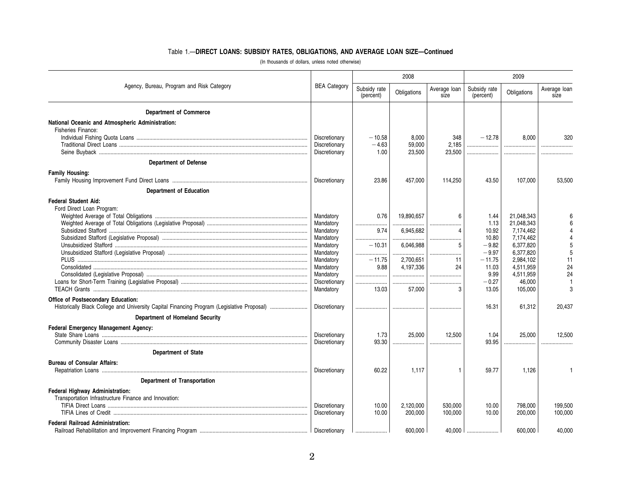# Table 1.—**DIRECT LOANS: SUBSIDY RATES, OBLIGATIONS, AND AVERAGE LOAN SIZE—Continued**

|                                                                                                                                  |                                |                           | 2008             |                      | 2009                      |                        |                      |  |
|----------------------------------------------------------------------------------------------------------------------------------|--------------------------------|---------------------------|------------------|----------------------|---------------------------|------------------------|----------------------|--|
| Agency, Bureau, Program and Risk Category                                                                                        | <b>BEA Category</b>            | Subsidy rate<br>(percent) | Obligations      | Average loan<br>size | Subsidy rate<br>(percent) | Obligations            | Average loan<br>size |  |
| <b>Department of Commerce</b>                                                                                                    |                                |                           |                  |                      |                           |                        |                      |  |
| National Oceanic and Atmospheric Administration:<br>Fisheries Finance:                                                           |                                |                           |                  |                      |                           |                        |                      |  |
|                                                                                                                                  | Discretionary                  | $-10.58$                  | 8.000            | 348                  | $-12.78$                  | 8.000                  | 320                  |  |
|                                                                                                                                  | Discretionary<br>Discretionary | $-4.63$<br>1.00           | 59,000<br>23,500 | 2.185<br>23,500      | <br>                      |                        |                      |  |
| <b>Department of Defense</b>                                                                                                     |                                |                           |                  |                      |                           |                        |                      |  |
| <b>Family Housing:</b>                                                                                                           |                                |                           |                  |                      |                           |                        |                      |  |
|                                                                                                                                  | Discretionary                  | 23.86                     | 457,000          | 114,250              | 43.50                     | 107,000                | 53,500               |  |
| <b>Department of Education</b>                                                                                                   |                                |                           |                  |                      |                           |                        |                      |  |
| <b>Federal Student Aid:</b><br>Ford Direct Loan Program:                                                                         |                                |                           |                  |                      |                           |                        |                      |  |
|                                                                                                                                  | Mandatory                      | 0.76                      | 19.890.657       | 6                    | 1.44                      | 21.048.343             |                      |  |
|                                                                                                                                  | Mandatory                      | <br>.                     |                  |                      | 1.13                      | 21.048.343             |                      |  |
|                                                                                                                                  | Mandatory<br>Mandatory         | 9.74                      | 6.945.682        | $\overline{4}$       | 10.92<br>10.80            | 7,174,462<br>7,174,462 |                      |  |
|                                                                                                                                  | Mandatory                      | <br>$-10.31$              | .<br>6,046,988   | 5                    | $-9.82$                   | 6,377,820              |                      |  |
|                                                                                                                                  | Mandatory                      |                           | .                |                      | $-9.97$                   | 6,377,820              |                      |  |
|                                                                                                                                  | Mandatory                      | $-11.75$<br>9.88          | 2,700,651        | 11                   | $-11.75$                  | 2,984,102              | 11                   |  |
|                                                                                                                                  | Mandatory<br>Mandatory         |                           | 4,197,336<br>    | 24                   | 11.03<br>9.99             | 4,511,959<br>4,511,959 | 24<br>24             |  |
|                                                                                                                                  | Discretionary                  |                           |                  |                      | $-0.27$                   | 46,000                 |                      |  |
|                                                                                                                                  | Mandatory                      | 13.03                     | 57,000           | З                    | 13.05                     | 105,000                |                      |  |
| Office of Postsecondary Education:<br>Historically Black College and University Capital Financing Program (Legislative Proposal) | Discretionary                  |                           |                  |                      | 16.31                     | 61,312                 | 20,437               |  |
| <b>Department of Homeland Security</b>                                                                                           |                                |                           |                  |                      |                           |                        |                      |  |
| Federal Emergency Management Agency:                                                                                             |                                |                           |                  |                      |                           |                        |                      |  |
|                                                                                                                                  | Discretionary                  | 1.73                      | 25,000           | 12,500               | 1.04                      | 25,000                 | 12.500               |  |
|                                                                                                                                  | Discretionary                  | 93.30                     |                  |                      | 93.95                     |                        |                      |  |
| <b>Department of State</b>                                                                                                       |                                |                           |                  |                      |                           |                        |                      |  |
| <b>Bureau of Consular Affairs:</b>                                                                                               | Discretionary                  | 60.22                     | 1.117            | 1                    | 59.77                     | 1.126                  |                      |  |
| <b>Department of Transportation</b>                                                                                              |                                |                           |                  |                      |                           |                        |                      |  |
| Federal Highway Administration:<br>Transportation Infrastructure Finance and Innovation:                                         | Discretionary                  | 10.00                     | 2.120.000        | 530.000              | 10.00                     | 798,000                | 199,500              |  |
|                                                                                                                                  | Discretionary                  | 10.00                     | 200,000          | 100,000              | 10.00                     | 200,000                | 100,000              |  |
| <b>Federal Railroad Administration:</b>                                                                                          |                                |                           | 600.000          |                      | 40.000                    | 600.000                | 40.000               |  |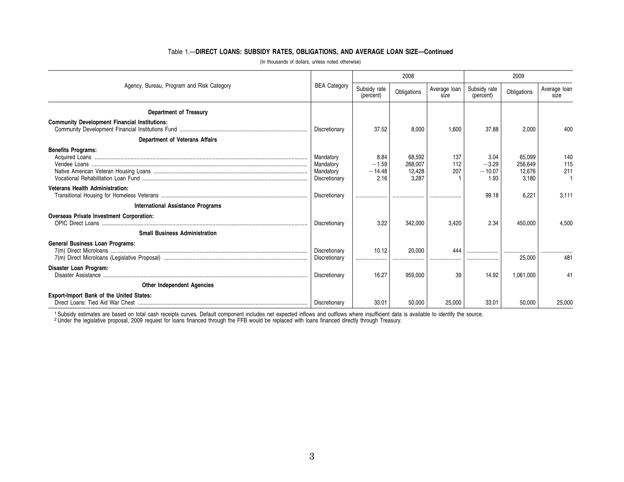# Table 1.—**DIRECT LOANS: SUBSIDY RATES, OBLIGATIONS, AND AVERAGE LOAN SIZE—Continued**

|                                                      |                                                      |                                     | 2008                                 |                      | 2009                                |                                      |                      |  |
|------------------------------------------------------|------------------------------------------------------|-------------------------------------|--------------------------------------|----------------------|-------------------------------------|--------------------------------------|----------------------|--|
| Agency, Bureau, Program and Risk Category            |                                                      | Subsidy rate<br>(percent)           | Obligations                          | Average loan<br>size | Subsidy rate<br>(percent)           | Obligations                          | Average loan<br>size |  |
| <b>Department of Treasury</b>                        |                                                      |                                     |                                      |                      |                                     |                                      |                      |  |
| <b>Community Development Financial Institutions:</b> | Discretionary                                        | 37.52                               | 8.000                                | 1.600                | 37.88                               | 2,000                                | 400                  |  |
| <b>Department of Veterans Affairs</b>                |                                                      |                                     |                                      |                      |                                     |                                      |                      |  |
| <b>Benefits Programs:</b>                            | Mandatory<br>Mandatory<br>Mandatory<br>Discretionary | 8.84<br>$-1.59$<br>$-14.48$<br>2.16 | 68,592<br>268.007<br>12,428<br>3.287 | 137<br>112<br>207    | 3.04<br>$-3.29$<br>$-10.07$<br>1.93 | 65,099<br>256.649<br>12,676<br>3,180 | 140<br>115<br>211    |  |
| <b>Veterans Health Administration:</b>               | Discretionary                                        |                                     |                                      |                      | 99.18                               | 6,221                                | 3.111                |  |
| <b>International Assistance Programs</b>             |                                                      |                                     |                                      |                      |                                     |                                      |                      |  |
| Overseas Private Investment Corporation:             | Discretionary                                        | 3.22                                | 342.000                              | 3.420                | 2.34                                | 450.000                              | 4.500                |  |
| <b>Small Business Administration</b>                 |                                                      |                                     |                                      |                      |                                     |                                      |                      |  |
| <b>General Business Loan Programs:</b>               | Discretionary<br>Discretionary                       | 10.12<br>                           | 20,000                               | 444                  |                                     | <br>25,000                           | 481                  |  |
| Disaster Loan Program:                               | Discretionary                                        | 16.27                               | 959.000                              | 39                   | 14.92                               | 1.061.000                            | 41                   |  |
| <b>Other Independent Agencies</b>                    |                                                      |                                     |                                      |                      |                                     |                                      |                      |  |
| Export-Import Bank of the United States:             | Discretionary                                        | 33.01                               | 50,000                               | 25,000               | 33.01                               | 50,000                               | 25,000               |  |

(In thousands of dollars, unless noted otherwise)

1 Subsidy estimates are based on total cash receipts curves. Default component includes net expected inflows and outflows where insufficient data is available to identify the source.<br>2 Under the legislative proposal, 2009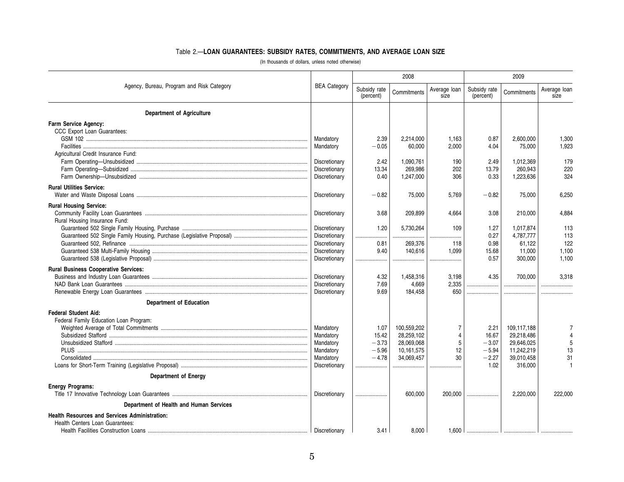# Table 2.—**LOAN GUARANTEES: SUBSIDY RATES, COMMITMENTS, AND AVERAGE LOAN SIZE**

|                                                      |                     |                           | 2008        |                      | 2009                      |             |                      |  |
|------------------------------------------------------|---------------------|---------------------------|-------------|----------------------|---------------------------|-------------|----------------------|--|
| Agency, Bureau, Program and Risk Category            | <b>BEA Category</b> | Subsidy rate<br>(percent) | Commitments | Average loan<br>size | Subsidy rate<br>(percent) | Commitments | Average loan<br>size |  |
| <b>Department of Agriculture</b>                     |                     |                           |             |                      |                           |             |                      |  |
| Farm Service Agency:                                 |                     |                           |             |                      |                           |             |                      |  |
| CCC Export Loan Guarantees:                          |                     |                           |             |                      |                           |             |                      |  |
|                                                      | Mandatory           | 2.39                      | 2,214,000   | 1,163                | 0.87                      | 2,600,000   | 1,300                |  |
|                                                      | Mandatory           | $-0.05$                   | 60,000      | 2,000                | 4.04                      | 75,000      | 1,923                |  |
| Agricultural Credit Insurance Fund:                  |                     |                           |             |                      |                           |             |                      |  |
|                                                      | Discretionary       | 2.42                      | 1,090,761   | 190                  | 2.49                      | 1,012,369   | 179                  |  |
|                                                      | Discretionary       | 13.34                     | 269.986     | 202                  | 13.79                     | 260.943     | 220                  |  |
|                                                      | Discretionary       | 0.40                      | 1,247,000   | 306                  | 0.33                      | 1,223,636   | 324                  |  |
| <b>Rural Utilities Service:</b>                      |                     |                           |             |                      |                           |             |                      |  |
|                                                      | Discretionary       | $-0.82$                   | 75,000      | 5,769                | $-0.82$                   | 75,000      | 6,250                |  |
| <b>Rural Housing Service:</b>                        |                     |                           |             |                      |                           |             |                      |  |
|                                                      | Discretionary       | 3.68                      | 209.899     | 4.664                | 3.08                      | 210.000     | 4.884                |  |
| Rural Housing Insurance Fund:                        |                     |                           |             |                      |                           |             |                      |  |
|                                                      | Discretionary       | 1.20                      | 5,730,264   | 109                  | 1.27                      | 1,017,874   | 113                  |  |
|                                                      | Discretionary       | .                         |             | .                    | 0.27                      | 4,787,777   | 113                  |  |
|                                                      | Discretionary       | 0.81                      | 269,376     | 118                  | 0.98                      | 61,122      | 122                  |  |
|                                                      | Discretionary       | 9.40                      | 140.616     | 1.099                | 15.68                     | 11.000      | 1,100                |  |
|                                                      | Discretionary       | <br>.                     |             | .                    | 0.57                      | 300,000     | 1,100                |  |
| <b>Rural Business Cooperative Services:</b>          |                     |                           |             |                      |                           |             |                      |  |
|                                                      | Discretionary       | 4.32                      | 1,458,316   | 3,198                | 4.35                      | 700.000     | 3.318                |  |
|                                                      | Discretionary       | 7.69                      | 4,669       | 2,335                |                           |             |                      |  |
|                                                      | Discretionary       | 9.69                      | 184,458     | 650                  |                           |             |                      |  |
| <b>Department of Education</b>                       |                     |                           |             |                      |                           |             |                      |  |
| <b>Federal Student Aid:</b>                          |                     |                           |             |                      |                           |             |                      |  |
| Federal Family Education Loan Program:               |                     |                           |             |                      |                           |             |                      |  |
|                                                      | Mandatory           | 1.07                      | 100,559,202 | 7                    | 2.21                      | 109,117,188 |                      |  |
|                                                      | Mandatory           | 15.42                     | 28,259,102  | $\overline{4}$       | 16.67                     | 29,218,486  |                      |  |
|                                                      | Mandatory           | $-3.73$                   | 28,069,068  | 5                    | $-3.07$                   | 29,646,025  |                      |  |
|                                                      | Mandatory           | $-5.96$                   | 10,161,575  | 12                   | $-5.94$                   | 11,242,219  | 13                   |  |
|                                                      | Mandatory           | $-4.78$                   | 34,069,457  | 30                   | $-2.27$                   | 39,010,458  | 31                   |  |
|                                                      | Discretionary       |                           |             |                      | 1.02                      | 316,000     |                      |  |
| <b>Department of Energy</b>                          |                     |                           |             |                      |                           |             |                      |  |
| <b>Energy Programs:</b>                              |                     |                           |             |                      |                           |             |                      |  |
|                                                      | Discretionary       |                           | 600,000     | 200,000              |                           | 2,220,000   | 222,000              |  |
| Department of Health and Human Services              |                     |                           |             |                      |                           |             |                      |  |
| <b>Health Resources and Services Administration:</b> |                     |                           |             |                      |                           |             |                      |  |
| Health Centers Loan Guarantees:                      |                     |                           |             |                      |                           |             |                      |  |
|                                                      | Discretionary       | 3.41                      | 8.000       | 1.600                |                           |             |                      |  |

(In thousands of dollars, unless noted otherwise)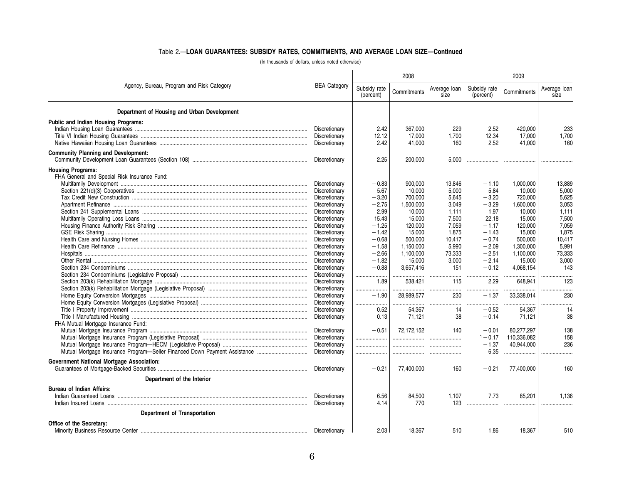# Table 2.—**LOAN GUARANTEES: SUBSIDY RATES, COMMITMENTS, AND AVERAGE LOAN SIZE—Continued**

(In thousands of dollars, unless noted otherwise)

|                                                  |                     |                           | 2008                |                      | 2009                      |             |                      |  |
|--------------------------------------------------|---------------------|---------------------------|---------------------|----------------------|---------------------------|-------------|----------------------|--|
| Agency, Bureau, Program and Risk Category        | <b>BEA Category</b> | Subsidy rate<br>(percent) | Commitments         | Average loan<br>size | Subsidy rate<br>(percent) | Commitments | Average loan<br>size |  |
| Department of Housing and Urban Development      |                     |                           |                     |                      |                           |             |                      |  |
| <b>Public and Indian Housing Programs:</b>       |                     |                           |                     |                      |                           |             |                      |  |
|                                                  | Discretionary       | 2.42                      | 367,000             | 229                  | 2.52                      | 420,000     | 233                  |  |
|                                                  | Discretionary       | 12.12                     | 17,000              | 1.700                | 12.34                     | 17,000      | 1,700                |  |
|                                                  | Discretionary       | 2.42                      | 41,000              | 160                  | 2.52                      | 41.000      | 160                  |  |
| <b>Community Planning and Development:</b>       | Discretionary       | 2.25                      | 200,000             | 5.000                |                           |             |                      |  |
| <b>Housing Programs:</b>                         |                     |                           |                     |                      |                           |             |                      |  |
| FHA General and Special Risk Insurance Fund:     |                     |                           |                     |                      |                           |             |                      |  |
|                                                  | Discretionary       | $-0.83$                   | 900,000             | 13,846               | $-1.10$                   | 1,000,000   | 13,889               |  |
|                                                  | Discretionary       | 5.67                      | 10,000              | 5,000                | 5.84                      | 10,000      | 5,000                |  |
|                                                  | Discretionary       | $-3.20$                   | 700.000             | 5.645                | $-3.20$                   | 720.000     | 5.625                |  |
|                                                  | Discretionary       | $-2.75$                   | 1,500,000           | 3.049                | $-3.29$                   | 1.600.000   | 3.053                |  |
|                                                  | Discretionary       | 2.99                      | 10.000              | 1.111                | 1.97                      | 10.000      | 1.111                |  |
|                                                  | Discretionary       | 15.43                     | 15.000              | 7.500                | 22.18                     | 15.000      | 7.500                |  |
|                                                  | Discretionary       | $-1.25$                   | 120,000             | 7.059                | $-1.17$                   | 120,000     | 7.059                |  |
|                                                  | Discretionary       | $-1.42$                   | 15,000              | 1.875                | $-1.43$                   | 15,000      | 1,875                |  |
|                                                  | Discretionary       | $-0.68$                   | 500,000             | 10.417               | $-0.74$                   | 500.000     | 10.417               |  |
|                                                  | Discretionary       | $-1.58$                   | 1,150,000           | 5,990                | $-2.09$                   | 1,300,000   | 5,991                |  |
|                                                  | Discretionary       | $-2.66$                   |                     |                      | $-2.51$                   | 1.100.000   | 73,333               |  |
|                                                  | Discretionary       | $-1.82$                   | 1,100,000<br>15,000 | 73,333<br>3,000      | $-2.14$                   | 15,000      | 3,000                |  |
|                                                  |                     | $-0.88$                   |                     | 151                  | $-0.12$                   |             | 143                  |  |
|                                                  | Discretionary       |                           | 3,657,416           |                      |                           | 4,068,154   |                      |  |
|                                                  | Discretionary       |                           |                     | <br>115              | .                         |             |                      |  |
|                                                  | Discretionary       | 1.89                      | 538,421             |                      | 2.29                      | 648,941     | 123                  |  |
|                                                  | Discretionary       |                           |                     |                      | .                         |             | .                    |  |
|                                                  | Discretionary       | $-1.90$                   | 28,989,577          | 230                  | $-1.37$                   | 33,338,014  | 230                  |  |
|                                                  | Discretionary       |                           |                     |                      | .                         |             |                      |  |
|                                                  | Discretionary       | 0.52                      | 54,367              | 14                   | $-0.52$                   | 54,367      | 14                   |  |
|                                                  | Discretionary       | 0.13                      | 71,121              | 38                   | $-0.14$                   | 71,121      | 38                   |  |
| FHA Mutual Mortgage Insurance Fund:              |                     |                           |                     |                      |                           |             |                      |  |
|                                                  | Discretionary       | $-0.51$                   | 72.172.152          | 140                  | $-0.01$                   | 80.277.297  | 138                  |  |
|                                                  | Discretionary       |                           |                     |                      | $1 - 0.17$                | 110,336,082 | 158                  |  |
|                                                  | Discretionary       |                           |                     |                      | $-1.37$                   | 40.944.000  | 236                  |  |
|                                                  | Discretionary       |                           |                     |                      | 6.35                      |             |                      |  |
| <b>Government National Mortgage Association:</b> | Discretionary       | $-0.21$                   | 77,400,000          | 160                  | $-0.21$                   | 77,400,000  | 160                  |  |
| Department of the Interior                       |                     |                           |                     |                      |                           |             |                      |  |
|                                                  |                     |                           |                     |                      |                           |             |                      |  |
| <b>Bureau of Indian Affairs:</b>                 |                     |                           |                     |                      |                           |             |                      |  |
|                                                  | Discretionary       | 6.56                      | 84,500              | 1.107                | 7.73                      | 85.201      | 1.136                |  |
|                                                  | Discretionary       | 4.14                      | 770                 | 123                  |                           |             |                      |  |
| Department of Transportation                     |                     |                           |                     |                      |                           |             |                      |  |
| Office of the Secretary:                         |                     |                           |                     |                      |                           |             |                      |  |
|                                                  | Discretionary       | 2.03                      | 18.367              | 510                  | 1.86                      | 18.367      | 510                  |  |
|                                                  |                     |                           |                     |                      |                           |             |                      |  |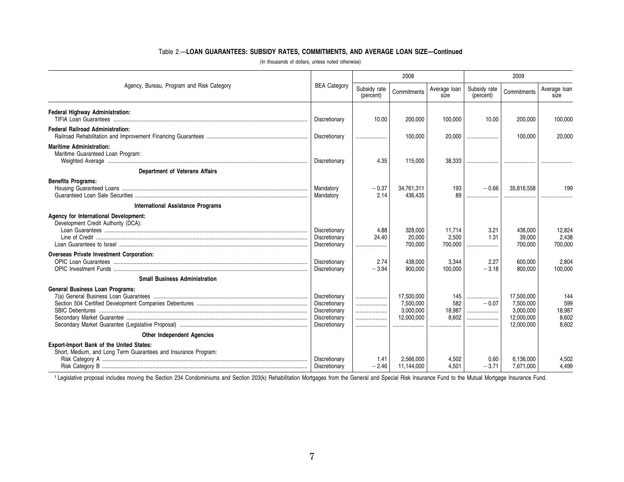# Table 2.—**LOAN GUARANTEES: SUBSIDY RATES, COMMITMENTS, AND AVERAGE LOAN SIZE—Continued**

|                                                                                                            |                                                                                   |                           | 2008                                               |                               | 2009                      |                                                                  |                                        |  |  |
|------------------------------------------------------------------------------------------------------------|-----------------------------------------------------------------------------------|---------------------------|----------------------------------------------------|-------------------------------|---------------------------|------------------------------------------------------------------|----------------------------------------|--|--|
| Agency, Bureau, Program and Risk Category                                                                  |                                                                                   | Subsidy rate<br>(percent) | Commitments                                        | Average loan<br>size          | Subsidy rate<br>(percent) | Commitments                                                      | Average loan<br>size                   |  |  |
| Federal Highway Administration:                                                                            | Discretionary                                                                     | 10.00                     | 200,000                                            | 100.000                       | 10.00                     | 200,000                                                          | 100,000                                |  |  |
| <b>Federal Railroad Administration:</b>                                                                    | Discretionary                                                                     |                           | 100,000                                            | 20,000                        |                           | 100,000                                                          | 20,000                                 |  |  |
| <b>Maritime Administration:</b><br>Maritime Guaranteed Loan Program:                                       | Discretionary                                                                     | 4.35                      | 115,000                                            | 38,333                        |                           |                                                                  |                                        |  |  |
| <b>Department of Veterans Affairs</b>                                                                      |                                                                                   |                           |                                                    |                               |                           |                                                                  |                                        |  |  |
| <b>Benefits Programs:</b>                                                                                  | Mandatory<br>Mandatory                                                            | $-0.37$<br>2.14           | 34.761.311<br>436.435                              | 193<br>89                     | $-0.66$                   | 35,816,558                                                       | 199                                    |  |  |
| <b>International Assistance Programs</b>                                                                   |                                                                                   |                           |                                                    |                               |                           |                                                                  |                                        |  |  |
| Agency for International Development:<br>Development Credit Authority (DCA):                               | Discretionary<br>Discretionary<br>Discretionary                                   | 4.88<br>24.40             | 328.000<br>20,000<br>700,000                       | 11.714<br>2.500<br>700.000    | 3.21<br>1.31<br>.         | 436.000<br>39.000<br>700.000                                     | 12,824<br>2,438<br>700,000             |  |  |
| <b>Overseas Private Investment Corporation:</b>                                                            | Discretionary<br>Discretionary                                                    | 2.74<br>$-3.94$           | 438,000<br>900,000                                 | 3,344<br>100,000              | 2.27<br>$-3.18$           | 600,000<br>800,000                                               | 2,804<br>100,000                       |  |  |
| <b>Small Business Administration</b>                                                                       |                                                                                   |                           |                                                    |                               |                           |                                                                  |                                        |  |  |
| <b>General Business Loan Programs:</b>                                                                     | Discretionary<br>Discretionary<br>Discretionary<br>Discretionary<br>Discretionary | <br>                      | 17,500,000<br>7,500,000<br>3,000,000<br>12,000,000 | 145<br>582<br>18,987<br>8.602 | <br>$-0.07$<br>           | 17,500,000<br>7,500,000<br>3,000,000<br>12,000,000<br>12,000,000 | 144<br>599<br>18,987<br>8,602<br>8.602 |  |  |
| <b>Other Independent Agencies</b>                                                                          |                                                                                   |                           |                                                    |                               |                           |                                                                  |                                        |  |  |
| Export-Import Bank of the United States:<br>Short, Medium, and Long Term Guarantees and Insurance Program: | Discretionary<br>Discretionary                                                    | 1.41<br>$-2.46$           | 2.566.000<br>11.144.000                            | 4.502<br>4.501                | 0.60<br>$-3.71$           | 6.136.000<br>7.671.000                                           | 4,502<br>4.499                         |  |  |

(In thousands of dollars, unless noted otherwise)

1 Legislative proposal includes moving the Section 234 Condominiums and Section 203(k) Rehabilitation Mortgages from the General and Special Risk Insurance Fund to the Mutual Mortgage Insurance Fund.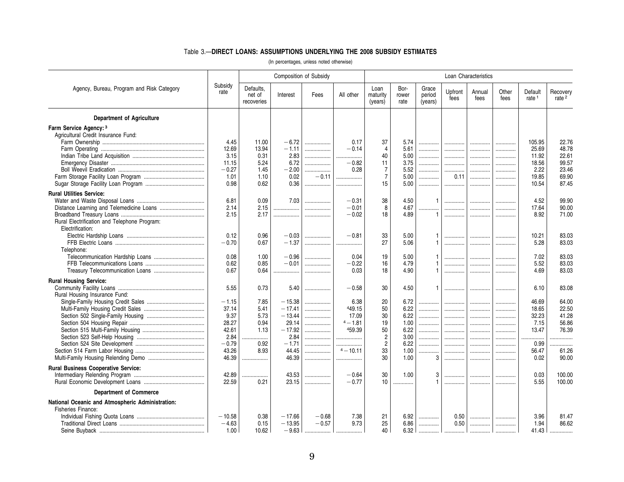### Table 3.—**DIRECT LOANS: ASSUMPTIONS UNDERLYING THE 2008 SUBSIDY ESTIMATES**

|                                                  |                 | Composition of Subsidy            |          |         | Loan Characteristics |                             |                       |                            |                 |                |               |                              |                               |
|--------------------------------------------------|-----------------|-----------------------------------|----------|---------|----------------------|-----------------------------|-----------------------|----------------------------|-----------------|----------------|---------------|------------------------------|-------------------------------|
| Agency, Bureau, Program and Risk Category        | Subsidy<br>rate | Defaults,<br>net of<br>recoveries | Interest | Fees    | All other            | Loan<br>maturity<br>(years) | Bor-<br>rower<br>rate | Grace<br>period<br>(years) | Upfront<br>fees | Annual<br>fees | Other<br>fees | Default<br>rate <sup>1</sup> | Recovery<br>rate <sup>2</sup> |
| <b>Department of Agriculture</b>                 |                 |                                   |          |         |                      |                             |                       |                            |                 |                |               |                              |                               |
| Farm Service Agency: 3                           |                 |                                   |          |         |                      |                             |                       |                            |                 |                |               |                              |                               |
| Agricultural Credit Insurance Fund:              |                 |                                   |          |         |                      |                             |                       |                            |                 |                |               |                              |                               |
|                                                  | 4.45            | 11.00                             | $-6.72$  | .       | 0.17                 | 37                          | 5.74                  |                            |                 |                | .             | 105.95                       | 22.76                         |
|                                                  | 12.69           | 13.94                             | $-1.11$  |         | $-0.14$              | $\overline{4}$              | 5.61                  |                            |                 | .              |               | 25.69                        | 48.78                         |
|                                                  | 3.15            | 0.31                              | 2.83     |         | .                    | 40                          | 5.00                  | .                          |                 |                | .             | 11.92                        | 22.61                         |
|                                                  | 11.15           | 5.24                              | 6.72     | .       | $-0.82$              | 11                          | 3.75                  | .                          | .               | .              |               | 18.56                        | 99.57                         |
|                                                  | $-0.27$         | 1.45                              | $-2.00$  | .       | 0.28                 | $\overline{7}$              | 5.52                  |                            | .               | .              | .             | 2.22                         | 23.46                         |
|                                                  | 1.01            | 1.10                              | 0.02     | $-0.11$ |                      | $\overline{7}$              | 5.00                  |                            | 0.11            |                |               | 19.85                        | 69.90                         |
|                                                  | 0.98            | 0.62                              | 0.36     |         | .                    | 15                          | 5.00                  |                            | .               | .              | .             | 10.54                        | 87.45                         |
| <b>Rural Utilities Service:</b>                  |                 |                                   |          |         |                      |                             |                       |                            |                 |                |               |                              |                               |
|                                                  | 6.81            | 0.09                              | 7.03     |         | $-0.31$              | 38                          | 4.50                  | $\mathbf{1}$               |                 |                | .             | 4.52                         | 99.90                         |
| Distance Learning and Telemedicine Loans         | 2.14            | 2.15                              | .        | .       | $-0.01$              | 8                           | 4.67                  | .                          | .               |                | .             | 17.64                        | 90.00                         |
|                                                  | 2.15            | 2.17                              | .        | .       | $-0.02$              | 18                          | 4.89                  | $\mathbf{1}$               |                 |                | .             | 8.92                         | 71.00                         |
| Rural Electrification and Telephone Program:     |                 |                                   |          |         |                      |                             |                       |                            |                 |                |               |                              |                               |
| Electrification:                                 |                 |                                   |          |         |                      |                             |                       |                            |                 |                |               |                              |                               |
|                                                  | 0.12            | 0.96                              | $-0.03$  |         | $-0.81$              | 33                          | 5.00                  |                            |                 |                | .             | 10.21                        | 83.03                         |
|                                                  | $-0.70$         | 0.67                              | $-1.37$  |         | .                    | 27                          | 5.06                  | $\mathbf{1}$               |                 |                | .             | 5.28                         | 83.03                         |
| Telephone:                                       |                 |                                   |          |         |                      |                             |                       |                            |                 |                |               |                              |                               |
|                                                  | 0.08            | 1.00                              | $-0.96$  | .       | 0.04                 | 19                          | 5.00                  |                            | .               |                | .             | 7.02                         | 83.03                         |
|                                                  | 0.62            | 0.85                              | $-0.01$  | .       | $-0.22$              | 16                          | 4.79                  |                            | .               |                | .             | 5.52                         | 83.03                         |
|                                                  | 0.67            | 0.64                              | .        | .       | 0.03                 | 18                          | 4.90                  |                            | .               | .              | .             | 4.69                         | 83.03                         |
| <b>Rural Housing Service:</b>                    |                 |                                   |          |         |                      |                             |                       |                            |                 |                |               |                              |                               |
|                                                  | 5.55            | 0.73                              | 5.40     | .       | $-0.58$              | 30                          | 4.50                  | $\mathbf{1}$               |                 | .              | .             | 6.10                         | 83.08                         |
| Rural Housing Insurance Fund:                    |                 |                                   |          |         |                      |                             |                       |                            |                 |                |               |                              |                               |
|                                                  | $-1.15$         | 7.85                              | $-15.38$ | .       | 6.38                 | 20                          | 6.72                  | .                          |                 |                | .             | 46.69                        | 64.00                         |
|                                                  | 37.14           | 5.41                              | $-17.41$ |         | 449.15               | 50                          | 6.22                  |                            |                 |                | .             | 18.65                        | 22.50                         |
|                                                  | 9.37            | 5.73                              | $-13.44$ |         | 17.09                | 30                          | 6.22                  | .                          |                 |                | .             | 32.23                        | 41.28                         |
|                                                  | 28.27           | 0.94                              | 29.14    | .       | $4 - 1.81$           | 19                          | 1.00                  |                            | .               |                | .             | 7.15                         | 56.86                         |
|                                                  | 42.61           | 1.13                              | $-17.92$ | .       | 459.39               | 50                          | 6.22                  | .                          |                 |                | .             | 13.47                        | 76.39                         |
|                                                  | 2.84            | .                                 | 2.84     |         | .                    | $\overline{2}$              | 3.00                  | .                          |                 |                |               | .                            | .                             |
|                                                  | $-0.79$         | 0.92                              | $-1.71$  | .       | .                    | $\overline{c}$              | 6.22                  |                            | .               |                | .             | 0.99                         |                               |
|                                                  | 43.26           | 8.93                              | 44.45    | .       | $4 - 10.11$          | 33                          | 1.00                  | .                          |                 |                | .             | 56.47                        | 61.26                         |
|                                                  | 46.39           | .                                 | 46.39    |         | .                    | 30                          | 1.00                  | 3                          | .               | .              | .             | 0.02                         | 90.00                         |
| <b>Rural Business Cooperative Service:</b>       |                 |                                   |          |         |                      |                             |                       |                            |                 |                |               |                              |                               |
|                                                  | 42.89           | .                                 | 43.53    |         | $-0.64$              | 30                          | 1.00                  | 3                          | .               | .              |               | 0.03                         | 100.00                        |
|                                                  | 22.59           | 0.21                              | 23.15    | .       | $-0.77$              | 10                          | .                     |                            |                 | .              | .             | 5.55                         | 100.00                        |
| <b>Department of Commerce</b>                    |                 |                                   |          |         |                      |                             |                       |                            |                 |                |               |                              |                               |
| National Oceanic and Atmospheric Administration: |                 |                                   |          |         |                      |                             |                       |                            |                 |                |               |                              |                               |
| Fisheries Finance:                               |                 |                                   |          |         |                      |                             |                       |                            |                 |                |               |                              |                               |
|                                                  | $-10.58$        | 0.38                              | $-17.66$ | $-0.68$ | 7.38                 | 21                          | 6.92                  |                            | 0.50            | .              |               | 3.96                         | 81.47                         |
|                                                  | $-4.63$         | 0.15                              | $-13.95$ | $-0.57$ | 9.73                 | 25                          | 6.86                  | .                          | 0.50            |                |               | 1.94                         | 86.62                         |
|                                                  | 1.00            | 10.62                             | $-9.63$  |         |                      | 40                          | 6.32                  |                            | .               | .              | .             | 41.43                        | .                             |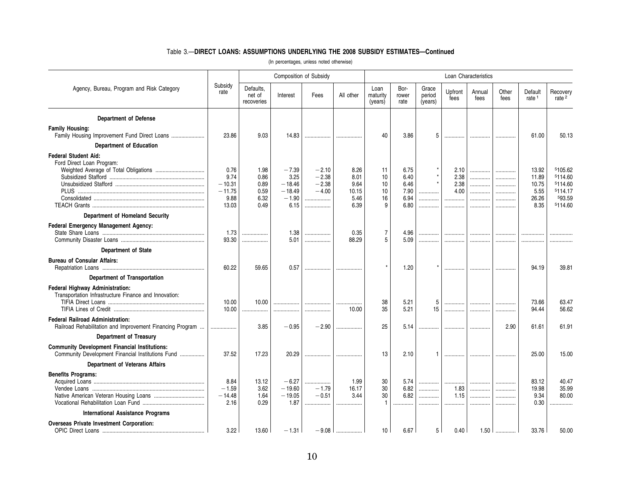### Table 3.—**DIRECT LOANS: ASSUMPTIONS UNDERLYING THE 2008 SUBSIDY ESTIMATES—Continued**

|                                                                                                           |                      | Composition of Subsidy            |                      |                    |              | Loan Characteristics        |                       |                            |                 |                |               |                              |                               |
|-----------------------------------------------------------------------------------------------------------|----------------------|-----------------------------------|----------------------|--------------------|--------------|-----------------------------|-----------------------|----------------------------|-----------------|----------------|---------------|------------------------------|-------------------------------|
| Agency, Bureau, Program and Risk Category                                                                 | Subsidy<br>rate      | Defaults.<br>net of<br>recoveries | Interest             | Fees               | All other    | Loan<br>maturity<br>(years) | Bor-<br>rower<br>rate | Grace<br>period<br>(years) | Upfront<br>fees | Annual<br>fees | Other<br>fees | Default<br>rate <sup>1</sup> | Recovery<br>rate <sup>2</sup> |
| <b>Department of Defense</b>                                                                              |                      |                                   |                      |                    |              |                             |                       |                            |                 |                |               |                              |                               |
| <b>Family Housing:</b>                                                                                    |                      |                                   |                      |                    |              |                             |                       |                            |                 |                |               |                              |                               |
| Family Housing Improvement Fund Direct Loans                                                              | 23.86                | 9.03                              | 14.83                |                    |              | 40                          | 3.86                  |                            | .               |                |               | 61.00                        | 50.13                         |
| <b>Department of Education</b>                                                                            |                      |                                   |                      |                    |              |                             |                       |                            |                 |                |               |                              |                               |
| <b>Federal Student Aid:</b>                                                                               |                      |                                   |                      |                    |              |                             |                       |                            |                 |                |               |                              |                               |
| Ford Direct Loan Program:                                                                                 |                      |                                   |                      |                    |              |                             |                       |                            |                 |                |               |                              |                               |
|                                                                                                           | 0.76                 | 1.98                              | $-7.39$              | $-2.10$            | 8.26         | 11                          | 6.75                  |                            | 2.10            |                | .             | 13.92                        | 5105.62                       |
|                                                                                                           | 9.74                 | 0.86                              | 3.25                 | $-2.38$<br>$-2.38$ | 8.01<br>9.64 | 10                          | 6.40                  |                            | 2.38            | .              | .             | 11.89                        | 5114.60                       |
|                                                                                                           | $-10.31$<br>$-11.75$ | 0.89<br>0.59                      | $-18.46$<br>$-18.49$ | $-4.00$            | 10.15        | 10<br>10                    | 6.46<br>7.90          | .                          | 2.38<br>4.00    | .<br>          | .<br>.        | 10.75<br>5.55                | 5114.60<br>5114.17            |
|                                                                                                           | 9.88                 | 6.32                              | $-1.90$              | .                  | 5.46         | 16                          | 6.94                  |                            |                 | .              | .             | 26.26                        | 593.59                        |
|                                                                                                           | 13.03                | 0.49                              | 6.15                 | .                  | 6.39         | 9                           | 6.80                  | .                          | .               | .              | .             | 8.35                         | 5114.60                       |
| Department of Homeland Security                                                                           |                      |                                   |                      |                    |              |                             |                       |                            |                 |                |               |                              |                               |
| Federal Emergency Management Agency:                                                                      |                      |                                   |                      |                    |              |                             |                       |                            |                 |                |               |                              |                               |
|                                                                                                           | 1.73                 | .                                 | 1.38                 |                    | 0.35         | $\overline{7}$              | 4.96                  |                            |                 |                | .             |                              |                               |
|                                                                                                           | 93.30                | .                                 | 5.01                 | .                  | 88.29        | 5                           | 5.09                  | .                          |                 |                |               |                              |                               |
| <b>Department of State</b>                                                                                |                      |                                   |                      |                    |              |                             |                       |                            |                 |                |               |                              |                               |
| <b>Bureau of Consular Affairs:</b>                                                                        | 60.22                | 59.65                             | 0.57                 |                    | .            |                             | 1.20                  |                            | .               | .              | .             | 94.19                        | 39.81                         |
| <b>Department of Transportation</b>                                                                       |                      |                                   |                      |                    |              |                             |                       |                            |                 |                |               |                              |                               |
| <b>Federal Highway Administration:</b><br>Transportation Infrastructure Finance and Innovation:           | 10.00<br>10.00       | 10.00<br>.                        | .<br>                | <br>               | 10.00        | 38<br>35                    | 5.21<br>5.21          | 5<br>15                    | <br>.           | <br>           |               | 73.66<br>94.44               | 63.47<br>56.62                |
| <b>Federal Railroad Administration:</b><br>Railroad Rehabilitation and Improvement Financing Program      |                      | 3.85                              | $-0.95$              | $-2.90$            |              | 25                          | 5.14                  |                            |                 | .              | 2.90          | 61.61                        | 61.91                         |
| <b>Department of Treasury</b>                                                                             |                      |                                   |                      |                    |              |                             |                       |                            |                 |                |               |                              |                               |
| <b>Community Development Financial Institutions:</b><br>Community Development Financial Institutions Fund | 37.52                | 17.23                             | 20.29                | .                  |              | 13                          | 2.10                  |                            | .               | .              |               | 25.00                        | 15.00                         |
| <b>Department of Veterans Affairs</b>                                                                     |                      |                                   |                      |                    |              |                             |                       |                            |                 |                |               |                              |                               |
|                                                                                                           |                      |                                   |                      |                    |              |                             |                       |                            |                 |                |               |                              |                               |
| <b>Benefits Programs:</b>                                                                                 | 8.84                 | 13.12                             | $-6.27$              |                    | 1.99         | 30                          | 5.74                  | .                          |                 |                |               | 83.12                        | 40.47                         |
|                                                                                                           | $-1.59$              | 3.62                              | $-19.60$             | .<br>$-1.79$       | 16.17        | 30                          | 6.82                  |                            | .<br>1.83       | <br>           | .<br>.        | 19.98                        | 35.99                         |
|                                                                                                           | $-14.48$             | 1.64                              | $-19.05$             | $-0.51$            | 3.44         | 30                          | 6.82                  | .                          | 1.15            |                | .             | 9.34                         | 80.00                         |
|                                                                                                           | 2.16                 | 0.29                              | 1.87                 | .                  |              | $\mathbf{1}$                |                       | .                          |                 | .              |               | 0.30                         |                               |
| International Assistance Programs                                                                         |                      |                                   |                      |                    |              |                             |                       |                            |                 |                |               |                              |                               |
| <b>Overseas Private Investment Corporation:</b>                                                           | 3.22                 | 13.60                             | $-1.31$              | $-9.08$            |              | 10                          | 6.67                  | 5                          | 0.40            | 1.50           |               | 33.76                        | 50.00                         |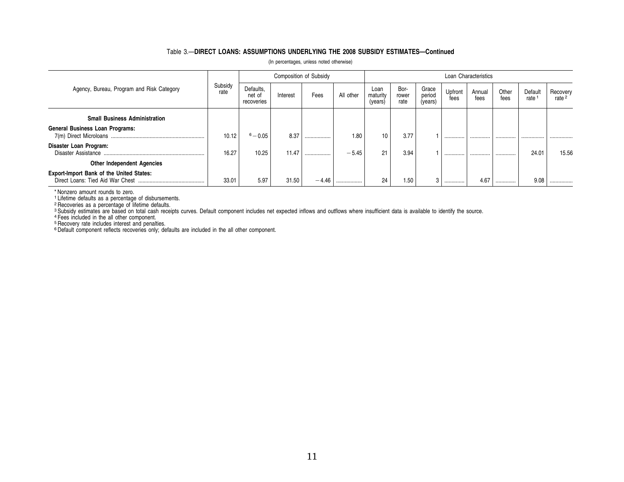### Table 3.—**DIRECT LOANS: ASSUMPTIONS UNDERLYING THE 2008 SUBSIDY ESTIMATES—Continued**

|  | (In percentages, unless noted otherwise) |  |  |  |
|--|------------------------------------------|--|--|--|
|--|------------------------------------------|--|--|--|

|                                                                                     |                 |                                   |          | <b>Composition of Subsidy</b> |           |                             |                       |                            |                 | Loan Characteristics |               |                 |                               |
|-------------------------------------------------------------------------------------|-----------------|-----------------------------------|----------|-------------------------------|-----------|-----------------------------|-----------------------|----------------------------|-----------------|----------------------|---------------|-----------------|-------------------------------|
| Agency, Bureau, Program and Risk Category                                           | Subsidy<br>rate | Defaults.<br>net of<br>recoveries | Interest | Fees                          | All other | Loan<br>maturity<br>(years) | Bor-<br>rower<br>rate | Grace<br>period<br>(years) | Upfront<br>fees | Annual<br>fees       | Other<br>fees | Default<br>rate | Recovery<br>rate <sup>2</sup> |
| <b>Small Business Administration</b>                                                |                 |                                   |          |                               |           |                             |                       |                            |                 |                      |               |                 |                               |
| <b>General Business Loan Programs:</b>                                              | 10.12           | $6 - 0.05$                        | 8.37     |                               | 1.80      | 10                          | 3.77                  |                            |                 |                      |               |                 |                               |
| Disaster Loan Program:<br>Disaster Assistance                                       | 16.27           | 10.25                             | 11.47    | .                             | $-5.45$   | 21                          | 3.94                  |                            |                 |                      |               | 24.01           | 15.56                         |
| <b>Other Independent Agencies</b>                                                   |                 |                                   |          |                               |           |                             |                       |                            |                 |                      |               |                 |                               |
| <b>Export-Import Bank of the United States:</b><br>Direct Loans: Tied Aid War Chest | 33.01           | 5.97                              | 31.50    | $-4.46$                       | .         | 24                          | 1.50                  | 3                          |                 | 4.67                 | .             | 9.08            |                               |

\* Nonzero amount rounds to zero.

<sup>1</sup> Lifetime defaults as a percentage of disbursements.<br><sup>2</sup> Recoveries as a percentage of lifetime defaults.<br><sup>3</sup> Subsidy estimates are based on total cash receipts curves. Default component includes net expected inflows an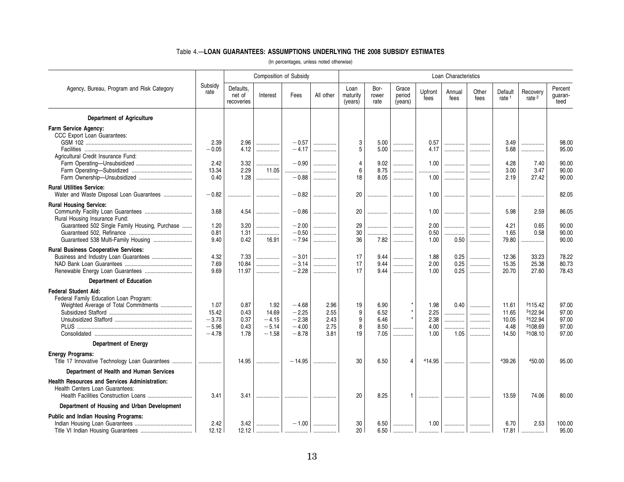### Table 4.—**LOAN GUARANTEES: ASSUMPTIONS UNDERLYING THE 2008 SUBSIDY ESTIMATES**

|                                                                                                                |                                                |                                      | Composition of Subsidy                         |                                                     |                                      |                             |                                      |                            |                                      | Loan Characteristics        |                       |                                          |                                                     |                                           |
|----------------------------------------------------------------------------------------------------------------|------------------------------------------------|--------------------------------------|------------------------------------------------|-----------------------------------------------------|--------------------------------------|-----------------------------|--------------------------------------|----------------------------|--------------------------------------|-----------------------------|-----------------------|------------------------------------------|-----------------------------------------------------|-------------------------------------------|
| Agency, Bureau, Program and Risk Category                                                                      | Subsidy<br>rate                                | Defaults,<br>net of<br>recoveries    | Interest                                       | Fees                                                | All other                            | Loan<br>maturity<br>(years) | Bor-<br>rower<br>rate                | Grace<br>period<br>(years) | Upfront<br>fees                      | Annual<br>fees              | Other<br>fees         | Default<br>rate <sup>1</sup>             | Recovery<br>rate <sup>2</sup>                       | Percent<br>quaran-<br>teed                |
| <b>Department of Agriculture</b>                                                                               |                                                |                                      |                                                |                                                     |                                      |                             |                                      |                            |                                      |                             |                       |                                          |                                                     |                                           |
| <b>Farm Service Agency:</b><br>CCC Export Loan Guarantees:                                                     | 2.39                                           | 2.96                                 | .                                              | $-0.57$                                             | .                                    | 3                           | 5.00                                 |                            | 0.57                                 | . 1                         |                       | 3.49                                     |                                                     | 98.00                                     |
| Agricultural Credit Insurance Fund:                                                                            | $-0.05$                                        | 4.12                                 | .                                              | $-4.17$                                             | .                                    | 5                           | 5.00                                 |                            | 4.17                                 | .                           | .                     | 5.68                                     |                                                     | 95.00                                     |
|                                                                                                                | 2.42<br>13.34<br>0.40                          | 3.32<br>2.29<br>1.28                 | .<br>11.05<br>.                                | $-0.90$<br>.<br>$-0.88$                             | .<br>.<br>.                          | $\overline{4}$<br>6<br>18   | 9.02<br>8.75<br>8.05                 | .<br>.<br>.                | 1.00<br>.<br>1.00                    | .<br>.<br>.                 | .<br>.<br>.           | 4.28<br>3.00<br>2.19                     | 7.40<br>3.47<br>27.42                               | 90.00<br>90.00<br>90.00                   |
| <b>Rural Utilities Service:</b><br>Water and Waste Disposal Loan Guarantees                                    | $-0.82$                                        |                                      |                                                | $-0.82$                                             | .                                    | 20                          | .                                    | .                          | 1.00                                 | .                           | .                     | .                                        |                                                     | 82.05                                     |
| <b>Rural Housing Service:</b><br>Rural Housing Insurance Fund:                                                 | 3.68                                           | 4.54                                 | .                                              | $-0.86$                                             | .                                    | 20                          | .                                    |                            | 1.00                                 | .                           | .                     | 5.98                                     | 2.59                                                | 86.05                                     |
| Guaranteed 502 Single Family Housing, Purchase<br>Guaranteed 538 Multi-Family Housing                          | 1.20<br>0.81<br>9.40                           | 3.20<br>1.31<br>0.42                 | .<br>.<br>16.91                                | $-2.00$<br>$-0.50$<br>$-7.94$                       | .<br>.<br>.                          | 29<br>30<br>36              | .<br>.<br>7.82                       | .<br>.<br>.                | 2.00<br>0.50<br>1.00                 | .<br>.<br>0.50              | .<br>.<br>.           | 4.21<br>1.65<br>79.80                    | 0.65<br>0.58<br>.                                   | 90.00<br>90.00<br>90.00                   |
| <b>Rural Business Cooperative Services:</b>                                                                    |                                                |                                      |                                                |                                                     |                                      |                             |                                      |                            |                                      |                             |                       |                                          |                                                     |                                           |
|                                                                                                                | 4.32<br>7.69<br>9.69                           | 7.33<br>10.84<br>11.97               | .<br>.<br>.                                    | $-3.01$<br>$-3.14$<br>$-2.28$                       | .<br>.<br>.                          | 17<br>17<br>17              | 9.44<br>9.44<br>9.44                 | .<br>.<br>.                | 1.88<br>2.00<br>1.00                 | 0.25<br>0.25<br>0.25        | .<br>.<br>.           | 12.36<br>15.35<br>20.70                  | 33.23<br>25.38<br>27.60                             | 78.22<br>80.73<br>78.43                   |
| <b>Department of Education</b>                                                                                 |                                                |                                      |                                                |                                                     |                                      |                             |                                      |                            |                                      |                             |                       |                                          |                                                     |                                           |
| <b>Federal Student Aid:</b><br>Federal Family Education Loan Program:<br>Weighted Average of Total Commitments | 1.07<br>15.42<br>$-3.73$<br>$-5.96$<br>$-4.78$ | 0.87<br>0.43<br>0.37<br>0.43<br>1.78 | 1.92<br>14.69<br>$-4.15$<br>$-5.14$<br>$-1.58$ | $-4.68$<br>$-2.25$<br>$-2.38$<br>$-4.00$<br>$-8.78$ | 2.96<br>2.55<br>2.43<br>2.75<br>3.81 | 19<br>9<br>9<br>8<br>19     | 6.90<br>6.52<br>6.46<br>8.50<br>7.05 | .                          | 1.98<br>2.25<br>2.38<br>4.00<br>1.00 | 0.40<br>.<br>.<br>.<br>1.05 | .<br>.<br>.<br>.<br>. | 11.61<br>11.65<br>10.05<br>4.48<br>14.50 | 3115.42<br>3122.94<br>3122.94<br>3108.69<br>3108.10 | 97.00<br>97.00<br>97.00<br>97.00<br>97.00 |
| <b>Department of Energy</b>                                                                                    |                                                |                                      |                                                |                                                     |                                      |                             |                                      |                            |                                      |                             |                       |                                          |                                                     |                                           |
| <b>Energy Programs:</b><br>Title 17 Innovative Technology Loan Guarantees                                      |                                                | 14.95                                | .                                              | $-14.95$                                            | .                                    | 30                          | 6.50                                 | $\overline{4}$             | 414.95                               |                             | .                     | 439.26                                   | 450.00                                              | 95.00                                     |
| Department of Health and Human Services                                                                        |                                                |                                      |                                                |                                                     |                                      |                             |                                      |                            |                                      |                             |                       |                                          |                                                     |                                           |
| <b>Health Resources and Services Administration:</b><br>Health Centers Loan Guarantees:                        | 3.41                                           | 3.41                                 |                                                |                                                     | .                                    | 20                          | 8.25                                 | 1                          |                                      | .                           | .                     | 13.59                                    | 74.06                                               | 80.00                                     |
| Department of Housing and Urban Development                                                                    |                                                |                                      |                                                |                                                     |                                      |                             |                                      |                            |                                      |                             |                       |                                          |                                                     |                                           |
| Public and Indian Housing Programs:                                                                            | 2.42<br>12.12                                  | 3.42<br>12.12                        | .                                              | $-1.00$                                             | .                                    | 30<br>20                    | 6.50<br>6.50                         |                            | 1.00                                 | .                           |                       | 6.70<br>17.81                            | 2.53                                                | 100.00<br>95.00                           |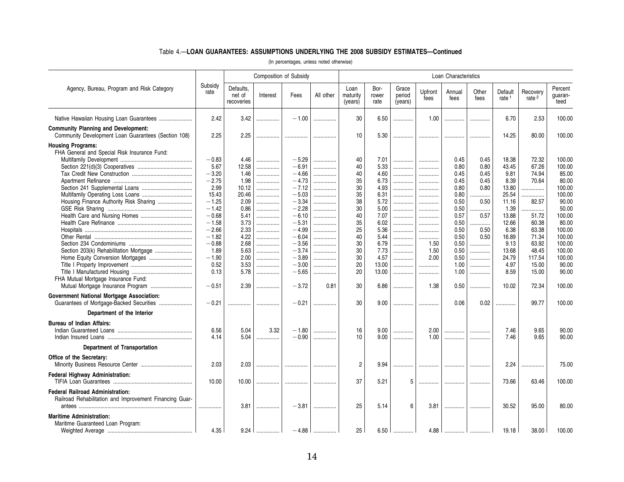### Table 4.—**LOAN GUARANTEES: ASSUMPTIONS UNDERLYING THE 2008 SUBSIDY ESTIMATES—Continued**

|                                                                                                                                                                                                  |                                                                                                                                                        |                                                                                                                         |                                                                         | Composition of Subsidy                                                                                                                                            |                                                                       |                                                                                        |                                                                                                                      |                                                           |                                                                       | Loan Characteristics                                                                                                 |                                                                                                    |                                                                                                                                |                                                                                                                         |                                                                                                                                               |
|--------------------------------------------------------------------------------------------------------------------------------------------------------------------------------------------------|--------------------------------------------------------------------------------------------------------------------------------------------------------|-------------------------------------------------------------------------------------------------------------------------|-------------------------------------------------------------------------|-------------------------------------------------------------------------------------------------------------------------------------------------------------------|-----------------------------------------------------------------------|----------------------------------------------------------------------------------------|----------------------------------------------------------------------------------------------------------------------|-----------------------------------------------------------|-----------------------------------------------------------------------|----------------------------------------------------------------------------------------------------------------------|----------------------------------------------------------------------------------------------------|--------------------------------------------------------------------------------------------------------------------------------|-------------------------------------------------------------------------------------------------------------------------|-----------------------------------------------------------------------------------------------------------------------------------------------|
| Agency, Bureau, Program and Risk Category                                                                                                                                                        | Subsidy<br>rate                                                                                                                                        | Defaults,<br>net of<br>recoveries                                                                                       | Interest                                                                | Fees                                                                                                                                                              | All other                                                             | Loan<br>maturity<br>(years)                                                            | Bor-<br>rower<br>rate                                                                                                | Grace<br>period<br>(years)                                | Upfront<br>fees                                                       | Annual<br>fees                                                                                                       | Other<br>fees                                                                                      | Default<br>rate <sup>1</sup>                                                                                                   | Recovery<br>rate <sup>2</sup>                                                                                           | Percent<br>guaran-<br>teed                                                                                                                    |
|                                                                                                                                                                                                  | 2.42                                                                                                                                                   | 3.42                                                                                                                    | .                                                                       | $-1.00$                                                                                                                                                           |                                                                       | 30                                                                                     | 6.50                                                                                                                 | .                                                         | 1.00                                                                  | .                                                                                                                    |                                                                                                    | 6.70                                                                                                                           | 2.53                                                                                                                    | 100.00                                                                                                                                        |
| <b>Community Planning and Development:</b><br>Community Development Loan Guarantees (Section 108)                                                                                                | 2.25                                                                                                                                                   | 2.25                                                                                                                    | .                                                                       |                                                                                                                                                                   |                                                                       | 10                                                                                     | 5.30                                                                                                                 | .                                                         |                                                                       |                                                                                                                      |                                                                                                    | 14.25                                                                                                                          | 80.00                                                                                                                   | 100.00                                                                                                                                        |
| <b>Housing Programs:</b><br>FHA General and Special Risk Insurance Fund:<br>Housing Finance Authority Risk Sharing<br>Section 203(k) Rehabilitation Mortgage<br>Home Equity Conversion Mortgages | $-0.83$<br>5.67<br>$-3.20$<br>$-2.75$<br>2.99<br>15.43<br>$-1.25$<br>$-1.42$<br>$-0.68$<br>$-1.58$<br>$-2.66$<br>$-1.82$<br>$-0.88$<br>1.89<br>$-1.90$ | 4.46<br>12.58<br>1.46<br>1.98<br>10.12<br>20.46<br>2.09<br>0.86<br>5.41<br>3.73<br>2.33<br>4.22<br>2.68<br>5.63<br>2.00 | .<br>.<br>.<br>.<br>.<br>.<br>.<br>.<br>.<br>.<br>.<br>.<br>.<br>.<br>. | $-5.29$<br>$-6.91$<br>$-4.66$<br>$-4.73$<br>$-7.12$<br>$-5.03$<br>$-3.34$<br>$-2.28$<br>$-6.10$<br>$-5.31$<br>$-4.99$<br>$-6.04$<br>$-3.56$<br>$-3.74$<br>$-3.89$ | .<br>.<br><br>.<br>.<br>.<br>.<br>.<br>.<br><br>.<br>.<br>.<br>.<br>. | 40<br>40<br>40<br>35<br>30<br>35<br>38<br>30<br>40<br>35<br>25<br>40<br>30<br>30<br>30 | 7.01<br>5.33<br>4.60<br>6.73<br>4.93<br>6.31<br>5.72<br>5.00<br>7.07<br>6.02<br>5.36<br>5.44<br>6.79<br>7.73<br>4.57 | <br><br><br><br><br><br>.<br><br><br><br><br><br><br><br> | <br><br><br><br><br><br>.<br><br><br><br><br><br>1.50<br>1.50<br>2.00 | 0.45<br>0.80<br>0.45<br>0.45<br>0.80<br>0.80<br>0.50<br>0.50<br>0.57<br>0.50<br>0.50<br>0.50<br>0.50<br>0.50<br>0.50 | 0.45<br>0.80<br>0.45<br>0.45<br>0.80<br>.<br>0.50<br>.<br>0.57<br>.<br>0.50<br>0.50<br>.<br>.<br>. | 18.38<br>43.45<br>9.81<br>8.39<br>13.80<br>25.54<br>11.16<br>1.39<br>13.88<br>12.66<br>6.38<br>16.89<br>9.13<br>13.68<br>24.79 | 72.32<br>67.26<br>74.94<br>70.64<br>.<br>.<br>82.57<br><br>51.72<br>60.38<br>63.38<br>71.34<br>63.92<br>48.45<br>117.54 | 100.00<br>100.00<br>85.00<br>80.00<br>100.00<br>100.00<br>90.00<br>50.00<br>100.00<br>80.00<br>100.00<br>100.00<br>100.00<br>100.00<br>100.00 |
| FHA Mutual Mortgage Insurance Fund:                                                                                                                                                              | 0.52<br>0.13                                                                                                                                           | 3.53<br>5.78                                                                                                            | .<br>.                                                                  | $-3.00$<br>$-5.65$                                                                                                                                                | .<br>.                                                                | 20<br>20                                                                               | 13.00<br>13.00                                                                                                       | <br>.                                                     | <br>                                                                  | 1.00<br>1.00                                                                                                         | .<br>.                                                                                             | 4.97<br>8.59                                                                                                                   | 15.00<br>15.00                                                                                                          | 90.00<br>90.00                                                                                                                                |
| Mutual Mortgage Insurance Program                                                                                                                                                                | $-0.51$                                                                                                                                                | 2.39                                                                                                                    | .                                                                       | $-3.72$                                                                                                                                                           | 0.81                                                                  | 30                                                                                     | 6.86                                                                                                                 |                                                           | 1.38                                                                  | 0.50                                                                                                                 | .                                                                                                  | 10.02                                                                                                                          | 72.34                                                                                                                   | 100.00                                                                                                                                        |
| Government National Mortgage Association:<br>Guarantees of Mortgage-Backed Securities                                                                                                            | $-0.21$                                                                                                                                                | .                                                                                                                       | .                                                                       | $-0.21$                                                                                                                                                           |                                                                       | 30                                                                                     | 9.00                                                                                                                 | .                                                         |                                                                       | 0.06                                                                                                                 | 0.02                                                                                               | .                                                                                                                              | 99.77                                                                                                                   | 100.00                                                                                                                                        |
| Department of the Interior<br><b>Bureau of Indian Affairs:</b>                                                                                                                                   | 6.56<br>4.14                                                                                                                                           | 5.04<br>5.04                                                                                                            | 3.32<br>.                                                               | $-1.80$<br>$-0.90$                                                                                                                                                | .<br>.                                                                | 16<br>10                                                                               | 9.00<br>9.00                                                                                                         | .<br>                                                     | 2.00<br>1.00                                                          | <br>                                                                                                                 | <br>.                                                                                              | 7.46<br>7.46                                                                                                                   | 9.65<br>9.65                                                                                                            | 90.00<br>90.00                                                                                                                                |
| <b>Department of Transportation</b>                                                                                                                                                              |                                                                                                                                                        |                                                                                                                         |                                                                         |                                                                                                                                                                   |                                                                       |                                                                                        |                                                                                                                      |                                                           |                                                                       |                                                                                                                      |                                                                                                    |                                                                                                                                |                                                                                                                         |                                                                                                                                               |
| Office of the Secretary:                                                                                                                                                                         | 2.03                                                                                                                                                   | 2.03                                                                                                                    | .                                                                       |                                                                                                                                                                   |                                                                       | $\overline{2}$                                                                         | 9.94                                                                                                                 | .                                                         |                                                                       |                                                                                                                      |                                                                                                    | 2.24                                                                                                                           | .                                                                                                                       | 75.00                                                                                                                                         |
| <b>Federal Highway Administration:</b>                                                                                                                                                           | 10.00                                                                                                                                                  | 10.00                                                                                                                   | .                                                                       |                                                                                                                                                                   |                                                                       | 37                                                                                     | 5.21                                                                                                                 | 5                                                         |                                                                       |                                                                                                                      |                                                                                                    | 73.66                                                                                                                          | 63.46                                                                                                                   | 100.00                                                                                                                                        |
| <b>Federal Railroad Administration:</b><br>Railroad Rehabilitation and Improvement Financing Guar-                                                                                               |                                                                                                                                                        | 3.81                                                                                                                    |                                                                         | $-3.81$                                                                                                                                                           | .                                                                     | 25                                                                                     | 5.14                                                                                                                 | 6                                                         | 3.81                                                                  | .                                                                                                                    |                                                                                                    | 30.52                                                                                                                          | 95.00                                                                                                                   | 80.00                                                                                                                                         |
| <b>Maritime Administration:</b><br>Maritime Guaranteed Loan Program:                                                                                                                             | 4.35                                                                                                                                                   | 9.24                                                                                                                    | .                                                                       | $-4.88$                                                                                                                                                           |                                                                       | 25                                                                                     | 6.50                                                                                                                 |                                                           | 4.88                                                                  | .                                                                                                                    | .                                                                                                  | 19.18                                                                                                                          | 38.00                                                                                                                   | 100.00                                                                                                                                        |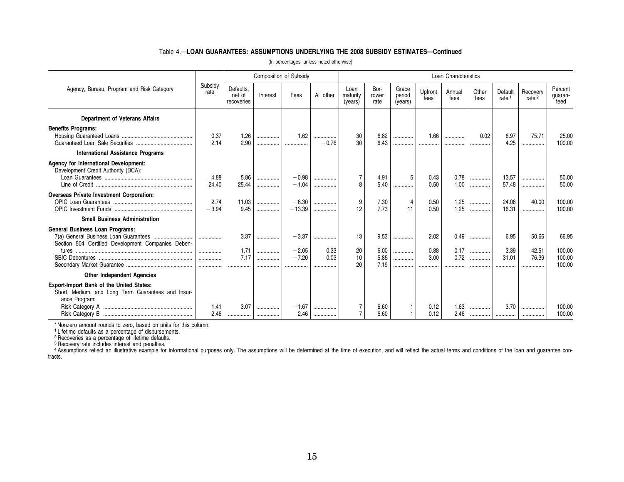### Table 4.—**LOAN GUARANTEES: ASSUMPTIONS UNDERLYING THE 2008 SUBSIDY ESTIMATES—Continued**

| (In percentages, unless noted otherwise) |  |  |  |
|------------------------------------------|--|--|--|
|------------------------------------------|--|--|--|

|                                                                                                                 |                 |                                   | <b>Composition of Subsidy</b> |                     |           |                             |                       |                            |                 | Loan Characteristics |               |                              |                               |                            |
|-----------------------------------------------------------------------------------------------------------------|-----------------|-----------------------------------|-------------------------------|---------------------|-----------|-----------------------------|-----------------------|----------------------------|-----------------|----------------------|---------------|------------------------------|-------------------------------|----------------------------|
| Agency, Bureau, Program and Risk Category                                                                       | Subsidy<br>rate | Defaults,<br>net of<br>recoveries | Interest                      | Fees                | All other | Loan<br>maturity<br>(years) | Bor-<br>rower<br>rate | Grace<br>period<br>(years) | Upfront<br>fees | Annual<br>fees       | Other<br>fees | Default<br>rate <sup>1</sup> | Recovery<br>rate <sup>2</sup> | Percent<br>guaran-<br>teed |
| <b>Department of Veterans Affairs</b>                                                                           |                 |                                   |                               |                     |           |                             |                       |                            |                 |                      |               |                              |                               |                            |
| <b>Benefits Programs:</b>                                                                                       | $-0.37$<br>2.14 | 1.26<br>2.90                      | <br>                          | $-1.62$<br>         | $-0.76$   | 30<br>30                    | 6.82<br>6.43          | .<br>.                     | 1.66<br>        | .<br>.               | 0.02<br>      | 6.97<br>4.25                 | 75.71<br>.                    | 25.00<br>100.00            |
| <b>International Assistance Programs</b>                                                                        |                 |                                   |                               |                     |           |                             |                       |                            |                 |                      |               |                              |                               |                            |
| Agency for International Development:<br>Development Credit Authority (DCA):                                    | 4.88<br>24.40   | 5.86<br>25.44                     | <br>                          | $-0.98$<br>$-1.04$  | <br>      | $\overline{7}$<br>8         | 4.91<br>5.40          | 5<br>.                     | 0.43<br>0.50    | 0.78<br>1.00         | .<br>         | 13.57<br>57.48               | .<br>                         | 50.00<br>50.00             |
| <b>Overseas Private Investment Corporation:</b>                                                                 | 2.74<br>$-3.94$ | 11.03<br>9.45                     | .<br>.                        | $-8.30$<br>$-13.39$ | <br>      | 9<br>12                     | 7.30<br>7.73          | 11                         | 0.50<br>0.50    | 1.25<br>1.25         | <br>.         | 24.06<br>16.31               | 40.00<br>.                    | 100.00<br>100.00           |
| <b>Small Business Administration</b>                                                                            |                 |                                   |                               |                     |           |                             |                       |                            |                 |                      |               |                              |                               |                            |
| <b>General Business Loan Programs:</b><br>Section 504 Certified Development Companies Deben-                    |                 | 3.37<br>1.71                      | <br>                          | $-3.37$<br>$-2.05$  | <br>0.33  | 13<br>20                    | 9.53<br>6.00          | .                          | 2.02<br>0.88    | 0.49<br>0.17         | .             | 6.95<br>3.39                 | 50.66<br>42.51                | 66.95<br>100.00            |
|                                                                                                                 |                 | 7.17<br>.                         | <br>                          | $-7.20$             | 0.03      | 10<br>20                    | 5.85<br>7.19          | <br>.<br>.                 | 3.00<br>        | 0.72<br>.            | <br>.<br>.    | 31.01                        | 76.39                         | 100.00<br>100.00           |
| <b>Other Independent Agencies</b>                                                                               |                 |                                   |                               |                     |           |                             |                       |                            |                 |                      |               |                              |                               |                            |
| Export-Import Bank of the United States:<br>Short, Medium, and Long Term Guarantees and Insur-<br>ance Program: | 1.41<br>$-2.46$ | 3.07                              | <br>                          | $-1.67$<br>$-2.46$  |           |                             | 6.60<br>6.60          |                            | 0.12<br>0.12    | 1.63<br>2.46         | .             | 3.70                         |                               | 100.00<br>100.00           |

\* Nonzero amount rounds to zero, based on units for this column.<br><sup>1</sup> Lifetime defaults as a percentage of disbursements.<br><sup>2</sup> Recoveries as a percentage of lifetime defaults.<br><sup>3</sup> Recovery rate includes interest and penaltie tracts.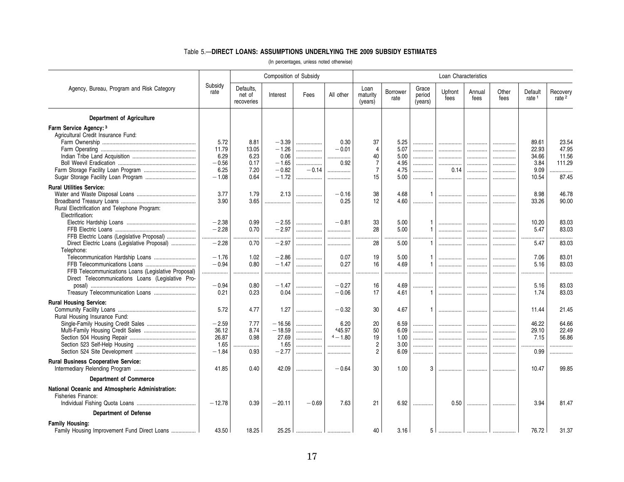### Table 5.—**DIRECT LOANS: ASSUMPTIONS UNDERLYING THE 2009 SUBSIDY ESTIMATES**

|                                                                        |                 |                                   | Composition of Subsidy |         |            |                             |                  |                            | Loan Characteristics |                |               |                              |                               |
|------------------------------------------------------------------------|-----------------|-----------------------------------|------------------------|---------|------------|-----------------------------|------------------|----------------------------|----------------------|----------------|---------------|------------------------------|-------------------------------|
| Agency, Bureau, Program and Risk Category                              | Subsidy<br>rate | Defaults.<br>net of<br>recoveries | Interest               | Fees    | All other  | Loan<br>maturity<br>(years) | Borrower<br>rate | Grace<br>period<br>(years) | Upfront<br>fees      | Annual<br>fees | Other<br>fees | Default<br>rate <sup>1</sup> | Recovery<br>rate <sup>2</sup> |
| <b>Department of Agriculture</b>                                       |                 |                                   |                        |         |            |                             |                  |                            |                      |                |               |                              |                               |
| Farm Service Agency: 3<br>Agricultural Credit Insurance Fund:          |                 |                                   |                        |         |            |                             |                  |                            |                      |                |               |                              |                               |
|                                                                        | 5.72            | 8.81                              | $-3.39$                |         | 0.30       | 37                          | 5.25             | .                          |                      |                |               | 89.61                        | 23.54                         |
|                                                                        | 11.79           | 13.05                             | $-1.26$                | .       | $-0.01$    | $\overline{4}$              | 5.07             | .                          | .                    | .              | .             | 22.93                        | 47.95                         |
|                                                                        | 6.29            | 6.23                              | 0.06                   | .       |            | 40                          | 5.00             | .                          | .                    | .              |               | 34.66                        | 11.56                         |
|                                                                        | $-0.56$         | 0.17                              | $-1.65$                | .       | 0.92       | $\overline{7}$              | 4.95             | .                          |                      | .              | .             | 3.84                         | 111.29                        |
|                                                                        | 6.25            | 7.20                              | $-0.82$                | $-0.14$ |            | $\overline{7}$              | 4.75             | .                          | 0.14                 | .              | .             | 9.09                         | .                             |
|                                                                        | $-1.08$         | 0.64                              | $-1.72$                | .       | .          | 15                          | 5.00             | .                          |                      | .              | .             | 10.54                        | 87.45                         |
| <b>Rural Utilities Service:</b>                                        |                 |                                   |                        |         |            |                             |                  |                            |                      |                |               |                              |                               |
|                                                                        | 3.77            | 1.79                              | 2.13                   | .       | $-0.16$    | 38                          | 4.68             | $\mathbf{1}$               | .                    |                |               | 8.98                         | 46.78                         |
|                                                                        | 3.90            | 3.65                              |                        | .       | 0.25       | 12                          | 4.60             |                            | .                    | .              | .             | 33.26                        | 90.00                         |
| Rural Electrification and Telephone Program:<br>Electrification:       |                 |                                   |                        |         |            |                             |                  |                            |                      |                |               |                              |                               |
|                                                                        | $-2.38$         | 0.99                              | $-2.55$                | .       | $-0.81$    | 33                          | 5.00             | -1                         | .                    |                |               | 10.20                        | 83.03                         |
|                                                                        | $-2.28$         | 0.70                              | $-2.97$                | .       | .          | 28                          | 5.00             | $\overline{1}$             | .                    | .              | .             | 5.47                         | 83.03                         |
| FFB Electric Loans (Legislative Proposal)                              |                 | .                                 | .                      | .       | .          |                             |                  |                            | .                    | .              |               |                              | .                             |
| Direct Electric Loans (Legislative Proposal)                           | $-2.28$         | 0.70                              | $-2.97$                | .       | .          | 28                          | 5.00             | $\mathbf{1}$               | .                    |                |               | 5.47                         | 83.03                         |
| Telephone:                                                             |                 |                                   |                        |         |            |                             |                  |                            |                      |                |               |                              |                               |
| Telecommunication Hardship Loans                                       | $-1.76$         | 1.02                              | $-2.86$                | .       | 0.07       | 19                          | 5.00             | $\mathbf{1}$               | .                    | .              |               | 7.06                         | 83.01                         |
|                                                                        | $-0.94$         | 0.80                              | $-1.47$                | .       | 0.27       | 16                          | 4.69             | -1                         |                      | .              | .             | 5.16                         | 83.03                         |
| FFB Telecommunications Loans (Legislative Proposal)                    | .               |                                   |                        | .       |            |                             |                  |                            |                      |                |               |                              |                               |
| Direct Telecommunications Loans (Legislative Pro-                      |                 |                                   |                        |         |            |                             |                  |                            |                      |                |               |                              |                               |
|                                                                        | $-0.94$         | 0.80                              | $-1.47$                | .       | $-0.27$    | 16                          | 4.69             | .                          | .                    | .              | .             | 5.16                         | 83.03                         |
| Treasury Telecommunication Loans                                       | 0.21            | 0.23                              | 0.04                   |         | $-0.06$    | 17                          | 4.61             | -1                         |                      | .              | .             | 1.74                         | 83.03                         |
| <b>Rural Housing Service:</b>                                          |                 |                                   |                        |         |            |                             |                  |                            |                      |                |               |                              |                               |
|                                                                        | 5.72            | 4.77                              | 1.27                   | .       | $-0.32$    | 30                          | 4.67             |                            | .                    | .              |               | 11.44                        | 21.45                         |
| Rural Housing Insurance Fund:                                          |                 |                                   |                        |         |            |                             |                  |                            |                      |                |               |                              |                               |
|                                                                        | $-2.59$         | 7.77                              | $-16.56$               | .       | 6.20       | 20                          | 6.59             |                            | .                    | .              |               | 46.22                        | 64.66                         |
|                                                                        | 36.12           | 8.74                              | $-18.59$               | .       | 445.97     | 50                          | 6.09             | .                          | .                    | .              | .             | 29.10                        | 22.49                         |
|                                                                        | 26.87           | 0.98                              | 27.69                  |         | $4 - 1.80$ | 19                          | 1.00             | .                          |                      | .              | .             | 7.15                         | 56.86                         |
|                                                                        | 1.65            | .                                 | 1.65                   |         | .          | $\overline{2}$              | 3.00             | .                          | .                    | .              | .             | .                            |                               |
|                                                                        | $-1.84$         | 0.93                              | $-2.77$                | .       | .          | $\overline{2}$              | 6.09             | .                          |                      | .              | .             | 0.99                         | .                             |
| <b>Rural Business Cooperative Service:</b>                             | 41.85           | 0.40                              | 42.09                  | .       | $-0.64$    | 30                          | 1.00             | 3                          | .                    |                |               | 10.47                        | 99.85                         |
| <b>Department of Commerce</b>                                          |                 |                                   |                        |         |            |                             |                  |                            |                      |                |               |                              |                               |
| National Oceanic and Atmospheric Administration:<br>Fisheries Finance: |                 |                                   |                        |         |            |                             |                  |                            |                      |                |               |                              |                               |
|                                                                        | $-12.78$        | 0.39                              | $-20.11$               | $-0.69$ | 7.63       | 21                          | 6.92             | .                          | 0.50                 | .              | .             | 3.94                         | 81.47                         |
| <b>Department of Defense</b>                                           |                 |                                   |                        |         |            |                             |                  |                            |                      |                |               |                              |                               |
| <b>Family Housing:</b>                                                 |                 |                                   |                        |         |            |                             |                  |                            |                      |                |               |                              |                               |
| Family Housing Improvement Fund Direct Loans                           | 43.50           | 18.25                             | 25.25                  |         |            | 40                          | 3.16             | 5                          |                      |                |               | 76.72                        | 31.37                         |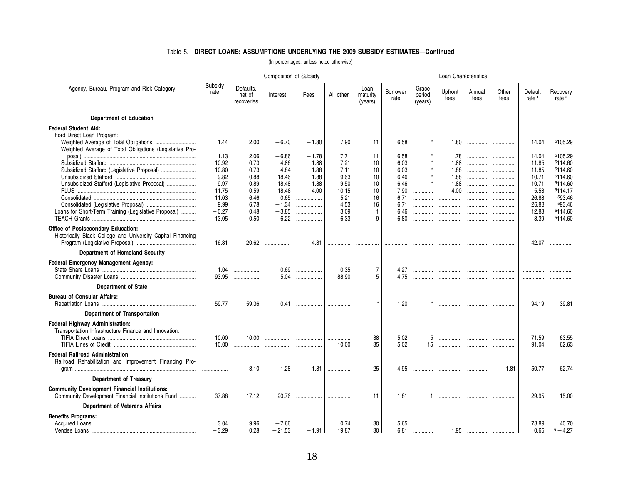### Table 5.—**DIRECT LOANS: ASSUMPTIONS UNDERLYING THE 2009 SUBSIDY ESTIMATES—Continued**

|                                                                                                           |                 |                                   | Composition of Subsidy |             |               |                             |                         |                            | Loan Characteristics |                |               |                              |                               |
|-----------------------------------------------------------------------------------------------------------|-----------------|-----------------------------------|------------------------|-------------|---------------|-----------------------------|-------------------------|----------------------------|----------------------|----------------|---------------|------------------------------|-------------------------------|
| Agency, Bureau, Program and Risk Category                                                                 | Subsidy<br>rate | Defaults.<br>net of<br>recoveries | Interest               | Fees        | All other     | Loan<br>maturity<br>(years) | <b>Borrower</b><br>rate | Grace<br>period<br>(years) | Upfront<br>fees      | Annual<br>fees | Other<br>fees | Default<br>rate <sup>1</sup> | Recovery<br>rate <sup>2</sup> |
| <b>Department of Education</b>                                                                            |                 |                                   |                        |             |               |                             |                         |                            |                      |                |               |                              |                               |
| <b>Federal Student Aid:</b>                                                                               |                 |                                   |                        |             |               |                             |                         |                            |                      |                |               |                              |                               |
| Ford Direct Loan Program:                                                                                 |                 |                                   |                        |             |               |                             |                         |                            |                      |                |               |                              |                               |
|                                                                                                           | 1.44            | 2.00                              | $-6.70$                | $-1.80$     | 7.90          | 11                          | 6.58                    |                            | 1.80                 | . 1            |               | 14.04                        | 5105.29                       |
| Weighted Average of Total Obligations (Legislative Pro-                                                   | 1.13            | 2.06                              | $-6.86$                | $-1.78$     | 7.71          | 11                          | 6.58                    |                            | 1.78                 |                |               | 14.04                        | 5105.29                       |
|                                                                                                           | 10.92           | 0.73                              | 4.86                   | $-1.88$     | 7.21          | 10                          | 6.03                    |                            | 1.88                 | .<br>.         | .<br>.        | 11.85                        | 5114.60                       |
| Subsidized Stafford (Legislative Proposal)                                                                | 10.80           | 0.73                              | 4.84                   | $-1.88$     | 7.11          | 10                          | 6.03                    |                            | 1.88                 | .              | .             | 11.85                        | 5114.60                       |
|                                                                                                           | $-9.82$         | 0.88                              | $-18.46$               | $-1.88$     | 9.63          | 10                          | 6.46                    |                            | 1.88                 | .              |               | 10.71                        | 5114.60                       |
| Unsubsidized Stafford (Legislative Proposal)                                                              | $-9.97$         | 0.89                              | $-18.48$               | $-1.88$     | 9.50          | 10                          | 6.46                    |                            | 1.88                 | .              | .             | 10.71                        | 5114.60                       |
|                                                                                                           | $-11.75$        | 0.59                              | $-18.48$               | $-4.00$     | 10.15         | 10                          | 7.90                    | .                          | 4.00                 | .              |               | 5.53                         | 5114.17                       |
|                                                                                                           | 11.03<br>9.99   | 6.46<br>6.78                      | $-0.65$<br>$-1.34$     | .<br>.      | 5.21<br>4.53  | 16<br>16                    | 6.71<br>6.71            | .<br>.                     |                      |                | .             | 26.88<br>26.88               | 593.46<br>593.46              |
| Loans for Short-Term Training (Legislative Proposal)                                                      | $-0.27$         | 0.48                              | $-3.85$                | .           | 3.09          | $\mathbf{1}$                | 6.46                    | .                          | .<br>                | .<br>.         | <br>.         | 12.88                        | 5114.60                       |
|                                                                                                           | 13.05           | 0.50                              | 6.22                   |             | 6.33          | 9                           | 6.80                    | .                          | .                    | .              | .             | 8.39                         | 5114.60                       |
| <b>Office of Postsecondary Education:</b><br>Historically Black College and University Capital Financing  | 16.31           | 20.62                             | .                      | $-4.31$     | .             |                             |                         |                            |                      |                |               | 42.07                        |                               |
| Department of Homeland Security                                                                           |                 |                                   |                        |             |               |                             |                         |                            |                      |                |               |                              |                               |
| Federal Emergency Management Agency:                                                                      |                 |                                   |                        |             |               |                             |                         |                            |                      |                |               |                              |                               |
|                                                                                                           | 1.04            | .                                 | 0.69                   |             | 0.35          | 7                           | 4.27                    | .                          | .                    | .              | .             |                              |                               |
|                                                                                                           | 93.95           | .                                 | 5.04                   |             | 88.90         | 5                           | 4.75                    | .                          |                      | .              | .             |                              |                               |
| <b>Department of State</b>                                                                                |                 |                                   |                        |             |               |                             |                         |                            |                      |                |               |                              |                               |
| <b>Bureau of Consular Affairs:</b>                                                                        | 59.77           | 59.36                             | 0.41                   | .           |               |                             | 1.20                    |                            | .                    |                | .             | 94.19                        | 39.81                         |
| Department of Transportation                                                                              |                 |                                   |                        |             |               |                             |                         |                            |                      |                |               |                              |                               |
| Federal Highway Administration:<br>Transportation Infrastructure Finance and Innovation:                  | 10.00<br>10.00  | 10.00<br>.                        | <br>                   | <br>.       | 10.00         | 38<br>35                    | 5.02<br>5.02            | 5<br>15                    | .<br>                | .<br>          | .<br>.        | 71.59<br>91.04               | 63.55<br>62.63                |
| <b>Federal Railroad Administration:</b><br>Railroad Rehabilitation and Improvement Financing Pro-         | .               | 3.10                              | $-1.28$                | $-1.81$     | .             | 25                          | 4.95                    | .                          |                      |                | 1.81          | 50.77                        | 62.74                         |
| <b>Department of Treasury</b>                                                                             |                 |                                   |                        |             |               |                             |                         |                            |                      |                |               |                              |                               |
| <b>Community Development Financial Institutions:</b><br>Community Development Financial Institutions Fund | 37.88           | 17.12                             | 20.76                  | .           |               | 11                          | 1.81                    |                            | .                    |                |               | 29.95                        | 15.00                         |
| <b>Department of Veterans Affairs</b>                                                                     |                 |                                   |                        |             |               |                             |                         |                            |                      |                |               |                              |                               |
| <b>Benefits Programs:</b>                                                                                 |                 |                                   |                        |             |               |                             |                         |                            |                      |                |               |                              |                               |
|                                                                                                           | 3.04<br>$-3.29$ | 9.96<br>0.28                      | $-7.66$<br>$-21.53$    | <br>$-1.91$ | 0.74<br>19.87 | 30<br>30                    | 5.65<br>6.81            |                            |                      |                | .             | 78.89<br>0.65                | 40.70<br>$6 - 4.27$           |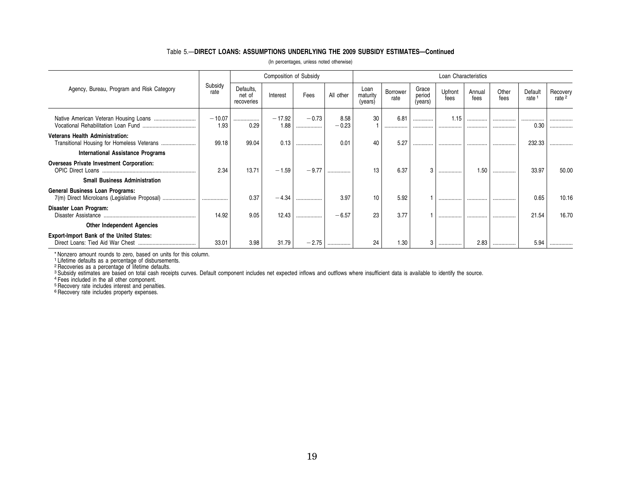### Table 5.—**DIRECT LOANS: ASSUMPTIONS UNDERLYING THE 2009 SUBSIDY ESTIMATES—Continued**

|                                                                                         |                  |                                   | Composition of Subsidy |              |                 |                             |                  |                            | Loan Characteristics |                |               |                              |                               |
|-----------------------------------------------------------------------------------------|------------------|-----------------------------------|------------------------|--------------|-----------------|-----------------------------|------------------|----------------------------|----------------------|----------------|---------------|------------------------------|-------------------------------|
| Agency, Bureau, Program and Risk Category                                               | Subsidy<br>rate  | Defaults.<br>net of<br>recoveries | Interest               | Fees         | All other       | Loan<br>maturity<br>(years) | Borrower<br>rate | Grace<br>period<br>(years) | Upfront<br>fees      | Annual<br>fees | Other<br>fees | Default<br>rate <sup>1</sup> | Recovery<br>rate <sup>2</sup> |
|                                                                                         | $-10.07$<br>1.93 | .<br>0.29                         | $-17.92$<br>1.88       | $-0.73$<br>. | 8.58<br>$-0.23$ | 30                          | 6.81<br>         | .<br>                      | 1.15<br>             | .<br>          | <br>.         | <br>0.30                     | .                             |
| <b>Veterans Health Administration:</b>                                                  | 99.18            | 99.04                             | 0.13                   | .            | 0.01            | 40                          | 5.27             | .                          |                      |                |               | 232.33                       | .                             |
| <b>International Assistance Programs</b>                                                |                  |                                   |                        |              |                 |                             |                  |                            |                      |                |               |                              |                               |
| Overseas Private Investment Corporation:<br><b>OPIC Direct Loans</b>                    | 2.34             | 13.71                             | $-1.59$                | $-9.77$      | .               | 13                          | 6.37             | 3                          |                      | 1.50           |               | 33.97                        | 50.00                         |
| <b>Small Business Administration</b>                                                    |                  |                                   |                        |              |                 |                             |                  |                            |                      |                |               |                              |                               |
| <b>General Business Loan Programs:</b><br>7(m) Direct Microloans (Legislative Proposal) |                  | 0.37                              | $-4.34$                | .            | 3.97            | 10                          | 5.92             |                            |                      |                |               | 0.65                         | 10.16                         |
| Disaster Loan Program:<br>Disaster Assistance                                           | 14.92            | 9.05                              | 12.43                  | .            | $-6.57$         | 23                          | 3.77             |                            |                      |                | .             | 21.54                        | 16.70                         |
| <b>Other Independent Agencies</b>                                                       |                  |                                   |                        |              |                 |                             |                  |                            |                      |                |               |                              |                               |
| <b>Export-Import Bank of the United States:</b>                                         | 33.01            | 3.98                              | 31.79                  | $-2.75$      |                 | 24                          | 1.30             | 3                          |                      | 2.83           |               | 5.94                         |                               |

(In percentages, unless noted otherwise)

\* Nonzero amount rounds to zero, based on units for this column.<br><sup>1</sup> Lifetime defaults as a percentage of disbursements.<br><sup>2</sup> Recoveries as a percentage of lifetime defaults.<br><sup>8</sup> Subsidy estimates are based on total cash re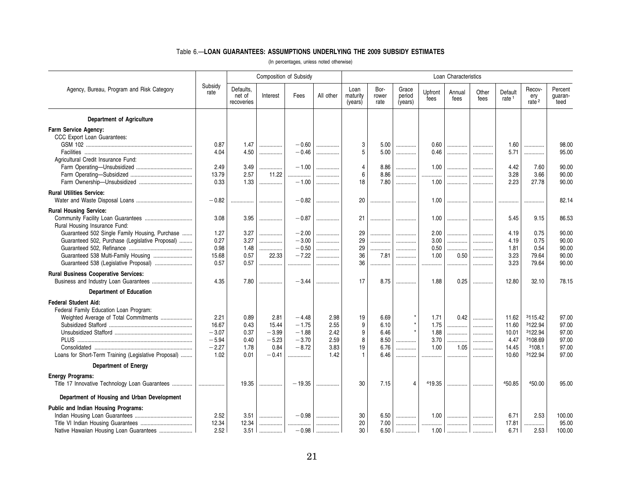### Table 6.—**LOAN GUARANTEES: ASSUMPTIONS UNDERLYING THE 2009 SUBSIDY ESTIMATES**

|                                                      | Composition of Subsidy<br>Loan Characteristics |                                   |          |          |           |                             |                       |                            |                 |                |               |                              |                                    |                            |
|------------------------------------------------------|------------------------------------------------|-----------------------------------|----------|----------|-----------|-----------------------------|-----------------------|----------------------------|-----------------|----------------|---------------|------------------------------|------------------------------------|----------------------------|
| Agency, Bureau, Program and Risk Category            | Subsidy<br>rate                                | Defaults.<br>net of<br>recoveries | Interest | Fees     | All other | Loan<br>maturity<br>(years) | Bor-<br>rower<br>rate | Grace<br>period<br>(years) | Upfront<br>fees | Annual<br>fees | Other<br>fees | Default<br>rate <sup>1</sup> | Recov-<br>ery<br>rate <sup>2</sup> | Percent<br>quaran-<br>teed |
| <b>Department of Agriculture</b>                     |                                                |                                   |          |          |           |                             |                       |                            |                 |                |               |                              |                                    |                            |
| Farm Service Agency:                                 |                                                |                                   |          |          |           |                             |                       |                            |                 |                |               |                              |                                    |                            |
| CCC Export Loan Guarantees:                          |                                                |                                   |          |          |           |                             |                       |                            |                 |                |               |                              |                                    |                            |
|                                                      | 0.87                                           | 1.47                              | .        | $-0.60$  | .         | 3                           | 5.00                  | .                          | 0.60            |                |               | 1.60                         | .                                  | 98.00                      |
|                                                      | 4.04                                           | 4.50                              | .        | $-0.46$  | .         | 5                           | 5.00                  | .                          | 0.46            | .              | .             | 5.71                         | .                                  | 95.00                      |
| Agricultural Credit Insurance Fund:                  |                                                |                                   |          |          |           |                             |                       |                            |                 |                |               |                              |                                    |                            |
|                                                      | 2.49                                           | 3.49                              | .        | $-1.00$  |           | $\overline{4}$              | 8.86                  | .                          | 1.00            | .              |               | 4.42                         | 7.60                               | 90.00                      |
|                                                      | 13.79                                          | 2.57                              | 11.22    | .        |           | 6                           | 8.86                  | .                          | .               | .              | .             | 3.28                         | 3.66                               | 90.00                      |
|                                                      | 0.33                                           | 1.33                              | .        | $-1.00$  | .         | 18                          | 7.80                  | .                          | 1.00            |                | .             | 2.23                         | 27.78                              | 90.00                      |
| <b>Rural Utilities Service:</b>                      |                                                |                                   |          |          |           |                             |                       |                            |                 |                |               |                              |                                    |                            |
|                                                      | $-0.82$                                        | .                                 | .        | $-0.82$  |           | 20                          |                       | .                          | 1.00            | .              | .             |                              | .                                  | 82.14                      |
| <b>Rural Housing Service:</b>                        |                                                |                                   |          |          |           |                             |                       |                            |                 |                |               |                              |                                    |                            |
|                                                      | 3.08                                           | 3.95                              | .        | $-0.87$  |           | 21                          | .                     |                            | 1.00            |                |               | 5.45                         | 9.15                               | 86.53                      |
| Rural Housing Insurance Fund:                        |                                                |                                   |          |          |           |                             |                       |                            |                 |                |               |                              |                                    |                            |
| Guaranteed 502 Single Family Housing, Purchase       | 1.27                                           | 3.27                              | .        | $-2.00$  | .         | 29                          | .                     | .                          | 2.00            | .              | .             | 4.19                         | 0.75                               | 90.00                      |
| Guaranteed 502, Purchase (Legislative Proposal)      | 0.27                                           | 3.27                              | .        | $-3.00$  | .         | 29                          | .                     | .                          | 3.00            | .              | .             | 4.19                         | 0.75                               | 90.00                      |
|                                                      | 0.98                                           | 1.48                              |          | $-0.50$  | .         | 29                          | .                     | .                          | 0.50            | .              | .             | 1.81                         | 0.54                               | 90.00                      |
| Guaranteed 538 Multi-Family Housing                  | 15.68                                          | 0.57                              | 22.33    | $-7.22$  | .         | 36                          | 7.81                  | .                          | 1.00            | 0.50           | .             | 3.23                         | 79.64                              | 90.00                      |
| Guaranteed 538 (Legislative Proposal)                | 0.57                                           | 0.57                              | .        | .        | .         | 36                          | .                     | .                          | .               | .              | .             | 3.23                         | 79.64                              | 90.00                      |
| <b>Rural Business Cooperative Services:</b>          |                                                |                                   |          |          |           |                             |                       |                            |                 |                |               |                              |                                    |                            |
|                                                      | 4.35                                           | 7.80                              | .        | $-3.44$  |           | 17                          | 8.75                  | .                          | 1.88            | 0.25           | .             | 12.80                        | 32.10                              | 78.15                      |
|                                                      |                                                |                                   |          |          |           |                             |                       |                            |                 |                |               |                              |                                    |                            |
| <b>Department of Education</b>                       |                                                |                                   |          |          |           |                             |                       |                            |                 |                |               |                              |                                    |                            |
| <b>Federal Student Aid:</b>                          |                                                |                                   |          |          |           |                             |                       |                            |                 |                |               |                              |                                    |                            |
| Federal Family Education Loan Program:               |                                                |                                   |          |          |           |                             |                       |                            |                 |                |               |                              |                                    |                            |
| Weighted Average of Total Commitments                | 2.21                                           | 0.89                              | 2.81     | $-4.48$  | 2.98      | 19                          | 6.69                  |                            | 1.71            | 0.42           | .             | 11.62                        | 3115.42                            | 97.00                      |
|                                                      | 16.67                                          | 0.43                              | 15.44    | $-1.75$  | 2.55      | 9                           | 6.10                  | $\star$                    | 1.75            |                | .             | 11.60                        | 3122.94                            | 97.00                      |
|                                                      | $-3.07$                                        | 0.37                              | $-3.99$  | $-1.88$  | 2.42      | 9                           | 6.46                  |                            | 1.88            | .              | .             | 10.01                        | 3122.94                            | 97.00                      |
|                                                      | $-5.94$                                        | 0.40                              | $-5.23$  | $-3.70$  | 2.59      | 8                           | 8.50                  | .                          | 3.70            | .              | .             | 4.47                         | 3108.69                            | 97.00                      |
|                                                      | $-2.27$                                        | 1.78                              | 0.84     | $-8.72$  | 3.83      | 19<br>$\mathbf{1}$          | 6.76                  | .                          | 1.00            | 1.05           |               | 14.45                        | 3108.1                             | 97.00                      |
| Loans for Short-Term Training (Legislative Proposal) | 1.02                                           | 0.01                              | $-0.41$  | .        | 1.42      |                             | 6.46                  | .                          |                 | .              | .             | 10.60                        | 3122.94                            | 97.00                      |
| <b>Department of Energy</b>                          |                                                |                                   |          |          |           |                             |                       |                            |                 |                |               |                              |                                    |                            |
| <b>Energy Programs:</b>                              |                                                |                                   |          |          |           |                             |                       |                            |                 |                |               |                              |                                    |                            |
|                                                      |                                                | 19.35                             |          | $-19.35$ |           | 30                          | 7.15                  | $\overline{4}$             | 419.35          |                |               | 450.85                       | 450.00                             | 95.00                      |
| Department of Housing and Urban Development          |                                                |                                   |          |          |           |                             |                       |                            |                 |                |               |                              |                                    |                            |
| Public and Indian Housing Programs:                  |                                                |                                   |          |          |           |                             |                       |                            |                 |                |               |                              |                                    |                            |
|                                                      | 2.52                                           | 3.51                              | .        | $-0.98$  |           | 30                          | 6.50                  | .                          | 1.00            | .              | .             | 6.71                         | 2.53                               | 100.00                     |
|                                                      | 12.34                                          | 12.34                             | .        |          | .         | 20                          | 7.00                  | .                          | .               |                |               | 17.81                        | .                                  | 95.00                      |
| Native Hawaiian Housing Loan Guarantees              | 2.52                                           | 3.51                              |          | $-0.98$  |           | 30                          | 6.50                  |                            | 1.00            |                |               | 6.71                         | 2.53                               | 100.00                     |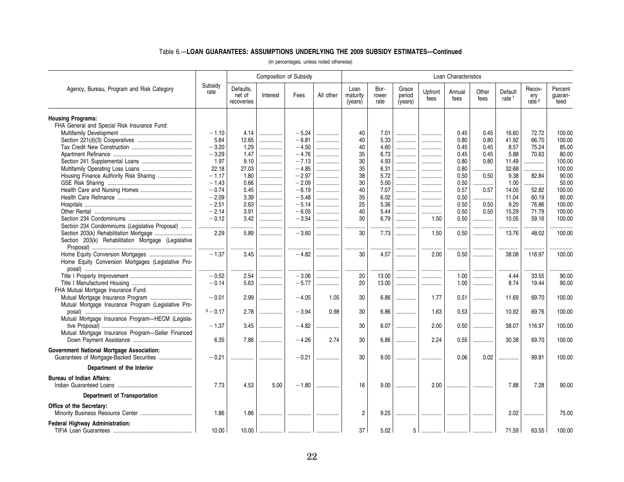### Table 6.—**LOAN GUARANTEES: ASSUMPTIONS UNDERLYING THE 2009 SUBSIDY ESTIMATES—Continued**

|                                                     |                 |                                   |          | <b>Composition of Subsidy</b> |           |                             |                       |                            |                 | Loan Characteristics |               |                              |                                    |                            |
|-----------------------------------------------------|-----------------|-----------------------------------|----------|-------------------------------|-----------|-----------------------------|-----------------------|----------------------------|-----------------|----------------------|---------------|------------------------------|------------------------------------|----------------------------|
| Agency, Bureau, Program and Risk Category           | Subsidy<br>rate | Defaults,<br>net of<br>recoveries | Interest | Fees                          | All other | Loan<br>maturity<br>(years) | Bor-<br>rower<br>rate | Grace<br>period<br>(years) | Upfront<br>fees | Annual<br>fees       | Other<br>fees | Default<br>rate <sup>1</sup> | Recov-<br>ery<br>rate <sup>2</sup> | Percent<br>quaran-<br>teed |
| <b>Housing Programs:</b>                            |                 |                                   |          |                               |           |                             |                       |                            |                 |                      |               |                              |                                    |                            |
| FHA General and Special Risk Insurance Fund:        |                 |                                   |          |                               |           |                             |                       |                            |                 |                      |               |                              |                                    |                            |
|                                                     | $-1.10$         | 4.14                              | .        | $-5.24$                       | .         | 40                          | 7.01                  | .                          |                 | 0.45                 | 0.45          | 16.60                        | 72.72                              | 100.00                     |
|                                                     | 5.84            | 12.65                             | .        | $-6.81$                       | .         | 40                          | 5.33                  | .                          | .               | 0.80                 | 0.80          | 41.92                        | 66.70                              | 100.00                     |
|                                                     | $-3.20$         | 1.29                              | .        | $-4.50$                       | .         | 40                          | 4.60                  | .                          | .               | 0.45                 | 0.45          | 8.57                         | 75.24                              | 85.00                      |
|                                                     | $-3.29$         | 1.47                              | .        | $-4.76$                       | .         | 35                          | 6.73                  | .                          | .               | 0.45                 | 0.45          | 5.88                         | 70.63                              | 80.00                      |
|                                                     | 1.97            | 9.10                              | .        | $-7.13$                       | .         | 30                          | 4.93                  | .                          | .               | 0.80                 | 0.80          | 11.49                        | .                                  | 100.00                     |
|                                                     | 22.18           | 27.03                             | .        | $-4.85$                       | .         | 35                          | 6.31                  | .                          | .               | 0.80                 |               | 32.68                        | .                                  | 100.00                     |
| Housing Finance Authority Risk Sharing              | $-1.17$         | 1.80                              | .        | $-2.97$                       | .         | 38                          | 5.72                  | .                          | .               | 0.50                 | 0.50          | 9.38                         | 82.84                              | 90.00                      |
|                                                     | $-1.43$         | 0.66                              | .        | $-2.09$                       | .         | 30                          | 5.00                  | .                          | .               | 0.50                 | .             | 1.00                         | .                                  | 50.00                      |
|                                                     | $-0.74$         | 5.45                              | .        | $-6.19$                       | .         | 40                          | 7.07                  | .                          | .               | 0.57                 | 0.57          | 14.05                        | 52.82                              | 100.00                     |
|                                                     | $-2.09$         | 3.39                              | .        | $-5.48$                       | .         | 35                          | 6.02                  | .                          | .               | 0.50                 | .             | 11.04                        | 60.19                              | 80.00                      |
|                                                     | $-2.51$         | 2.63                              | .        | $-5.14$                       | .         | 25                          | 5.36                  | .                          | .               | 0.50                 | 0.50          | 9.20                         | 76.86                              | 100.00                     |
|                                                     | $-2.14$         | 3.91                              | .        | $-6.05$                       |           | 40                          | 5.44                  | .                          | .               | 0.50                 | 0.50          | 15.29                        | 71.79                              | 100.00                     |
|                                                     | $-0.12$         | 3.42                              | .        | $-3.54$                       | .         | 30                          | 6.79                  | .                          | 1.50            | 0.50                 | .             | 10.05                        | 59.16                              | 100.00                     |
| Section 234 Condominiums (Legislative Proposal)     | .               |                                   |          |                               |           |                             |                       |                            | .               |                      |               | .                            |                                    | .                          |
| Section 203(k) Rehabilitation Mortgage              | 2.29            | 5.89                              | .        | $-3.60$                       | .         | 30                          | 7.73                  | .                          | 1.50            | 0.50                 | .             | 13.76                        | 48.02                              | 100.00                     |
| Section 203(k) Rehabilitation Mortgage (Legislative |                 |                                   |          |                               |           |                             |                       |                            |                 |                      |               |                              |                                    |                            |
|                                                     |                 |                                   | .        | .                             |           |                             |                       | .                          |                 |                      |               |                              |                                    |                            |
| Home Equity Conversion Mortgages                    | $-1.37$         | 3.45                              | .        | $-4.82$                       | .         | 30                          | 4.57                  | .                          | 2.00            | 0.50                 | .             | 38.08                        | 116.97                             | 100.00                     |
| Home Equity Conversion Mortgages (Legislative Pro-  |                 |                                   |          |                               |           |                             |                       |                            |                 |                      |               |                              |                                    |                            |
|                                                     | .               | .                                 | .        | .                             |           |                             | .                     | .                          |                 | .                    | .             | .                            | .                                  |                            |
|                                                     | $-0.52$         | 2.54                              | .        | $-3.06$                       | .         | 20                          | 13.00                 | .                          | .               | 1.00                 | .             | 4.44                         | 33.55                              | 90.00                      |
|                                                     | $-0.14$         | 5.63                              | .        | $-5.77$                       | .         | 20                          | 13.00                 | .                          | .               | 1.00                 | .             | 8.74                         | 19.44                              | 90.00                      |
| FHA Mutual Mortgage Insurance Fund:                 |                 |                                   |          |                               |           |                             |                       |                            |                 |                      |               |                              |                                    |                            |
| Mutual Mortgage Insurance Program                   | $-0.01$         | 2.99                              |          | $-4.05$                       | 1.05      | 30                          | 6.86                  | .                          | 1.77            | 0.51                 |               | 11.69                        | 69.70                              | 100.00                     |
| Mutual Mortgage Insurance Program (Legislative Pro- |                 |                                   |          |                               |           |                             |                       |                            |                 |                      |               |                              |                                    |                            |
|                                                     | $5 - 0.17$      | 2.78                              | .        | $-3.94$                       | 0.98      | 30                          | 6.86                  | .                          | 1.63            | 0.53                 | .             | 10.92                        | 69.76                              | 100.00                     |
| Mutual Mortgage Insurance Program-HECM (Legisla-    |                 |                                   |          |                               |           |                             |                       |                            |                 |                      |               |                              |                                    |                            |
|                                                     | $-1.37$         | 3.45                              | .        | $-4.82$                       | .         | 30                          | 6.07                  | .                          | 2.00            | 0.50                 | .             | 38.07                        | 116.97                             | 100.00                     |
| Mutual Mortgage Insurance Program-Seller Financed   |                 |                                   |          |                               |           |                             |                       |                            |                 |                      |               |                              |                                    |                            |
|                                                     | 6.35            | 7.86                              | .        | $-4.26$                       | 2.74      | 30                          | 6.86                  | .                          | 2.24            | 0.55                 | .             | 30.38                        | 69.70                              | 100.00                     |
|                                                     |                 |                                   |          |                               |           |                             |                       |                            |                 |                      |               |                              |                                    |                            |
| <b>Government National Mortgage Association:</b>    |                 |                                   |          |                               |           | 30                          |                       |                            |                 | 0.06                 | 0.02          |                              | 99.81                              | 100.00                     |
| Guarantees of Mortgage-Backed Securities            | $-0.21$         |                                   | .        | $-0.21$                       |           |                             | 9.00                  | .                          |                 |                      |               | .                            |                                    |                            |
| Department of the Interior                          |                 |                                   |          |                               |           |                             |                       |                            |                 |                      |               |                              |                                    |                            |
| <b>Bureau of Indian Affairs:</b>                    |                 |                                   |          |                               |           |                             |                       |                            |                 |                      |               |                              |                                    |                            |
|                                                     | 7.73            | 4.53                              | 5.00     | $-1.80$                       | .         | 16                          | 9.00                  | .                          | 2.00            |                      |               | 7.88                         | 7.28                               | 90.00                      |
| <b>Department of Transportation</b>                 |                 |                                   |          |                               |           |                             |                       |                            |                 |                      |               |                              |                                    |                            |
|                                                     |                 |                                   |          |                               |           |                             |                       |                            |                 |                      |               |                              |                                    |                            |
| Office of the Secretary:                            |                 |                                   |          |                               |           |                             |                       |                            |                 |                      |               |                              |                                    |                            |
|                                                     | 1.86            | 1.86                              | .        |                               |           | $\overline{2}$              | 9.25                  | .                          |                 |                      |               | 2.02                         | .                                  | 75.00                      |
| <b>Federal Highway Administration:</b>              |                 |                                   |          |                               |           |                             |                       |                            |                 |                      |               |                              |                                    |                            |
| TIFIA Loan Guarantees                               | 10.00           | 10.00                             |          |                               |           | 37                          | 5.02                  | 5                          |                 |                      |               | 71.59                        | 63.55                              | 100.00                     |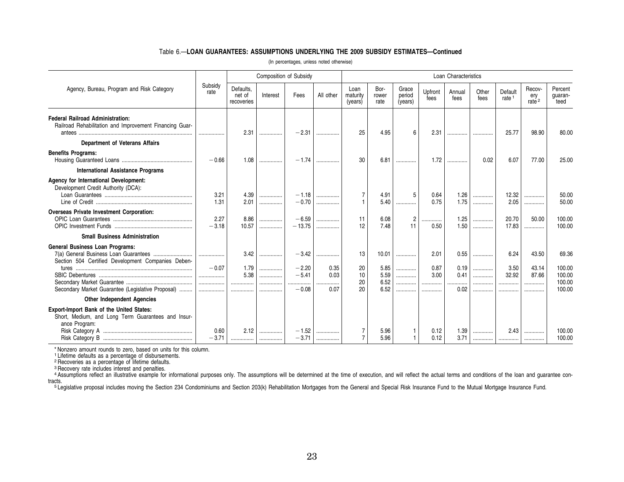### Table 6.—**LOAN GUARANTEES: ASSUMPTIONS UNDERLYING THE 2009 SUBSIDY ESTIMATES—Continued**

| (In percentages, unless noted otherwise) |  |  |  |  |
|------------------------------------------|--|--|--|--|
|------------------------------------------|--|--|--|--|

|                                                                                                                 |                 |                                   | Composition of Subsidy |                               |                  |                             |                       |                            |                      | Loan Characteristics |               |                       |                           |                            |
|-----------------------------------------------------------------------------------------------------------------|-----------------|-----------------------------------|------------------------|-------------------------------|------------------|-----------------------------|-----------------------|----------------------------|----------------------|----------------------|---------------|-----------------------|---------------------------|----------------------------|
| Agency, Bureau, Program and Risk Category                                                                       | Subsidy<br>rate | Defaults.<br>net of<br>recoveries | Interest               | Fees                          | All other        | Loan<br>maturity<br>(years) | Bor-<br>rower<br>rate | Grace<br>period<br>(years) | Upfront<br>fees      | Annual<br>fees       | Other<br>fees | Default<br>rate $1$   | Recov-<br>ery<br>rate $2$ | Percent<br>guaran-<br>teed |
| <b>Federal Railroad Administration:</b><br>Railroad Rehabilitation and Improvement Financing Guar-              |                 | 2.31                              |                        | $-2.31$                       |                  | 25                          | 4.95                  | 6                          | 2.31                 |                      |               | 25.77                 | 98.90                     | 80.00                      |
| <b>Department of Veterans Affairs</b>                                                                           |                 |                                   |                        |                               |                  |                             |                       |                            |                      |                      |               |                       |                           |                            |
| <b>Benefits Programs:</b>                                                                                       | $-0.66$         | 1.08                              | .                      | $-1.74$                       |                  | 30                          | 6.81                  |                            | 1.72                 |                      | 0.02          | 6.07                  | 77.00                     | 25.00                      |
| <b>International Assistance Programs</b>                                                                        |                 |                                   |                        |                               |                  |                             |                       |                            |                      |                      |               |                       |                           |                            |
| Agency for International Development:<br>Development Credit Authority (DCA):                                    | 3.21<br>1.31    | 4.39<br>2.01                      | <br>                   | $-1.18$<br>$-0.70$            | <br>             | 7<br>$\mathbf{1}$           | 4.91<br>5.40          | 5<br>                      | 0.64<br>0.75         | 1.26<br>1.75         | .<br>.        | 12.32<br>2.05         | <br>                      | 50.00<br>50.00             |
| <b>Overseas Private Investment Corporation:</b>                                                                 | 2.27<br>$-3.18$ | 8.86<br>10.57                     | <br>.                  | $-6.59$<br>$-13.75$           | .<br>.           | 11<br>12                    | 6.08<br>7.48          | 2<br>11                    | .<br>0.50            | 1.25<br>1.50         | <br>.         | 20.70<br>17.83        | 50.00                     | 100.00<br>100.00           |
| <b>Small Business Administration</b>                                                                            |                 |                                   |                        |                               |                  |                             |                       |                            |                      |                      |               |                       |                           |                            |
| <b>General Business Loan Programs:</b><br>Section 504 Certified Development Companies Deben-                    | <br>$-0.07$<br> | 3.42<br>1.79<br>5.38              | .<br>.<br>.            | $-3.42$<br>$-2.20$<br>$-5.41$ | <br>0.35<br>0.03 | 13<br>20<br>10              | 10.01<br>5.85<br>5.59 | <br>.<br>.                 | 2.01<br>0.87<br>3.00 | 0.55<br>0.19<br>0.41 | .<br>.<br>.   | 6.24<br>3.50<br>32.92 | 43.50<br>43.14<br>87.66   | 69.36<br>100.00<br>100.00  |
| Secondary Market Guarantee (Legislative Proposal)                                                               | <br>            | .<br>                             | .                      | .<br>$-0.08$                  | .<br>0.07        | 20<br>20                    | 6.52<br>6.52          | <br>.                      | .<br>.               | <br>0.02             | .<br>.        | <br>                  | <br>                      | 100.00<br>100.00           |
| <b>Other Independent Agencies</b>                                                                               |                 |                                   |                        |                               |                  |                             |                       |                            |                      |                      |               |                       |                           |                            |
| Export-Import Bank of the United States:<br>Short, Medium, and Long Term Guarantees and Insur-<br>ance Program: | 0.60<br>$-3.71$ | 2.12                              | <br>                   | $-1.52$<br>$-3.71$            | <br>             | 7<br>$\overline{7}$         | 5.96<br>5.96          | $\mathbf{1}$               | 0.12<br>0.12         | 1.39<br>3.71         | .<br>. 1      | 2.43<br>              | <br>                      | 100.00<br>100.00           |

\* Nonzero amount rounds to zero, based on units for this column.<br><sup>1</sup> Lifetime defaults as a percentage of disbursements.<br><sup>2</sup> Recoveries as a percentage of lifetime defaults.<br><sup>3</sup> Recovery rate includes interest and penaltie

4 Assumptions reflect an illustrative example for informational purposes only. The assumptions will be determined at the time of execution, and will reflect the actual terms and conditions of the loan and guarantee contracts.

<sup>5</sup> Legislative proposal includes moving the Section 234 Condominiums and Section 203(k) Rehabilitation Mortgages from the General and Special Risk Insurance Fund to the Mutual Mortgage Insurance Fund.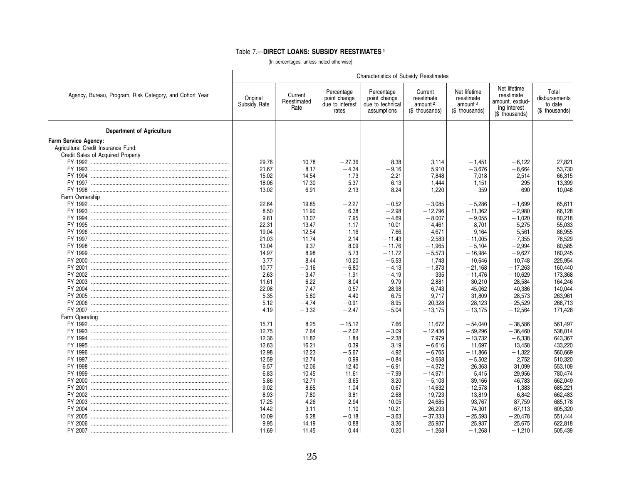### Table 7.—**DIRECT LOANS: SUBSIDY REESTIMATES <sup>1</sup>**

|                                                         | <b>Characteristics of Subsidy Reestimates</b> |                                |                                                        |                                                               |                                                                |                                                                     |                                                                                 |                                                     |
|---------------------------------------------------------|-----------------------------------------------|--------------------------------|--------------------------------------------------------|---------------------------------------------------------------|----------------------------------------------------------------|---------------------------------------------------------------------|---------------------------------------------------------------------------------|-----------------------------------------------------|
| Agency, Bureau, Program, Risk Category, and Cohort Year | Original<br>Subsidy Rate                      | Current<br>Reestimated<br>Rate | Percentage<br>point change<br>due to interest<br>rates | Percentage<br>point change<br>due to technical<br>assumptions | Current<br>reestimate<br>amount <sup>2</sup><br>(\$ thousands) | Net lifetime<br>reestimate<br>amount <sup>3</sup><br>(\$ thousands) | Net lifetime<br>reestimate<br>amount, exclud-<br>ing interest<br>(\$ thousands) | Total<br>disbursements<br>to date<br>(\$ thousands) |
| <b>Department of Agriculture</b>                        |                                               |                                |                                                        |                                                               |                                                                |                                                                     |                                                                                 |                                                     |
| Farm Service Agency:                                    |                                               |                                |                                                        |                                                               |                                                                |                                                                     |                                                                                 |                                                     |
| Agricultural Credit Insurance Fund:                     |                                               |                                |                                                        |                                                               |                                                                |                                                                     |                                                                                 |                                                     |
| Credit Sales of Acquired Property                       |                                               |                                |                                                        |                                                               |                                                                |                                                                     |                                                                                 |                                                     |
|                                                         | 29.76                                         | 10.78                          | $-27.36$                                               | 8.38                                                          | 3.114                                                          | $-1.451$                                                            | $-6.122$                                                                        | 27,821                                              |
|                                                         | 21.67                                         | 8.17                           | $-4.34$                                                | $-9.16$                                                       | 5,910                                                          | $-3,676$                                                            | $-8,664$                                                                        | 53,730                                              |
|                                                         | 15.02                                         | 14.54                          | 1.73                                                   | $-2.21$                                                       | 7,848                                                          | 7,018                                                               | $-2,514$                                                                        | 66,315                                              |
|                                                         | 18.06                                         | 17.30                          | 5.37                                                   | $-6.13$                                                       | 1.444                                                          | 1,151                                                               | $-295$                                                                          | 13,399                                              |
|                                                         | 13.02                                         | 6.91                           | 2.13                                                   | $-8.24$                                                       | 1,220                                                          | $-359$                                                              | $-690$                                                                          | 10.048                                              |
| Farm Ownership                                          |                                               |                                |                                                        |                                                               |                                                                |                                                                     |                                                                                 |                                                     |
|                                                         | 22.64                                         | 19.85                          | $-2.27$                                                | $-0.52$                                                       | $-3,085$                                                       | $-5,286$                                                            | $-1,699$                                                                        | 65,611                                              |
|                                                         | 8.50                                          | 11.90                          | 6.38                                                   | $-2.98$                                                       | $-12,796$                                                      | $-11,362$                                                           | $-2,980$                                                                        | 66,128                                              |
|                                                         | 9.81                                          | 13.07                          | 7.95                                                   | $-4.69$                                                       | $-8,007$                                                       | $-9,055$                                                            | $-1,020$                                                                        | 80,218                                              |
|                                                         | 22.31                                         | 13.47                          | 1.17                                                   | $-10.01$                                                      | $-4.461$                                                       | $-8,701$                                                            | $-5,275$                                                                        | 55,033                                              |
|                                                         | 19.04                                         | 12.54                          | 1.16                                                   | $-7.66$                                                       | $-4,671$                                                       | $-9,164$                                                            | $-5,561$                                                                        | 86,955                                              |
|                                                         | 21.03                                         | 11.74                          | 2.14                                                   | $-11.43$                                                      | $-2,583$                                                       | $-11,005$                                                           | $-7,355$                                                                        | 78,529                                              |
|                                                         | 13.04                                         | 9.37                           | 8.09                                                   | $-11.76$                                                      | $-1,965$                                                       | $-5.104$                                                            | $-2,994$                                                                        | 80,585                                              |
|                                                         | 14.97                                         | 8.98                           | 5.73                                                   | $-11.72$                                                      | $-5,573$                                                       | $-16,984$                                                           | $-9,627$                                                                        | 160,245                                             |
|                                                         | 3.77                                          | 8.44                           | 10.20                                                  | $-5.53$                                                       | 1.743                                                          | 10,646                                                              | 10.748                                                                          | 225.954                                             |
|                                                         | 10.77                                         | $-0.16$                        | $-6.80$                                                | $-4.13$                                                       | $-1,873$                                                       | $-21.168$                                                           | $-17,263$                                                                       | 160.440                                             |
|                                                         | 2.63                                          | $-3.47$                        | $-1.91$                                                | $-4.19$                                                       | $-335$                                                         | $-11,476$                                                           | $-10,629$                                                                       | 173,368                                             |
|                                                         | 11.61                                         | $-6.22$                        | $-8.04$                                                | $-9.79$                                                       | $-2,881$                                                       | $-30.210$                                                           | $-28.584$                                                                       | 164,246                                             |
|                                                         | 22.08                                         | $-7.47$                        | $-0.57$                                                | $-28.98$                                                      | $-6,743$                                                       | $-45,062$                                                           | $-40,386$                                                                       | 140,044                                             |
|                                                         | 5.35                                          | $-5.80$                        | $-4.40$                                                | $-6.75$                                                       | $-9,717$                                                       | $-31,809$                                                           | $-28,573$                                                                       | 263,961                                             |
|                                                         | 5.12                                          | $-4.74$                        | $-0.91$                                                | $-8.95$                                                       | $-20.328$                                                      | $-28.123$                                                           | $-25,529$                                                                       | 268,713                                             |
|                                                         | 4.19                                          | $-3.32$                        | $-2.47$                                                | $-5.04$                                                       | $-13,175$                                                      | $-13,175$                                                           | $-12,564$                                                                       | 171,428                                             |
| Farm Operating                                          |                                               |                                |                                                        |                                                               |                                                                |                                                                     |                                                                                 |                                                     |
|                                                         | 15.71                                         | 8.25                           | $-15.12$                                               | 7.66                                                          | 11,672                                                         | $-54.040$                                                           | $-38.586$                                                                       | 561,497                                             |
|                                                         | 12.75                                         | 7.64                           | $-2.02$                                                | $-3.09$                                                       | $-12,436$                                                      | $-59.296$                                                           | $-36,460$                                                                       | 538,014                                             |
|                                                         | 12.36                                         | 11.82                          | 1.84                                                   | $-2.38$                                                       | 7,979                                                          | $-13,732$                                                           | $-6,338$                                                                        | 643,367                                             |
|                                                         | 12.63                                         | 16.21                          | 0.39                                                   | 3.19                                                          | $-6.616$                                                       | 11.697                                                              | 13.458                                                                          | 433.220                                             |
|                                                         | 12.98                                         | 12.23                          | $-5.67$                                                | 4.92                                                          | $-6,765$                                                       | $-11,866$                                                           | $-1,322$                                                                        | 560,669                                             |
|                                                         | 12.59                                         | 12.74                          | 0.99                                                   | $-0.84$                                                       | $-3,658$                                                       | $-5,502$                                                            | 2,752                                                                           | 510,320                                             |
|                                                         | 6.57                                          | 12.06                          | 12.40                                                  | $-6.91$                                                       | $-4,372$                                                       | 26,363                                                              | 31,099                                                                          | 553,109                                             |
|                                                         | 6.83                                          | 10.45                          | 11.61                                                  | $-7.99$                                                       | $-14,971$                                                      | 5,415                                                               | 29,956                                                                          | 780,474                                             |
|                                                         | 5.86                                          | 12.71                          | 3.65                                                   | 3.20                                                          | $-5,103$                                                       | 39,166                                                              | 46,783                                                                          | 662,049                                             |
|                                                         | 9.02                                          | 8.65                           | $-1.04$                                                | 0.67                                                          | $-14,632$                                                      | $-12,578$                                                           | $-1.383$                                                                        | 685,221                                             |
|                                                         | 8.93                                          | 7.80                           | $-3.81$                                                | 2.68                                                          | $-19,723$                                                      | $-13,819$                                                           | $-6.842$                                                                        | 662,483                                             |
|                                                         | 17.25                                         | 4.26                           | $-2.94$                                                | $-10.05$                                                      | $-24,685$                                                      | $-93,767$                                                           | $-87,759$                                                                       | 685,178                                             |
|                                                         | 14.42                                         | 3.11                           | $-1.10$                                                | $-10.21$                                                      | $-26.293$                                                      | $-74,301$                                                           | $-67.113$                                                                       | 605,320                                             |
|                                                         | 10.09                                         | 6.28                           | $-0.18$                                                | $-3.63$                                                       | $-37,333$                                                      | $-25,593$                                                           | $-20,478$                                                                       | 551,444                                             |
|                                                         | 9.95                                          | 14.19                          | 0.88                                                   | 3.36                                                          | 25,937                                                         | 25,937                                                              | 25,675                                                                          | 622,818                                             |
|                                                         | 11.69                                         | 11.45                          | 0.44                                                   | 0.20                                                          | $-1.268$                                                       | $-1.268$                                                            | $-1.210$                                                                        | 505.439                                             |
|                                                         |                                               |                                |                                                        |                                                               |                                                                |                                                                     |                                                                                 |                                                     |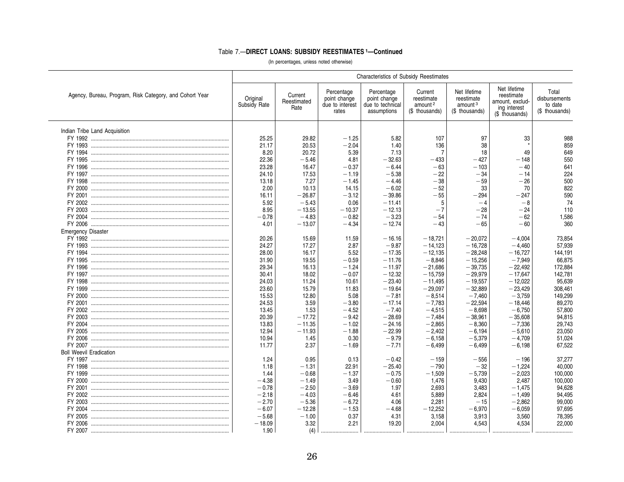# Table 7.-DIRECT LOANS: SUBSIDY REESTIMATES 1-Continued

|                                                         | <b>Characteristics of Subsidy Reestimates</b> |                                |                                                        |                                                               |                                                                |                                                                     |                                                                                 |                                                     |
|---------------------------------------------------------|-----------------------------------------------|--------------------------------|--------------------------------------------------------|---------------------------------------------------------------|----------------------------------------------------------------|---------------------------------------------------------------------|---------------------------------------------------------------------------------|-----------------------------------------------------|
| Agency, Bureau, Program, Risk Category, and Cohort Year | Original<br>Subsidy Rate                      | Current<br>Reestimated<br>Rate | Percentage<br>point change<br>due to interest<br>rates | Percentage<br>point change<br>due to technical<br>assumptions | Current<br>reestimate<br>amount <sup>2</sup><br>(\$ thousands) | Net lifetime<br>reestimate<br>amount <sup>3</sup><br>(\$ thousands) | Net lifetime<br>reestimate<br>amount, exclud-<br>ing interest<br>(\$ thousands) | Total<br>disbursements<br>to date<br>(\$ thousands) |
| Indian Tribe Land Acquisition                           |                                               |                                |                                                        |                                                               |                                                                |                                                                     |                                                                                 |                                                     |
|                                                         | 25.25                                         | 29.82                          | $-1.25$                                                | 5.82                                                          | 107                                                            | 97                                                                  | 33                                                                              | 988                                                 |
|                                                         | 21.17                                         | 20.53                          | $-2.04$                                                | 1.40                                                          | 136                                                            | 38                                                                  |                                                                                 | 859                                                 |
|                                                         | 8.20                                          | 20.72                          | 5.39                                                   | 7.13                                                          | $\overline{7}$                                                 | 18                                                                  | 49                                                                              | 649                                                 |
|                                                         | 22.36                                         | $-5.46$                        | 4.81                                                   | $-32.63$                                                      | $-433$                                                         | $-427$                                                              | $-148$                                                                          | 550                                                 |
|                                                         | 23.28                                         | 16.47                          | $-0.37$                                                | $-6.44$                                                       | $-63$                                                          | $-103$                                                              | $-40$                                                                           | 641                                                 |
|                                                         | 24.10                                         | 17.53                          | $-1.19$                                                | $-5.38$                                                       | $-22$                                                          | $-34$                                                               | $-14$                                                                           | 224                                                 |
|                                                         | 13.18                                         | 7.27                           | $-1.45$                                                | $-4.46$                                                       | $-38$                                                          | $-59$                                                               | $-26$                                                                           | 500                                                 |
|                                                         | 2.00                                          | 10.13                          | 14.15                                                  | $-6.02$                                                       | $-52$                                                          | 33                                                                  | 70                                                                              | 822                                                 |
|                                                         | 16.11                                         | $-26.87$                       | $-3.12$                                                | $-39.86$                                                      | $-55$                                                          | $-294$                                                              | $-247$                                                                          | 590                                                 |
|                                                         | 5.92                                          | $-5.43$                        | 0.06                                                   | $-11.41$                                                      | 5                                                              | $-4$                                                                | $-8$                                                                            | 74                                                  |
|                                                         | 8.95                                          | $-13.55$                       | $-10.37$                                               | $-12.13$                                                      | $-7$                                                           | $-28$                                                               | $-24$                                                                           | 110                                                 |
|                                                         | $-0.78$                                       | $-4.83$                        | $-0.82$                                                | $-3.23$                                                       | $-54$                                                          | $-74$                                                               | $-62$                                                                           | 1.586                                               |
|                                                         | 4.01                                          | $-13.07$                       | $-4.34$                                                | $-12.74$                                                      | $-43$                                                          | $-65$                                                               | $-60$                                                                           | 360                                                 |
| <b>Emergency Disaster</b>                               |                                               |                                |                                                        |                                                               |                                                                |                                                                     |                                                                                 |                                                     |
|                                                         | 20.26                                         | 15.69                          | 11.59                                                  | - 16.16                                                       | $-18,721$                                                      | $-20,072$                                                           | $-4.004$                                                                        | 73,854                                              |
|                                                         | 24.27                                         | 17.27                          | 2.87                                                   | $-9.87$                                                       | $-14,123$                                                      | $-16,728$                                                           | $-4.460$                                                                        | 57,939                                              |
|                                                         | 28.00                                         | 16.17                          | 5.52                                                   | $-17.35$                                                      | $-12,135$                                                      | $-28,248$                                                           | $-16,727$                                                                       | 144,191                                             |
|                                                         | 31.90                                         | 19.55                          | $-0.59$                                                | $-11.76$                                                      | $-8.846$                                                       | $-15,256$                                                           | $-7.949$                                                                        | 66,875                                              |
|                                                         | 29.34                                         | 16.13                          | $-1.24$                                                | $-11.97$                                                      | $-21,686$                                                      | $-39.735$                                                           | $-22.492$                                                                       | 172,884                                             |
|                                                         | 30.41                                         | 18.02                          | $-0.07$                                                | $-12.32$                                                      | $-15,759$                                                      | $-29,979$                                                           | $-17,647$                                                                       | 142,781                                             |
|                                                         | 24.03                                         | 11.24                          | 10.61                                                  | $-23.40$                                                      | $-11,495$                                                      | $-19,557$                                                           | $-12,022$                                                                       | 95,639                                              |
|                                                         | 23.60                                         | 15.79                          | 11.83                                                  | $-19.64$                                                      | $-29.097$                                                      | $-32.889$                                                           | $-23.429$                                                                       | 308,461                                             |
|                                                         | 15.53                                         | 12.80                          | 5.08                                                   | $-7.81$                                                       | $-8,514$                                                       | $-7,460$                                                            | $-3.759$                                                                        | 149,299                                             |
|                                                         | 24.53                                         | 3.59                           | $-3.80$                                                | $-17.14$                                                      | $-7,783$                                                       | $-22,594$                                                           | $-18,446$                                                                       | 89,270                                              |
|                                                         | 13.45                                         | 1.53                           | $-4.52$                                                | $-7.40$                                                       | $-4,515$                                                       | $-8,698$                                                            | $-6,750$                                                                        | 57,800                                              |
|                                                         | 20.39                                         | $-17.72$                       | $-9.42$                                                | $-28.69$                                                      | $-7,484$                                                       | $-38,961$                                                           | $-35,608$                                                                       | 94,815                                              |
|                                                         | 13.83                                         | $-11.35$                       | $-1.02$                                                | $-24.16$                                                      | $-2.865$                                                       | $-8.360$                                                            | $-7.336$                                                                        | 29,743                                              |
|                                                         | 12.94                                         | $-11.93$                       | $-1.88$                                                | $-22.99$                                                      | $-2,402$                                                       | $-6.194$                                                            | $-5.610$                                                                        | 23,050                                              |
|                                                         | 10.94                                         | 1.45                           | 0.30                                                   | $-9.79$                                                       | $-6,158$                                                       | $-5,379$                                                            | $-4,709$                                                                        | 51,024                                              |
|                                                         | 11.77                                         | 2.37                           | $-1.69$                                                | $-7.71$                                                       | $-6,499$                                                       | $-6,499$                                                            | $-6.198$                                                                        | 67,522                                              |
| <b>Boll Weevil Eradication</b>                          |                                               |                                |                                                        |                                                               |                                                                |                                                                     |                                                                                 |                                                     |
|                                                         | 1.24                                          | 0.95                           | 0.13                                                   | $-0.42$                                                       | $-159$                                                         | $-556$                                                              | $-196$                                                                          | 37,277                                              |
|                                                         | 1.18                                          | $-1.31$                        | 22.91                                                  | $-25.40$                                                      | $-790$                                                         | $-32$                                                               | $-1,224$                                                                        | 40,000                                              |
|                                                         | 1.44                                          | $-0.68$                        | $-1.37$                                                | $-0.75$                                                       | $-1,509$                                                       | $-5,739$                                                            | $-2,023$                                                                        | 100,000                                             |
|                                                         | $-4.38$                                       | $-1.49$                        | 3.49                                                   | $-0.60$                                                       | 1,476                                                          | 9,430                                                               | 2.487                                                                           | 100,000                                             |
|                                                         | $-0.78$                                       | $-2.50$                        | $-3.69$                                                | 1.97                                                          | 2,693                                                          | 3,483                                                               | $-1.475$                                                                        | 94,628                                              |
|                                                         | $-2.18$                                       | $-4.03$                        | $-6.46$                                                | 4.61                                                          | 5,889                                                          | 2.824                                                               | $-1.499$                                                                        | 94,495                                              |
|                                                         | $-2.70$                                       | $-5.36$                        | $-6.72$                                                | 4.06                                                          | 2,281                                                          | $-15$                                                               | $-2.862$                                                                        | 99,000                                              |
|                                                         | $-6.07$                                       | $-12.28$                       | $-1.53$                                                | $-4.68$                                                       | $-12.252$                                                      | $-6,970$                                                            | $-6,059$                                                                        | 97,695                                              |
|                                                         | $-5.68$                                       | $-1.00$                        | 0.37                                                   | 4.31                                                          | 3,158                                                          | 3,913                                                               | 3,560                                                                           | 78,395                                              |
|                                                         | $-18.09$                                      | 3.32                           | 2.21                                                   | 19.20                                                         | 2.004                                                          | 4,543                                                               | 4.534                                                                           | 22.000                                              |
|                                                         | 1.90                                          | (4)                            |                                                        |                                                               |                                                                |                                                                     |                                                                                 |                                                     |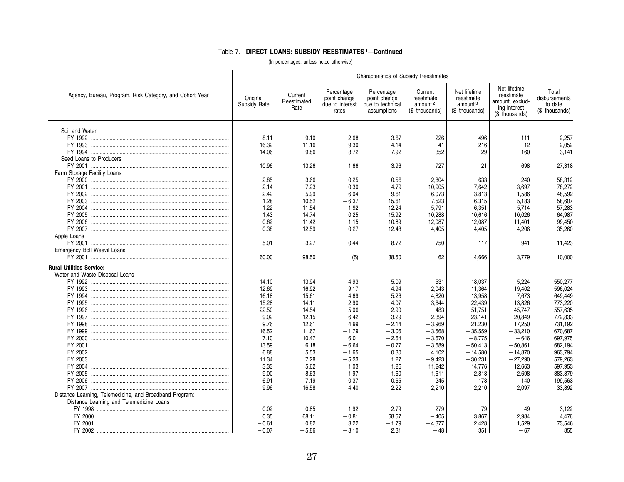### Table 7.—**DIRECT LOANS: SUBSIDY REESTIMATES 1—Continued**

|                                                         | <b>Characteristics of Subsidy Reestimates</b> |                                |                                                        |                                                               |                                                                |                                                                     |                                                                                 |                                                     |  |  |
|---------------------------------------------------------|-----------------------------------------------|--------------------------------|--------------------------------------------------------|---------------------------------------------------------------|----------------------------------------------------------------|---------------------------------------------------------------------|---------------------------------------------------------------------------------|-----------------------------------------------------|--|--|
| Agency, Bureau, Program, Risk Category, and Cohort Year | Original<br>Subsidy Rate                      | Current<br>Reestimated<br>Rate | Percentage<br>point change<br>due to interest<br>rates | Percentage<br>point change<br>due to technical<br>assumptions | Current<br>reestimate<br>amount <sup>2</sup><br>(\$ thousands) | Net lifetime<br>reestimate<br>amount <sup>3</sup><br>(\$ thousands) | Net lifetime<br>reestimate<br>amount, exclud-<br>ing interest<br>(\$ thousands) | Total<br>disbursements<br>to date<br>(\$ thousands) |  |  |
| Soil and Water                                          |                                               |                                |                                                        |                                                               |                                                                |                                                                     |                                                                                 |                                                     |  |  |
|                                                         | 8.11                                          | 9.10                           | $-2.68$                                                | 3.67                                                          | 226                                                            | 496                                                                 | 111                                                                             | 2,257                                               |  |  |
|                                                         | 16.32                                         | 11.16                          | $-9.30$                                                | 4.14                                                          | 41                                                             | 216                                                                 | $-12$                                                                           | 2,052                                               |  |  |
|                                                         | 14.06                                         | 9.86                           | 3.72                                                   | $-7.92$                                                       | $-352$                                                         | 29                                                                  | $-160$                                                                          | 3.141                                               |  |  |
| Seed Loans to Producers                                 |                                               |                                |                                                        |                                                               |                                                                |                                                                     |                                                                                 |                                                     |  |  |
|                                                         | 10.96                                         | 13.26                          | $-1.66$                                                | 3.96                                                          | $-727$                                                         | 21                                                                  | 698                                                                             | 27,318                                              |  |  |
| Farm Storage Facility Loans                             |                                               |                                |                                                        |                                                               |                                                                |                                                                     |                                                                                 |                                                     |  |  |
|                                                         | 2.85                                          | 3.66                           | 0.25                                                   | 0.56                                                          | 2.804                                                          | $-633$                                                              | 240                                                                             | 58.312                                              |  |  |
|                                                         | 2.14                                          | 7.23                           | 0.30                                                   | 4.79                                                          | 10,905                                                         | 7,642                                                               | 3,697                                                                           | 78,272                                              |  |  |
|                                                         | 2.42                                          | 5.99                           | $-6.04$                                                | 9.61                                                          | 6,073                                                          | 3,813                                                               | 1,586                                                                           | 48,592                                              |  |  |
|                                                         | 1.28                                          | 10.52                          | $-6.37$                                                | 15.61                                                         | 7,523                                                          | 6,315                                                               | 5,183                                                                           | 58,607                                              |  |  |
|                                                         | 1.22                                          | 11.54                          | $-1.92$                                                | 12.24                                                         | 5,791                                                          | 6,351                                                               | 5,714                                                                           | 57,283                                              |  |  |
|                                                         | $-1.43$                                       | 14.74                          | 0.25                                                   | 15.92                                                         | 10,288                                                         | 10,616                                                              | 10.026                                                                          | 64,987                                              |  |  |
|                                                         | $-0.62$                                       | 11.42                          | 1.15                                                   | 10.89                                                         | 12,087                                                         | 12,087                                                              | 11,401                                                                          | 99,450                                              |  |  |
|                                                         | 0.38                                          | 12.59                          | $-0.27$                                                | 12.48                                                         | 4,405                                                          | 4,405                                                               | 4,206                                                                           | 35,260                                              |  |  |
| Apple Loans                                             |                                               |                                |                                                        |                                                               |                                                                |                                                                     |                                                                                 |                                                     |  |  |
|                                                         | 5.01                                          | $-3.27$                        | 0.44                                                   | $-8.72$                                                       | 750                                                            | $-117$                                                              | $-941$                                                                          | 11.423                                              |  |  |
| Emergency Boll Weevil Loans                             |                                               |                                |                                                        |                                                               |                                                                |                                                                     |                                                                                 |                                                     |  |  |
|                                                         | 60.00                                         | 98.50                          | (5)                                                    | 38.50                                                         | 62                                                             | 4,666                                                               | 3,779                                                                           | 10,000                                              |  |  |
| <b>Rural Utilities Service:</b>                         |                                               |                                |                                                        |                                                               |                                                                |                                                                     |                                                                                 |                                                     |  |  |
| Water and Waste Disposal Loans                          |                                               |                                |                                                        |                                                               |                                                                |                                                                     |                                                                                 |                                                     |  |  |
|                                                         | 14.10                                         | 13.94                          | 4.93                                                   | $-5.09$                                                       | 531                                                            | $-18,037$                                                           | $-5,224$                                                                        | 550,277                                             |  |  |
|                                                         | 12.69                                         | 16.92                          | 9.17                                                   | $-4.94$                                                       | $-2.043$                                                       | 11,364                                                              | 19.402                                                                          | 596.024                                             |  |  |
|                                                         | 16.18                                         | 15.61                          | 4.69                                                   | $-5.26$                                                       | $-4,820$                                                       | $-13,958$                                                           | $-7,673$                                                                        | 649,449                                             |  |  |
|                                                         | 15.28                                         | 14.11                          | 2.90                                                   | $-4.07$                                                       | $-3,644$                                                       | $-22,439$                                                           | $-13,826$                                                                       | 773,220                                             |  |  |
|                                                         | 22.50                                         | 14.54                          | $-5.06$                                                | $-2.90$                                                       | $-483$                                                         | $-51,751$                                                           | $-45,747$                                                                       | 557,635                                             |  |  |
|                                                         | 9.02                                          | 12.15                          | 6.42                                                   | $-3.29$                                                       | $-2,394$                                                       | 23,141                                                              | 20,849                                                                          | 772,833                                             |  |  |
|                                                         | 9.76                                          | 12.61                          | 4.99                                                   | $-2.14$                                                       | $-3,969$                                                       | 21,230                                                              | 17,250                                                                          | 731,192                                             |  |  |
|                                                         | 16.52                                         | 11.67                          | $-1.79$                                                | $-3.06$                                                       | $-3,568$                                                       | $-35,559$                                                           | $-33,210$                                                                       | 670,687                                             |  |  |
|                                                         | 7.10                                          | 10.47                          | 6.01                                                   | $-2.64$                                                       | $-3,670$                                                       | $-8.775$                                                            | $-646$                                                                          | 697,975                                             |  |  |
|                                                         | 13.59                                         | 6.18                           | $-6.64$                                                | $-0.77$                                                       | $-3,689$                                                       | $-50,413$                                                           | $-50,861$                                                                       | 682,194                                             |  |  |
|                                                         | 6.88                                          | 5.53                           | $-1.65$                                                | 0.30                                                          | 4,102                                                          | $-14,580$                                                           | $-14.870$                                                                       | 963,794                                             |  |  |
|                                                         | 11.34                                         | 7.28                           | $-5.33$                                                | 1.27                                                          | $-9,423$                                                       | $-30,231$                                                           | $-27,290$                                                                       | 579,263                                             |  |  |
|                                                         | 3.33                                          | 5.62                           | 1.03                                                   | 1.26                                                          | 11,242                                                         | 14,776                                                              | 12,663                                                                          | 597,953                                             |  |  |
|                                                         | 9.00                                          | 8.63                           | $-1.97$                                                | 1.60                                                          | $-1,611$                                                       | $-2,813$                                                            | $-2,698$                                                                        | 383,879                                             |  |  |
|                                                         | 6.91                                          | 7.19                           | $-0.37$                                                | 0.65                                                          | 245                                                            | 173                                                                 | 140                                                                             | 199,563                                             |  |  |
|                                                         | 9.96                                          | 16.58                          | 4.40                                                   | 2.22                                                          | 2,210                                                          | 2,210                                                               | 2,097                                                                           | 33,892                                              |  |  |
| Distance Learning, Telemedicine, and Broadband Program: |                                               |                                |                                                        |                                                               |                                                                |                                                                     |                                                                                 |                                                     |  |  |
| Distance Learning and Telemedicine Loans                |                                               |                                |                                                        |                                                               |                                                                |                                                                     |                                                                                 |                                                     |  |  |
|                                                         | 0.02                                          | $-0.85$                        | 1.92                                                   | $-2.79$                                                       | 279                                                            | $-79$                                                               | $-49$                                                                           | 3,122                                               |  |  |
|                                                         | 0.35                                          | 68.11                          | $-0.81$                                                | 68.57                                                         | $-405$                                                         | 3,867                                                               | 2,984                                                                           | 4.476                                               |  |  |
|                                                         | $-0.61$                                       | 0.82                           | 3.22                                                   | $-1.79$                                                       | $-4,377$                                                       | 2,428                                                               | 1,529                                                                           | 73,546                                              |  |  |
|                                                         | $-0.07$                                       | $-5.86$                        | $-8.10$                                                | 2.31                                                          | $-48$                                                          | 351                                                                 | $-67$                                                                           | 855                                                 |  |  |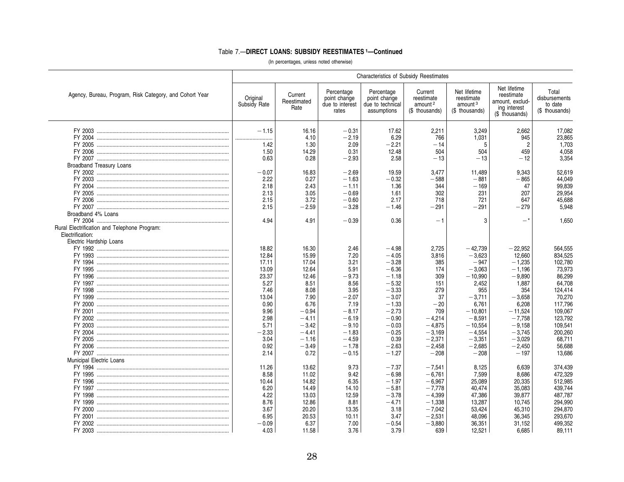### Table 7.—**DIRECT LOANS: SUBSIDY REESTIMATES 1—Continued**

|                                                         | <b>Characteristics of Subsidy Reestimates</b> |                                |                                                        |                                                               |                                                                |                                                                     |                                                                                 |                                                     |  |  |
|---------------------------------------------------------|-----------------------------------------------|--------------------------------|--------------------------------------------------------|---------------------------------------------------------------|----------------------------------------------------------------|---------------------------------------------------------------------|---------------------------------------------------------------------------------|-----------------------------------------------------|--|--|
| Agency, Bureau, Program, Risk Category, and Cohort Year | Original<br>Subsidy Rate                      | Current<br>Reestimated<br>Rate | Percentage<br>point change<br>due to interest<br>rates | Percentage<br>point change<br>due to technical<br>assumptions | Current<br>reestimate<br>amount <sup>2</sup><br>(\$ thousands) | Net lifetime<br>reestimate<br>amount <sup>3</sup><br>(\$ thousands) | Net lifetime<br>reestimate<br>amount, exclud-<br>ing interest<br>(\$ thousands) | Total<br>disbursements<br>to date<br>(\$ thousands) |  |  |
|                                                         | $-1.15$                                       | 16.16                          | $-0.31$                                                | 17.62                                                         | 2,211                                                          | 3,249                                                               | 2,662                                                                           | 17,082                                              |  |  |
|                                                         |                                               | 4.10                           | $-2.19$                                                | 6.29                                                          | 766                                                            | 1,031                                                               | 945                                                                             | 23,865                                              |  |  |
|                                                         | 1.42                                          | 1.30                           | 2.09                                                   | $-2.21$                                                       | $-14$                                                          | 5                                                                   | 2                                                                               | 1,703                                               |  |  |
|                                                         | 1.50                                          | 14.29                          | 0.31                                                   | 12.48                                                         | 504                                                            | 504                                                                 | 459                                                                             | 4,058                                               |  |  |
|                                                         | 0.63                                          | 0.28                           | $-2.93$                                                | 2.58                                                          | $-13$                                                          | $-13$                                                               | $-12$                                                                           | 3,354                                               |  |  |
| <b>Broadband Treasury Loans</b>                         |                                               |                                |                                                        |                                                               |                                                                |                                                                     |                                                                                 |                                                     |  |  |
|                                                         | $-0.07$                                       | 16.83                          | $-2.69$                                                | 19.59                                                         | 3.477                                                          | 11.489                                                              | 9.343                                                                           | 52,619                                              |  |  |
|                                                         | 2.22                                          | 0.27                           | $-1.63$                                                | $-0.32$                                                       | $-588$                                                         | $-881$                                                              | $-865$                                                                          | 44,049                                              |  |  |
|                                                         | 2.18                                          | 2.43                           | $-1.11$                                                | 1.36                                                          | 344                                                            | $-169$                                                              | 47                                                                              | 99,839                                              |  |  |
|                                                         | 2.13                                          | 3.05                           | $-0.69$                                                | 1.61                                                          | 302                                                            | 231                                                                 | 207                                                                             | 29,954                                              |  |  |
|                                                         | 2.15                                          | 3.72                           | $-0.60$                                                | 2.17                                                          | 718                                                            | 721                                                                 | 647                                                                             | 45,688                                              |  |  |
|                                                         | 2.15                                          | $-2.59$                        | $-3.28$                                                | $-1.46$                                                       | $-291$                                                         | $-291$                                                              | $-279$                                                                          | 5.948                                               |  |  |
| Broadband 4% Loans                                      |                                               |                                |                                                        |                                                               |                                                                |                                                                     |                                                                                 |                                                     |  |  |
|                                                         | 4.94                                          | 4.91                           | $-0.39$                                                | 0.36                                                          | $-1$                                                           | 3                                                                   | _*                                                                              | 1.650                                               |  |  |
| Rural Electrification and Telephone Program:            |                                               |                                |                                                        |                                                               |                                                                |                                                                     |                                                                                 |                                                     |  |  |
| Electrification:                                        |                                               |                                |                                                        |                                                               |                                                                |                                                                     |                                                                                 |                                                     |  |  |
| Electric Hardship Loans                                 |                                               |                                |                                                        |                                                               |                                                                |                                                                     |                                                                                 |                                                     |  |  |
|                                                         | 18.82                                         | 16.30                          | 2.46                                                   | $-4.98$                                                       | 2,725                                                          | $-42,739$                                                           | $-22,952$                                                                       | 564,555                                             |  |  |
|                                                         | 12.84                                         | 15.99                          | 7.20                                                   | $-4.05$                                                       | 3,816                                                          | $-3,623$                                                            | 12,660                                                                          | 834,525                                             |  |  |
|                                                         | 17.11                                         | 17.04                          | 3.21                                                   | $-3.28$                                                       | 385                                                            | $-947$                                                              | $-1,235$                                                                        | 102,780                                             |  |  |
|                                                         | 13.09                                         | 12.64                          | 5.91                                                   | $-6.36$                                                       | 174                                                            | $-3,063$                                                            | $-1,196$                                                                        | 73,973                                              |  |  |
|                                                         | 23.37                                         | 12.46                          | $-9.73$                                                | $-1.18$                                                       | 309                                                            | $-10,990$                                                           | $-9.890$                                                                        | 86,299                                              |  |  |
|                                                         | 5.27                                          | 8.51                           | 8.56                                                   | $-5.32$                                                       | 151                                                            | 2,452                                                               | 1,887                                                                           | 64,708                                              |  |  |
|                                                         | 7.46                                          | 8.08                           | 3.95                                                   | $-3.33$                                                       | 279                                                            | 955                                                                 | 354                                                                             | 124,414                                             |  |  |
|                                                         | 13.04                                         | 7.90                           | $-2.07$                                                | $-3.07$                                                       | 37                                                             | $-3,711$                                                            | $-3,658$                                                                        | 70,270                                              |  |  |
|                                                         | 0.90                                          | 6.76                           | 7.19                                                   | $-1.33$                                                       | $-20$                                                          | 6,761                                                               | 6.208                                                                           | 117,796                                             |  |  |
|                                                         | 9.96                                          | $-0.94$                        | $-8.17$                                                | $-2.73$                                                       | 709                                                            | $-10.801$                                                           | $-11,524$                                                                       | 109,067                                             |  |  |
|                                                         | 2.98                                          | $-4.11$                        | $-6.19$                                                | $-0.90$                                                       | $-4,214$                                                       | $-8,591$                                                            | $-7,758$                                                                        | 123,792                                             |  |  |
|                                                         | 5.71                                          | $-3.42$                        | $-9.10$                                                | $-0.03$                                                       | $-4,875$                                                       | $-10,554$                                                           | $-9,158$                                                                        | 109,541                                             |  |  |
|                                                         | $-2.33$                                       | $-4.41$                        | $-1.83$                                                | $-0.25$                                                       | $-3,169$                                                       | $-4,554$                                                            | $-3,745$                                                                        | 200,260                                             |  |  |
|                                                         | 3.04                                          | $-1.16$                        | $-4.59$                                                | 0.39                                                          | $-2,371$                                                       | $-3,351$                                                            | $-3.029$                                                                        | 68,711                                              |  |  |
|                                                         | 0.92                                          | $-3.49$                        | $-1.78$                                                | $-2.63$                                                       | $-2,458$                                                       | $-2,685$                                                            | $-2,450$                                                                        | 56,688                                              |  |  |
|                                                         | 2.14                                          | 0.72                           | $-0.15$                                                | $-1.27$                                                       | $-208$                                                         | $-208$                                                              | $-197$                                                                          | 13,686                                              |  |  |
| Municipal Electric Loans                                |                                               |                                |                                                        |                                                               |                                                                |                                                                     |                                                                                 |                                                     |  |  |
|                                                         | 11.26                                         | 13.62                          | 9.73                                                   | $-7.37$                                                       | $-7,541$                                                       | 8,125                                                               | 6.639                                                                           | 374,439                                             |  |  |
|                                                         | 8.58                                          | 11.02                          | 9.42                                                   | $-6.98$                                                       | $-6,761$                                                       | 7,599                                                               | 8,686                                                                           | 472,329                                             |  |  |
|                                                         | 10.44                                         | 14.82                          | 6.35                                                   | $-1.97$                                                       | $-6,967$                                                       | 25,089                                                              | 20,335                                                                          | 512,985                                             |  |  |
|                                                         | 6.20                                          | 14.49                          | 14.10                                                  | $-5.81$                                                       | $-7,778$                                                       | 40,474                                                              | 35,083                                                                          | 439,744                                             |  |  |
|                                                         | 4.22                                          | 13.03                          | 12.59                                                  | $-3.78$                                                       | $-4,399$                                                       | 47,386                                                              | 39,877                                                                          | 487,787                                             |  |  |
|                                                         | 8.76                                          | 12.86                          | 8.81                                                   | $-4.71$                                                       | $-1,338$                                                       | 13,287                                                              | 10,745                                                                          | 294,990                                             |  |  |
|                                                         | 3.67                                          | 20.20                          | 13.35                                                  | 3.18                                                          | $-7,042$                                                       | 53,424                                                              | 45,310                                                                          | 294,870                                             |  |  |
|                                                         | 6.95                                          | 20.53                          | 10.11                                                  | 3.47                                                          | $-2,531$                                                       | 48,096                                                              | 36,345                                                                          | 293,670                                             |  |  |
|                                                         |                                               |                                |                                                        |                                                               |                                                                |                                                                     |                                                                                 |                                                     |  |  |
|                                                         | $-0.09$                                       | 6.37                           | 7.00                                                   | $-0.54$                                                       | $-3,880$                                                       | 36,351                                                              | 31.152                                                                          | 499,352                                             |  |  |
|                                                         | 4.03                                          | 11.58                          | 3.76                                                   | 3.79                                                          | 639                                                            | 12,521                                                              | 6.685                                                                           | 89,111                                              |  |  |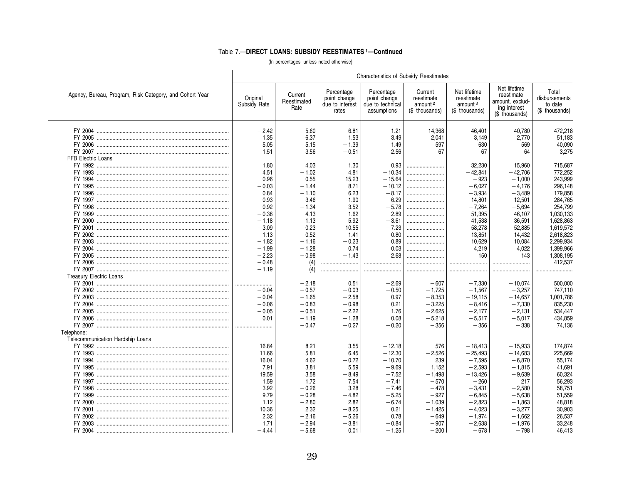# Table 7.-DIRECT LOANS: SUBSIDY REESTIMATES 1-Continued

|                                                         | <b>Characteristics of Subsidy Reestimates</b> |                                |                                                        |                                                               |                                                                |                                                                     |                                                                                 |                                                     |
|---------------------------------------------------------|-----------------------------------------------|--------------------------------|--------------------------------------------------------|---------------------------------------------------------------|----------------------------------------------------------------|---------------------------------------------------------------------|---------------------------------------------------------------------------------|-----------------------------------------------------|
| Agency, Bureau, Program, Risk Category, and Cohort Year | Original<br>Subsidy Rate                      | Current<br>Reestimated<br>Rate | Percentage<br>point change<br>due to interest<br>rates | Percentage<br>point change<br>due to technical<br>assumptions | Current<br>reestimate<br>amount <sup>2</sup><br>(\$ thousands) | Net lifetime<br>reestimate<br>amount <sup>3</sup><br>(\$ thousands) | Net lifetime<br>reestimate<br>amount, exclud-<br>ing interest<br>(\$ thousands) | Total<br>disbursements<br>to date<br>(\$ thousands) |
|                                                         | $-2.42$                                       | 5.60                           | 6.81                                                   | 1.21                                                          | 14,368                                                         | 46,401                                                              | 40,780                                                                          | 472,218                                             |
|                                                         | 1.35                                          | 6.37                           | 1.53                                                   | 3.49                                                          | 2,041                                                          | 3,149                                                               | 2,770                                                                           | 51,183                                              |
|                                                         | 5.05                                          |                                |                                                        |                                                               |                                                                |                                                                     | 569                                                                             | 40,090                                              |
|                                                         | 1.51                                          | 5.15<br>3.56                   | $-1.39$<br>$-0.51$                                     | 1.49<br>2.56                                                  | 597<br>67                                                      | 630<br>67                                                           | 64                                                                              | 3.275                                               |
|                                                         |                                               |                                |                                                        |                                                               |                                                                |                                                                     |                                                                                 |                                                     |
| FFB Electric Loans                                      |                                               |                                |                                                        |                                                               |                                                                |                                                                     |                                                                                 |                                                     |
|                                                         | 1.80                                          | 4.03                           | 1.30                                                   | 0.93                                                          |                                                                | 32,230                                                              | 15,960                                                                          | 715,687                                             |
|                                                         | 4.51                                          | $-1.02$                        | 4.81                                                   | $-10.34$                                                      |                                                                | $-42.841$                                                           | $-42.706$                                                                       | 772,252                                             |
|                                                         | 0.96                                          | 0.55                           | 15.23                                                  | $-15.64$                                                      |                                                                | $-923$                                                              | $-1.000$                                                                        | 243.999                                             |
|                                                         | $-0.03$                                       | $-1.44$                        | 8.71                                                   | $-10.12$                                                      |                                                                | $-6.027$                                                            | $-4.176$                                                                        | 296,148                                             |
|                                                         | 0.84                                          | $-1.10$                        | 6.23                                                   | $-8.17$                                                       |                                                                | $-3,934$                                                            | $-3,489$                                                                        | 179,858                                             |
|                                                         | 0.93                                          | $-3.46$                        | 1.90                                                   | $-6.29$                                                       |                                                                | $-14.801$                                                           | $-12.501$                                                                       | 284,765                                             |
|                                                         | 0.92                                          | $-1.34$                        | 3.52                                                   | $-5.78$                                                       |                                                                | $-7,264$                                                            | $-5,694$                                                                        | 254,799                                             |
|                                                         | $-0.38$                                       | 4.13                           | 1.62                                                   | 2.89                                                          |                                                                | 51,395                                                              | 46,107                                                                          | 1,030,133                                           |
|                                                         | $-1.18$                                       | 1.13                           | 5.92                                                   | $-3.61$                                                       |                                                                | 41.538                                                              | 36,591                                                                          | 1.628.863                                           |
|                                                         | $-3.09$                                       | 0.23                           | 10.55                                                  | $-7.23$                                                       |                                                                | 58,278                                                              | 52,885                                                                          | 1,619,572                                           |
|                                                         | $-1.13$                                       | $-0.52$                        | 1.41                                                   | 0.80                                                          |                                                                | 13,851                                                              | 14,432                                                                          | 2,618,823                                           |
|                                                         | $-1.82$                                       | $-1.16$                        | $-0.23$                                                | 0.89                                                          |                                                                | 10,629                                                              | 10,084                                                                          | 2,299,934                                           |
|                                                         | $-1.99$                                       | $-1.28$                        | 0.74                                                   | 0.03                                                          |                                                                | 4,219                                                               | 4.022                                                                           | 1.399.966                                           |
|                                                         | $-2.23$                                       | $-0.98$                        | $-1.43$                                                | 2.68                                                          |                                                                | 150                                                                 | 143                                                                             | 1,308,195                                           |
|                                                         | $-0.48$                                       | (4)                            |                                                        |                                                               |                                                                |                                                                     |                                                                                 | 412,537                                             |
|                                                         | $-1.19$                                       | (4)                            |                                                        |                                                               |                                                                |                                                                     |                                                                                 |                                                     |
| <b>Treasury Electric Loans</b>                          |                                               |                                |                                                        |                                                               |                                                                |                                                                     |                                                                                 |                                                     |
|                                                         |                                               | $-2.18$                        | 0.51                                                   | $-2.69$                                                       | $-607$                                                         | $-7.330$                                                            | $-10.074$                                                                       | 500,000                                             |
|                                                         | <br>$-0.04$                                   |                                |                                                        |                                                               |                                                                |                                                                     |                                                                                 |                                                     |
|                                                         |                                               | $-0.57$                        | $-0.03$                                                | $-0.50$                                                       | $-1,725$                                                       | $-1,567$                                                            | $-3,257$                                                                        | 747,110                                             |
|                                                         | $-0.04$                                       | $-1.65$                        | $-2.58$                                                | 0.97                                                          | $-8.353$                                                       | $-19.115$                                                           | $-14.657$                                                                       | 1,001,786                                           |
|                                                         | $-0.06$                                       | $-0.83$                        | $-0.98$                                                | 0.21                                                          | $-3.225$                                                       | $-8.416$                                                            | $-7.330$                                                                        | 835,230                                             |
|                                                         | $-0.05$                                       | $-0.51$                        | $-2.22$                                                | 1.76                                                          | $-2,625$                                                       | $-2,177$                                                            | $-2.131$                                                                        | 534,447                                             |
|                                                         | 0.01                                          | $-1.19$                        | $-1.28$                                                | 0.08                                                          | $-5,218$                                                       | $-5,517$                                                            | $-5,017$                                                                        | 434,859                                             |
|                                                         |                                               | $-0.47$                        | $-0.27$                                                | $-0.20$                                                       | $-356$                                                         | $-356$                                                              | $-338$                                                                          | 74.136                                              |
| Telephone:                                              |                                               |                                |                                                        |                                                               |                                                                |                                                                     |                                                                                 |                                                     |
| Telecommunication Hardship Loans                        |                                               |                                |                                                        |                                                               |                                                                |                                                                     |                                                                                 |                                                     |
|                                                         | 16.84                                         | 8.21                           | 3.55                                                   | $-12.18$                                                      | 576                                                            | $-18.413$                                                           | $-15.933$                                                                       | 174.874                                             |
|                                                         | 11.66                                         | 5.81                           | 6.45                                                   | $-12.30$                                                      | $-2.526$                                                       | $-25.493$                                                           | $-14.683$                                                                       | 225.669                                             |
|                                                         | 16.04                                         | 4.62                           | $-0.72$                                                | $-10.70$                                                      | 239                                                            | $-7,595$                                                            | $-6,870$                                                                        | 55,174                                              |
|                                                         | 7.91                                          | 3.81                           | 5.59                                                   | $-9.69$                                                       | 1,152                                                          | $-2,593$                                                            | $-1,815$                                                                        | 41,691                                              |
|                                                         | 19.59                                         | 3.58                           | $-8.49$                                                | $-7.52$                                                       | $-1,498$                                                       | $-13.426$                                                           | $-9.639$                                                                        | 60,324                                              |
|                                                         | 1.59                                          | 1.72                           | 7.54                                                   | $-7.41$                                                       | $-570$                                                         | $-260$                                                              | 217                                                                             | 56,293                                              |
|                                                         | 3.92                                          | $-0.26$                        | 3.28                                                   | $-7.46$                                                       | $-478$                                                         | $-3,431$                                                            | $-2,580$                                                                        | 58,751                                              |
|                                                         | 9.79                                          | $-0.28$                        | $-4.82$                                                | $-5.25$                                                       | $-927$                                                         | $-6,845$                                                            | $-5,638$                                                                        | 51,559                                              |
|                                                         | 1.12                                          | $-2.80$                        | 2.82                                                   | $-6.74$                                                       | $-1.039$                                                       | $-2.823$                                                            | $-1.863$                                                                        | 48.818                                              |
|                                                         | 10.36                                         | 2.32                           | $-8.25$                                                | 0.21                                                          |                                                                | $-4.023$                                                            | $-3.277$                                                                        | 30.903                                              |
|                                                         |                                               |                                |                                                        |                                                               | $-1,425$                                                       |                                                                     |                                                                                 |                                                     |
|                                                         | 2.32                                          | $-2.16$                        | $-5.26$                                                | 0.78                                                          | $-649$                                                         | $-1,974$                                                            | $-1,662$                                                                        | 26,537                                              |
|                                                         | 1.71                                          | $-2.94$                        | $-3.81$                                                | $-0.84$                                                       | $-907$                                                         | $-2,638$                                                            | $-1.976$                                                                        | 33,248                                              |
|                                                         | $-4.44$                                       | $-5.68$                        | 0.01                                                   | $-1.25$                                                       | $-200$                                                         | $-678$                                                              | $-798$                                                                          | 46.413                                              |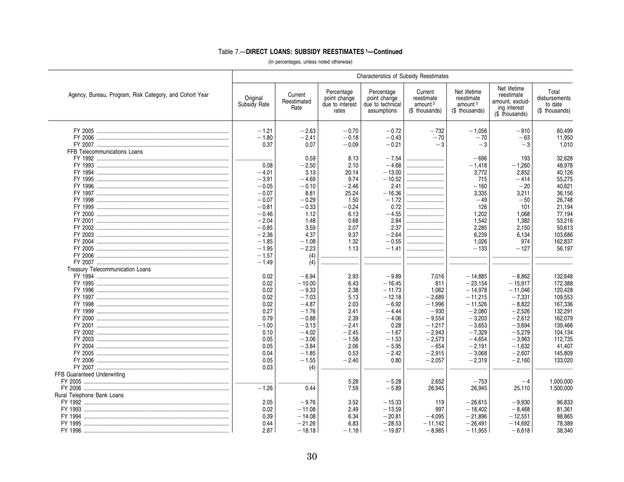# Table 7.-DIRECT LOANS: SUBSIDY REESTIMATES 1-Continued

|                                                         | Characteristics of Subsidy Reestimates |                                |                                                        |                                                               |                                                                |                                                                     |                                                                                 |                                                     |  |  |
|---------------------------------------------------------|----------------------------------------|--------------------------------|--------------------------------------------------------|---------------------------------------------------------------|----------------------------------------------------------------|---------------------------------------------------------------------|---------------------------------------------------------------------------------|-----------------------------------------------------|--|--|
| Agency, Bureau, Program, Risk Category, and Cohort Year | Original<br>Subsidy Rate               | Current<br>Reestimated<br>Rate | Percentage<br>point change<br>due to interest<br>rates | Percentage<br>point change<br>due to technical<br>assumptions | Current<br>reestimate<br>amount <sup>2</sup><br>(\$ thousands) | Net lifetime<br>reestimate<br>amount <sup>3</sup><br>(\$ thousands) | Net lifetime<br>reestimate<br>amount, exclud-<br>ing interest<br>(\$ thousands) | Total<br>disbursements<br>to date<br>(\$ thousands) |  |  |
|                                                         | $-1.21$                                | $-2.63$                        | $-0.70$                                                | $-0.72$                                                       | $-732$                                                         | $-1.056$                                                            | $-910$                                                                          | 60,499                                              |  |  |
|                                                         | $-1.80$                                | $-2.41$                        | $-0.18$                                                | $-0.43$                                                       | $-70$                                                          | $-70$                                                               | $-63$                                                                           | 11,950                                              |  |  |
|                                                         | 0.37                                   | 0.07                           | $-0.09$                                                | $-0.21$                                                       | $-3$                                                           | $-3$                                                                | $-3$                                                                            | 1.010                                               |  |  |
| FFB Telecommunications Loans                            |                                        |                                |                                                        |                                                               |                                                                |                                                                     |                                                                                 |                                                     |  |  |
|                                                         |                                        | 0.59                           | 8.13                                                   | $-7.54$                                                       |                                                                | $-696$                                                              | 193                                                                             | 32,628                                              |  |  |
|                                                         | 0.08                                   | $-2.50$                        | 2.10                                                   | $-4.68$                                                       |                                                                | $-1,418$                                                            | $-1,260$                                                                        | 48,978                                              |  |  |
|                                                         | $-4.01$                                | 3.13                           | 20.14                                                  | $-13.00$                                                      |                                                                | 3.772                                                               | 2.852                                                                           | 40.126                                              |  |  |
| FY 1995                                                 | $-3.91$                                | $-4.69$                        | 9.74                                                   | $-10.52$                                                      |                                                                | 715                                                                 | $-414$                                                                          | 55,275                                              |  |  |
|                                                         | $-0.05$                                | $-0.10$                        | $-2.46$                                                | 2.41                                                          |                                                                | $-160$                                                              | $-20$                                                                           | 40.621                                              |  |  |
|                                                         | $-0.07$                                | 8.81                           | 25.24                                                  | $-16.36$                                                      |                                                                | 3,335                                                               | 3,211                                                                           | 36,156                                              |  |  |
|                                                         | $-0.07$                                | $-0.29$                        | 1.50                                                   | $-1.72$                                                       |                                                                | $-49$                                                               | $-50$                                                                           | 26,748                                              |  |  |
|                                                         | $-0.81$                                | $-0.33$                        | $-0.24$                                                | 0.72                                                          |                                                                | 126                                                                 | 101                                                                             | 21,194                                              |  |  |
|                                                         | $-0.46$                                | 1.12                           | 6.13                                                   | $-4.55$                                                       |                                                                | 1.202                                                               | 1,068                                                                           | 77,194                                              |  |  |
|                                                         | $-2.04$                                | 1.48                           | 0.68                                                   | 2.84                                                          |                                                                | 1.542                                                               | 1.382                                                                           | 53,216                                              |  |  |
|                                                         | $-0.85$                                | 3.59                           | 2.07                                                   | 2.37                                                          |                                                                | 2,285                                                               | 2,150                                                                           | 50,613                                              |  |  |
|                                                         | $-2.36$                                | 4.37                           | 9.37                                                   | $-2.64$                                                       |                                                                | 6,239                                                               | 6.134                                                                           | 103,686                                             |  |  |
|                                                         | $-1.85$                                | $-1.08$                        | 1.32                                                   | $-0.55$                                                       |                                                                | 1,026                                                               | 974                                                                             | 162,837                                             |  |  |
|                                                         | $-1.95$                                | $-2.23$                        | 1.13                                                   | $-1.41$                                                       |                                                                | $-133$                                                              | $-127$                                                                          | 56.197                                              |  |  |
|                                                         | $-1.57$                                | (4)                            |                                                        |                                                               |                                                                |                                                                     |                                                                                 |                                                     |  |  |
|                                                         | $-1.49$                                | (4)                            |                                                        |                                                               |                                                                |                                                                     |                                                                                 |                                                     |  |  |
| Treasury Telecommunication Loans                        |                                        |                                |                                                        |                                                               |                                                                |                                                                     |                                                                                 |                                                     |  |  |
|                                                         | 0.02                                   | $-6.94$                        | 2.93                                                   | $-9.89$                                                       | 7,016                                                          | $-14,885$                                                           | $-8.862$                                                                        | 132,648                                             |  |  |
|                                                         | 0.02                                   | $-10.00$                       | 6.43                                                   | $-16.45$                                                      | 811                                                            | $-23,154$                                                           | $-15,917$                                                                       | 172,388                                             |  |  |
|                                                         | 0.02                                   | $-9.33$                        | 2.38                                                   | $-11.73$                                                      | 1,062                                                          | $-14,978$                                                           | $-11,046$                                                                       | 120,428                                             |  |  |
|                                                         | 0.02                                   | $-7.03$                        | 5.13                                                   | $-12.18$                                                      | $-2,689$                                                       | $-11,215$                                                           | $-7,331$                                                                        | 109.553                                             |  |  |
|                                                         | 0.02                                   | $-4.87$                        | 2.03                                                   | $-6.92$                                                       | $-1.996$                                                       | $-11.526$                                                           | $-8.822$                                                                        | 167,336                                             |  |  |
|                                                         | 0.27                                   | $-1.76$                        | 2.41                                                   | $-4.44$                                                       | $-930$                                                         | $-2,080$                                                            | $-2,526$                                                                        | 132,291                                             |  |  |
|                                                         | 0.79                                   | $-0.88$                        | 2.39                                                   | $-4.06$                                                       | $-9,554$                                                       | $-3,203$                                                            | $-2,612$                                                                        | 162,079                                             |  |  |
|                                                         | $-1.00$                                | $-3.13$                        | $-2.41$                                                | 0.28                                                          | $-1,217$                                                       | $-3,653$                                                            | $-3,694$                                                                        | 139,466                                             |  |  |
|                                                         | 0.10                                   | $-4.02$                        | $-2.45$                                                | $-1.67$                                                       |                                                                |                                                                     |                                                                                 |                                                     |  |  |
|                                                         | 0.05                                   |                                |                                                        |                                                               | $-2,943$                                                       | $-7,329$                                                            | $-5,279$                                                                        | 104,134                                             |  |  |
|                                                         |                                        | $-3.06$                        | $-1.58$                                                | $-1.53$                                                       | $-2,573$                                                       | $-4,654$                                                            | $-3,963$                                                                        | 112,735                                             |  |  |
|                                                         | 0.05                                   | $-3.84$                        | 2.06                                                   | $-5.95$                                                       | $-654$                                                         | $-2,191$                                                            | $-1,632$                                                                        | 41,407                                              |  |  |
|                                                         | 0.04                                   | $-1.85$                        | 0.53                                                   | $-2.42$                                                       | $-2,915$                                                       | $-3,068$                                                            | $-2,607$                                                                        | 145,809                                             |  |  |
|                                                         | 0.05                                   | $-1.55$                        | $-2.40$                                                | 0.80                                                          | $-2.057$                                                       | $-2.319$                                                            | $-2.160$                                                                        | 133.020                                             |  |  |
|                                                         | 0.03                                   | (4)                            |                                                        |                                                               |                                                                |                                                                     |                                                                                 |                                                     |  |  |
| FFB Guaranteed Underwriting                             |                                        |                                |                                                        |                                                               |                                                                |                                                                     |                                                                                 |                                                     |  |  |
|                                                         | .<br>.                                 |                                | 5.28                                                   | $-5.28$                                                       | 2.652                                                          | $-753$                                                              | $-4$                                                                            | 1,000,000                                           |  |  |
|                                                         | $-1.26$                                | 0.44                           | 7.59                                                   | $-5.89$                                                       | 26,945                                                         | 26,945                                                              | 25,110                                                                          | 1,500,000                                           |  |  |
| Rural Telephone Bank Loans                              |                                        |                                |                                                        |                                                               |                                                                |                                                                     |                                                                                 |                                                     |  |  |
|                                                         | 2.05                                   | $-9.76$                        | 3.52                                                   | $-15.33$                                                      | 119                                                            | $-26,615$                                                           | $-9.930$                                                                        | 96,833                                              |  |  |
|                                                         | 0.02                                   | $-11.08$                       | 2.49                                                   | $-13.59$                                                      | 997                                                            | $-18,402$                                                           | $-8,468$                                                                        | 81,361                                              |  |  |
|                                                         | 0.39                                   | $-14.08$                       | 6.34                                                   | $-20.81$                                                      | $-4,095$                                                       | $-21,896$                                                           | $-12,551$                                                                       | 98,865                                              |  |  |
|                                                         | 0.44                                   | $-21.26$                       | 6.83                                                   | $-28.53$                                                      | $-11,142$                                                      | $-26,491$                                                           | $-14,692$                                                                       | 78,389                                              |  |  |
|                                                         | 2.87                                   | $-18.18$                       | $-1.18$                                                | $-19.87$                                                      | $-8,985$                                                       | $-11,955$                                                           | $-6,618$                                                                        | 38.340                                              |  |  |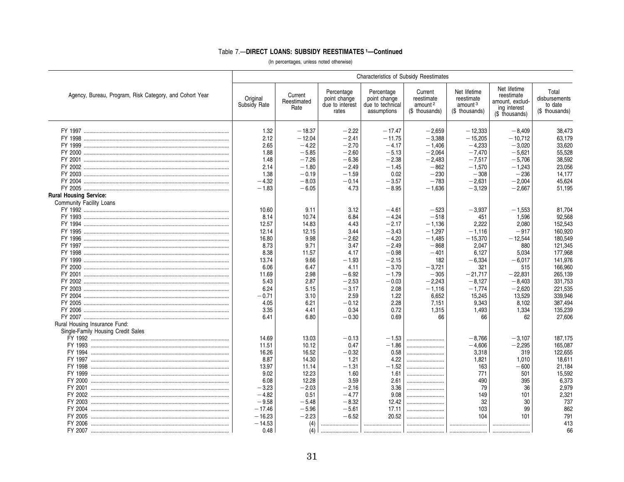|                                                         | Characteristics of Subsidy Reestimates |                                |                                                        |                                                               |                                                                |                                                                     |                                                                                 |                                                     |
|---------------------------------------------------------|----------------------------------------|--------------------------------|--------------------------------------------------------|---------------------------------------------------------------|----------------------------------------------------------------|---------------------------------------------------------------------|---------------------------------------------------------------------------------|-----------------------------------------------------|
| Agency, Bureau, Program, Risk Category, and Cohort Year | Original<br>Subsidy Rate               | Current<br>Reestimated<br>Rate | Percentage<br>point change<br>due to interest<br>rates | Percentage<br>point change<br>due to technical<br>assumptions | Current<br>reestimate<br>amount <sup>2</sup><br>(\$ thousands) | Net lifetime<br>reestimate<br>amount <sup>3</sup><br>(\$ thousands) | Net lifetime<br>reestimate<br>amount, exclud-<br>ing interest<br>(\$ thousands) | Total<br>disbursements<br>to date<br>(\$ thousands) |
|                                                         |                                        |                                |                                                        |                                                               |                                                                |                                                                     |                                                                                 |                                                     |
|                                                         | 1.32                                   | $-18.37$                       | $-2.22$                                                | $-17.47$                                                      | $-2,659$                                                       | $-12,333$                                                           | $-8.409$                                                                        | 38,473                                              |
|                                                         | 2.12                                   | $-12.04$                       | $-2.41$                                                | $-11.75$                                                      | $-3,388$                                                       | $-15,205$                                                           | $-10.712$                                                                       | 63,179                                              |
|                                                         | 2.65                                   | $-4.22$                        | $-2.70$                                                | $-4.17$                                                       | $-1.406$                                                       | $-4,233$                                                            | $-3,020$                                                                        | 33,620                                              |
|                                                         | 1.88                                   | $-5.85$                        | $-2.60$                                                | $-5.13$                                                       | $-2,064$                                                       | $-7,470$                                                            | $-5,621$                                                                        | 55,528                                              |
|                                                         | 1.48                                   | $-7.26$                        | $-6.36$                                                | $-2.38$                                                       | $-2.483$                                                       | $-7.517$                                                            | $-5.706$                                                                        | 38,592                                              |
|                                                         | 2.14                                   | $-1.80$                        | $-2.49$                                                | $-1.45$                                                       | $-862$                                                         | $-1,570$                                                            | $-1,243$                                                                        | 23,056                                              |
|                                                         | 1.38                                   | $-0.19$                        | $-1.59$                                                | 0.02                                                          | $-230$                                                         | $-308$                                                              | $-236$                                                                          | 14,177                                              |
|                                                         | $-4.32$                                | $-8.03$                        | $-0.14$                                                | $-3.57$                                                       | $-783$                                                         | $-2,631$                                                            | $-2,004$                                                                        | 45,624                                              |
|                                                         | $-1.83$                                | $-6.05$                        | 4.73                                                   | $-8.95$                                                       | $-1.636$                                                       | $-3.129$                                                            | $-2.667$                                                                        | 51.195                                              |
| <b>Rural Housing Service:</b>                           |                                        |                                |                                                        |                                                               |                                                                |                                                                     |                                                                                 |                                                     |
| Community Facility Loans                                |                                        |                                |                                                        |                                                               |                                                                |                                                                     |                                                                                 |                                                     |
|                                                         | 10.60                                  | 9.11                           | 3.12                                                   | $-4.61$                                                       | $-523$                                                         | $-3,937$                                                            | $-1,553$                                                                        | 81,704                                              |
|                                                         | 8.14                                   | 10.74                          | 6.84                                                   | $-4.24$                                                       | $-518$                                                         | 451                                                                 | 1.596                                                                           | 92.568                                              |
|                                                         | 12.57                                  | 14.83                          | 4.43                                                   | $-2.17$                                                       | $-1.136$                                                       | 2.222                                                               | 2.080                                                                           | 152.543                                             |
|                                                         | 12.14                                  | 12.15                          | 3.44                                                   | $-3.43$                                                       | $-1,297$                                                       | $-1,116$                                                            | $-917$                                                                          | 160,920                                             |
|                                                         | 16.80                                  | 9.98                           | $-2.62$                                                | $-4.20$                                                       | $-1,485$                                                       | $-15,370$                                                           | $-12,544$                                                                       | 180,549                                             |
|                                                         | 8.73                                   | 9.71                           | 3.47                                                   | $-2.49$                                                       | $-868$                                                         | 2,047                                                               | 880                                                                             | 121,345                                             |
|                                                         | 8.38                                   | 11.57                          | 4.17                                                   | $-0.98$                                                       | $-401$                                                         | 6.127                                                               | 5,034                                                                           | 177,968                                             |
|                                                         | 13.74                                  | 9.66                           | $-1.93$                                                | $-2.15$                                                       | 182                                                            | $-6,334$                                                            | $-6,017$                                                                        | 141,976                                             |
|                                                         | 6.06                                   | 6.47                           | 4.11                                                   | $-3.70$                                                       | $-3,721$                                                       | 321                                                                 | 515                                                                             | 166,960                                             |
|                                                         | 11.69                                  | 2.98                           | $-6.92$                                                | $-1.79$                                                       | $-305$                                                         | $-21,717$                                                           | $-22,831$                                                                       | 265,139                                             |
|                                                         | 5.43                                   | 2.87                           | $-2.53$                                                | $-0.03$                                                       | $-2.243$                                                       | $-8.127$                                                            | $-8.403$                                                                        | 331,753                                             |
|                                                         | 6.24                                   | 5.15                           | $-3.17$                                                | 2.08                                                          | $-1.116$                                                       | $-1,774$                                                            | $-2,620$                                                                        | 221,535                                             |
|                                                         | $-0.71$                                | 3.10                           | 2.59                                                   | 1.22                                                          | 6,652                                                          | 15,245                                                              | 13,529                                                                          | 339,946                                             |
|                                                         | 4.05                                   | 6.21                           | $-0.12$                                                | 2.28                                                          | 7,151                                                          | 9,343                                                               | 8,102                                                                           | 387,494                                             |
|                                                         | 3.35                                   | 4.41                           | 0.34                                                   | 0.72                                                          | 1.315                                                          | 1.493                                                               | 1.334                                                                           | 135,239                                             |
|                                                         | 6.41                                   | 6.80                           | $-0.30$                                                | 0.69                                                          | 66                                                             | 66                                                                  | 62                                                                              | 27.606                                              |
| Rural Housing Insurance Fund:                           |                                        |                                |                                                        |                                                               |                                                                |                                                                     |                                                                                 |                                                     |
| Single-Family Housing Credit Sales                      |                                        |                                |                                                        |                                                               |                                                                |                                                                     |                                                                                 |                                                     |
|                                                         | 14.69                                  | 13.03                          | $-0.13$                                                | $-1.53$                                                       |                                                                | $-8.766$                                                            | $-3.107$                                                                        | 187,175                                             |
|                                                         | 11.51                                  | 10.12                          | 0.47                                                   | $-1.86$                                                       |                                                                | $-4,606$                                                            | $-2,295$                                                                        | 165,087                                             |
|                                                         | 16.26                                  | 16.52                          | $-0.32$                                                | 0.58                                                          |                                                                | 3,318                                                               | 319                                                                             | 122,655                                             |
|                                                         | 8.87                                   |                                |                                                        | 4.22                                                          |                                                                |                                                                     |                                                                                 |                                                     |
|                                                         |                                        | 14.30                          | 1.21                                                   | $-1.52$                                                       |                                                                | 1,821                                                               | 1,010<br>$-600$                                                                 | 18,611                                              |
|                                                         | 13.97                                  | 11.14                          | $-1.31$                                                |                                                               |                                                                | 163                                                                 |                                                                                 | 21.184                                              |
|                                                         | 9.02                                   | 12.23                          | 1.60                                                   | 1.61                                                          |                                                                | 771                                                                 | 501                                                                             | 15,592                                              |
|                                                         | 6.08                                   | 12.28                          | 3.59                                                   | 2.61                                                          |                                                                | 490                                                                 | 395                                                                             | 6,373                                               |
|                                                         | $-3.23$                                | $-2.03$                        | $-2.16$                                                | 3.36                                                          |                                                                | 79                                                                  | 36                                                                              | 2,979                                               |
|                                                         | $-4.82$                                | 0.51                           | $-4.77$                                                | 9.08                                                          |                                                                | 149                                                                 | 101                                                                             | 2.321                                               |
|                                                         | $-9.58$                                | $-5.48$                        | $-8.32$                                                | 12.42                                                         |                                                                | 32                                                                  | 30                                                                              | 737                                                 |
|                                                         | $-17.46$                               | $-5.96$                        | $-5.61$                                                | 17.11                                                         |                                                                | 103                                                                 | 99                                                                              | 862                                                 |
|                                                         | $-16.23$                               | $-2.23$                        | $-6.52$                                                | 20.52                                                         |                                                                | 104                                                                 | 101                                                                             | 791                                                 |
|                                                         | $-14.53$                               | (4)                            |                                                        |                                                               |                                                                |                                                                     |                                                                                 | 413                                                 |
|                                                         | 0.48                                   | (4)                            |                                                        |                                                               |                                                                |                                                                     |                                                                                 | 66                                                  |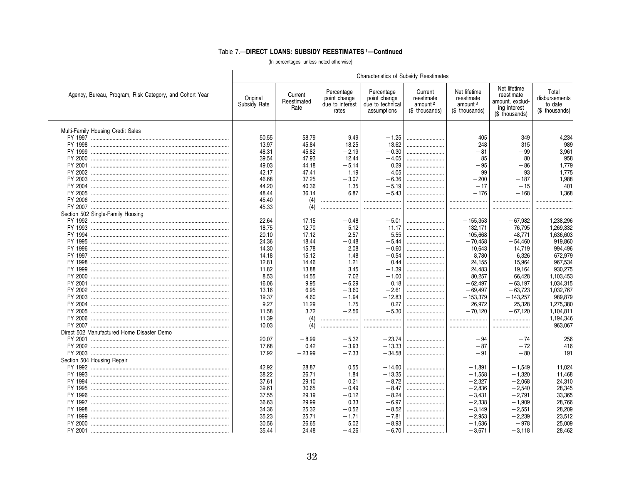|                                                         |                          |                                |                                                        | Characteristics of Subsidy Reestimates                        |                                                                |                                                                     |                                                                                 |                                                     |
|---------------------------------------------------------|--------------------------|--------------------------------|--------------------------------------------------------|---------------------------------------------------------------|----------------------------------------------------------------|---------------------------------------------------------------------|---------------------------------------------------------------------------------|-----------------------------------------------------|
| Agency, Bureau, Program, Risk Category, and Cohort Year | Original<br>Subsidy Rate | Current<br>Reestimated<br>Rate | Percentage<br>point change<br>due to interest<br>rates | Percentage<br>point change<br>due to technical<br>assumptions | Current<br>reestimate<br>amount <sup>2</sup><br>(\$ thousands) | Net lifetime<br>reestimate<br>amount <sup>3</sup><br>(\$ thousands) | Net lifetime<br>reestimate<br>amount, exclud-<br>ing interest<br>(\$ thousands) | Total<br>disbursements<br>to date<br>(\$ thousands) |
| Multi-Family Housing Credit Sales                       |                          |                                |                                                        |                                                               |                                                                |                                                                     |                                                                                 |                                                     |
|                                                         | 50.55                    | 58.79                          | 9.49                                                   | $-1.25$                                                       |                                                                | 405                                                                 | 349                                                                             | 4,234                                               |
|                                                         | 13.97                    | 45.84                          | 18.25                                                  | 13.62                                                         |                                                                | 248                                                                 | 315                                                                             | 989                                                 |
|                                                         | 48.31                    | 45.82                          | $-2.19$                                                | $-0.30$                                                       |                                                                | $-81$                                                               | $-99$                                                                           | 3,961                                               |
|                                                         | 39.54                    | 47.93                          | 12.44                                                  | $-4.05$                                                       |                                                                | 85                                                                  | 80                                                                              | 958                                                 |
|                                                         | 49.03                    | 44.18                          | $-5.14$                                                | 0.29                                                          |                                                                | $-95$                                                               | $-86$                                                                           | 1,779                                               |
|                                                         | 42.17                    | 47.41                          | 1.19                                                   | 4.05                                                          |                                                                | 99                                                                  | 93                                                                              | 1.775                                               |
|                                                         | 46.68                    | 37.25                          | $-3.07$                                                | $-6.36$                                                       |                                                                | $-200$                                                              | $-187$                                                                          | 1.988                                               |
|                                                         | 44.20                    | 40.36                          | 1.35                                                   | $-5.19$                                                       |                                                                | $-17$                                                               | $-15$                                                                           | 401                                                 |
|                                                         | 48.44                    | 36.14                          | 6.87                                                   | $-5.43$                                                       |                                                                | $-176$                                                              | $-168$                                                                          | 1.368                                               |
|                                                         | 45.40                    | (4)                            |                                                        | .<br>                                                         |                                                                |                                                                     |                                                                                 |                                                     |
|                                                         | 45.33                    | (4)                            |                                                        |                                                               |                                                                |                                                                     |                                                                                 |                                                     |
| Section 502 Single-Family Housing                       |                          |                                |                                                        |                                                               |                                                                |                                                                     |                                                                                 |                                                     |
|                                                         | 22.64                    | 17.15                          | $-0.48$                                                | $-5.01$                                                       |                                                                | $-155,353$                                                          | $-67,982$                                                                       | 1,238,296                                           |
|                                                         | 18.75                    | 12.70                          | 5.12                                                   | $-11.17$                                                      |                                                                | $-132,171$                                                          | $-76,795$                                                                       | 1,269,332                                           |
|                                                         | 20.10                    | 17.12                          | 2.57                                                   | $-5.55$                                                       |                                                                | $-105,668$                                                          | $-48.771$                                                                       | 1,636,603                                           |
|                                                         | 24.36                    | 18.44                          | $-0.48$                                                | $-5.44$                                                       |                                                                | $-70.458$                                                           | $-54.460$                                                                       | 919,860                                             |
|                                                         | 14.30                    | 15.78                          | 2.08                                                   | $-0.60$                                                       |                                                                | 10,643                                                              | 14,719                                                                          | 994.496                                             |
|                                                         | 14.18                    | 15.12                          | 1.48                                                   | $-0.54$                                                       |                                                                | 8,780                                                               | 6,326                                                                           | 672,979                                             |
|                                                         | 12.81                    | 14.46                          | 1.21                                                   | 0.44                                                          |                                                                | 24,155                                                              | 15,964                                                                          | 967,534                                             |
|                                                         | 11.82                    | 13.88                          | 3.45                                                   | $-1.39$                                                       |                                                                | 24,483                                                              | 19,164                                                                          | 930,275                                             |
|                                                         | 8.53                     | 14.55                          | 7.02                                                   | $-1.00$                                                       |                                                                | 80,257                                                              | 66,428                                                                          | 1,103,453                                           |
|                                                         | 16.06                    | 9.95                           | $-6.29$                                                | 0.18                                                          |                                                                | $-62,497$                                                           | $-63,197$                                                                       | 1,034,315                                           |
|                                                         | 13.16                    | 6.95                           | $-3.60$                                                | $-2.61$                                                       |                                                                | $-69,497$                                                           | $-63,723$                                                                       | 1,032,767                                           |
|                                                         | 19.37                    | 4.60                           | $-1.94$                                                | $-12.83$                                                      |                                                                | $-153,379$                                                          | $-143,257$                                                                      | 989,879                                             |
|                                                         | 9.27                     | 11.29                          | 1.75                                                   | 0.27                                                          |                                                                | 26,972<br>$-70,120$                                                 | 25,328                                                                          | 1,275,380                                           |
|                                                         | 11.58                    | 3.72                           | $-2.56$                                                | $-5.30$                                                       |                                                                |                                                                     | $-67,120$                                                                       | 1,104,811                                           |
|                                                         | 11.39                    | (4)                            |                                                        |                                                               |                                                                |                                                                     |                                                                                 | 1,194,346                                           |
|                                                         | 10.03                    | (4)                            |                                                        |                                                               |                                                                |                                                                     |                                                                                 | 963,067                                             |
| Direct 502 Manufactured Home Disaster Demo              |                          |                                |                                                        |                                                               |                                                                | $-94$                                                               | $-74$                                                                           |                                                     |
|                                                         | 20.07                    | $-8.99$                        | $-5.32$                                                | $-23.74$                                                      |                                                                |                                                                     | $-72$                                                                           | 256<br>416                                          |
|                                                         | 17.68                    | 0.42                           | $-3.93$<br>$-7.33$                                     | $-13.33$                                                      |                                                                | $-87$                                                               | $-80$                                                                           | 191                                                 |
|                                                         | 17.92                    | $-23.99$                       |                                                        | $-34.58$                                                      |                                                                | $-91$                                                               |                                                                                 |                                                     |
| Section 504 Housing Repair                              | 42.92                    | 28.87                          | 0.55                                                   | $-14.60$                                                      |                                                                | $-1,891$                                                            | $-1,549$                                                                        | 11,024                                              |
|                                                         | 38.22                    |                                | 1.84                                                   | $-13.35$                                                      |                                                                |                                                                     |                                                                                 |                                                     |
|                                                         | 37.61                    | 26.71<br>29.10                 | 0.21                                                   | $-8.72$                                                       |                                                                | $-1,558$<br>$-2,327$                                                | $-1,320$<br>$-2.068$                                                            | 11,468                                              |
|                                                         | 39.61                    | 30.65                          | $-0.49$                                                | $-8.47$                                                       |                                                                | $-2,836$                                                            | $-2,540$                                                                        | 24,310<br>28,345                                    |
|                                                         | 37.55                    | 29.19                          | $-0.12$                                                | $-8.24$                                                       |                                                                | $-3,431$                                                            | $-2,791$                                                                        | 33,365                                              |
|                                                         |                          |                                |                                                        |                                                               |                                                                |                                                                     | $-1,909$                                                                        |                                                     |
|                                                         | 36.63                    | 29.99                          | 0.33                                                   | $-6.97$                                                       |                                                                | $-2,338$                                                            |                                                                                 | 28,766                                              |
|                                                         | 34.36                    | 25.32                          | $-0.52$                                                | $-8.52$                                                       |                                                                | $-3,149$                                                            | $-2,551$                                                                        | 28,209                                              |
|                                                         | 35.23                    | 25.71                          | $-1.71$                                                | $-7.81$                                                       |                                                                | $-2,953$                                                            | $-2,239$<br>$-978$                                                              | 23,512                                              |
|                                                         | 30.56                    | 26.65                          | 5.02                                                   | $-8.93$                                                       |                                                                | $-1,636$                                                            |                                                                                 | 25,009                                              |
|                                                         | 35.44                    | 24.48                          | $-4.26$                                                | $-6.70$                                                       |                                                                | $-3,671$                                                            | $-3,118$                                                                        | 28.462                                              |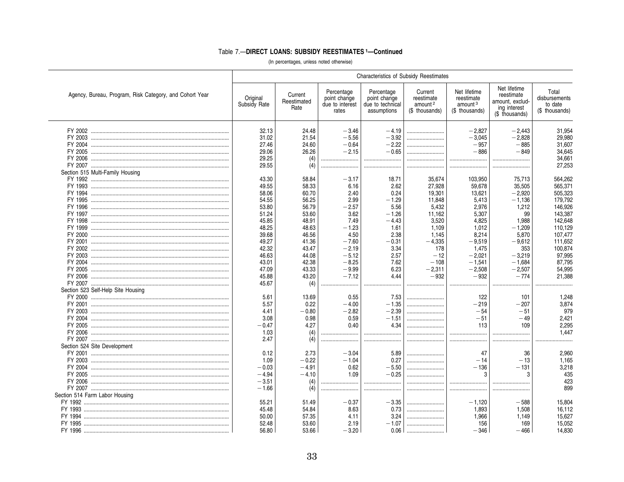|                                                         |                          |                                |                                                        |                                                               | <b>Characteristics of Subsidy Reestimates</b>                  |                                                                     |                                                                                 |                                                     |
|---------------------------------------------------------|--------------------------|--------------------------------|--------------------------------------------------------|---------------------------------------------------------------|----------------------------------------------------------------|---------------------------------------------------------------------|---------------------------------------------------------------------------------|-----------------------------------------------------|
| Agency, Bureau, Program, Risk Category, and Cohort Year | Original<br>Subsidy Rate | Current<br>Reestimated<br>Rate | Percentage<br>point change<br>due to interest<br>rates | Percentage<br>point change<br>due to technical<br>assumptions | Current<br>reestimate<br>amount <sup>2</sup><br>(\$ thousands) | Net lifetime<br>reestimate<br>amount <sup>3</sup><br>(\$ thousands) | Net lifetime<br>reestimate<br>amount, exclud-<br>ing interest<br>(\$ thousands) | Total<br>disbursements<br>to date<br>(\$ thousands) |
|                                                         | 32.13                    | 24.48                          | $-3.46$                                                | $-4.19$                                                       |                                                                | $-2,827$                                                            | $-2,443$                                                                        | 31,954                                              |
|                                                         | 31.02                    | 21.54                          | $-5.56$                                                | $-3.92$                                                       |                                                                | $-3.045$                                                            | $-2.828$                                                                        | 29.980                                              |
|                                                         | 27.46                    | 24.60                          | $-0.64$                                                | $-2.22$                                                       |                                                                | $-957$                                                              | $-885$                                                                          | 31,607                                              |
|                                                         | 29.06                    | 26.26                          | $-2.15$                                                | $-0.65$                                                       |                                                                | $-886$                                                              | $-849$                                                                          | 34,645                                              |
|                                                         | 29.25                    | (4)                            |                                                        |                                                               |                                                                |                                                                     |                                                                                 | 34,661                                              |
|                                                         | 29.55                    | (4)                            |                                                        |                                                               |                                                                |                                                                     |                                                                                 | 27,253                                              |
| Section 515 Multi-Family Housing                        |                          |                                |                                                        |                                                               |                                                                |                                                                     |                                                                                 |                                                     |
|                                                         | 43.30                    | 58.84                          | $-3.17$                                                | 18.71                                                         | 35,674                                                         | 103,950                                                             | 75,713                                                                          | 564,262                                             |
|                                                         | 49.55                    | 58.33                          | 6.16                                                   | 2.62                                                          | 27,928                                                         | 59,678                                                              | 35,505                                                                          | 565,371                                             |
|                                                         | 58.06                    | 60.70                          | 2.40                                                   | 0.24                                                          | 19,301                                                         | 13,621                                                              | $-2,920$                                                                        | 505,323                                             |
|                                                         | 54.55                    | 56.25                          | 2.99                                                   | $-1.29$                                                       | 11,848                                                         | 5,413                                                               | $-1,136$                                                                        | 179,792                                             |
|                                                         | 53.80                    | 56.79                          | $-2.57$                                                | 5.56                                                          | 5,432                                                          | 2,976                                                               | 1,212                                                                           | 146,926                                             |
|                                                         | 51.24                    | 53.60                          | 3.62                                                   | $-1.26$                                                       | 11,162                                                         | 5,307                                                               | 99                                                                              | 143,387                                             |
|                                                         | 45.85                    | 48.91                          | 7.49                                                   | $-4.43$                                                       | 3,520                                                          | 4.825                                                               | 1.988                                                                           | 142.648                                             |
|                                                         | 48.25                    | 48.63                          | $-1.23$                                                | 1.61                                                          | 1,109                                                          | 1,012                                                               | $-1,209$                                                                        | 110,129                                             |
|                                                         | 39.68                    | 46.56                          | 4.50                                                   | 2.38                                                          | 1.145                                                          | 8.214                                                               | 5.870                                                                           | 107,477                                             |
|                                                         | 49.27                    | 41.36                          | $-7.60$                                                | $-0.31$                                                       | $-4,335$                                                       | $-9,519$                                                            | $-9,612$                                                                        | 111,652                                             |
|                                                         | 42.32                    | 43.47                          | $-2.19$                                                | 3.34                                                          | 178                                                            | 1,475                                                               | 353                                                                             | 100,874                                             |
|                                                         | 46.63                    | 44.08                          | $-5.12$                                                | 2.57                                                          | $-12$                                                          | $-2.021$                                                            | $-3,219$                                                                        | 97,995                                              |
|                                                         | 43.01                    | 42.38                          | $-8.25$                                                | 7.62                                                          | $-108$                                                         | $-1,541$                                                            | $-1,684$                                                                        | 87,795                                              |
|                                                         | 47.09                    | 43.33                          | $-9.99$                                                | 6.23                                                          | $-2,311$                                                       | $-2,508$                                                            | $-2,507$                                                                        | 54,995                                              |
|                                                         | 45.88                    | 43.20                          | $-7.12$                                                | 4.44                                                          | $-932$                                                         | $-932$                                                              | $-774$                                                                          | 21,388                                              |
|                                                         | 45.67                    | (4)                            | .                                                      |                                                               |                                                                |                                                                     |                                                                                 |                                                     |
| Section 523 Self-Help Site Housing                      |                          |                                |                                                        |                                                               |                                                                |                                                                     |                                                                                 |                                                     |
|                                                         | 5.61                     | 13.69                          | 0.55                                                   | 7.53                                                          |                                                                | 122                                                                 | 101                                                                             | 1,248                                               |
|                                                         |                          | 0.22                           |                                                        |                                                               |                                                                | $-219$                                                              |                                                                                 | 3,874                                               |
|                                                         | 5.57<br>4.41             | $-0.80$                        | $-4.00$                                                | $-1.35$                                                       |                                                                | $-54$                                                               | $-207$<br>$-51$                                                                 | 979                                                 |
|                                                         |                          |                                | $-2.82$<br>0.59                                        | $-2.39$<br>$-1.51$                                            |                                                                | $-51$                                                               | $-49$                                                                           |                                                     |
|                                                         | 3.08                     | 0.98                           | 0.40                                                   | 4.34                                                          |                                                                |                                                                     |                                                                                 | 2,421                                               |
|                                                         | $-0.47$                  | 4.27                           |                                                        |                                                               |                                                                | 113                                                                 | 109                                                                             | 2,295                                               |
|                                                         | 1.03                     | (4)                            |                                                        |                                                               |                                                                |                                                                     |                                                                                 | 1.447                                               |
|                                                         | 2.47                     | (4)                            |                                                        |                                                               |                                                                |                                                                     |                                                                                 |                                                     |
| Section 524 Site Development                            |                          |                                |                                                        |                                                               |                                                                |                                                                     |                                                                                 |                                                     |
|                                                         | 0.12                     | 2.73                           | $-3.04$                                                | 5.89                                                          |                                                                | 47                                                                  | 36                                                                              | 2.960                                               |
|                                                         | 1.09                     | $-0.22$                        | $-1.04$                                                | 0.27                                                          |                                                                | $-14$                                                               | $-13$                                                                           | 1,165                                               |
|                                                         | $-0.03$                  | $-4.91$                        | 0.62                                                   | $-5.50$                                                       |                                                                | $-136$                                                              | $-131$                                                                          | 3,218                                               |
|                                                         | $-4.94$                  | $-4.10$                        | 1.09                                                   | $-0.25$                                                       |                                                                | 3                                                                   | 3                                                                               | 435                                                 |
|                                                         | $-3.51$                  | (4)                            |                                                        |                                                               |                                                                |                                                                     |                                                                                 | 423                                                 |
|                                                         | $-1.66$                  | (4)                            |                                                        |                                                               |                                                                |                                                                     |                                                                                 | 899                                                 |
| Section 514 Farm Labor Housing                          |                          |                                |                                                        |                                                               |                                                                |                                                                     |                                                                                 |                                                     |
|                                                         | 55.21                    | 51.49                          | $-0.37$                                                | $-3.35$                                                       |                                                                | $-1,120$                                                            | $-588$                                                                          | 15,804                                              |
|                                                         | 45.48                    | 54.84                          | 8.63                                                   | 0.73                                                          |                                                                | 1,893                                                               | 1,508                                                                           | 16,112                                              |
| FY 1994                                                 | 50.00                    | 57.35                          | 4.11                                                   | 3.24                                                          |                                                                | 1.966                                                               | 1.149                                                                           | 15,627                                              |
|                                                         | 52.48                    | 53.60                          | 2.19                                                   | $-1.07$                                                       |                                                                | 156                                                                 | 169                                                                             | 15,052                                              |
|                                                         | 56.80                    | 53.66                          | $-3.20$                                                | 0.06                                                          |                                                                | $-346$                                                              | $-466$                                                                          | 14.830                                              |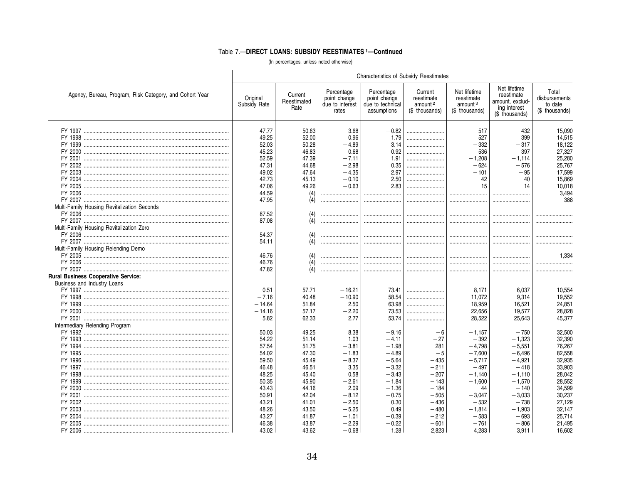|                                                         | Characteristics of Subsidy Reestimates |                                |                                                        |                                                               |                                                                |                                                                     |                                                                                 |                                                     |
|---------------------------------------------------------|----------------------------------------|--------------------------------|--------------------------------------------------------|---------------------------------------------------------------|----------------------------------------------------------------|---------------------------------------------------------------------|---------------------------------------------------------------------------------|-----------------------------------------------------|
| Agency, Bureau, Program, Risk Category, and Cohort Year | Original<br>Subsidy Rate               | Current<br>Reestimated<br>Rate | Percentage<br>point change<br>due to interest<br>rates | Percentage<br>point change<br>due to technical<br>assumptions | Current<br>reestimate<br>amount <sup>2</sup><br>(\$ thousands) | Net lifetime<br>reestimate<br>amount <sup>3</sup><br>(\$ thousands) | Net lifetime<br>reestimate<br>amount, exclud-<br>ing interest<br>(\$ thousands) | Total<br>disbursements<br>to date<br>(\$ thousands) |
|                                                         | 47.77                                  | 50.63                          | 3.68                                                   | $-0.82$                                                       |                                                                | 517                                                                 | 432                                                                             | 15,090                                              |
|                                                         | 49.25                                  | 52.00                          | 0.96                                                   | 1.79                                                          |                                                                | 527                                                                 | 399                                                                             |                                                     |
|                                                         |                                        |                                |                                                        |                                                               |                                                                |                                                                     |                                                                                 | 14,515                                              |
|                                                         | 52.03                                  | 50.28                          | $-4.89$                                                | 3.14                                                          |                                                                | $-332$                                                              | $-317$                                                                          | 18,122                                              |
|                                                         | 45.23                                  | 46.83                          | 0.68                                                   | 0.92                                                          |                                                                | 536                                                                 | 397                                                                             | 27,327                                              |
|                                                         | 52.59                                  | 47.39                          | $-7.11$                                                | 1.91                                                          |                                                                | $-1,208$                                                            | $-1.114$                                                                        | 25,280                                              |
|                                                         | 47.31                                  | 44.68                          | $-2.98$                                                | 0.35                                                          |                                                                | $-624$                                                              | $-576$                                                                          | 25,767                                              |
|                                                         | 49.02                                  | 47.64                          | $-4.35$                                                | 2.97                                                          |                                                                | $-101$                                                              | $-95$                                                                           | 17,599                                              |
|                                                         | 42.73                                  | 45.13                          | $-0.10$                                                | 2.50                                                          |                                                                | 42                                                                  | 40                                                                              | 15,869                                              |
|                                                         | 47.06                                  | 49.26                          | $-0.63$                                                | 2.83                                                          |                                                                | 15                                                                  | 14                                                                              | 10.018                                              |
|                                                         | 44.59                                  | (4)                            |                                                        |                                                               |                                                                |                                                                     |                                                                                 | 3,494                                               |
|                                                         | 47.95                                  | (4)                            |                                                        |                                                               |                                                                |                                                                     |                                                                                 | 388                                                 |
| Multi-Family Housing Revitalization Seconds             |                                        |                                |                                                        |                                                               |                                                                |                                                                     |                                                                                 |                                                     |
|                                                         | 87.52                                  | (4)                            |                                                        |                                                               |                                                                |                                                                     |                                                                                 |                                                     |
|                                                         | 87.08                                  | (4)                            |                                                        |                                                               |                                                                |                                                                     |                                                                                 |                                                     |
| Multi-Family Housing Revitalization Zero                |                                        |                                |                                                        |                                                               |                                                                |                                                                     |                                                                                 |                                                     |
|                                                         |                                        |                                |                                                        |                                                               |                                                                |                                                                     |                                                                                 |                                                     |
|                                                         | 54.37                                  | (4)                            |                                                        |                                                               |                                                                |                                                                     |                                                                                 |                                                     |
|                                                         | 54.11                                  | (4)                            |                                                        |                                                               |                                                                |                                                                     |                                                                                 |                                                     |
| Multi-Family Housing Relending Demo                     |                                        |                                |                                                        |                                                               |                                                                |                                                                     |                                                                                 |                                                     |
|                                                         | 46.76                                  | (4)                            |                                                        |                                                               |                                                                |                                                                     |                                                                                 | 1,334                                               |
|                                                         | 46.76                                  | (4)                            |                                                        |                                                               |                                                                |                                                                     |                                                                                 |                                                     |
|                                                         | 47.82                                  | (4)                            |                                                        |                                                               |                                                                |                                                                     |                                                                                 |                                                     |
| <b>Rural Business Cooperative Service:</b>              |                                        |                                |                                                        |                                                               |                                                                |                                                                     |                                                                                 |                                                     |
| Business and Industry Loans                             |                                        |                                |                                                        |                                                               |                                                                |                                                                     |                                                                                 |                                                     |
|                                                         | 0.51                                   | 57.71                          | $-16.21$                                               | 73.41                                                         |                                                                | 8.171                                                               | 6.037                                                                           | 10,554                                              |
|                                                         | $-7.16$                                | 40.48                          | $-10.90$                                               | 58.54                                                         |                                                                | 11,072                                                              | 9.314                                                                           | 19,552                                              |
|                                                         | $-14.64$                               | 51.84                          | 2.50                                                   | 63.98                                                         |                                                                | 18,959                                                              | 16,521                                                                          | 24,851                                              |
|                                                         | $-14.16$                               | 57.17                          | $-2.20$                                                | 73.53                                                         |                                                                | 22,656                                                              | 19,577                                                                          | 28,828                                              |
|                                                         | 5.82                                   | 62.33                          | 2.77                                                   | 53.74                                                         |                                                                | 28,522                                                              | 25,643                                                                          | 45,377                                              |
|                                                         |                                        |                                |                                                        |                                                               |                                                                |                                                                     |                                                                                 |                                                     |
| Intermediary Relending Program                          |                                        |                                |                                                        |                                                               |                                                                |                                                                     |                                                                                 |                                                     |
|                                                         | 50.03                                  | 49.25                          | 8.38                                                   | $-9.16$                                                       | $-6$                                                           | $-1,157$                                                            | $-750$                                                                          | 32,500                                              |
|                                                         | 54.22                                  | 51.14                          | 1.03                                                   | $-4.11$                                                       | $-27$                                                          | $-392$                                                              | $-1.323$                                                                        | 32,390                                              |
|                                                         | 57.54                                  | 51.75                          | $-3.81$                                                | $-1.98$                                                       | 281                                                            | $-4.798$                                                            | $-5.551$                                                                        | 76,267                                              |
|                                                         | 54.02                                  | 47.30                          | $-1.83$                                                | $-4.89$                                                       | $-5$                                                           | $-7,600$                                                            | $-6.496$                                                                        | 82,558                                              |
|                                                         | 59.50                                  | 45.49                          | $-8.37$                                                | $-5.64$                                                       | $-435$                                                         | $-5,717$                                                            | $-4,921$                                                                        | 32,935                                              |
|                                                         | 46.48                                  | 46.51                          | 3.35                                                   | $-3.32$                                                       | $-211$                                                         | $-497$                                                              | $-418$                                                                          | 33,903                                              |
| FY 1998 ……………………………………………………………………………………                | 48.25                                  | 45.40                          | 0.58                                                   | $-3.43$                                                       | $-207$                                                         | $-1.140$                                                            | $-1.110$                                                                        | 28,042                                              |
|                                                         | 50.35                                  | 45.90                          | $-2.61$                                                | $-1.84$                                                       | $-143$                                                         | $-1,600$                                                            | $-1,570$                                                                        | 28,552                                              |
|                                                         | 43.43                                  | 44.16                          | 2.09                                                   | $-1.36$                                                       | $-184$                                                         | 44                                                                  | $-140$                                                                          | 34,599                                              |
|                                                         | 50.91                                  | 42.04                          | $-8.12$                                                | $-0.75$                                                       | $-505$                                                         | $-3.047$                                                            | $-3.033$                                                                        | 30.237                                              |
|                                                         | 43.21                                  | 41.01                          | $-2.50$                                                | 0.30                                                          | $-436$                                                         | $-532$                                                              | $-738$                                                                          | 27,129                                              |
|                                                         |                                        |                                |                                                        |                                                               |                                                                |                                                                     |                                                                                 |                                                     |
|                                                         | 48.26                                  | 43.50                          | $-5.25$                                                | 0.49                                                          | $-480$                                                         | $-1,814$                                                            | $-1.903$                                                                        | 32.147                                              |
|                                                         | 43.27                                  | 41.87                          | $-1.01$                                                | $-0.39$                                                       | $-212$                                                         | $-583$                                                              | $-693$                                                                          | 25,714                                              |
|                                                         | 46.38                                  | 43.87                          | $-2.29$                                                | $-0.22$                                                       | $-601$                                                         | $-761$                                                              | $-806$                                                                          | 21.495                                              |
|                                                         | 43.02                                  | 43.62                          | $-0.68$                                                | 1.28                                                          | 2.823                                                          | 4,283                                                               | 3.911                                                                           | 16.602                                              |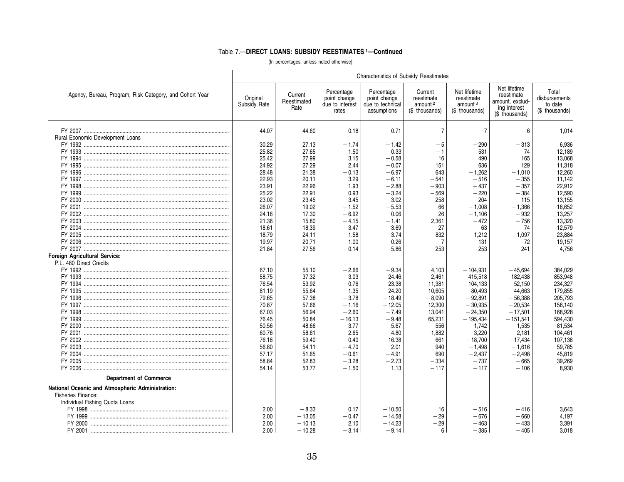|                                                         |                          |                                |                                                        | <b>Characteristics of Subsidy Reestimates</b>                 |                                                                |                                                                     |                                                                                 |                                                     |
|---------------------------------------------------------|--------------------------|--------------------------------|--------------------------------------------------------|---------------------------------------------------------------|----------------------------------------------------------------|---------------------------------------------------------------------|---------------------------------------------------------------------------------|-----------------------------------------------------|
| Agency, Bureau, Program, Risk Category, and Cohort Year | Original<br>Subsidy Rate | Current<br>Reestimated<br>Rate | Percentage<br>point change<br>due to interest<br>rates | Percentage<br>point change<br>due to technical<br>assumptions | Current<br>reestimate<br>amount <sup>2</sup><br>(\$ thousands) | Net lifetime<br>reestimate<br>amount <sup>3</sup><br>(\$ thousands) | Net lifetime<br>reestimate<br>amount, exclud-<br>ing interest<br>(\$ thousands) | Total<br>disbursements<br>to date<br>(\$ thousands) |
|                                                         | 44.07                    | 44.60                          | $-0.18$                                                | 0.71                                                          | $-7$                                                           | $-7$                                                                | $-6$                                                                            | 1,014                                               |
| <b>Rural Economic Development Loans</b>                 |                          |                                |                                                        |                                                               |                                                                |                                                                     |                                                                                 |                                                     |
|                                                         | 30.29                    | 27.13                          | $-1.74$                                                | $-1.42$                                                       | $-5$                                                           | $-290$                                                              | $-313$                                                                          | 6.936                                               |
|                                                         | 25.82                    | 27.65                          | 1.50                                                   | 0.33                                                          | $-1$                                                           | 531                                                                 | 74                                                                              | 12,189                                              |
|                                                         | 25.42                    | 27.99                          | 3.15                                                   | $-0.58$                                                       | 16                                                             | 490                                                                 | 165                                                                             | 13,068                                              |
|                                                         | 24.92                    | 27.29                          | 2.44                                                   | $-0.07$                                                       | 151                                                            | 636                                                                 | 129                                                                             | 11,318                                              |
|                                                         | 28.48                    | 21.38                          | $-0.13$                                                | $-6.97$                                                       | 643                                                            | $-1.262$                                                            | $-1.010$                                                                        | 12.260                                              |
|                                                         |                          |                                |                                                        |                                                               |                                                                |                                                                     |                                                                                 |                                                     |
|                                                         | 22.93                    | 20.11                          | 3.29                                                   | $-6.11$                                                       | $-541$                                                         | $-516$                                                              | $-\,355$                                                                        | 11,142                                              |
|                                                         | 23.91                    | 22.96                          | 1.93                                                   | $-2.88$                                                       | $-903$                                                         | $-437$                                                              | $-357$                                                                          | 22,912                                              |
|                                                         | 25.22                    | 22.91                          | 0.93                                                   | $-3.24$                                                       | $-569$                                                         | $-220$                                                              | $-384$                                                                          | 12,590                                              |
|                                                         | 23.02                    | 23.45                          | 3.45                                                   | $-3.02$                                                       | $-258$                                                         | $-204$                                                              | $-115$                                                                          | 13,155                                              |
|                                                         | 26.07                    | 19.02                          | $-1.52$                                                | $-5.53$                                                       | 66                                                             | $-1.008$                                                            | $-1,366$                                                                        | 18,652                                              |
|                                                         | 24.16                    | 17.30                          | $-6.92$                                                | 0.06                                                          | 26                                                             | $-1.106$                                                            | $-932$                                                                          | 13,257                                              |
|                                                         | 21.36                    | 15.80                          | $-4.15$                                                | $-1.41$                                                       | 2,361                                                          | $-472$                                                              | $-756$                                                                          | 13,320                                              |
|                                                         | 18.61                    | 18.39                          | 3.47                                                   | $-3.69$                                                       | $-27$                                                          | $-63$                                                               | $-74$                                                                           | 12,579                                              |
|                                                         | 18.79                    | 24.11                          | 1.58                                                   | 3.74                                                          | 832                                                            | 1,212                                                               | 1,097                                                                           | 23,884                                              |
|                                                         | 19.97                    | 20.71                          | 1.00                                                   | $-0.26$                                                       | $-7$                                                           | 131                                                                 | 72                                                                              | 19.157                                              |
|                                                         | 21.84                    | 27.56                          | $-0.14$                                                | 5.86                                                          | 253                                                            | 253                                                                 | 241                                                                             | 4.756                                               |
| Foreign Agricultural Service:                           |                          |                                |                                                        |                                                               |                                                                |                                                                     |                                                                                 |                                                     |
| P.L. 480 Direct Credits                                 |                          |                                |                                                        |                                                               |                                                                |                                                                     |                                                                                 |                                                     |
|                                                         | 67.10                    | 55.10                          | $-2.66$                                                | $-9.34$                                                       | 4,103                                                          | $-104.931$                                                          | $-45.694$                                                                       | 384,029                                             |
| FY 1993 ……………………………………………………………………………………                | 58.75                    | 37.32                          | 3.03                                                   | $-24.46$                                                      | 2.461                                                          | $-415.518$                                                          | $-182.438$                                                                      | 853,948                                             |
|                                                         | 76.54                    | 53.92                          | 0.76                                                   | $-23.38$                                                      | $-11,381$                                                      | $-104,133$                                                          | $-52.150$                                                                       | 234,327                                             |
|                                                         |                          |                                |                                                        |                                                               |                                                                |                                                                     |                                                                                 |                                                     |
|                                                         | 81.19                    | 55.64                          | $-1.35$                                                | $-24.20$                                                      | $-10,605$                                                      | $-80,493$                                                           | $-44,663$                                                                       | 179,855                                             |
|                                                         | 79.65                    | 57.38                          | $-3.78$                                                | $-18.49$                                                      | $-8,090$                                                       | $-92,891$                                                           | $-56,388$                                                                       | 205,793                                             |
|                                                         | 70.87                    | 57.66                          | $-1.16$                                                | $-12.05$                                                      | 12,300                                                         | $-30,935$                                                           | $-20,534$                                                                       | 158,140                                             |
|                                                         | 67.03                    | 56.94                          | $-2.60$                                                | $-7.49$                                                       | 13,041                                                         | $-24,350$                                                           | $-17.501$                                                                       | 168,928                                             |
|                                                         | 76.45                    | 50.84                          | $-16.13$                                               | $-9.48$                                                       | 65,231                                                         | $-195,434$                                                          | $-151.541$                                                                      | 594,430                                             |
|                                                         | 50.56                    | 48.66                          | 3.77                                                   | $-5.67$                                                       | $-556$                                                         | $-1,742$                                                            | $-1,535$                                                                        | 81,534                                              |
|                                                         | 60.76                    | 58.61                          | 2.65                                                   | $-4.80$                                                       | 1,882                                                          | $-3,220$                                                            | $-2,181$                                                                        | 104,461                                             |
|                                                         | 76.18                    | 59.40                          | $-0.40$                                                | $-16.38$                                                      | 661                                                            | $-18,700$                                                           | $-17.434$                                                                       | 107,138                                             |
|                                                         | 56.80                    | 54.11                          | $-4.70$                                                | 2.01                                                          | 940                                                            | $-1.498$                                                            | $-1.616$                                                                        | 59,785                                              |
|                                                         | 57.17                    | 51.65                          | $-0.61$                                                | $-4.91$                                                       | 690                                                            | $-2,437$                                                            | $-2,498$                                                                        | 45,819                                              |
|                                                         | 58.84                    | 52.83                          | $-3.28$                                                | $-2.73$                                                       | $-334$                                                         | $-737$                                                              | $-665$                                                                          | 39,269                                              |
|                                                         | 54.14                    | 53.77                          | $-1.50$                                                | 1.13                                                          | $-117$                                                         | $-117$                                                              | $-106$                                                                          | 8,930                                               |
| <b>Department of Commerce</b>                           |                          |                                |                                                        |                                                               |                                                                |                                                                     |                                                                                 |                                                     |
| National Oceanic and Atmospheric Administration:        |                          |                                |                                                        |                                                               |                                                                |                                                                     |                                                                                 |                                                     |
| Fisheries Finance:                                      |                          |                                |                                                        |                                                               |                                                                |                                                                     |                                                                                 |                                                     |
| Individual Fishing Quota Loans                          |                          |                                |                                                        |                                                               |                                                                |                                                                     |                                                                                 |                                                     |
|                                                         | 2.00                     | $-8.33$                        | 0.17                                                   | $-10.50$                                                      | 16                                                             | $-516$                                                              | $-416$                                                                          | 3,643                                               |
|                                                         | 2.00                     | $-13.05$                       | $-0.47$                                                | $-14.58$                                                      | $-29$                                                          | $-676$                                                              | $-660$                                                                          | 4,197                                               |
|                                                         | 2.00                     | $-10.13$                       | 2.10                                                   | $-14.23$                                                      | $-29$                                                          | $-463$                                                              | $-433$                                                                          | 3,391                                               |
|                                                         | 2.00                     | $-10.28$                       | $-3.14$                                                | $-9.14$                                                       | ĥ                                                              | $-385$                                                              | $-405$                                                                          | 3.018                                               |
|                                                         |                          |                                |                                                        |                                                               |                                                                |                                                                     |                                                                                 |                                                     |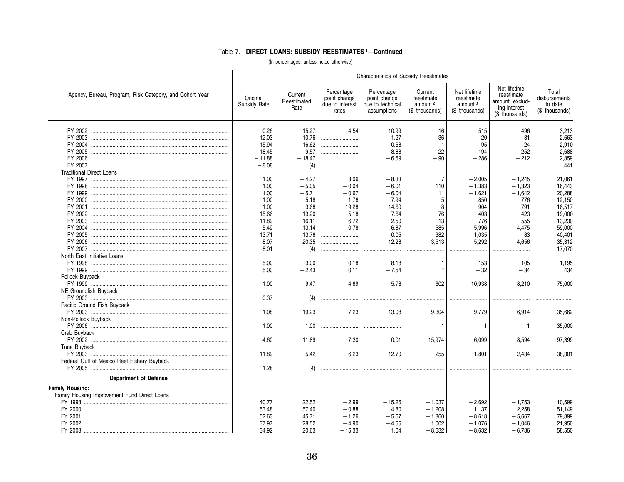|                                                         |                          |                                |                                                        | <b>Characteristics of Subsidy Reestimates</b>                 |                                                                |                                                                     |                                                                                 |                                                     |
|---------------------------------------------------------|--------------------------|--------------------------------|--------------------------------------------------------|---------------------------------------------------------------|----------------------------------------------------------------|---------------------------------------------------------------------|---------------------------------------------------------------------------------|-----------------------------------------------------|
| Agency, Bureau, Program, Risk Category, and Cohort Year | Original<br>Subsidy Rate | Current<br>Reestimated<br>Rate | Percentage<br>point change<br>due to interest<br>rates | Percentage<br>point change<br>due to technical<br>assumptions | Current<br>reestimate<br>amount <sup>2</sup><br>(\$ thousands) | Net lifetime<br>reestimate<br>amount <sup>3</sup><br>(\$ thousands) | Net lifetime<br>reestimate<br>amount, exclud-<br>ing interest<br>(\$ thousands) | Total<br>disbursements<br>to date<br>(\$ thousands) |
|                                                         | 0.26                     | $-15.27$                       | $-4.54$                                                | $-10.99$                                                      | 16                                                             | $-515$                                                              | $-496$                                                                          | 3,213                                               |
|                                                         | $-12.03$                 | $-10.76$                       |                                                        | 1.27                                                          | 36                                                             | $-20$                                                               | 31                                                                              | 2,663                                               |
|                                                         | $-15.94$                 | $-16.62$                       |                                                        | $-0.68$                                                       | $-1$                                                           | $-95$                                                               | $-24$                                                                           | 2.910                                               |
|                                                         | $-18.45$                 | $-9.57$                        |                                                        | 8.88                                                          | 22                                                             | 194                                                                 | 252                                                                             | 2.688                                               |
|                                                         | $-11.88$                 | $-18.47$                       |                                                        | $-6.59$                                                       | $-90$                                                          | $-286$                                                              | $-212$                                                                          | 2.859                                               |
|                                                         | $-8.08$                  | (4)                            |                                                        |                                                               |                                                                |                                                                     | .                                                                               | 441                                                 |
| <b>Traditional Direct Loans</b>                         |                          |                                |                                                        |                                                               |                                                                |                                                                     |                                                                                 |                                                     |
|                                                         | 1.00                     | $-4.27$                        | 3.06                                                   | $-8.33$                                                       | $\overline{7}$                                                 | $-2,005$                                                            | $-1.245$                                                                        | 21,061                                              |
|                                                         | 1.00                     | $-5.05$                        | $-0.04$                                                | $-6.01$                                                       | 110                                                            | $-1,383$                                                            | $-1.323$                                                                        | 16.443                                              |
|                                                         | 1.00                     | $-5.71$                        | $-0.67$                                                | $-6.04$                                                       | 11                                                             | $-1,621$                                                            | $-1,642$                                                                        | 20,288                                              |
|                                                         | 1.00                     | $-5.18$                        | 1.76                                                   | $-7.94$                                                       | $-5$                                                           | $-850$                                                              | $-776$                                                                          | 12.150                                              |
|                                                         | 1.00                     | $-3.68$                        | $-19.28$                                               | 14.60                                                         | -8                                                             | $-904$                                                              | $-791$                                                                          | 16.517                                              |
|                                                         | $-15.66$                 | $-13.20$                       | $-5.18$                                                | 7.64                                                          | 76                                                             | 403                                                                 | 423                                                                             | 19.000                                              |
|                                                         | $-11.89$                 | $-16.11$                       | $-6.72$                                                | 2.50                                                          | 13                                                             | $-776$                                                              | $-555$                                                                          | 13,230                                              |
|                                                         | $-5.49$                  | $-13.14$                       | $-0.78$                                                | $-6.87$                                                       | 585                                                            | $-5.996$                                                            | $-4.475$                                                                        | 59.000                                              |
|                                                         | $-13.71$                 | $-13.76$                       |                                                        | $-0.05$                                                       | $-382$                                                         | $-1.035$                                                            | $-83$                                                                           | 40.401                                              |
|                                                         | $-8.07$                  | $-20.35$                       |                                                        | $-12.28$                                                      | $-3,513$                                                       | $-5,292$                                                            | $-4,656$                                                                        | 35,312                                              |
|                                                         | $-8.01$                  | (4)                            |                                                        |                                                               |                                                                |                                                                     |                                                                                 | 17,070                                              |
| North East Initiative Loans                             |                          |                                |                                                        |                                                               |                                                                |                                                                     |                                                                                 |                                                     |
|                                                         | 5.00                     | $-3.00$                        | 0.18                                                   | $-8.18$                                                       | $-1$                                                           | $-153$                                                              | $-105$                                                                          | 1,195                                               |
|                                                         | 5.00                     | $-2.43$                        | 0.11                                                   | $-7.54$                                                       |                                                                | $-32$                                                               | $-34$                                                                           | 434                                                 |
| Pollock Buyback                                         |                          |                                |                                                        |                                                               |                                                                |                                                                     |                                                                                 |                                                     |
|                                                         | 1.00                     | $-9.47$                        | $-4.69$                                                | $-5.78$                                                       | 602                                                            | $-10,938$                                                           | $-8,210$                                                                        | 75,000                                              |
| NE Groundfish Buyback                                   |                          |                                |                                                        |                                                               |                                                                |                                                                     |                                                                                 |                                                     |
|                                                         | $-0.37$                  | (4)                            |                                                        |                                                               |                                                                |                                                                     |                                                                                 |                                                     |
| Pacific Ground Fish Buyback                             |                          |                                |                                                        |                                                               |                                                                |                                                                     |                                                                                 |                                                     |
|                                                         | 1.08                     | $-19.23$                       | $-7.23$                                                | $-13.08$                                                      | $-9,304$                                                       | $-9,779$                                                            | $-6,914$                                                                        | 35.662                                              |
| Non-Pollock Buyback                                     |                          |                                |                                                        |                                                               |                                                                |                                                                     |                                                                                 |                                                     |
|                                                         | 1.00                     | 1.00                           |                                                        |                                                               | - 1                                                            | $-1$                                                                | $-1$                                                                            | 35.000                                              |
| Crab Buyback                                            |                          |                                |                                                        |                                                               |                                                                |                                                                     |                                                                                 |                                                     |
|                                                         | $-4.60$                  | $-11.89$                       | $-7.30$                                                | 0.01                                                          | 15,974                                                         | $-6.099$                                                            | $-8,594$                                                                        | 97,399                                              |
| Tuna Buvback                                            |                          |                                |                                                        |                                                               |                                                                |                                                                     |                                                                                 |                                                     |
|                                                         | $-11.89$                 | $-5.42$                        | $-6.23$                                                | 12.70                                                         | 255                                                            | 1.801                                                               | 2.434                                                                           | 38.301                                              |
| Federal Gulf of Mexico Reef Fishery Buyback             |                          |                                |                                                        |                                                               |                                                                |                                                                     |                                                                                 |                                                     |
|                                                         | 1.28                     | (4)                            |                                                        |                                                               |                                                                |                                                                     |                                                                                 |                                                     |
| <b>Department of Defense</b>                            |                          |                                |                                                        |                                                               |                                                                |                                                                     |                                                                                 |                                                     |
| <b>Family Housing:</b>                                  |                          |                                |                                                        |                                                               |                                                                |                                                                     |                                                                                 |                                                     |
| Family Housing Improvement Fund Direct Loans            |                          |                                |                                                        |                                                               |                                                                |                                                                     |                                                                                 |                                                     |
|                                                         | 40.77                    | 22.52                          | $-2.99$                                                | $-15.26$                                                      | $-1.037$                                                       | $-2,692$                                                            | $-1,753$                                                                        | 10,599                                              |
|                                                         | 53.48                    | 57.40                          | $-0.88$                                                | 4.80                                                          | $-1,208$                                                       | 1,137                                                               | 2,258                                                                           | 51,149                                              |
|                                                         | 52.63                    | 45.71                          | $-1.26$                                                | $-5.67$                                                       | $-1,860$                                                       | $-8,618$                                                            | $-5,667$                                                                        | 79,899                                              |
|                                                         | 37.97                    | 28.52                          | $-4.90$                                                | $-4.55$                                                       | 1.002                                                          | $-1.076$                                                            | $-1.046$                                                                        | 21,950                                              |
|                                                         | 34.92                    | 20.63                          | $-15.33$                                               | 1.04                                                          | $-8,632$                                                       | $-8,632$                                                            | $-6.786$                                                                        | 58,550                                              |
|                                                         |                          |                                |                                                        |                                                               |                                                                |                                                                     |                                                                                 |                                                     |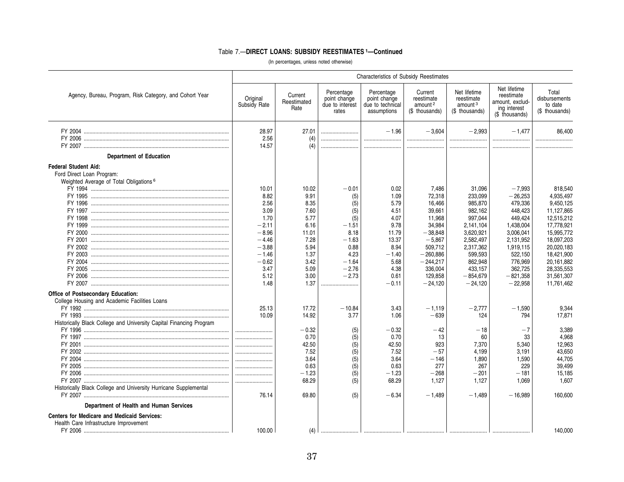|                                                                                                                                                                                                                                                                           |                                                                                                                                 |                                                                                                                |                                                                                                                    | <b>Characteristics of Subsidy Reestimates</b>                                                                        |                                                                                                                                                            |                                                                                                                                                                    |                                                                                                                                                                        |                                                                                                                                                                                             |
|---------------------------------------------------------------------------------------------------------------------------------------------------------------------------------------------------------------------------------------------------------------------------|---------------------------------------------------------------------------------------------------------------------------------|----------------------------------------------------------------------------------------------------------------|--------------------------------------------------------------------------------------------------------------------|----------------------------------------------------------------------------------------------------------------------|------------------------------------------------------------------------------------------------------------------------------------------------------------|--------------------------------------------------------------------------------------------------------------------------------------------------------------------|------------------------------------------------------------------------------------------------------------------------------------------------------------------------|---------------------------------------------------------------------------------------------------------------------------------------------------------------------------------------------|
| Agency, Bureau, Program, Risk Category, and Cohort Year                                                                                                                                                                                                                   | Original<br>Subsidy Rate                                                                                                        | Current<br>Reestimated<br>Rate                                                                                 | Percentage<br>point change<br>due to interest<br>rates                                                             | Percentage<br>point change<br>due to technical<br>assumptions                                                        | Current<br>reestimate<br>amount <sup>2</sup><br>(\$ thousands)                                                                                             | Net lifetime<br>reestimate<br>amount <sup>3</sup><br>(\$ thousands)                                                                                                | Net lifetime<br>reestimate<br>amount, exclud-<br>ing interest<br>(\$ thousands)                                                                                        | Total<br>disbursements<br>to date<br>(\$ thousands)                                                                                                                                         |
|                                                                                                                                                                                                                                                                           | 28.97<br>2.56<br>14.57                                                                                                          | 27.01<br>(4)<br>(4)                                                                                            |                                                                                                                    | $-1.96$<br>                                                                                                          | $-3,604$<br>                                                                                                                                               | $-2,993$<br>                                                                                                                                                       | $-1.477$<br><br>                                                                                                                                                       | 86.400<br>                                                                                                                                                                                  |
| <b>Department of Education</b>                                                                                                                                                                                                                                            |                                                                                                                                 |                                                                                                                |                                                                                                                    |                                                                                                                      |                                                                                                                                                            |                                                                                                                                                                    |                                                                                                                                                                        |                                                                                                                                                                                             |
| <b>Federal Student Aid:</b><br>Ford Direct Loan Program:<br>Weighted Average of Total Obligations <sup>6</sup>                                                                                                                                                            | 10.01<br>8.82<br>2.56<br>3.09<br>1.70<br>$-2.11$<br>$-8.96$<br>$-4.46$<br>$-3.88$<br>$-1.46$<br>$-0.62$<br>3.47<br>5.12<br>1.48 | 10.02<br>9.91<br>8.35<br>7.60<br>5.77<br>6.16<br>11.01<br>7.28<br>5.94<br>1.37<br>3.42<br>5.09<br>3.00<br>1.37 | $-0.01$<br>(5)<br>(5)<br>(5)<br>(5)<br>$-1.51$<br>8.18<br>$-1.63$<br>0.88<br>4.23<br>$-1.64$<br>$-2.76$<br>$-2.73$ | 0.02<br>1.09<br>5.79<br>4.51<br>4.07<br>9.78<br>11.79<br>13.37<br>8.94<br>$-1.40$<br>5.68<br>4.38<br>0.61<br>$-0.11$ | 7,486<br>72,318<br>16,466<br>39,661<br>11,968<br>34,984<br>$-38,848$<br>$-5,867$<br>509,712<br>$-260,886$<br>$-244,217$<br>336,004<br>129,858<br>$-24,120$ | 31,096<br>233,099<br>985,870<br>982,162<br>997,044<br>2,141,104<br>3,620,921<br>2,582,497<br>2,317,362<br>599,593<br>862,948<br>433,157<br>$-854,679$<br>$-24,120$ | $-7,993$<br>$-26,253$<br>479,336<br>448,423<br>449,424<br>1,438,004<br>3,006,041<br>2,131,952<br>1,919,115<br>522,150<br>776,969<br>362,725<br>$-821,358$<br>$-22,958$ | 818,540<br>4,935,497<br>9,450,125<br>11,127,865<br>12,515,212<br>17,778,921<br>15,995,772<br>18,097,203<br>20,020,183<br>18,421,900<br>20,161,882<br>28,335,553<br>31,561,307<br>11,761,462 |
| Office of Postsecondary Education:<br>College Housing and Academic Facilities Loans<br>Historically Black College and University Capital Financing Program<br>Historically Black College and University Hurricane Supplemental<br>Department of Health and Human Services | 25.13<br>10.09<br><br><br><br>76.14                                                                                             | 17.72<br>14.92<br>$-0.32$<br>0.70<br>42.50<br>7.52<br>3.64<br>0.63<br>$-1.23$<br>68.29<br>69.80                | .<br>$-10.84$<br>3.77<br>(5)<br>(5)<br>(5)<br>(5)<br>(5)<br>(5)<br>(5)<br>(5)<br>(5)                               | 3.43<br>1.06<br>$-0.32$<br>0.70<br>42.50<br>7.52<br>3.64<br>0.63<br>$-1.23$<br>68.29<br>$-6.34$                      | $-1,119$<br>$-639$<br>$-42$<br>13<br>923<br>$-57$<br>$-146$<br>277<br>$-268$<br>1,127<br>$-1,489$                                                          | $-2,777$<br>124<br>$-18$<br>60<br>7,370<br>4,199<br>1,890<br>267<br>$-201$<br>1,127<br>$-1,489$                                                                    | $-1,590$<br>794<br>$-7$<br>33<br>5,340<br>3,191<br>1,590<br>229<br>$-181$<br>1,069<br>$-16,989$                                                                        | 9,344<br>17,871<br>3,389<br>4,968<br>12,963<br>43,650<br>44,705<br>39,499<br>15,185<br>1,607<br>160,600                                                                                     |
| Centers for Medicare and Medicaid Services:<br>Health Care Infrastructure Improvement                                                                                                                                                                                     | 100.00                                                                                                                          | (4)                                                                                                            |                                                                                                                    |                                                                                                                      |                                                                                                                                                            |                                                                                                                                                                    |                                                                                                                                                                        | 140.000                                                                                                                                                                                     |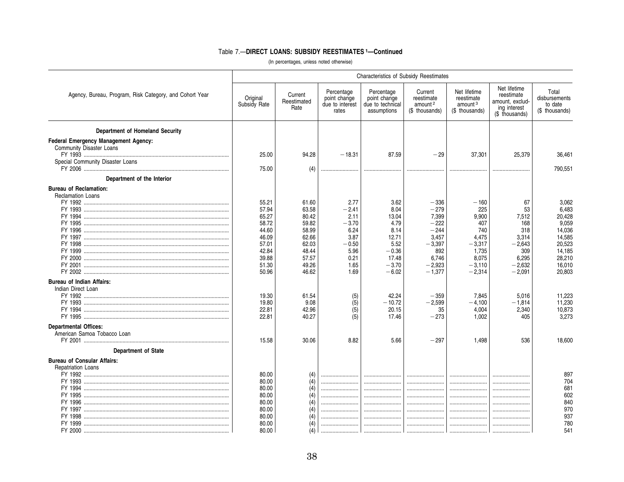|                                                                                                                                                                              | <b>Characteristics of Subsidy Reestimates</b>                                                   |                                                                                                 |                                                                                               |                                                                                                  |                                                                                                            |                                                                                                     |                                                                                              |                                                                                                         |
|------------------------------------------------------------------------------------------------------------------------------------------------------------------------------|-------------------------------------------------------------------------------------------------|-------------------------------------------------------------------------------------------------|-----------------------------------------------------------------------------------------------|--------------------------------------------------------------------------------------------------|------------------------------------------------------------------------------------------------------------|-----------------------------------------------------------------------------------------------------|----------------------------------------------------------------------------------------------|---------------------------------------------------------------------------------------------------------|
| Agency, Bureau, Program, Risk Category, and Cohort Year                                                                                                                      | Original<br>Subsidy Rate                                                                        | Current<br>Reestimated<br>Rate                                                                  | Percentage<br>point change<br>due to interest<br>rates                                        | Percentage<br>point change<br>due to technical<br>assumptions                                    | Current<br>reestimate<br>amount <sup>2</sup><br>(\$ thousands)                                             | Net lifetime<br>reestimate<br>amount <sup>3</sup><br>(\$ thousands)                                 | Net lifetime<br>reestimate<br>amount, exclud-<br>ing interest<br>(\$ thousands)              | Total<br>disbursements<br>to date<br>(\$ thousands)                                                     |
| Department of Homeland Security<br><b>Federal Emergency Management Agency:</b><br>Community Disaster Loans<br>Special Community Disaster Loans<br>Department of the Interior | 25.00<br>75.00                                                                                  | 94.28<br>(4)                                                                                    | $-18.31$                                                                                      | 87.59<br>                                                                                        | $-29$<br>                                                                                                  | 37,301<br>                                                                                          | 25,379<br>                                                                                   | 36,461<br>790,551                                                                                       |
| <b>Bureau of Reclamation:</b><br><b>Reclamation Loans</b>                                                                                                                    | 55.21<br>57.94<br>65.27<br>58.72<br>44.60<br>46.09<br>57.01<br>42.84<br>39.88<br>51.30<br>50.96 | 61.60<br>63.58<br>80.42<br>59.82<br>58.99<br>62.66<br>62.03<br>48.44<br>57.57<br>49.26<br>46.62 | 2.77<br>$-2.41$<br>2.11<br>$-3.70$<br>6.24<br>3.87<br>$-0.50$<br>5.96<br>0.21<br>1.65<br>1.69 | 3.62<br>8.04<br>13.04<br>4.79<br>8.14<br>12.71<br>5.52<br>$-0.36$<br>17.48<br>$-3.70$<br>$-6.02$ | $-336$<br>$-279$<br>7,399<br>$-222$<br>$-244$<br>3,457<br>$-3,397$<br>892<br>6.746<br>$-2,923$<br>$-1.377$ | $-160$<br>225<br>9,900<br>407<br>740<br>4,475<br>$-3,317$<br>1,735<br>8,075<br>$-3,110$<br>$-2,314$ | 67<br>53<br>7.512<br>168<br>318<br>3,314<br>$-2.643$<br>309<br>6.295<br>$-2.632$<br>$-2,091$ | 3,062<br>6,483<br>20,428<br>9,059<br>14,036<br>14,585<br>20,523<br>14,185<br>28,210<br>16,010<br>20,803 |
| <b>Bureau of Indian Affairs:</b><br>Indian Direct Loan                                                                                                                       | 19.30<br>19.80<br>22.81<br>22.81                                                                | 61.54<br>9.08<br>42.96<br>40.27                                                                 | (5)<br>$\overline{(5)}$<br>(5)<br>(5)                                                         | 42.24<br>$-10.72$<br>20.15<br>17.46                                                              | $-359$<br>$-2,599$<br>35<br>$-273$                                                                         | 7.845<br>$-4,100$<br>4,004<br>1.002                                                                 | 5,016<br>$-1,814$<br>2,340<br>405                                                            | 11,223<br>11,230<br>10,873<br>3.273                                                                     |
| <b>Departmental Offices:</b><br>American Samoa Tobacco Loan<br><b>Department of State</b><br><b>Bureau of Consular Affairs:</b>                                              | 15.58                                                                                           | 30.06                                                                                           | 8.82                                                                                          | 5.66                                                                                             | $-297$                                                                                                     | 1,498                                                                                               | 536                                                                                          | 18,600                                                                                                  |
| Repatriation Loans<br>FY 1995<br>FY 1996                                                                                                                                     | 80.00<br>80.00<br>80.00<br>80.00<br>80.00<br>80.00<br>80.00<br>80.00<br>80.00                   | (4)<br>(4)<br>(4)<br>(4)<br>(4)<br>(4)<br>(4)<br>(4)<br>(4)                                     | <br>                                                                                          | <br><br><br><br><br><br><br>                                                                     | <br><br><br><br><br><br>                                                                                   | <br><br><br><br><br>                                                                                | <br><br><br><br>                                                                             | 897<br>704<br>681<br>602<br>840<br>970<br>937<br>780<br>541                                             |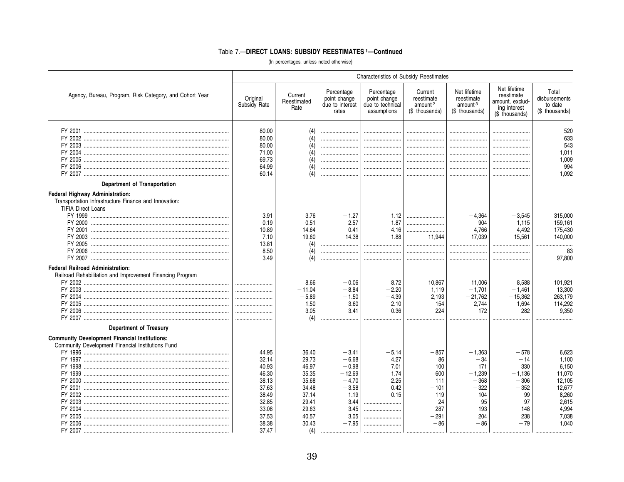|                                                                                                                                            |                                                                                                          |                                                                                                        |                                                                                                                         | Characteristics of Subsidy Reestimates                                     |                                                                                              |                                                                                                       |                                                                                                    |                                                                                                    |  |  |  |  |  |  |
|--------------------------------------------------------------------------------------------------------------------------------------------|----------------------------------------------------------------------------------------------------------|--------------------------------------------------------------------------------------------------------|-------------------------------------------------------------------------------------------------------------------------|----------------------------------------------------------------------------|----------------------------------------------------------------------------------------------|-------------------------------------------------------------------------------------------------------|----------------------------------------------------------------------------------------------------|----------------------------------------------------------------------------------------------------|--|--|--|--|--|--|
| Agency, Bureau, Program, Risk Category, and Cohort Year                                                                                    | Original<br>Subsidy Rate                                                                                 | Current<br>Reestimated<br>Rate                                                                         | Percentage<br>point change<br>due to interest<br>rates                                                                  | Percentage<br>point change<br>due to technical<br>assumptions              | Current<br>reestimate<br>amount <sup>2</sup><br>(\$ thousands)                               | Net lifetime<br>reestimate<br>amount <sup>3</sup><br>(\$ thousands)                                   | Net lifetime<br>reestimate<br>amount, exclud-<br>ing interest<br>(\$ thousands)                    | Total<br>disbursements<br>to date<br>(\$ thousands)                                                |  |  |  |  |  |  |
| Department of Transportation                                                                                                               | 80.00<br>80.00<br>80.00<br>71.00<br>69.73<br>64.99<br>60.14                                              | (4)<br>(4)<br>(4)<br>(4)<br>(4)<br>(4)<br>(4)                                                          |                                                                                                                         | <br><br><br><br><br>                                                       | <br><br><br><br><br><br>                                                                     | <br><br><br><br>                                                                                      | <br><br>                                                                                           | 520<br>633<br>543<br>1,011<br>1,009<br>994<br>1.092                                                |  |  |  |  |  |  |
| <b>Federal Highway Administration:</b><br>Transportation Infrastructure Finance and Innovation:<br><b>TIFIA Direct Loans</b>               | 3.91<br>0.19<br>10.89<br>7.10<br>13.81<br>8.50<br>3.49                                                   | 3.76<br>$-0.51$<br>14.64<br>19.60<br>(4)<br>(4)<br>(4)                                                 | $-1.27$<br>$-2.57$<br>$-0.41$<br>14.38<br>                                                                              | 1.12<br>1.87<br>4.16<br>$-1.88$<br><br>                                    | <br><br><br>11,944<br>                                                                       | $-4.364$<br>$-904$<br>$-4,766$<br>17,039<br>                                                          | $-3.545$<br>$-1.115$<br>$-4,492$<br>15,561<br>                                                     | 315,000<br>159.161<br>175,430<br>140,000<br>83<br>97.800                                           |  |  |  |  |  |  |
| <b>Federal Railroad Administration:</b><br>Railroad Rehabilitation and Improvement Financing Program                                       |                                                                                                          | 8.66<br>$-11.04$<br>$-5.89$<br>1.50<br>3.05<br>(4)                                                     | $-0.06$<br>$-8.84$<br>$-1.50$<br>3.60<br>3.41                                                                           | 8.72<br>$-2.20$<br>$-4.39$<br>$-2.10$<br>$-0.36$<br>                       | 10,867<br>1,119<br>2.193<br>$-154$<br>$-224$                                                 | 11.006<br>$-1,701$<br>$-21.762$<br>2,744<br>172                                                       | 8,588<br>$-1,461$<br>$-15,362$<br>1,694<br>282                                                     | 101,921<br>13,300<br>263,179<br>114,292<br>9.350                                                   |  |  |  |  |  |  |
| <b>Department of Treasury</b><br><b>Community Development Financial Institutions:</b><br>Community Development Financial Institutions Fund | 44.95<br>32.14<br>40.93<br>46.30<br>38.13<br>37.63<br>38.49<br>32.85<br>33.08<br>37.53<br>38.38<br>37.47 | 36.40<br>29.73<br>46.97<br>35.35<br>35.68<br>34.48<br>37.14<br>29.41<br>29.63<br>40.57<br>30.43<br>(4) | $-3.41$<br>$-6.68$<br>$-0.98$<br>$-12.69$<br>$-4.70$<br>$-3.58$<br>$-1.19$<br>$-3.44$<br>$-3.45$<br>3.05<br>$-7.95$<br> | $-5.14$<br>4.27<br>7.01<br>1.74<br>2.25<br>0.42<br>$-0.15$<br><br><br><br> | $-857$<br>86<br>100<br>600<br>111<br>$-101$<br>$-119$<br>24<br>$-287$<br>$-291$<br>$-86$<br> | $-1,363$<br>$-34$<br>171<br>$-1,239$<br>$-368$<br>$-322$<br>$-104$<br>$-95$<br>$-193$<br>204<br>$-86$ | $-578$<br>$-14$<br>330<br>$-1,136$<br>$-306$<br>$-352$<br>$-99$<br>$-97$<br>$-148$<br>238<br>$-79$ | 6,623<br>1.100<br>6.150<br>11,070<br>12,105<br>12,677<br>8,260<br>2,615<br>4,994<br>7,038<br>1.040 |  |  |  |  |  |  |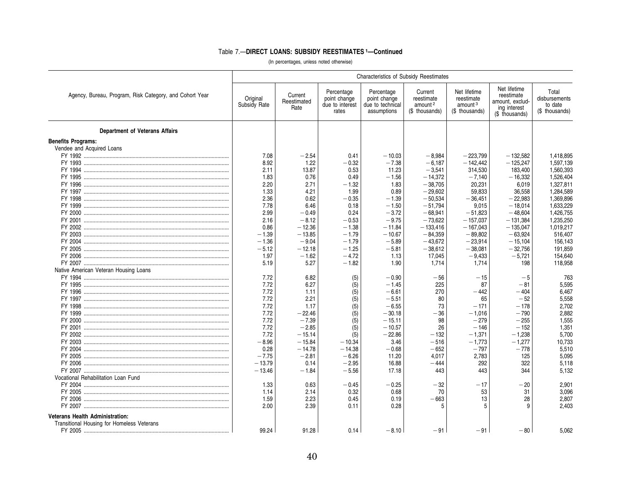|                                                         | <b>Characteristics of Subsidy Reestimates</b> |                                |                                                        |                                                               |                                                                |                                                                     |                                                                                 |                                                     |  |
|---------------------------------------------------------|-----------------------------------------------|--------------------------------|--------------------------------------------------------|---------------------------------------------------------------|----------------------------------------------------------------|---------------------------------------------------------------------|---------------------------------------------------------------------------------|-----------------------------------------------------|--|
| Agency, Bureau, Program, Risk Category, and Cohort Year | Original<br>Subsidy Rate                      | Current<br>Reestimated<br>Rate | Percentage<br>point change<br>due to interest<br>rates | Percentage<br>point change<br>due to technical<br>assumptions | Current<br>reestimate<br>amount <sup>2</sup><br>(\$ thousands) | Net lifetime<br>reestimate<br>amount <sup>3</sup><br>(\$ thousands) | Net lifetime<br>reestimate<br>amount, exclud-<br>ing interest<br>(\$ thousands) | Total<br>disbursements<br>to date<br>(\$ thousands) |  |
| <b>Department of Veterans Affairs</b>                   |                                               |                                |                                                        |                                                               |                                                                |                                                                     |                                                                                 |                                                     |  |
| <b>Benefits Programs:</b>                               |                                               |                                |                                                        |                                                               |                                                                |                                                                     |                                                                                 |                                                     |  |
| Vendee and Acquired Loans                               |                                               |                                |                                                        |                                                               |                                                                |                                                                     |                                                                                 |                                                     |  |
|                                                         | 7.08                                          | $-2.54$                        | 0.41                                                   | $-10.03$                                                      | $-8.984$                                                       | $-223.799$                                                          | $-132.582$                                                                      | 1.418.895                                           |  |
|                                                         | 8.92                                          | 1.22                           | $-0.32$                                                | $-7.38$                                                       | $-6,187$                                                       | $-142.442$                                                          | $-125,247$                                                                      | 1,597,139                                           |  |
|                                                         | 2.11                                          | 13.87                          | 0.53                                                   | 11.23                                                         | $-3,541$                                                       | 314,530                                                             | 183,400                                                                         | 1,560,393                                           |  |
|                                                         | 1.83                                          | 0.76                           | 0.49                                                   | $-1.56$                                                       | $-14.372$                                                      | $-7,140$                                                            | $-16,332$                                                                       | 1.526.404                                           |  |
|                                                         | 2.20                                          | 2.71                           | $-1.32$                                                | 1.83                                                          | $-38,705$                                                      | 20,231                                                              | 6,019                                                                           | 1,327,811                                           |  |
|                                                         | 1.33                                          | 4.21                           | 1.99                                                   | 0.89                                                          | $-29.602$                                                      | 59,833                                                              | 36.558                                                                          | 1.284.589                                           |  |
|                                                         | 2.36                                          | 0.62                           | $-0.35$                                                | $-1.39$                                                       | $-50,534$                                                      | $-36,451$                                                           | $-22,983$                                                                       | 1,369,896                                           |  |
|                                                         | 7.78                                          | 6.46                           | 0.18                                                   | $-1.50$                                                       | $-51,794$                                                      | 9,015                                                               | $-18,014$                                                                       | 1,633,229                                           |  |
|                                                         | 2.99                                          | $-0.49$                        | 0.24                                                   | $-3.72$                                                       | $-68,941$                                                      | $-51,823$                                                           | $-48,604$                                                                       | 1,426,755                                           |  |
|                                                         | 2.16                                          | $-8.12$                        | $-0.53$                                                | $-9.75$                                                       | $-73,622$                                                      | $-157,037$                                                          | $-131,384$                                                                      | 1,235,250                                           |  |
|                                                         | 0.86                                          | $-12.36$                       | $-1.38$                                                | $-11.84$                                                      | $-133,416$                                                     | $-167,043$                                                          | $-135,047$                                                                      | 1,019,217                                           |  |
|                                                         | $-1.39$                                       | $-13.85$                       | $-1.79$                                                | $-10.67$                                                      | $-84,359$                                                      | $-89.802$                                                           | $-63,924$                                                                       | 516,407                                             |  |
|                                                         | $-1.36$                                       | $-9.04$                        | $-1.79$                                                | $-5.89$                                                       | $-43,672$                                                      | $-23,914$                                                           | $-15,104$                                                                       | 156,143                                             |  |
|                                                         | $-5.12$                                       | $-12.18$                       | $-1.25$                                                | $-5.81$                                                       | $-38,612$                                                      | $-38.081$                                                           | $-32.756$                                                                       | 191.859                                             |  |
| FY 2006 ……………………………………………………………………………………                | 1.97                                          | $-1.62$                        | $-4.72$                                                | 1.13                                                          | 17,045                                                         | $-9,433$                                                            | $-5,721$                                                                        | 154,640                                             |  |
|                                                         | 5.19                                          | 5.27                           | $-1.82$                                                | 1.90                                                          | 1,714                                                          | 1,714                                                               | 198                                                                             | 118,958                                             |  |
| Native American Veteran Housing Loans                   |                                               |                                |                                                        |                                                               |                                                                |                                                                     |                                                                                 |                                                     |  |
|                                                         | 7.72                                          | 6.82                           | (5)                                                    | $-0.90$                                                       | $-56$                                                          | $-15$                                                               | $-5$                                                                            | 763                                                 |  |
|                                                         | 7.72                                          | 6.27                           | (5)                                                    | $-1.45$                                                       | 225                                                            | 87                                                                  | $-81$                                                                           | 5,595                                               |  |
|                                                         | 7.72                                          | 1.11                           | (5)                                                    | $-6.61$                                                       | 270                                                            | $-442$                                                              | $-404$                                                                          | 6.467                                               |  |
|                                                         | 7.72                                          | 2.21                           | (5)                                                    | $-5.51$                                                       | 80                                                             | 65                                                                  | $-52$                                                                           | 5,558                                               |  |
|                                                         | 7.72                                          | 1.17                           | (5)                                                    | $-6.55$                                                       | 73                                                             | $-171$                                                              | $-178$                                                                          | 2,702                                               |  |
|                                                         | 7.72                                          | $-22.46$                       | (5)                                                    | $-30.18$                                                      | $-36$                                                          | $-1,016$                                                            | $-790$                                                                          | 2.882                                               |  |
|                                                         | 7.72                                          | $-7.39$                        | (5)                                                    | $-15.11$                                                      | 98                                                             | $-279$                                                              | $-255$                                                                          | 1,555                                               |  |
|                                                         | 7.72                                          | $-2.85$                        | (5)                                                    | $-10.57$                                                      | 26                                                             | $-146$                                                              | $-152$                                                                          | 1,351                                               |  |
|                                                         | 7.72                                          | $-15.14$                       | (5)                                                    | $-22.86$                                                      | $-132$                                                         | $-1,371$                                                            | $-1,238$                                                                        | 5,700                                               |  |
|                                                         | $-8.96$                                       | $-15.84$                       | $-10.34$                                               | 3.46                                                          | $-516$                                                         | $-1,773$                                                            | $-1,277$                                                                        | 10,733                                              |  |
|                                                         | 0.28                                          | $-14.78$                       | $-14.38$                                               | $-0.68$                                                       | $-652$                                                         | $-797$                                                              | $-778$                                                                          | 5,510                                               |  |
|                                                         | $-7.75$                                       | $-2.81$                        | $-6.26$                                                | 11.20                                                         | 4,017                                                          | 2,783                                                               | 125                                                                             | 5,095                                               |  |
| FY 2006                                                 | $-13.79$                                      | 0.14                           | $-2.95$                                                | 16.88                                                         | $-444$                                                         | 292                                                                 | 322                                                                             | 5,118                                               |  |
|                                                         | $-13.46$                                      | $-1.84$                        | $-5.56$                                                | 17.18                                                         | 443                                                            | 443                                                                 | 344                                                                             | 5,132                                               |  |
| Vocational Rehabilitation Loan Fund                     |                                               |                                |                                                        |                                                               |                                                                |                                                                     |                                                                                 |                                                     |  |
|                                                         | 1.33                                          | 0.63                           | $-0.45$                                                | $-0.25$                                                       | $-32$                                                          | $-17$                                                               | $-20$                                                                           | 2.901                                               |  |
| FY 2005 ……………………………………………………………………………………                | 1.14                                          | 2.14                           | 0.32                                                   | 0.68                                                          | 70                                                             | 53                                                                  | 31                                                                              | 3.096                                               |  |
|                                                         | 1.59                                          | 2.23                           | 0.45                                                   | 0.19                                                          | $-663$                                                         | 13                                                                  | 28                                                                              | 2,807                                               |  |
|                                                         | 2.00                                          | 2.39                           | 0.11                                                   | 0.28                                                          | 5                                                              |                                                                     |                                                                                 | 2.403                                               |  |
|                                                         |                                               |                                |                                                        |                                                               |                                                                |                                                                     |                                                                                 |                                                     |  |
| <b>Veterans Health Administration:</b>                  |                                               |                                |                                                        |                                                               |                                                                |                                                                     |                                                                                 |                                                     |  |
| Transitional Housing for Homeless Veterans              |                                               |                                |                                                        |                                                               |                                                                |                                                                     |                                                                                 |                                                     |  |
|                                                         | 99.24                                         | 91.28                          | 0.14                                                   | $-8.10$                                                       | $-91$                                                          | $-91$                                                               | $-80$                                                                           | 5.062                                               |  |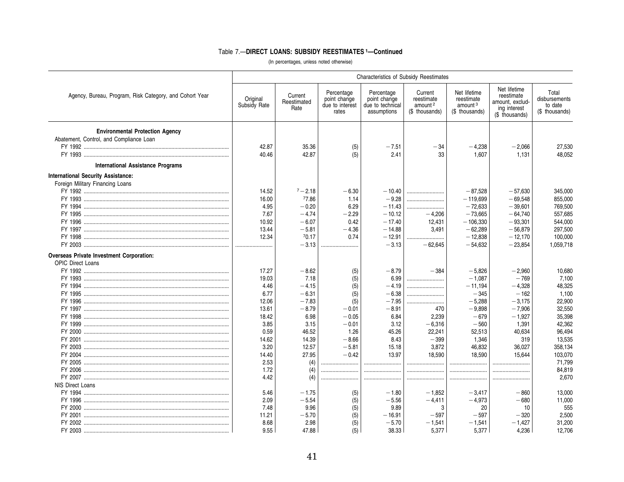|                                                         |                          |                                |                                                        | <b>Characteristics of Subsidy Reestimates</b>                 |                                                                |                                                                     |                                                                                 |                                                     |
|---------------------------------------------------------|--------------------------|--------------------------------|--------------------------------------------------------|---------------------------------------------------------------|----------------------------------------------------------------|---------------------------------------------------------------------|---------------------------------------------------------------------------------|-----------------------------------------------------|
| Agency, Bureau, Program, Risk Category, and Cohort Year | Original<br>Subsidy Rate | Current<br>Reestimated<br>Rate | Percentage<br>point change<br>due to interest<br>rates | Percentage<br>point change<br>due to technical<br>assumptions | Current<br>reestimate<br>amount <sup>2</sup><br>(\$ thousands) | Net lifetime<br>reestimate<br>amount <sup>3</sup><br>(\$ thousands) | Net lifetime<br>reestimate<br>amount, exclud-<br>ing interest<br>(\$ thousands) | Total<br>disbursements<br>to date<br>(\$ thousands) |
| <b>Environmental Protection Agency</b>                  |                          |                                |                                                        |                                                               |                                                                |                                                                     |                                                                                 |                                                     |
| Abatement, Control, and Compliance Loan                 |                          |                                |                                                        |                                                               |                                                                |                                                                     |                                                                                 |                                                     |
|                                                         | 42.87                    | 35.36                          | (5)                                                    | $-7.51$                                                       | $-34$                                                          | $-4,238$                                                            | $-2,066$                                                                        | 27,530                                              |
|                                                         | 40.46                    | 42.87                          | (5)                                                    | 2.41                                                          | 33                                                             | 1.607                                                               | 1.131                                                                           | 48.052                                              |
| International Assistance Programs                       |                          |                                |                                                        |                                                               |                                                                |                                                                     |                                                                                 |                                                     |
| <b>International Security Assistance:</b>               |                          |                                |                                                        |                                                               |                                                                |                                                                     |                                                                                 |                                                     |
| Foreign Military Financing Loans                        |                          |                                |                                                        |                                                               |                                                                |                                                                     |                                                                                 |                                                     |
|                                                         | 14.52                    | $7 - 2.18$                     | $-6.30$                                                | $-10.40$                                                      |                                                                | $-87.528$                                                           | $-57.630$                                                                       | 345,000                                             |
|                                                         | 16.00                    | 77.86                          | 1.14                                                   | $-9.28$                                                       |                                                                | $-119.699$                                                          | $-69,548$                                                                       | 855,000                                             |
|                                                         | 4.95                     | $-0.20$                        | 6.29                                                   | $-11.43$                                                      |                                                                | $-72,633$                                                           | $-39,601$                                                                       | 769,500                                             |
|                                                         | 7.67                     | $-4.74$                        | $-2.29$                                                | $-10.12$                                                      | $-4.206$                                                       | $-73.665$                                                           | $-64.740$                                                                       | 557,685                                             |
|                                                         | 10.92                    | $-6.07$                        | 0.42                                                   | $-17.40$                                                      | 12,431                                                         | $-106,330$                                                          | $-93,301$                                                                       | 544,000                                             |
|                                                         | 13.44                    | $-5.81$                        | $-4.36$                                                | $-14.88$                                                      | 3,491                                                          | $-62,289$                                                           | $-56,879$                                                                       | 297,500                                             |
|                                                         | 12.34                    | 70.17                          | 0.74                                                   | $-12.91$                                                      |                                                                | $-12.838$                                                           | $-12.170$                                                                       | 100,000                                             |
|                                                         |                          | $-3.13$                        |                                                        | $-3.13$                                                       | $-62.645$                                                      | $-54,632$                                                           | $-23,854$                                                                       | 1,059,718                                           |
| <b>Overseas Private Investment Corporation:</b>         |                          |                                |                                                        |                                                               |                                                                |                                                                     |                                                                                 |                                                     |
| <b>OPIC Direct Loans</b>                                |                          |                                |                                                        |                                                               |                                                                |                                                                     |                                                                                 |                                                     |
|                                                         | 17.27                    | $-8.62$                        |                                                        | $-8.79$                                                       | $-384$                                                         | $-5.826$                                                            |                                                                                 |                                                     |
|                                                         |                          |                                | (5)                                                    |                                                               |                                                                |                                                                     | $-2.960$                                                                        | 10.680                                              |
|                                                         | 19.03                    | 7.18                           | (5)                                                    | 6.99                                                          |                                                                | $-1,087$                                                            | $-769$                                                                          | 7,100                                               |
|                                                         | 4.46                     | $-4.15$                        | (5)                                                    | $-4.19$                                                       |                                                                | $-11,194$                                                           | $-4,328$                                                                        | 48,325                                              |
|                                                         | 6.77                     | $-6.31$                        | (5)                                                    | $-6.38$                                                       |                                                                | $-345$                                                              | $-162$                                                                          | 1,100                                               |
|                                                         | 12.06                    | $-7.83$                        | (5)                                                    | $-7.95$                                                       |                                                                | $-5,288$                                                            | $-3,175$                                                                        | 22,900                                              |
|                                                         | 13.61                    | $-8.79$                        | $-0.01$                                                | $-8.91$                                                       | 470                                                            | $-9,898$                                                            | $-7,906$                                                                        | 32,550                                              |
|                                                         | 18.42                    | 6.98                           | $-0.05$                                                | 6.84                                                          | 2,239                                                          | $-679$                                                              | $-1,927$                                                                        | 35,398                                              |
|                                                         | 3.85                     | 3.15                           | $-0.01$                                                | 3.12                                                          | $-6,316$                                                       | $-560$                                                              | 1,391                                                                           | 42,362                                              |
|                                                         | 0.59                     | 46.52                          | 1.26                                                   | 45.26                                                         | 22,241                                                         | 52,513                                                              | 40,634                                                                          | 96,494                                              |
|                                                         | 14.62                    | 14.39                          | $-8.66$                                                | 8.43                                                          | $-399$                                                         | 1,346                                                               | 319                                                                             | 13,535                                              |
|                                                         | 3.20                     | 12.57                          | $-5.81$                                                | 15.18                                                         | 3,872                                                          | 46,832                                                              | 36,027                                                                          | 358,134                                             |
|                                                         | 14.40                    | 27.95                          | $-0.42$                                                | 13.97                                                         | 18,590                                                         | 18,590                                                              | 15,644                                                                          | 103,070                                             |
|                                                         | 2.53                     | (4)                            |                                                        |                                                               |                                                                |                                                                     |                                                                                 | 71,799                                              |
|                                                         | 1.72                     | (4)                            |                                                        |                                                               |                                                                |                                                                     |                                                                                 | 84,819                                              |
|                                                         | 4.42                     | (4)                            |                                                        |                                                               |                                                                |                                                                     |                                                                                 | 2,670                                               |
| NIS Direct Loans                                        |                          |                                |                                                        |                                                               |                                                                |                                                                     |                                                                                 |                                                     |
|                                                         | 5.46                     | $-1.75$                        | (5)                                                    | $-1.80$                                                       | $-1.852$                                                       | $-3.417$                                                            | $-860$                                                                          | 13,000                                              |
|                                                         | 2.09                     | $-5.54$                        | (5)                                                    | $-5.56$                                                       | $-4,411$                                                       | $-4,973$                                                            | $-680$                                                                          | 11,000                                              |
|                                                         | 7.48                     | 9.96                           | (5)                                                    | 9.89                                                          | 3                                                              | 20                                                                  | 10                                                                              | 555                                                 |
|                                                         | 11.21                    | $-5.70$                        | (5)                                                    | $-16.91$                                                      | $-597$                                                         | $-597$                                                              | $-320$                                                                          | 2,500                                               |
|                                                         | 8.68                     | 2.98                           | (5)                                                    | $-5.70$                                                       | $-1,541$                                                       | $-1,541$                                                            | $-1,427$                                                                        | 31,200                                              |
|                                                         | 9.55                     | 47.88                          | (5)                                                    | 38.33                                                         | 5.377                                                          | 5.377                                                               | 4.236                                                                           | 12.706                                              |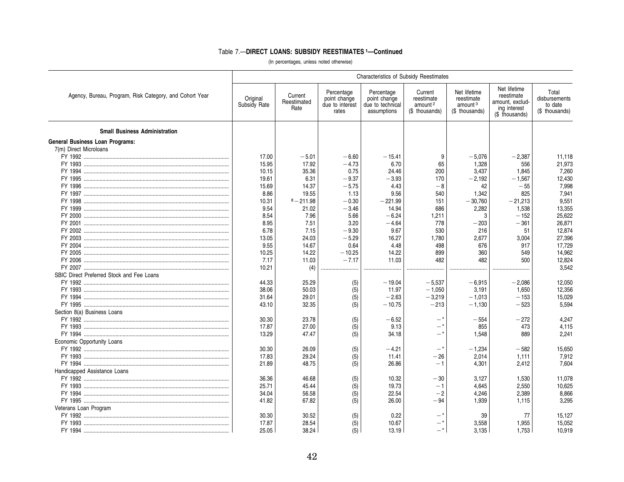|                                                         |                          |                                |                                                        | <b>Characteristics of Subsidy Reestimates</b>                 |                                                                |                                                                     |                                                                                 |                                                     |
|---------------------------------------------------------|--------------------------|--------------------------------|--------------------------------------------------------|---------------------------------------------------------------|----------------------------------------------------------------|---------------------------------------------------------------------|---------------------------------------------------------------------------------|-----------------------------------------------------|
| Agency, Bureau, Program, Risk Category, and Cohort Year | Original<br>Subsidy Rate | Current<br>Reestimated<br>Rate | Percentage<br>point change<br>due to interest<br>rates | Percentage<br>point change<br>due to technical<br>assumptions | Current<br>reestimate<br>amount <sup>2</sup><br>(\$ thousands) | Net lifetime<br>reestimate<br>amount <sup>3</sup><br>(\$ thousands) | Net lifetime<br>reestimate<br>amount, exclud-<br>ing interest<br>(\$ thousands) | Total<br>disbursements<br>to date<br>(\$ thousands) |
| <b>Small Business Administration</b>                    |                          |                                |                                                        |                                                               |                                                                |                                                                     |                                                                                 |                                                     |
| <b>General Business Loan Programs:</b>                  |                          |                                |                                                        |                                                               |                                                                |                                                                     |                                                                                 |                                                     |
| 7(m) Direct Microloans                                  |                          |                                |                                                        |                                                               |                                                                |                                                                     |                                                                                 |                                                     |
|                                                         | 17.00                    | $-5.01$                        | $-6.60$                                                | $-15.41$                                                      | 9                                                              | $-5,076$                                                            | $-2,387$                                                                        | 11,118                                              |
|                                                         | 15.95                    | 17.92                          | $-4.73$                                                | 6.70                                                          | 65                                                             | 1.328                                                               | 556                                                                             | 21,973                                              |
|                                                         | 10.15                    | 35.36                          | 0.75                                                   | 24.46                                                         | 200                                                            | 3,437                                                               | 1.845                                                                           | 7,260                                               |
|                                                         | 19.61                    | 6.31                           | $-9.37$                                                | $-3.93$                                                       | 170                                                            | $-2,192$                                                            | $-1,567$                                                                        | 12,430                                              |
|                                                         | 15.69                    | 14.37                          | $-5.75$                                                | 4.43                                                          | $-8$                                                           | 42                                                                  | $-55$                                                                           | 7,998                                               |
|                                                         | 8.86                     | 19.55                          | 1.13                                                   | 9.56                                                          | 540                                                            | 1,342                                                               | 825                                                                             | 7,941                                               |
|                                                         | 10.31                    | $8 - 211.98$                   | $-0.30$                                                | $-221.99$                                                     | 151                                                            | $-30,760$                                                           | $-21,213$                                                                       | 9.551                                               |
|                                                         | 9.54                     | 21.02                          | $-3.46$                                                | 14.94                                                         | 686                                                            | 2,282                                                               | 1,538                                                                           | 13,355                                              |
|                                                         | 8.54                     | 7.96                           | 5.66                                                   | $-6.24$                                                       |                                                                | 3                                                                   | $-152$                                                                          |                                                     |
|                                                         |                          |                                |                                                        |                                                               | 1,211                                                          |                                                                     |                                                                                 | 25,622                                              |
|                                                         | 8.95                     | 7.51                           | 3.20                                                   | $-4.64$                                                       | 778                                                            | $-203$                                                              | $-361$                                                                          | 26,871                                              |
|                                                         | 6.78                     | 7.15                           | $-9.30$                                                | 9.67                                                          | 530                                                            | 216                                                                 | 51                                                                              | 12,874                                              |
|                                                         | 13.05                    | 24.03                          | $-5.29$                                                | 16.27                                                         | 1,780                                                          | 2,677                                                               | 3,004                                                                           | 27,396                                              |
|                                                         | 9.55                     | 14.67                          | 0.64                                                   | 4.48                                                          | 498                                                            | 676                                                                 | 917                                                                             | 17,729                                              |
|                                                         | 10.25                    | 14.22                          | $-10.25$                                               | 14.22                                                         | 899                                                            | 360                                                                 | 549                                                                             | 14,962                                              |
|                                                         | 7.17                     | 11.03                          | $-7.17$                                                | 11.03                                                         | 482                                                            | 482                                                                 | 500                                                                             | 12.824                                              |
|                                                         | 10.21                    | (4)                            |                                                        |                                                               |                                                                |                                                                     |                                                                                 | 3.542                                               |
| SBIC Direct Preferred Stock and Fee Loans               |                          |                                |                                                        |                                                               |                                                                |                                                                     |                                                                                 |                                                     |
|                                                         | 44.33                    | 25.29                          | (5)                                                    | $-19.04$                                                      | $-5.537$                                                       | $-6,915$                                                            | $-2,086$                                                                        | 12,050                                              |
|                                                         | 38.06                    | 50.03                          | (5)                                                    | 11.97                                                         | $-1,050$                                                       | 3,191                                                               | 1,650                                                                           | 12,356                                              |
|                                                         | 31.64                    | 29.01                          | (5)                                                    | $-2.63$                                                       | $-3,219$                                                       | $-1.013$                                                            | $-153$                                                                          | 15,029                                              |
|                                                         | 43.10                    | 32.35                          | (5)                                                    | $-10.75$                                                      | $-213$                                                         | $-1,130$                                                            | $-523$                                                                          | 5.594                                               |
| Section 8(a) Business Loans                             |                          |                                |                                                        |                                                               |                                                                |                                                                     |                                                                                 |                                                     |
|                                                         | 30.30                    | 23.78                          | (5)                                                    | $-6.52$                                                       | — *                                                            | $-554$                                                              | $-272$                                                                          | 4.247                                               |
|                                                         | 17.87                    | 27.00                          | (5)                                                    | 9.13                                                          | — *                                                            | 855                                                                 | 473                                                                             | 4,115                                               |
|                                                         | 13.29                    | 47.47                          | (5)                                                    | 34.18                                                         | — *                                                            | 1.548                                                               | 889                                                                             | 2.241                                               |
| Economic Opportunity Loans                              |                          |                                |                                                        |                                                               |                                                                |                                                                     |                                                                                 |                                                     |
|                                                         | 30.30                    | 26.09                          | (5)                                                    | $-4.21$                                                       | $ *$                                                           | $-1,234$                                                            | $-582$                                                                          | 15,650                                              |
|                                                         | 17.83                    | 29.24                          | (5)                                                    | 11.41                                                         | - 26                                                           | 2,014                                                               | 1,111                                                                           | 7,912                                               |
|                                                         | 21.89                    | 48.75                          | (5)                                                    | 26.86                                                         | $-1$                                                           | 4,301                                                               | 2,412                                                                           | 7,604                                               |
| Handicapped Assistance Loans                            |                          |                                |                                                        |                                                               |                                                                |                                                                     |                                                                                 |                                                     |
|                                                         | 36.36                    |                                |                                                        |                                                               |                                                                |                                                                     |                                                                                 |                                                     |
|                                                         |                          | 46.68                          | (5)                                                    | 10.32                                                         | $-30$                                                          | 3,127                                                               | 1,530                                                                           | 11,078                                              |
|                                                         | 25.71                    | 45.44                          | (5)                                                    | 19.73                                                         | $-1$                                                           | 4,645                                                               | 2,550                                                                           | 10,625                                              |
|                                                         | 34.04                    | 56.58                          | (5)                                                    | 22.54                                                         | $-2$                                                           | 4.246                                                               | 2,389                                                                           | 8.866                                               |
|                                                         | 41.82                    | 67.82                          | (5)                                                    | 26.00                                                         | $-94$                                                          | 1.939                                                               | 1,115                                                                           | 3.295                                               |
| Veterans Loan Program                                   |                          |                                |                                                        |                                                               |                                                                |                                                                     |                                                                                 |                                                     |
|                                                         | 30.30                    | 30.52                          | (5)                                                    | 0.22                                                          | $ *$                                                           | 39                                                                  | 77                                                                              | 15,127                                              |
|                                                         | 17.87                    | 28.54                          | (5)                                                    | 10.67                                                         | — *                                                            | 3,558                                                               | 1,955                                                                           | 15,052                                              |
|                                                         | 25.05                    | 38.24                          | (5)                                                    | 13.19                                                         | _*                                                             | 3.135                                                               | 1.753                                                                           | 10.919                                              |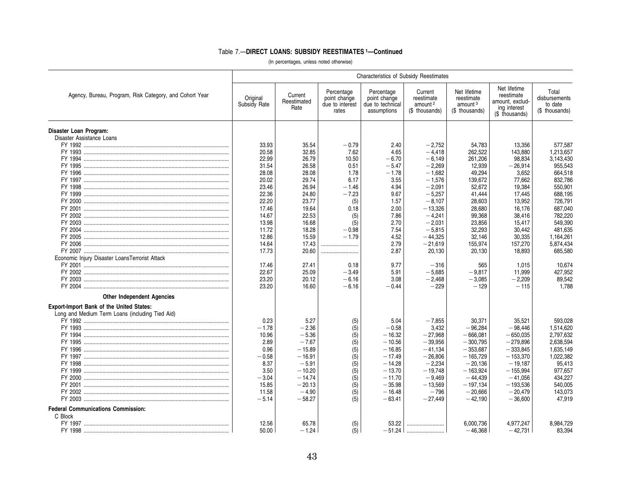|                                                                                                    | <b>Characteristics of Subsidy Reestimates</b> |                                |                                                        |                                                               |                                                                |                                                                     |                                                                                 |                                                     |  |
|----------------------------------------------------------------------------------------------------|-----------------------------------------------|--------------------------------|--------------------------------------------------------|---------------------------------------------------------------|----------------------------------------------------------------|---------------------------------------------------------------------|---------------------------------------------------------------------------------|-----------------------------------------------------|--|
| Agency, Bureau, Program, Risk Category, and Cohort Year                                            | Original<br>Subsidy Rate                      | Current<br>Reestimated<br>Rate | Percentage<br>point change<br>due to interest<br>rates | Percentage<br>point change<br>due to technical<br>assumptions | Current<br>reestimate<br>amount <sup>2</sup><br>(\$ thousands) | Net lifetime<br>reestimate<br>amount <sup>3</sup><br>(\$ thousands) | Net lifetime<br>reestimate<br>amount, exclud-<br>ing interest<br>(\$ thousands) | Total<br>disbursements<br>to date<br>(\$ thousands) |  |
| Disaster Loan Program:<br>Disaster Assistance Loans                                                |                                               |                                |                                                        |                                                               |                                                                |                                                                     |                                                                                 |                                                     |  |
|                                                                                                    | 33.93                                         | 35.54                          | $-0.79$                                                | 2.40                                                          | $-2,752$                                                       | 54,783                                                              | 13,356                                                                          | 577,587                                             |  |
|                                                                                                    | 20.58                                         | 32.85                          | 7.62                                                   | 4.65                                                          | $-4,418$                                                       | 262,522                                                             | 143,880                                                                         | 1,213,657                                           |  |
|                                                                                                    | 22.99                                         | 26.79                          | 10.50                                                  | $-6.70$                                                       | $-6,149$                                                       | 261,206                                                             | 98,834                                                                          | 3,143,430                                           |  |
|                                                                                                    | 31.54                                         | 26.58                          | 0.51                                                   | $-5.47$                                                       | $-2.269$                                                       | 12,939                                                              | $-26,914$                                                                       | 955,543                                             |  |
|                                                                                                    | 28.08                                         | 28.08                          | 1.78                                                   | $-1.78$                                                       | $-1,682$                                                       | 49,294                                                              | 3,652                                                                           | 664,518                                             |  |
|                                                                                                    | 20.02                                         | 29.74                          | 6.17                                                   | 3.55                                                          | $-1,576$                                                       | 139,672                                                             | 77,662                                                                          | 832,786                                             |  |
|                                                                                                    | 23.46                                         | 26.94                          | $-1.46$                                                | 4.94                                                          | $-2,091$                                                       | 52,672                                                              | 19,384                                                                          | 550,901                                             |  |
| FY 1999                                                                                            | 22.36                                         | 24.80                          | $-7.23$                                                | 9.67                                                          | $-5,257$                                                       | 41,444                                                              | 17,445                                                                          | 688,195                                             |  |
|                                                                                                    | 22.20                                         | 23.77                          | (5)                                                    | 1.57                                                          | $-8,107$                                                       | 28,603                                                              | 13,952                                                                          | 726,791                                             |  |
|                                                                                                    | 17.46                                         | 19.64                          | 0.18                                                   | 2.00                                                          | $-13,326$                                                      | 28,680                                                              | 16,176                                                                          | 687,040                                             |  |
|                                                                                                    | 14.67                                         | 22.53                          | (5)                                                    | 7.86                                                          | $-4,241$                                                       | 99,368                                                              | 38,416                                                                          | 782,220                                             |  |
|                                                                                                    | 13.98                                         | 16.68                          | (5)                                                    | 2.70                                                          | $-2,031$                                                       | 23,856                                                              | 15,417                                                                          | 549,390                                             |  |
|                                                                                                    | 11.72                                         | 18.28                          | $-0.98$                                                | 7.54                                                          | $-5,815$                                                       | 32,293                                                              | 30,442                                                                          | 481.635                                             |  |
|                                                                                                    | 12.86                                         | 15.59                          | $-1.79$                                                | 4.52                                                          | $-44,325$                                                      | 32,146                                                              | 30,335                                                                          | 1,164,261                                           |  |
|                                                                                                    | 14.64                                         | 17.43                          |                                                        | 2.79                                                          | $-21,619$                                                      | 155,974                                                             | 157,270                                                                         | 5,874,434                                           |  |
|                                                                                                    | 17.73                                         | 20.60                          |                                                        | 2.87                                                          | 20,130                                                         | 20,130                                                              | 18,893                                                                          | 685,580                                             |  |
| Economic Injury Disaster LoansTerrorist Attack                                                     |                                               |                                |                                                        |                                                               |                                                                |                                                                     |                                                                                 |                                                     |  |
|                                                                                                    | 17.46                                         | 27.41                          | 0.18                                                   | 9.77                                                          | $-316$                                                         | 565                                                                 | 1,015                                                                           | 10,674                                              |  |
|                                                                                                    | 22.67                                         | 25.09                          | $-3.49$                                                | 5.91                                                          | $-5,685$                                                       | $-9,817$                                                            | 11,999                                                                          | 427,952                                             |  |
|                                                                                                    | 23.20                                         | 20.12                          | $-6.16$                                                | 3.08                                                          | $-2,468$                                                       | $-3,085$                                                            | $-2,209$                                                                        | 89,542                                              |  |
|                                                                                                    | 23.20                                         | 16.60                          | $-6.16$                                                | $-0.44$                                                       | $-229$                                                         | $-129$                                                              | $-115$                                                                          | 1.788                                               |  |
| <b>Other Independent Agencies</b>                                                                  |                                               |                                |                                                        |                                                               |                                                                |                                                                     |                                                                                 |                                                     |  |
| <b>Export-Import Bank of the United States:</b><br>Long and Medium Term Loans (including Tied Aid) |                                               |                                |                                                        |                                                               |                                                                |                                                                     |                                                                                 |                                                     |  |
|                                                                                                    | 0.23                                          | 5.27                           | (5)                                                    | 5.04                                                          | $-7,855$                                                       | 30,371                                                              | 35,521                                                                          | 593.028                                             |  |
|                                                                                                    | $-1.78$                                       | $-2.36$                        | (5)                                                    | $-0.58$                                                       | 3,432                                                          | $-96,284$                                                           | $-98,446$                                                                       | 1,514,620                                           |  |
|                                                                                                    | 10.96                                         | $-5.36$                        | (5)                                                    | $-16.32$                                                      | $-27,968$                                                      | $-666,081$                                                          | $-650,035$                                                                      | 2,797,632                                           |  |
|                                                                                                    | 2.89                                          | $-7.67$                        | (5)                                                    | $-10.56$                                                      | $-39,956$                                                      | $-300,795$                                                          | $-279,896$                                                                      | 2,638,594                                           |  |
|                                                                                                    | 0.96                                          | $-15.89$                       | (5)                                                    | $-16.85$                                                      | $-41,134$                                                      | $-353,687$                                                          | $-333,845$                                                                      | 1,635,149                                           |  |
|                                                                                                    | $-0.58$                                       | $-16.91$                       | (5)                                                    | $-17.49$                                                      | $-26,806$                                                      | $-165,729$                                                          | $-153,370$                                                                      | 1.022.382                                           |  |
|                                                                                                    | 8.37                                          | $-5.91$                        | (5)                                                    | $-14.28$                                                      | $-2,234$                                                       | $-20,136$                                                           | $-19,187$                                                                       | 95,413                                              |  |
|                                                                                                    | 3.50                                          | $-10.20$                       | (5)                                                    | $-13.70$                                                      | $-19,748$                                                      | $-163,924$                                                          | $-155,994$                                                                      | 977,657                                             |  |
|                                                                                                    | $-3.04$                                       | $-14.74$                       | (5)                                                    | $-11.70$                                                      | $-9,469$                                                       | $-44.439$                                                           | $-41.056$                                                                       | 434.227                                             |  |
|                                                                                                    | 15.85                                         | $-20.13$                       | (5)                                                    | $-35.98$                                                      | $-13,569$                                                      | $-197.134$                                                          | $-193,536$                                                                      | 540.005                                             |  |
|                                                                                                    | 11.58<br>$-5.14$                              | $-4.90$<br>$-58.27$            | (5)                                                    | $-16.48$<br>$-63.41$                                          | $-796$                                                         | $-20,666$<br>$-42,190$                                              | $-20,479$<br>$-36,600$                                                          | 143,073<br>47,919                                   |  |
|                                                                                                    |                                               |                                | (5)                                                    |                                                               | $-27,449$                                                      |                                                                     |                                                                                 |                                                     |  |
| <b>Federal Communications Commission:</b>                                                          |                                               |                                |                                                        |                                                               |                                                                |                                                                     |                                                                                 |                                                     |  |
| C Block                                                                                            |                                               |                                |                                                        |                                                               |                                                                |                                                                     |                                                                                 |                                                     |  |
|                                                                                                    | 12.56                                         | 65.78                          | (5)                                                    | 53.22                                                         |                                                                | 6,000,736                                                           | 4.977.247                                                                       | 8.984.729                                           |  |
| FY 1998 ………………………………………………………………………………………                                                          | 50.00                                         | $-1.24$                        | (5)                                                    |                                                               |                                                                | $-46.368$                                                           | $-42.731$                                                                       | 83.394                                              |  |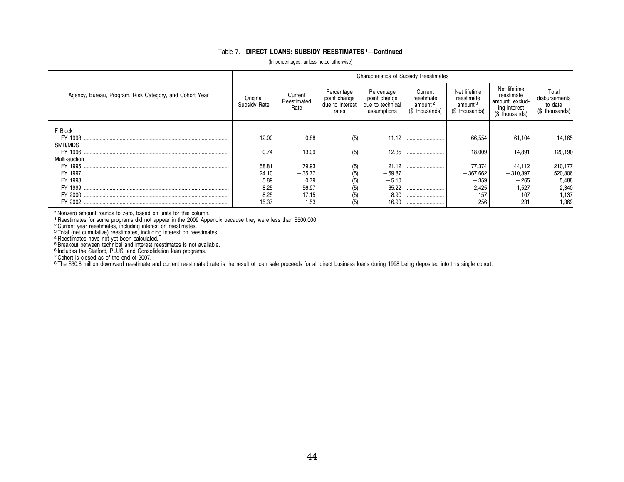|                                                         | <b>Characteristics of Subsidy Reestimates</b> |                                |                                                        |                                                               |                                                                |                                                                     |                                                                                 |                                                     |  |  |
|---------------------------------------------------------|-----------------------------------------------|--------------------------------|--------------------------------------------------------|---------------------------------------------------------------|----------------------------------------------------------------|---------------------------------------------------------------------|---------------------------------------------------------------------------------|-----------------------------------------------------|--|--|
| Agency, Bureau, Program, Risk Category, and Cohort Year | Original<br>Subsidy Rate                      | Current<br>Reestimated<br>Rate | Percentage<br>point change<br>due to interest<br>rates | Percentage<br>point change<br>due to technical<br>assumptions | Current<br>reestimate<br>amount <sup>2</sup><br>(\$ thousands) | Net lifetime<br>reestimate<br>amount <sup>3</sup><br>(\$ thousands) | Net lifetime<br>reestimate<br>amount, exclud-<br>ing interest<br>(\$ thousands) | Total<br>disbursements<br>to date<br>(\$ thousands) |  |  |
| F Block                                                 |                                               |                                |                                                        |                                                               |                                                                |                                                                     |                                                                                 |                                                     |  |  |
|                                                         | 12.00                                         | 0.88                           | (5)                                                    | $-11.12$                                                      |                                                                | $-66.554$                                                           | $-61,104$                                                                       | 14,165                                              |  |  |
| SMR/MDS                                                 |                                               |                                |                                                        |                                                               |                                                                |                                                                     |                                                                                 |                                                     |  |  |
|                                                         | 0.74                                          | 13.09                          | (5)                                                    | 12.35                                                         |                                                                | 18.009                                                              | 14.891                                                                          | 120,190                                             |  |  |
| Multi-auction                                           |                                               |                                |                                                        |                                                               |                                                                |                                                                     |                                                                                 |                                                     |  |  |
|                                                         | 58.81                                         | 79.93                          | (5)                                                    | 21.12                                                         |                                                                | 77,374                                                              | 44,112                                                                          | 210,177                                             |  |  |
|                                                         | 24.10                                         | $-35.77$                       | (5)                                                    | $-59.87$                                                      |                                                                | $-367,662$                                                          | $-310,397$                                                                      | 520,806                                             |  |  |
|                                                         | 5.89                                          | 0.79                           | (5)                                                    | $-5.10$                                                       |                                                                | $-359$                                                              | $-265$                                                                          | 5,488                                               |  |  |
|                                                         | 8.25                                          | $-56.97$                       |                                                        | $-65.22$                                                      |                                                                | $-2,425$                                                            | $-1,527$                                                                        | 2,340                                               |  |  |
|                                                         | 8.25                                          | 17.15                          |                                                        | 8.90                                                          |                                                                | 157                                                                 | 107                                                                             | 1,137                                               |  |  |
|                                                         | 15.37                                         | $-1.53$                        | (5)                                                    | $-16.90$                                                      |                                                                | $-256$                                                              | $-231$                                                                          | 1,369                                               |  |  |

(In percentages, unless noted otherwise)

\* Nonzero amount rounds to zero, based on units for this column.

<sup>1</sup> Reestimates for some programs did not appear in the 2009 Appendix because they were less than \$500,000.<br><sup>2</sup> Current year reestimates, including interest on reestimates.<br><sup>3</sup> Total (net cumulative) reestimates, including

7 Cohort is closed as of the end of 2007.

L.

<sup>8</sup> The \$30.8 million downward reestimate and current reestimated rate is the result of loan sale proceeds for all direct business loans during 1998 being deposited into this single cohort.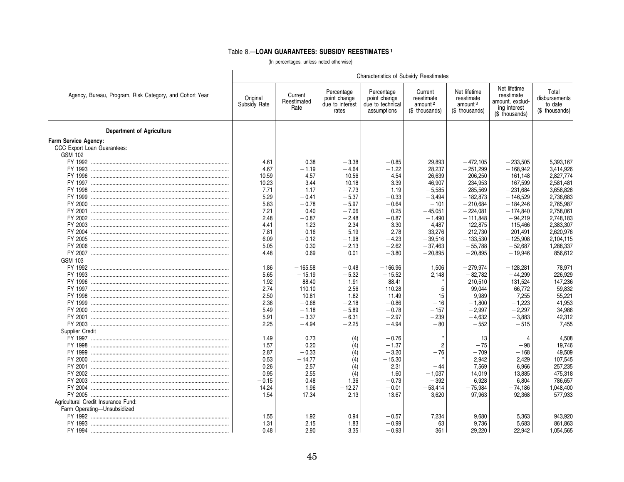#### Table 8.—**LOAN GUARANTEES: SUBSIDY REESTIMATES <sup>1</sup>**

|                                                         | Characteristics of Subsidy Reestimates |                                |                                                        |                                                               |                                                                |                                                                     |                                                                                 |                                                     |  |  |
|---------------------------------------------------------|----------------------------------------|--------------------------------|--------------------------------------------------------|---------------------------------------------------------------|----------------------------------------------------------------|---------------------------------------------------------------------|---------------------------------------------------------------------------------|-----------------------------------------------------|--|--|
| Agency, Bureau, Program, Risk Category, and Cohort Year | Original<br>Subsidy Rate               | Current<br>Reestimated<br>Rate | Percentage<br>point change<br>due to interest<br>rates | Percentage<br>point change<br>due to technical<br>assumptions | Current<br>reestimate<br>amount <sup>2</sup><br>(\$ thousands) | Net lifetime<br>reestimate<br>amount <sup>3</sup><br>(\$ thousands) | Net lifetime<br>reestimate<br>amount, exclud-<br>ing interest<br>(\$ thousands) | Total<br>disbursements<br>to date<br>(\$ thousands) |  |  |
| <b>Department of Agriculture</b>                        |                                        |                                |                                                        |                                                               |                                                                |                                                                     |                                                                                 |                                                     |  |  |
| Farm Service Agency:                                    |                                        |                                |                                                        |                                                               |                                                                |                                                                     |                                                                                 |                                                     |  |  |
| CCC Export Loan Guarantees:                             |                                        |                                |                                                        |                                                               |                                                                |                                                                     |                                                                                 |                                                     |  |  |
| GSM 102                                                 |                                        |                                |                                                        |                                                               |                                                                |                                                                     |                                                                                 |                                                     |  |  |
|                                                         | 4.61                                   | 0.38                           | $-3.38$                                                | $-0.85$                                                       | 29,893                                                         | $-472.105$                                                          | $-233,505$                                                                      | 5.393.167                                           |  |  |
|                                                         | 4.67                                   | $-1.19$                        | $-4.64$                                                | $-1.22$                                                       | 28,237                                                         | $-251,299$                                                          | $-168,942$                                                                      | 3,414,926                                           |  |  |
|                                                         | 10.59                                  | 4.57                           | $-10.56$                                               | 4.54                                                          | $-26.639$                                                      | $-206.250$                                                          | $-161.148$                                                                      | 2,827,774                                           |  |  |
|                                                         | 10.23                                  | 3.44                           | $-10.18$                                               | 3.39                                                          | $-46,907$                                                      | $-234.953$                                                          | $-167,599$                                                                      | 2,581,481                                           |  |  |
|                                                         | 7.71                                   | 1.17                           | $-7.73$                                                | 1.19                                                          | $-5,585$                                                       | $-285,569$                                                          | $-231,684$                                                                      | 3,658,828                                           |  |  |
|                                                         |                                        |                                |                                                        |                                                               |                                                                |                                                                     |                                                                                 |                                                     |  |  |
|                                                         | 5.29                                   | $-0.41$                        | $-5.37$                                                | $-0.33$                                                       | $-3,494$                                                       | $-182,873$                                                          | $-146,529$                                                                      | 2,736,683                                           |  |  |
|                                                         | 5.83                                   | $-0.78$                        | $-5.97$                                                | $-0.64$                                                       | $-101$                                                         | $-210,684$                                                          | $-184,246$                                                                      | 2,765,987                                           |  |  |
|                                                         | 7.21                                   | 0.40                           | $-7.06$                                                | 0.25                                                          | $-45.051$                                                      | $-224,081$                                                          | $-174.840$                                                                      | 2.758.061                                           |  |  |
|                                                         | 2.48                                   | $-0.87$                        | $-2.48$                                                | $-0.87$                                                       | $-1,490$                                                       | $-111,848$                                                          | $-94,219$                                                                       | 2,748,183                                           |  |  |
|                                                         | 4.41                                   | $-1.23$                        | $-2.34$                                                | $-3.30$                                                       | $-4,487$                                                       | $-122,875$                                                          | $-115,466$                                                                      | 2,383,307                                           |  |  |
|                                                         | 7.81                                   | $-0.16$                        | $-5.19$                                                | $-2.78$                                                       | $-33,276$                                                      | $-212,730$                                                          | $-201,491$                                                                      | 2,620,976                                           |  |  |
|                                                         | 6.09                                   | $-0.12$                        | $-1.98$                                                | $-4.23$                                                       | $-39,516$                                                      | $-133.530$                                                          | $-125.908$                                                                      | 2,104,115                                           |  |  |
|                                                         | 5.05                                   | 0.30                           | $-2.13$                                                | $-2.62$                                                       | $-37,463$                                                      | $-55,788$                                                           | $-52,687$                                                                       | 1,288,337                                           |  |  |
|                                                         | 4.48                                   | 0.69                           | 0.01                                                   | $-3.80$                                                       | $-20.895$                                                      | $-20.895$                                                           | $-19.946$                                                                       | 856.612                                             |  |  |
| GSM 103                                                 |                                        |                                |                                                        |                                                               |                                                                |                                                                     |                                                                                 |                                                     |  |  |
|                                                         | 1.86                                   | $-165.58$                      | $-0.48$                                                | $-166.96$                                                     | 1,506                                                          | $-279,974$                                                          | $-128,281$                                                                      | 78,971                                              |  |  |
|                                                         | 5.65                                   | $-15.19$                       | $-5.32$                                                | $-15.52$                                                      | 2,148                                                          | $-82,782$                                                           | $-44,299$                                                                       | 226,929                                             |  |  |
|                                                         | 1.92                                   | $-88.40$                       | $-1.91$                                                | $-88.41$                                                      |                                                                | $-210,510$                                                          | $-131,524$                                                                      |                                                     |  |  |
|                                                         |                                        |                                |                                                        |                                                               |                                                                |                                                                     |                                                                                 | 147,236                                             |  |  |
|                                                         | 2.74                                   | $-110.10$                      | $-2.56$                                                | $-110.28$                                                     | $-5$                                                           | $-99.044$                                                           | $-66.772$                                                                       | 59.832                                              |  |  |
|                                                         | 2.50                                   | $-10.81$                       | $-1.82$                                                | $-11.49$                                                      | $-15$                                                          | $-9,989$                                                            | $-7,255$                                                                        | 55,221                                              |  |  |
|                                                         | 2.36                                   | $-0.68$                        | $-2.18$                                                | $-0.86$                                                       | $-16$                                                          | $-1,800$                                                            | $-1,223$                                                                        | 41,953                                              |  |  |
|                                                         | 5.49                                   | $-1.18$                        | $-5.89$                                                | $-0.78$                                                       | $-157$                                                         | $-2.997$                                                            | $-2.297$                                                                        | 34.986                                              |  |  |
|                                                         | 5.91                                   | $-3.37$                        | $-6.31$                                                | $-2.97$                                                       | $-239$                                                         | $-4,632$                                                            | $-3,883$                                                                        | 42,312                                              |  |  |
|                                                         | 2.25                                   | $-4.94$                        | $-2.25$                                                | $-4.94$                                                       | $-80$                                                          | $-552$                                                              | $-515$                                                                          | 7.455                                               |  |  |
| Supplier Credit                                         |                                        |                                |                                                        |                                                               |                                                                |                                                                     |                                                                                 |                                                     |  |  |
|                                                         | 1.49                                   | 0.73                           | (4)                                                    | $-0.76$                                                       |                                                                | 13                                                                  | 4                                                                               | 4.508                                               |  |  |
|                                                         | 1.57                                   | 0.20                           | (4)                                                    | $-1.37$                                                       | $\overline{2}$                                                 | $-75$                                                               | $-98$                                                                           | 19,746                                              |  |  |
|                                                         | 2.87                                   | $-0.33$                        | (4)                                                    | $-3.20$                                                       | $-76$                                                          | $-709$                                                              | $-168$                                                                          | 49,509                                              |  |  |
|                                                         | 0.53                                   | $-14.77$                       | (4)                                                    | $-15.30$                                                      |                                                                | 2,942                                                               | 2,429                                                                           | 107,545                                             |  |  |
|                                                         | 0.26                                   | 2.57                           |                                                        | 2.31                                                          | $-44$                                                          | 7,569                                                               | 6,966                                                                           | 257,235                                             |  |  |
|                                                         |                                        |                                | (4)                                                    |                                                               |                                                                |                                                                     |                                                                                 |                                                     |  |  |
|                                                         | 0.95                                   | 2.55                           | (4)                                                    | 1.60                                                          | $-1,037$                                                       | 14,019                                                              | 13,885                                                                          | 475,318                                             |  |  |
|                                                         | $-0.15$                                | 0.48                           | 1.36                                                   | $-0.73$                                                       | $-392$                                                         | 6,928                                                               | 6.804                                                                           | 786,657                                             |  |  |
|                                                         | 14.24                                  | 1.96                           | $-12.27$                                               | $-0.01$                                                       | $-53.414$                                                      | $-75,984$                                                           | $-74.186$                                                                       | 1,048,400                                           |  |  |
|                                                         | 1.54                                   | 17.34                          | 2.13                                                   | 13.67                                                         | 3,620                                                          | 97,963                                                              | 92.368                                                                          | 577,933                                             |  |  |
| Agricultural Credit Insurance Fund:                     |                                        |                                |                                                        |                                                               |                                                                |                                                                     |                                                                                 |                                                     |  |  |
| Farm Operating-Unsubsidized                             |                                        |                                |                                                        |                                                               |                                                                |                                                                     |                                                                                 |                                                     |  |  |
|                                                         | 1.55                                   | 1.92                           | 0.94                                                   | $-0.57$                                                       | 7,234                                                          | 9,680                                                               | 5,363                                                                           | 943,920                                             |  |  |
|                                                         | 1.31                                   | 2.15                           | 1.83                                                   | $-0.99$                                                       | 63                                                             | 9,736                                                               | 5,683                                                                           | 861,863                                             |  |  |
|                                                         | 0.48                                   | 2.90                           | 3.35                                                   | $-0.93$                                                       | 361                                                            | 29.220                                                              | 22.942                                                                          | 1.054.565                                           |  |  |
|                                                         |                                        |                                |                                                        |                                                               |                                                                |                                                                     |                                                                                 |                                                     |  |  |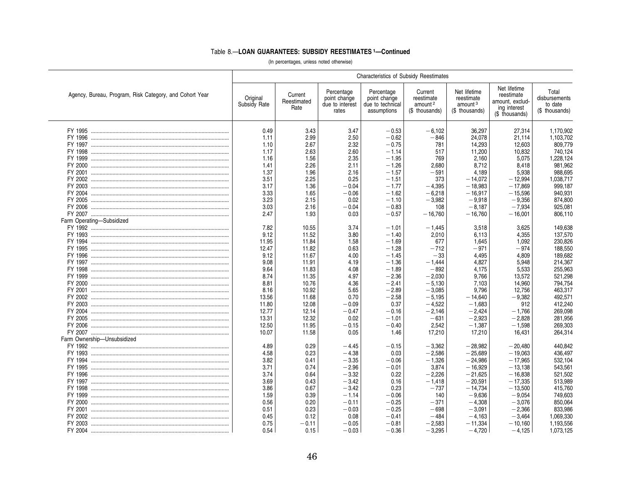|                                                         | Characteristics of Subsidy Reestimates |                                |                                                        |                                                               |                                                                |                                                                     |                                                                                 |                                                     |  |  |
|---------------------------------------------------------|----------------------------------------|--------------------------------|--------------------------------------------------------|---------------------------------------------------------------|----------------------------------------------------------------|---------------------------------------------------------------------|---------------------------------------------------------------------------------|-----------------------------------------------------|--|--|
| Agency, Bureau, Program, Risk Category, and Cohort Year | Original<br>Subsidy Rate               | Current<br>Reestimated<br>Rate | Percentage<br>point change<br>due to interest<br>rates | Percentage<br>point change<br>due to technical<br>assumptions | Current<br>reestimate<br>amount <sup>2</sup><br>(\$ thousands) | Net lifetime<br>reestimate<br>amount <sup>3</sup><br>(\$ thousands) | Net lifetime<br>reestimate<br>amount, exclud-<br>ing interest<br>(\$ thousands) | Total<br>disbursements<br>to date<br>(\$ thousands) |  |  |
|                                                         | 0.49                                   | 3.43                           | 3.47                                                   | $-0.53$                                                       | $-6.102$                                                       | 36.297                                                              | 27.314                                                                          | 1,170,902                                           |  |  |
|                                                         | 1.11                                   | 2.99                           | 2.50                                                   | $-0.62$                                                       | $-846$                                                         | 24,078                                                              | 21.114                                                                          | 1,103,702                                           |  |  |
|                                                         | 1.10                                   | 2.67                           | 2.32                                                   | $-0.75$                                                       | 781                                                            | 14,293                                                              | 12.603                                                                          | 809,779                                             |  |  |
|                                                         | 1.17                                   | 2.63                           | 2.60                                                   | $-1.14$                                                       | 517                                                            | 11,200                                                              | 10,832                                                                          | 740,124                                             |  |  |
|                                                         | 1.16                                   | 1.56                           | 2.35                                                   | $-1.95$                                                       | 769                                                            | 2.160                                                               | 5.075                                                                           | 1.228.124                                           |  |  |
|                                                         | 1.41                                   | 2.26                           | 2.11                                                   | $-1.26$                                                       | 2,680                                                          | 8.712                                                               | 8.418                                                                           | 981,962                                             |  |  |
|                                                         | 1.37                                   | 1.96                           | 2.16                                                   | $-1.57$                                                       | $-591$                                                         | 4.189                                                               | 5.938                                                                           | 988.695                                             |  |  |
|                                                         | 3.51                                   | 2.25                           | 0.25                                                   | $-1.51$                                                       | 373                                                            | $-14,072$                                                           | $-12,994$                                                                       | 1,038,717                                           |  |  |
|                                                         | 3.17                                   | 1.36                           | $-0.04$                                                | $-1.77$                                                       | $-4,395$                                                       | $-18,983$                                                           | $-17,869$                                                                       | 999,187                                             |  |  |
|                                                         | 3.33                                   | 1.65                           | $-0.06$                                                | $-1.62$                                                       | $-6,218$                                                       | $-16.917$                                                           | $-15.596$                                                                       | 940.931                                             |  |  |
|                                                         | 3.23                                   | 2.15                           | 0.02                                                   | $-1.10$                                                       | $-3,982$                                                       | $-9,918$                                                            | $-9,356$                                                                        | 874,800                                             |  |  |
|                                                         | 3.03                                   | 2.16                           | $-0.04$                                                | $-0.83$                                                       | 108                                                            | $-8,187$                                                            | $-7,934$                                                                        | 925,081                                             |  |  |
|                                                         | 2.47                                   | 1.93                           | 0.03                                                   | $-0.57$                                                       | $-16,760$                                                      | $-16,760$                                                           | $-16,001$                                                                       | 806,110                                             |  |  |
| Farm Operating-Subsidized                               |                                        |                                |                                                        |                                                               |                                                                |                                                                     |                                                                                 |                                                     |  |  |
|                                                         | 7.82                                   | 10.55                          | 3.74                                                   | $-1.01$                                                       | $-1,445$                                                       | 3,518                                                               | 3,625                                                                           | 149,638                                             |  |  |
|                                                         | 9.12                                   | 11.52                          | 3.80                                                   | $-1.40$                                                       | 2,010                                                          | 6,113                                                               | 4,355                                                                           | 137,570                                             |  |  |
|                                                         | 11.95                                  | 11.84                          | 1.58                                                   | $-1.69$                                                       | 677                                                            | 1,645                                                               | 1,092                                                                           | 230,826                                             |  |  |
|                                                         | 12.47                                  | 11.82                          | 0.63                                                   | $-1.28$                                                       | $-712$                                                         | $-971$                                                              | $-974$                                                                          | 188,550                                             |  |  |
|                                                         | 9.12                                   | 11.67                          | 4.00                                                   | $-1.45$                                                       | $-33$                                                          | 4,495                                                               | 4,809                                                                           | 189,682                                             |  |  |
|                                                         | 9.08                                   | 11.91                          | 4.19                                                   | $-1.36$                                                       | $-1,444$                                                       | 4,827                                                               | 5,948                                                                           | 214,367                                             |  |  |
|                                                         | 9.64                                   | 11.83                          | 4.08                                                   | $-1.89$                                                       | $-892$                                                         | 4,175                                                               | 5,533                                                                           | 255,963                                             |  |  |
|                                                         | 8.74                                   | 11.35                          | 4.97                                                   | $-2.36$                                                       | $-2,030$                                                       | 9,766                                                               | 13,572                                                                          | 521,298                                             |  |  |
|                                                         | 8.81                                   | 10.76                          | 4.36                                                   | $-2.41$                                                       | $-5,130$                                                       | 7,103                                                               | 14,960                                                                          | 794,754                                             |  |  |
|                                                         | 8.16                                   | 10.92                          | 5.65                                                   | $-2.89$                                                       | $-3,085$                                                       | 9,796                                                               | 12,756                                                                          | 463,317                                             |  |  |
|                                                         | 13.56                                  | 11.68                          | 0.70                                                   | $-2.58$                                                       | $-5,195$                                                       | $-14,640$                                                           | $-9,382$                                                                        | 492,571                                             |  |  |
|                                                         | 11.80                                  | 12.08                          | $-0.09$                                                | 0.37                                                          | $-4,522$                                                       | $-1,683$                                                            | 912                                                                             | 412,240                                             |  |  |
|                                                         | 12.77                                  | 12.14                          | $-0.47$                                                | $-0.16$                                                       | $-2,146$                                                       | $-2,424$                                                            | $-1,766$                                                                        | 269,098                                             |  |  |
|                                                         | 13.31                                  | 12.32                          | 0.02                                                   | $-1.01$                                                       | $-631$                                                         | $-2,923$                                                            | $-2,828$                                                                        | 281,956                                             |  |  |
|                                                         | 12.50                                  | 11.95                          | $-0.15$                                                | $-0.40$                                                       | 2,542                                                          | $-1,387$                                                            | $-1,598$                                                                        | 269,303                                             |  |  |
|                                                         | 10.07                                  | 11.58                          | 0.05                                                   | 1.46                                                          | 17,210                                                         | 17,210                                                              | 16,431                                                                          | 264,314                                             |  |  |
| Farm Ownership-Unsubsidized                             |                                        |                                |                                                        |                                                               |                                                                |                                                                     |                                                                                 |                                                     |  |  |
|                                                         | 4.89                                   | 0.29                           | $-4.45$                                                | $-0.15$                                                       | $-3,362$                                                       | $-28,982$                                                           | $-20.480$                                                                       | 440,842                                             |  |  |
|                                                         | 4.58                                   | 0.23                           | $-4.38$                                                | 0.03                                                          | $-2,586$                                                       | $-25,689$                                                           | $-19,063$                                                                       | 436,497                                             |  |  |
|                                                         | 3.82                                   | 0.41                           | $-3.35$                                                | $-0.06$                                                       | $-1,326$                                                       | $-24.986$                                                           | $-17,965$                                                                       | 532,104                                             |  |  |
|                                                         | 3.71                                   | 0.74                           | $-2.96$                                                | $-0.01$                                                       | 3,874                                                          | $-16,929$                                                           | $-13,138$                                                                       | 543,561                                             |  |  |
|                                                         | 3.74                                   | 0.64                           | $-3.32$                                                | 0.22                                                          | $-2,226$                                                       | $-21,625$                                                           | $-16,838$                                                                       | 521,502                                             |  |  |
|                                                         | 3.69                                   | 0.43                           | $-3.42$                                                | 0.16                                                          | $-1,418$                                                       | $-20,591$                                                           | $-17,335$                                                                       | 513,989                                             |  |  |
|                                                         | 3.86                                   | 0.67                           | $-3.42$                                                | 0.23                                                          | $-737$                                                         | $-14,734$                                                           | $-13,500$                                                                       | 415,760                                             |  |  |
|                                                         | 1.59                                   | 0.39                           | $-1.14$                                                | $-0.06$                                                       | 140                                                            | $-9,636$                                                            | $-9.054$                                                                        | 749,603                                             |  |  |
|                                                         | 0.56                                   | 0.20                           | $-0.11$                                                | $-0.25$                                                       | $-371$                                                         | $-4,308$                                                            | $-3,076$                                                                        | 850,064                                             |  |  |
|                                                         | 0.51                                   | 0.23                           | $-0.03$                                                | $-0.25$                                                       | $-698$                                                         | $-3.091$                                                            | $-2.366$                                                                        | 833,986                                             |  |  |
|                                                         | 0.45                                   | 0.12                           | 0.08                                                   | $-0.41$                                                       | $-484$                                                         | $-4,163$                                                            | $-3,464$                                                                        | 1,069,330                                           |  |  |
|                                                         | 0.75                                   | $-0.11$                        | $-0.05$                                                | $-0.81$                                                       | $-2,583$                                                       | $-11,334$                                                           | $-10,160$                                                                       | 1,193,556                                           |  |  |
|                                                         | 0.54                                   | 0.15                           | $-0.03$                                                | $-0.36$                                                       | $-3,295$                                                       | $-4,720$                                                            | $-4,125$                                                                        | 1,073,125                                           |  |  |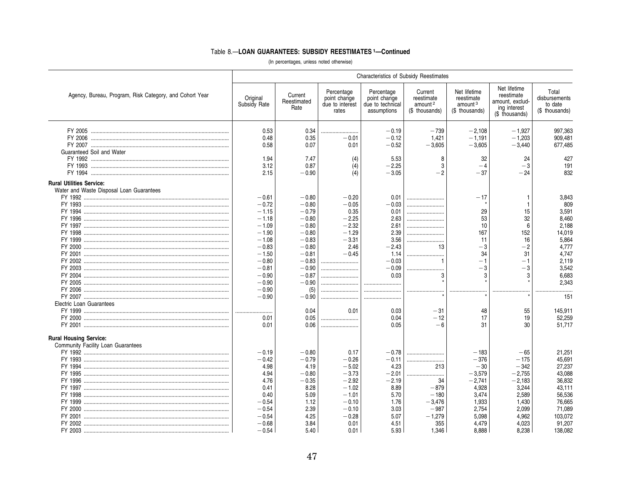|                                                                             |                                                                                                                                                                           |                                                                                                                                                                               |                                                                                                                         | Characteristics of Subsidy Reestimates                                                                                           |                                                                                             |                                                                                                                  |                                                                                                                  |                                                                                                                                                  |  |
|-----------------------------------------------------------------------------|---------------------------------------------------------------------------------------------------------------------------------------------------------------------------|-------------------------------------------------------------------------------------------------------------------------------------------------------------------------------|-------------------------------------------------------------------------------------------------------------------------|----------------------------------------------------------------------------------------------------------------------------------|---------------------------------------------------------------------------------------------|------------------------------------------------------------------------------------------------------------------|------------------------------------------------------------------------------------------------------------------|--------------------------------------------------------------------------------------------------------------------------------------------------|--|
| Agency, Bureau, Program, Risk Category, and Cohort Year                     | Original<br>Subsidy Rate                                                                                                                                                  | Current<br>Reestimated<br>Rate                                                                                                                                                | Percentage<br>point change<br>due to interest<br>rates                                                                  | Percentage<br>point change<br>due to technical<br>assumptions                                                                    | Current<br>reestimate<br>amount <sup>2</sup><br>(\$ thousands)                              | Net lifetime<br>reestimate<br>amount <sup>3</sup><br>(\$ thousands)                                              | Net lifetime<br>reestimate<br>amount, exclud-<br>ing interest<br>(\$ thousands)                                  | Total<br>disbursements<br>to date<br>(\$ thousands)                                                                                              |  |
| Guaranteed Soil and Water                                                   | 0.53<br>0.48<br>0.58                                                                                                                                                      | 0.34<br>0.35<br>0.07                                                                                                                                                          | <br>$-0.01$<br>0.01                                                                                                     | $-0.19$<br>$-0.12$<br>$-0.52$                                                                                                    | $-739$<br>1,421<br>$-3,605$                                                                 | $-2.108$<br>$-1,191$<br>$-3,605$                                                                                 | $-1.927$<br>$-1,203$<br>$-3,440$                                                                                 | 997,363<br>909,481<br>677,485                                                                                                                    |  |
|                                                                             | 1.94<br>3.12<br>2.15                                                                                                                                                      | 7.47<br>0.87<br>$-0.90$                                                                                                                                                       | (4)<br>(4)<br>(4)                                                                                                       | 5.53<br>$-2.25$<br>$-3.05$                                                                                                       | 8<br>3<br>$-2$                                                                              | 32<br>$-4$<br>$-37$                                                                                              | 24<br>$-3$<br>$-24$                                                                                              | 427<br>191<br>832                                                                                                                                |  |
| <b>Rural Utilities Service:</b><br>Water and Waste Disposal Loan Guarantees |                                                                                                                                                                           |                                                                                                                                                                               |                                                                                                                         |                                                                                                                                  |                                                                                             |                                                                                                                  |                                                                                                                  |                                                                                                                                                  |  |
| Electric Loan Guarantees                                                    | $-0.61$<br>$-0.72$<br>$-1.15$<br>$-1.18$<br>$-1.09$<br>$-1.90$<br>$-1.08$<br>$-0.83$<br>$-1.50$<br>$-0.80$<br>$-0.81$<br>$-0.90$<br>$-0.90$<br>$-0.90$<br>$-0.90$<br>0.01 | $-0.80$<br>$-0.80$<br>$-0.79$<br>$-0.80$<br>$-0.80$<br>$-0.80$<br>$-0.83$<br>$-0.80$<br>$-0.81$<br>$-0.83$<br>$-0.90$<br>$-0.87$<br>$-0.90$<br>(5)<br>$-0.90$<br>0.04<br>0.05 | $-0.20$<br>$-0.05$<br>0.35<br>$-2.25$<br>$-2.32$<br>$-1.29$<br>$-3.31$<br>2.46<br>$-0.45$<br><br><br><br>0.01<br>       | 0.01<br>$-0.03$<br>0.01<br>2.63<br>2.61<br>2.39<br>3.56<br>$-2.43$<br>1.14<br>$-0.03$<br>$-0.09$<br>0.03<br><br><br>0.03<br>0.04 | <br><br><br><br><br><br><br>13<br>$\mathbf{1}$<br>3<br>$-31$<br>$-12$                       | $-17$<br>29<br>53<br>10<br>167<br>11<br>$-3$<br>34<br>$-1$<br>-3<br>3<br>48<br>17                                | 15<br>32<br>6<br>152<br>16<br>$-2$<br>31<br>$-1$<br>$-3$<br>3<br><br>55<br>19                                    | 3,843<br>809<br>3,591<br>8.460<br>2.188<br>14,019<br>5,864<br>4.777<br>4.747<br>2.119<br>3.542<br>6,683<br>2,343<br><br>151<br>145.911<br>52,259 |  |
| <b>Rural Housing Service:</b>                                               | 0.01                                                                                                                                                                      | 0.06                                                                                                                                                                          |                                                                                                                         | 0.05                                                                                                                             | $-6$                                                                                        | 31                                                                                                               | 30                                                                                                               | 51,717                                                                                                                                           |  |
| Community Facility Loan Guarantees<br>FY 1995                               | $-0.19$<br>$-0.42$<br>4.98<br>4.94<br>4.76<br>0.41<br>0.40<br>$-0.54$<br>$-0.54$<br>$-0.54$<br>$-0.68$<br>$-0.54$                                                         | $-0.80$<br>$-0.79$<br>4.19<br>$-0.80$<br>$-0.35$<br>8.28<br>5.09<br>1.12<br>2.39<br>4.25<br>3.84<br>5.40                                                                      | 0.17<br>$-0.26$<br>$-5.02$<br>$-3.73$<br>$-2.92$<br>$-1.02$<br>$-1.01$<br>$-0.10$<br>$-0.10$<br>$-0.28$<br>0.01<br>0.01 | $-0.78$<br>$-0.11$<br>4.23<br>$-2.01$<br>$-2.19$<br>8.89<br>5.70<br>1.76<br>3.03<br>5.07<br>4.51<br>5.93                         | <br><br>213<br><br>34<br>$-879$<br>$-180$<br>$-3,476$<br>$-987$<br>$-1,279$<br>355<br>1.346 | $-183$<br>$-376$<br>$-30$<br>$-3,579$<br>$-2,741$<br>4,928<br>3,474<br>1,933<br>2,754<br>5,098<br>4,479<br>8.888 | $-65$<br>$-175$<br>$-342$<br>$-2,755$<br>$-2,183$<br>3,244<br>2,589<br>1,430<br>2.099<br>4,962<br>4,023<br>8.238 | 21,251<br>45,691<br>27.237<br>43,088<br>36,832<br>43.111<br>56,536<br>76,665<br>71.089<br>103,072<br>91,207<br>138,082                           |  |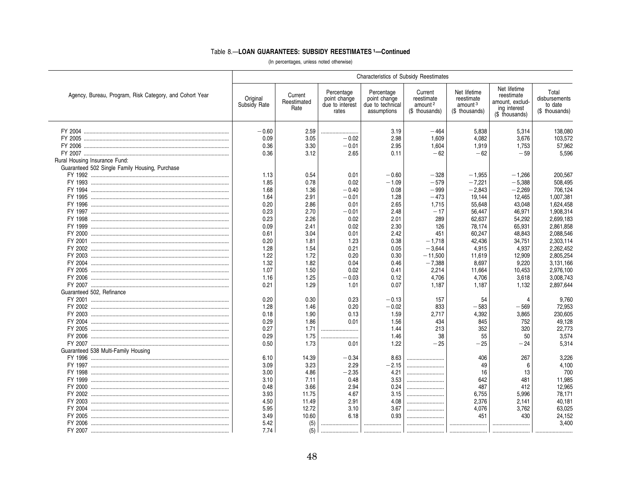| Net lifetime<br>Net lifetime<br>Total<br>Percentage<br>Percentage<br>Current<br>Agency, Bureau, Program, Risk Category, and Cohort Year<br>Current<br>reestimate<br>Original<br>point change<br>point change<br>reestimate<br>reestimate<br>disbursements<br>Reestimated<br>amount, exclud-<br>Subsidy Rate<br>due to interest<br>due to technical<br>amount <sup>2</sup><br>amount <sup>3</sup><br>to date<br>Rate<br>ing interest<br>(\$ thousands)<br>(\$ thousands)<br>(\$ thousands)<br>rates<br>assumptions<br>(\$ thousands)<br>$-0.60$<br>138,080<br>2.59<br>3.19<br>$-464$<br>5,838<br>5,314<br><br>$-0.02$<br>2.98<br>0.09<br>3.05<br>1,609<br>4.082<br>3.676<br>103,572<br>57,962<br>0.36<br>3.30<br>$-0.01$<br>2.95<br>1,604<br>1,919<br>1,753<br>0.36<br>3.12<br>2.65<br>$-62$<br>$-62$<br>5.596<br>0.11<br>$-59$<br>Rural Housing Insurance Fund:<br>Guaranteed 502 Single Family Housing, Purchase<br>1.13<br>0.54<br>0.01<br>$-0.60$<br>$-328$<br>$-1,955$<br>$-1,266$<br>200,567<br>1.85<br>0.78<br>0.02<br>$-1.09$<br>$-579$<br>$-7,221$<br>$-5,388$<br>508,495<br>$-0.40$<br>0.08<br>$-999$<br>$-2,843$<br>706,124<br>1.68<br>1.36<br>$-2,269$<br>$-473$<br>1.64<br>2.91<br>$-0.01$<br>1.28<br>19,144<br>12,465<br>1,007,381<br>0.20<br>2.86<br>0.01<br>2.65<br>1,715<br>55,648<br>43,048<br>1,624,458<br>0.23<br>2.70<br>$-0.01$<br>2.48<br>$-17$<br>56,447<br>46,971<br>1,908,314<br>0.23<br>2.26<br>0.02<br>289<br>2,699,183<br>2.01<br>62,637<br>54,292<br>2.30<br>78,174<br>2,861,858<br>0.09<br>2.41<br>0.02<br>126<br>65,931<br>3.04<br>2.42<br>60,247<br>2,088,546<br>0.61<br>0.01<br>451<br>48,843<br>0.20<br>1.23<br>0.38<br>42,436<br>1.81<br>$-1,718$<br>34,751<br>2,303,114<br>1.28<br>1.54<br>0.21<br>0.05<br>$-3,644$<br>4,915<br>4,937<br>2,262,452<br>1.72<br>$-11,500$<br>1.22<br>0.20<br>0.30<br>11,619<br>12,909<br>2,805,254<br>1.32<br>1.82<br>$-7,388$<br>8,697<br>9,220<br>3,131,166<br>0.04<br>0.46<br>0.02<br>2,976,100<br>1.07<br>1.50<br>0.41<br>2,214<br>11,664<br>10,453<br>3,008,743<br>1.16<br>1.25<br>$-0.03$<br>0.12<br>4,706<br>4,706<br>3,618<br>0.21<br>1.29<br>0.07<br>1,187<br>1,187<br>2,897,644<br>1.01<br>1,132<br>Guaranteed 502, Refinance<br>0.20<br>0.30<br>157<br>0.23<br>$-0.13$<br>54<br>Δ<br>9.760<br>1.28<br>1.46<br>0.20<br>$-0.02$<br>833<br>$-583$<br>72,953<br>$-569$<br>1.90<br>1.59<br>2,717<br>4,392<br>3,865<br>230,605<br>0.18<br>0.13<br>0.29<br>1.86<br>0.01<br>49,128<br>1.56<br>434<br>845<br>752<br>0.27<br>1.71<br>1.44<br>213<br>352<br>320<br>22,773<br><br>0.29<br>1.75<br>1.46<br>38<br>55<br>3,574<br>50<br><br>0.50<br>1.73<br>1.22<br>$-25$<br>5,314<br>0.01<br>$-25$<br>$-24$<br>Guaranteed 538 Multi-Family Housing<br>6.10<br>267<br>3.226<br>14.39<br>$-0.34$<br>8.63<br>406<br>3.09<br>3.23<br>2.29<br>$-2.15$<br>4,100<br>49<br><br>6<br>4.21<br>700<br>3.00<br>4.86<br>$-2.35$<br>16<br>13<br><br>3.53<br>3.10<br>0.48<br>642<br>11,985<br>7.11<br>481<br>0.24<br>487<br>0.48<br>3.66<br>2.94<br>412<br>12,965<br><br>11.75<br>4.67<br>78,171<br>3.93<br>3.15<br>6,755<br>5,996<br>4.50<br>4.08<br>11.49<br>2.91<br>2,376<br>2,141<br>40,181<br>5.95<br>12.72<br>3.10<br>3.67<br>4,076<br>3,762<br>63,025<br><br>6.18<br>0.93<br>451<br>430<br>3.49<br>10.60<br>24,152<br><br>(5)<br>3.400<br>5.42<br><br><br> | <b>Characteristics of Subsidy Reestimates</b> |     |  |  |  |  |  |  |  |  |
|-------------------------------------------------------------------------------------------------------------------------------------------------------------------------------------------------------------------------------------------------------------------------------------------------------------------------------------------------------------------------------------------------------------------------------------------------------------------------------------------------------------------------------------------------------------------------------------------------------------------------------------------------------------------------------------------------------------------------------------------------------------------------------------------------------------------------------------------------------------------------------------------------------------------------------------------------------------------------------------------------------------------------------------------------------------------------------------------------------------------------------------------------------------------------------------------------------------------------------------------------------------------------------------------------------------------------------------------------------------------------------------------------------------------------------------------------------------------------------------------------------------------------------------------------------------------------------------------------------------------------------------------------------------------------------------------------------------------------------------------------------------------------------------------------------------------------------------------------------------------------------------------------------------------------------------------------------------------------------------------------------------------------------------------------------------------------------------------------------------------------------------------------------------------------------------------------------------------------------------------------------------------------------------------------------------------------------------------------------------------------------------------------------------------------------------------------------------------------------------------------------------------------------------------------------------------------------------------------------------------------------------------------------------------------------------------------------------------------------------------------------------------------------------------------------------------------------------------------------------------------------------------------------------------------------------------------------------------------------------------------------------------------------------------------------------------------------------------------------------------------------------------------------------------------------------------------------------------------------------------------------------------------------------------------------------------|-----------------------------------------------|-----|--|--|--|--|--|--|--|--|
|                                                                                                                                                                                                                                                                                                                                                                                                                                                                                                                                                                                                                                                                                                                                                                                                                                                                                                                                                                                                                                                                                                                                                                                                                                                                                                                                                                                                                                                                                                                                                                                                                                                                                                                                                                                                                                                                                                                                                                                                                                                                                                                                                                                                                                                                                                                                                                                                                                                                                                                                                                                                                                                                                                                                                                                                                                                                                                                                                                                                                                                                                                                                                                                                                                                                                                                   |                                               |     |  |  |  |  |  |  |  |  |
|                                                                                                                                                                                                                                                                                                                                                                                                                                                                                                                                                                                                                                                                                                                                                                                                                                                                                                                                                                                                                                                                                                                                                                                                                                                                                                                                                                                                                                                                                                                                                                                                                                                                                                                                                                                                                                                                                                                                                                                                                                                                                                                                                                                                                                                                                                                                                                                                                                                                                                                                                                                                                                                                                                                                                                                                                                                                                                                                                                                                                                                                                                                                                                                                                                                                                                                   |                                               |     |  |  |  |  |  |  |  |  |
|                                                                                                                                                                                                                                                                                                                                                                                                                                                                                                                                                                                                                                                                                                                                                                                                                                                                                                                                                                                                                                                                                                                                                                                                                                                                                                                                                                                                                                                                                                                                                                                                                                                                                                                                                                                                                                                                                                                                                                                                                                                                                                                                                                                                                                                                                                                                                                                                                                                                                                                                                                                                                                                                                                                                                                                                                                                                                                                                                                                                                                                                                                                                                                                                                                                                                                                   |                                               |     |  |  |  |  |  |  |  |  |
|                                                                                                                                                                                                                                                                                                                                                                                                                                                                                                                                                                                                                                                                                                                                                                                                                                                                                                                                                                                                                                                                                                                                                                                                                                                                                                                                                                                                                                                                                                                                                                                                                                                                                                                                                                                                                                                                                                                                                                                                                                                                                                                                                                                                                                                                                                                                                                                                                                                                                                                                                                                                                                                                                                                                                                                                                                                                                                                                                                                                                                                                                                                                                                                                                                                                                                                   |                                               |     |  |  |  |  |  |  |  |  |
|                                                                                                                                                                                                                                                                                                                                                                                                                                                                                                                                                                                                                                                                                                                                                                                                                                                                                                                                                                                                                                                                                                                                                                                                                                                                                                                                                                                                                                                                                                                                                                                                                                                                                                                                                                                                                                                                                                                                                                                                                                                                                                                                                                                                                                                                                                                                                                                                                                                                                                                                                                                                                                                                                                                                                                                                                                                                                                                                                                                                                                                                                                                                                                                                                                                                                                                   |                                               |     |  |  |  |  |  |  |  |  |
|                                                                                                                                                                                                                                                                                                                                                                                                                                                                                                                                                                                                                                                                                                                                                                                                                                                                                                                                                                                                                                                                                                                                                                                                                                                                                                                                                                                                                                                                                                                                                                                                                                                                                                                                                                                                                                                                                                                                                                                                                                                                                                                                                                                                                                                                                                                                                                                                                                                                                                                                                                                                                                                                                                                                                                                                                                                                                                                                                                                                                                                                                                                                                                                                                                                                                                                   |                                               |     |  |  |  |  |  |  |  |  |
|                                                                                                                                                                                                                                                                                                                                                                                                                                                                                                                                                                                                                                                                                                                                                                                                                                                                                                                                                                                                                                                                                                                                                                                                                                                                                                                                                                                                                                                                                                                                                                                                                                                                                                                                                                                                                                                                                                                                                                                                                                                                                                                                                                                                                                                                                                                                                                                                                                                                                                                                                                                                                                                                                                                                                                                                                                                                                                                                                                                                                                                                                                                                                                                                                                                                                                                   |                                               |     |  |  |  |  |  |  |  |  |
|                                                                                                                                                                                                                                                                                                                                                                                                                                                                                                                                                                                                                                                                                                                                                                                                                                                                                                                                                                                                                                                                                                                                                                                                                                                                                                                                                                                                                                                                                                                                                                                                                                                                                                                                                                                                                                                                                                                                                                                                                                                                                                                                                                                                                                                                                                                                                                                                                                                                                                                                                                                                                                                                                                                                                                                                                                                                                                                                                                                                                                                                                                                                                                                                                                                                                                                   |                                               |     |  |  |  |  |  |  |  |  |
|                                                                                                                                                                                                                                                                                                                                                                                                                                                                                                                                                                                                                                                                                                                                                                                                                                                                                                                                                                                                                                                                                                                                                                                                                                                                                                                                                                                                                                                                                                                                                                                                                                                                                                                                                                                                                                                                                                                                                                                                                                                                                                                                                                                                                                                                                                                                                                                                                                                                                                                                                                                                                                                                                                                                                                                                                                                                                                                                                                                                                                                                                                                                                                                                                                                                                                                   |                                               |     |  |  |  |  |  |  |  |  |
|                                                                                                                                                                                                                                                                                                                                                                                                                                                                                                                                                                                                                                                                                                                                                                                                                                                                                                                                                                                                                                                                                                                                                                                                                                                                                                                                                                                                                                                                                                                                                                                                                                                                                                                                                                                                                                                                                                                                                                                                                                                                                                                                                                                                                                                                                                                                                                                                                                                                                                                                                                                                                                                                                                                                                                                                                                                                                                                                                                                                                                                                                                                                                                                                                                                                                                                   |                                               |     |  |  |  |  |  |  |  |  |
|                                                                                                                                                                                                                                                                                                                                                                                                                                                                                                                                                                                                                                                                                                                                                                                                                                                                                                                                                                                                                                                                                                                                                                                                                                                                                                                                                                                                                                                                                                                                                                                                                                                                                                                                                                                                                                                                                                                                                                                                                                                                                                                                                                                                                                                                                                                                                                                                                                                                                                                                                                                                                                                                                                                                                                                                                                                                                                                                                                                                                                                                                                                                                                                                                                                                                                                   |                                               |     |  |  |  |  |  |  |  |  |
|                                                                                                                                                                                                                                                                                                                                                                                                                                                                                                                                                                                                                                                                                                                                                                                                                                                                                                                                                                                                                                                                                                                                                                                                                                                                                                                                                                                                                                                                                                                                                                                                                                                                                                                                                                                                                                                                                                                                                                                                                                                                                                                                                                                                                                                                                                                                                                                                                                                                                                                                                                                                                                                                                                                                                                                                                                                                                                                                                                                                                                                                                                                                                                                                                                                                                                                   |                                               |     |  |  |  |  |  |  |  |  |
|                                                                                                                                                                                                                                                                                                                                                                                                                                                                                                                                                                                                                                                                                                                                                                                                                                                                                                                                                                                                                                                                                                                                                                                                                                                                                                                                                                                                                                                                                                                                                                                                                                                                                                                                                                                                                                                                                                                                                                                                                                                                                                                                                                                                                                                                                                                                                                                                                                                                                                                                                                                                                                                                                                                                                                                                                                                                                                                                                                                                                                                                                                                                                                                                                                                                                                                   |                                               |     |  |  |  |  |  |  |  |  |
|                                                                                                                                                                                                                                                                                                                                                                                                                                                                                                                                                                                                                                                                                                                                                                                                                                                                                                                                                                                                                                                                                                                                                                                                                                                                                                                                                                                                                                                                                                                                                                                                                                                                                                                                                                                                                                                                                                                                                                                                                                                                                                                                                                                                                                                                                                                                                                                                                                                                                                                                                                                                                                                                                                                                                                                                                                                                                                                                                                                                                                                                                                                                                                                                                                                                                                                   |                                               |     |  |  |  |  |  |  |  |  |
|                                                                                                                                                                                                                                                                                                                                                                                                                                                                                                                                                                                                                                                                                                                                                                                                                                                                                                                                                                                                                                                                                                                                                                                                                                                                                                                                                                                                                                                                                                                                                                                                                                                                                                                                                                                                                                                                                                                                                                                                                                                                                                                                                                                                                                                                                                                                                                                                                                                                                                                                                                                                                                                                                                                                                                                                                                                                                                                                                                                                                                                                                                                                                                                                                                                                                                                   |                                               |     |  |  |  |  |  |  |  |  |
|                                                                                                                                                                                                                                                                                                                                                                                                                                                                                                                                                                                                                                                                                                                                                                                                                                                                                                                                                                                                                                                                                                                                                                                                                                                                                                                                                                                                                                                                                                                                                                                                                                                                                                                                                                                                                                                                                                                                                                                                                                                                                                                                                                                                                                                                                                                                                                                                                                                                                                                                                                                                                                                                                                                                                                                                                                                                                                                                                                                                                                                                                                                                                                                                                                                                                                                   |                                               |     |  |  |  |  |  |  |  |  |
|                                                                                                                                                                                                                                                                                                                                                                                                                                                                                                                                                                                                                                                                                                                                                                                                                                                                                                                                                                                                                                                                                                                                                                                                                                                                                                                                                                                                                                                                                                                                                                                                                                                                                                                                                                                                                                                                                                                                                                                                                                                                                                                                                                                                                                                                                                                                                                                                                                                                                                                                                                                                                                                                                                                                                                                                                                                                                                                                                                                                                                                                                                                                                                                                                                                                                                                   |                                               |     |  |  |  |  |  |  |  |  |
|                                                                                                                                                                                                                                                                                                                                                                                                                                                                                                                                                                                                                                                                                                                                                                                                                                                                                                                                                                                                                                                                                                                                                                                                                                                                                                                                                                                                                                                                                                                                                                                                                                                                                                                                                                                                                                                                                                                                                                                                                                                                                                                                                                                                                                                                                                                                                                                                                                                                                                                                                                                                                                                                                                                                                                                                                                                                                                                                                                                                                                                                                                                                                                                                                                                                                                                   |                                               |     |  |  |  |  |  |  |  |  |
|                                                                                                                                                                                                                                                                                                                                                                                                                                                                                                                                                                                                                                                                                                                                                                                                                                                                                                                                                                                                                                                                                                                                                                                                                                                                                                                                                                                                                                                                                                                                                                                                                                                                                                                                                                                                                                                                                                                                                                                                                                                                                                                                                                                                                                                                                                                                                                                                                                                                                                                                                                                                                                                                                                                                                                                                                                                                                                                                                                                                                                                                                                                                                                                                                                                                                                                   |                                               |     |  |  |  |  |  |  |  |  |
|                                                                                                                                                                                                                                                                                                                                                                                                                                                                                                                                                                                                                                                                                                                                                                                                                                                                                                                                                                                                                                                                                                                                                                                                                                                                                                                                                                                                                                                                                                                                                                                                                                                                                                                                                                                                                                                                                                                                                                                                                                                                                                                                                                                                                                                                                                                                                                                                                                                                                                                                                                                                                                                                                                                                                                                                                                                                                                                                                                                                                                                                                                                                                                                                                                                                                                                   |                                               |     |  |  |  |  |  |  |  |  |
|                                                                                                                                                                                                                                                                                                                                                                                                                                                                                                                                                                                                                                                                                                                                                                                                                                                                                                                                                                                                                                                                                                                                                                                                                                                                                                                                                                                                                                                                                                                                                                                                                                                                                                                                                                                                                                                                                                                                                                                                                                                                                                                                                                                                                                                                                                                                                                                                                                                                                                                                                                                                                                                                                                                                                                                                                                                                                                                                                                                                                                                                                                                                                                                                                                                                                                                   |                                               |     |  |  |  |  |  |  |  |  |
|                                                                                                                                                                                                                                                                                                                                                                                                                                                                                                                                                                                                                                                                                                                                                                                                                                                                                                                                                                                                                                                                                                                                                                                                                                                                                                                                                                                                                                                                                                                                                                                                                                                                                                                                                                                                                                                                                                                                                                                                                                                                                                                                                                                                                                                                                                                                                                                                                                                                                                                                                                                                                                                                                                                                                                                                                                                                                                                                                                                                                                                                                                                                                                                                                                                                                                                   |                                               |     |  |  |  |  |  |  |  |  |
|                                                                                                                                                                                                                                                                                                                                                                                                                                                                                                                                                                                                                                                                                                                                                                                                                                                                                                                                                                                                                                                                                                                                                                                                                                                                                                                                                                                                                                                                                                                                                                                                                                                                                                                                                                                                                                                                                                                                                                                                                                                                                                                                                                                                                                                                                                                                                                                                                                                                                                                                                                                                                                                                                                                                                                                                                                                                                                                                                                                                                                                                                                                                                                                                                                                                                                                   |                                               |     |  |  |  |  |  |  |  |  |
|                                                                                                                                                                                                                                                                                                                                                                                                                                                                                                                                                                                                                                                                                                                                                                                                                                                                                                                                                                                                                                                                                                                                                                                                                                                                                                                                                                                                                                                                                                                                                                                                                                                                                                                                                                                                                                                                                                                                                                                                                                                                                                                                                                                                                                                                                                                                                                                                                                                                                                                                                                                                                                                                                                                                                                                                                                                                                                                                                                                                                                                                                                                                                                                                                                                                                                                   |                                               |     |  |  |  |  |  |  |  |  |
|                                                                                                                                                                                                                                                                                                                                                                                                                                                                                                                                                                                                                                                                                                                                                                                                                                                                                                                                                                                                                                                                                                                                                                                                                                                                                                                                                                                                                                                                                                                                                                                                                                                                                                                                                                                                                                                                                                                                                                                                                                                                                                                                                                                                                                                                                                                                                                                                                                                                                                                                                                                                                                                                                                                                                                                                                                                                                                                                                                                                                                                                                                                                                                                                                                                                                                                   |                                               |     |  |  |  |  |  |  |  |  |
|                                                                                                                                                                                                                                                                                                                                                                                                                                                                                                                                                                                                                                                                                                                                                                                                                                                                                                                                                                                                                                                                                                                                                                                                                                                                                                                                                                                                                                                                                                                                                                                                                                                                                                                                                                                                                                                                                                                                                                                                                                                                                                                                                                                                                                                                                                                                                                                                                                                                                                                                                                                                                                                                                                                                                                                                                                                                                                                                                                                                                                                                                                                                                                                                                                                                                                                   |                                               |     |  |  |  |  |  |  |  |  |
|                                                                                                                                                                                                                                                                                                                                                                                                                                                                                                                                                                                                                                                                                                                                                                                                                                                                                                                                                                                                                                                                                                                                                                                                                                                                                                                                                                                                                                                                                                                                                                                                                                                                                                                                                                                                                                                                                                                                                                                                                                                                                                                                                                                                                                                                                                                                                                                                                                                                                                                                                                                                                                                                                                                                                                                                                                                                                                                                                                                                                                                                                                                                                                                                                                                                                                                   |                                               |     |  |  |  |  |  |  |  |  |
|                                                                                                                                                                                                                                                                                                                                                                                                                                                                                                                                                                                                                                                                                                                                                                                                                                                                                                                                                                                                                                                                                                                                                                                                                                                                                                                                                                                                                                                                                                                                                                                                                                                                                                                                                                                                                                                                                                                                                                                                                                                                                                                                                                                                                                                                                                                                                                                                                                                                                                                                                                                                                                                                                                                                                                                                                                                                                                                                                                                                                                                                                                                                                                                                                                                                                                                   |                                               |     |  |  |  |  |  |  |  |  |
|                                                                                                                                                                                                                                                                                                                                                                                                                                                                                                                                                                                                                                                                                                                                                                                                                                                                                                                                                                                                                                                                                                                                                                                                                                                                                                                                                                                                                                                                                                                                                                                                                                                                                                                                                                                                                                                                                                                                                                                                                                                                                                                                                                                                                                                                                                                                                                                                                                                                                                                                                                                                                                                                                                                                                                                                                                                                                                                                                                                                                                                                                                                                                                                                                                                                                                                   |                                               |     |  |  |  |  |  |  |  |  |
|                                                                                                                                                                                                                                                                                                                                                                                                                                                                                                                                                                                                                                                                                                                                                                                                                                                                                                                                                                                                                                                                                                                                                                                                                                                                                                                                                                                                                                                                                                                                                                                                                                                                                                                                                                                                                                                                                                                                                                                                                                                                                                                                                                                                                                                                                                                                                                                                                                                                                                                                                                                                                                                                                                                                                                                                                                                                                                                                                                                                                                                                                                                                                                                                                                                                                                                   |                                               |     |  |  |  |  |  |  |  |  |
|                                                                                                                                                                                                                                                                                                                                                                                                                                                                                                                                                                                                                                                                                                                                                                                                                                                                                                                                                                                                                                                                                                                                                                                                                                                                                                                                                                                                                                                                                                                                                                                                                                                                                                                                                                                                                                                                                                                                                                                                                                                                                                                                                                                                                                                                                                                                                                                                                                                                                                                                                                                                                                                                                                                                                                                                                                                                                                                                                                                                                                                                                                                                                                                                                                                                                                                   |                                               |     |  |  |  |  |  |  |  |  |
|                                                                                                                                                                                                                                                                                                                                                                                                                                                                                                                                                                                                                                                                                                                                                                                                                                                                                                                                                                                                                                                                                                                                                                                                                                                                                                                                                                                                                                                                                                                                                                                                                                                                                                                                                                                                                                                                                                                                                                                                                                                                                                                                                                                                                                                                                                                                                                                                                                                                                                                                                                                                                                                                                                                                                                                                                                                                                                                                                                                                                                                                                                                                                                                                                                                                                                                   |                                               |     |  |  |  |  |  |  |  |  |
|                                                                                                                                                                                                                                                                                                                                                                                                                                                                                                                                                                                                                                                                                                                                                                                                                                                                                                                                                                                                                                                                                                                                                                                                                                                                                                                                                                                                                                                                                                                                                                                                                                                                                                                                                                                                                                                                                                                                                                                                                                                                                                                                                                                                                                                                                                                                                                                                                                                                                                                                                                                                                                                                                                                                                                                                                                                                                                                                                                                                                                                                                                                                                                                                                                                                                                                   |                                               |     |  |  |  |  |  |  |  |  |
|                                                                                                                                                                                                                                                                                                                                                                                                                                                                                                                                                                                                                                                                                                                                                                                                                                                                                                                                                                                                                                                                                                                                                                                                                                                                                                                                                                                                                                                                                                                                                                                                                                                                                                                                                                                                                                                                                                                                                                                                                                                                                                                                                                                                                                                                                                                                                                                                                                                                                                                                                                                                                                                                                                                                                                                                                                                                                                                                                                                                                                                                                                                                                                                                                                                                                                                   |                                               |     |  |  |  |  |  |  |  |  |
|                                                                                                                                                                                                                                                                                                                                                                                                                                                                                                                                                                                                                                                                                                                                                                                                                                                                                                                                                                                                                                                                                                                                                                                                                                                                                                                                                                                                                                                                                                                                                                                                                                                                                                                                                                                                                                                                                                                                                                                                                                                                                                                                                                                                                                                                                                                                                                                                                                                                                                                                                                                                                                                                                                                                                                                                                                                                                                                                                                                                                                                                                                                                                                                                                                                                                                                   |                                               |     |  |  |  |  |  |  |  |  |
|                                                                                                                                                                                                                                                                                                                                                                                                                                                                                                                                                                                                                                                                                                                                                                                                                                                                                                                                                                                                                                                                                                                                                                                                                                                                                                                                                                                                                                                                                                                                                                                                                                                                                                                                                                                                                                                                                                                                                                                                                                                                                                                                                                                                                                                                                                                                                                                                                                                                                                                                                                                                                                                                                                                                                                                                                                                                                                                                                                                                                                                                                                                                                                                                                                                                                                                   |                                               |     |  |  |  |  |  |  |  |  |
|                                                                                                                                                                                                                                                                                                                                                                                                                                                                                                                                                                                                                                                                                                                                                                                                                                                                                                                                                                                                                                                                                                                                                                                                                                                                                                                                                                                                                                                                                                                                                                                                                                                                                                                                                                                                                                                                                                                                                                                                                                                                                                                                                                                                                                                                                                                                                                                                                                                                                                                                                                                                                                                                                                                                                                                                                                                                                                                                                                                                                                                                                                                                                                                                                                                                                                                   |                                               |     |  |  |  |  |  |  |  |  |
|                                                                                                                                                                                                                                                                                                                                                                                                                                                                                                                                                                                                                                                                                                                                                                                                                                                                                                                                                                                                                                                                                                                                                                                                                                                                                                                                                                                                                                                                                                                                                                                                                                                                                                                                                                                                                                                                                                                                                                                                                                                                                                                                                                                                                                                                                                                                                                                                                                                                                                                                                                                                                                                                                                                                                                                                                                                                                                                                                                                                                                                                                                                                                                                                                                                                                                                   |                                               |     |  |  |  |  |  |  |  |  |
|                                                                                                                                                                                                                                                                                                                                                                                                                                                                                                                                                                                                                                                                                                                                                                                                                                                                                                                                                                                                                                                                                                                                                                                                                                                                                                                                                                                                                                                                                                                                                                                                                                                                                                                                                                                                                                                                                                                                                                                                                                                                                                                                                                                                                                                                                                                                                                                                                                                                                                                                                                                                                                                                                                                                                                                                                                                                                                                                                                                                                                                                                                                                                                                                                                                                                                                   |                                               |     |  |  |  |  |  |  |  |  |
|                                                                                                                                                                                                                                                                                                                                                                                                                                                                                                                                                                                                                                                                                                                                                                                                                                                                                                                                                                                                                                                                                                                                                                                                                                                                                                                                                                                                                                                                                                                                                                                                                                                                                                                                                                                                                                                                                                                                                                                                                                                                                                                                                                                                                                                                                                                                                                                                                                                                                                                                                                                                                                                                                                                                                                                                                                                                                                                                                                                                                                                                                                                                                                                                                                                                                                                   |                                               |     |  |  |  |  |  |  |  |  |
|                                                                                                                                                                                                                                                                                                                                                                                                                                                                                                                                                                                                                                                                                                                                                                                                                                                                                                                                                                                                                                                                                                                                                                                                                                                                                                                                                                                                                                                                                                                                                                                                                                                                                                                                                                                                                                                                                                                                                                                                                                                                                                                                                                                                                                                                                                                                                                                                                                                                                                                                                                                                                                                                                                                                                                                                                                                                                                                                                                                                                                                                                                                                                                                                                                                                                                                   |                                               |     |  |  |  |  |  |  |  |  |
|                                                                                                                                                                                                                                                                                                                                                                                                                                                                                                                                                                                                                                                                                                                                                                                                                                                                                                                                                                                                                                                                                                                                                                                                                                                                                                                                                                                                                                                                                                                                                                                                                                                                                                                                                                                                                                                                                                                                                                                                                                                                                                                                                                                                                                                                                                                                                                                                                                                                                                                                                                                                                                                                                                                                                                                                                                                                                                                                                                                                                                                                                                                                                                                                                                                                                                                   |                                               |     |  |  |  |  |  |  |  |  |
|                                                                                                                                                                                                                                                                                                                                                                                                                                                                                                                                                                                                                                                                                                                                                                                                                                                                                                                                                                                                                                                                                                                                                                                                                                                                                                                                                                                                                                                                                                                                                                                                                                                                                                                                                                                                                                                                                                                                                                                                                                                                                                                                                                                                                                                                                                                                                                                                                                                                                                                                                                                                                                                                                                                                                                                                                                                                                                                                                                                                                                                                                                                                                                                                                                                                                                                   |                                               |     |  |  |  |  |  |  |  |  |
|                                                                                                                                                                                                                                                                                                                                                                                                                                                                                                                                                                                                                                                                                                                                                                                                                                                                                                                                                                                                                                                                                                                                                                                                                                                                                                                                                                                                                                                                                                                                                                                                                                                                                                                                                                                                                                                                                                                                                                                                                                                                                                                                                                                                                                                                                                                                                                                                                                                                                                                                                                                                                                                                                                                                                                                                                                                                                                                                                                                                                                                                                                                                                                                                                                                                                                                   | 7.74                                          | (5) |  |  |  |  |  |  |  |  |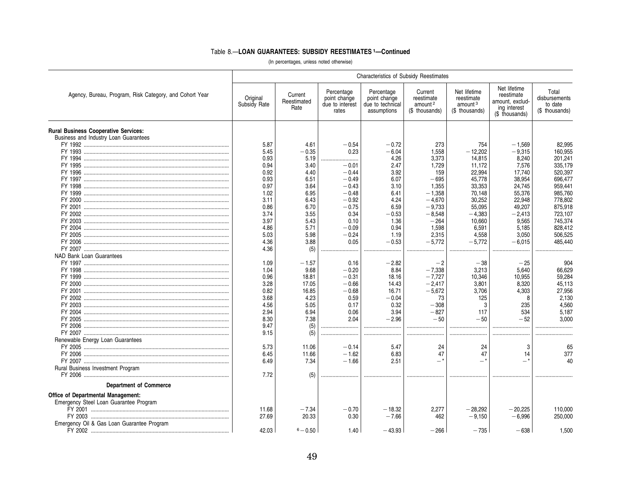|                                                         | <b>Characteristics of Subsidy Reestimates</b> |                                |                                                        |                                                               |                                                                |                                                                     |                                                                                 |                                                     |  |  |
|---------------------------------------------------------|-----------------------------------------------|--------------------------------|--------------------------------------------------------|---------------------------------------------------------------|----------------------------------------------------------------|---------------------------------------------------------------------|---------------------------------------------------------------------------------|-----------------------------------------------------|--|--|
| Agency, Bureau, Program, Risk Category, and Cohort Year | Original<br>Subsidy Rate                      | Current<br>Reestimated<br>Rate | Percentage<br>point change<br>due to interest<br>rates | Percentage<br>point change<br>due to technical<br>assumptions | Current<br>reestimate<br>amount <sup>2</sup><br>(\$ thousands) | Net lifetime<br>reestimate<br>amount <sup>3</sup><br>(\$ thousands) | Net lifetime<br>reestimate<br>amount. exclud-<br>ing interest<br>(\$ thousands) | Total<br>disbursements<br>to date<br>(\$ thousands) |  |  |
| <b>Rural Business Cooperative Services:</b>             |                                               |                                |                                                        |                                                               |                                                                |                                                                     |                                                                                 |                                                     |  |  |
| Business and Industry Loan Guarantees                   |                                               |                                |                                                        |                                                               |                                                                |                                                                     |                                                                                 |                                                     |  |  |
|                                                         | 5.87<br>5.45                                  | 4.61<br>$-0.35$                | $-0.54$<br>0.23                                        | $-0.72$<br>$-6.04$                                            | 273<br>1,558                                                   | 754<br>$-12,202$                                                    | $-1,569$<br>$-9,315$                                                            | 82,995<br>160,955                                   |  |  |
|                                                         |                                               |                                |                                                        |                                                               |                                                                |                                                                     |                                                                                 |                                                     |  |  |
|                                                         | 0.93<br>0.94                                  | 5.19<br>3.40                   | $-0.01$                                                | 4.26                                                          | 3,373<br>1,729                                                 | 14,815                                                              | 8,240                                                                           | 201,241                                             |  |  |
|                                                         |                                               |                                |                                                        | 2.47                                                          |                                                                | 11,172                                                              | 7,576                                                                           | 335,179                                             |  |  |
|                                                         | 0.92                                          | 4.40                           | $-0.44$<br>$-0.49$                                     | 3.92                                                          | 159                                                            | 22,994                                                              | 17,740<br>38,954                                                                | 520,397                                             |  |  |
|                                                         | 0.93                                          | 6.51                           |                                                        | 6.07                                                          | $-695$                                                         | 45,778                                                              |                                                                                 | 696,477                                             |  |  |
|                                                         | 0.97                                          | 3.64                           | $-0.43$                                                | 3.10                                                          | 1,355                                                          | 33,353                                                              | 24,745                                                                          | 959,441                                             |  |  |
|                                                         | 1.02                                          | 6.95                           | $-0.48$                                                | 6.41                                                          | $-1,358$                                                       | 70,148                                                              | 55,376                                                                          | 985,760                                             |  |  |
|                                                         | 3.11                                          | 6.43                           | $-0.92$                                                | 4.24                                                          | $-4.670$                                                       | 30,252                                                              | 22,948                                                                          | 778.802                                             |  |  |
|                                                         | 0.86                                          | 6.70                           | $-0.75$                                                | 6.59                                                          | $-9,733$                                                       | 55,095                                                              | 49,207                                                                          | 875,918                                             |  |  |
|                                                         | 3.74                                          | 3.55                           | 0.34                                                   | $-0.53$                                                       | $-8,548$                                                       | $-4,383$                                                            | $-2.413$                                                                        | 723.107                                             |  |  |
|                                                         | 3.97                                          | 5.43                           | 0.10                                                   | 1.36                                                          | $-264$                                                         | 10,660                                                              | 9,565                                                                           | 745,374                                             |  |  |
|                                                         | 4.86                                          | 5.71                           | $-0.09$<br>$-0.24$                                     | 0.94<br>1.19                                                  | 1,598<br>2,315                                                 | 6,591<br>4,558                                                      | 5,185<br>3,050                                                                  | 828,412<br>506,525                                  |  |  |
|                                                         | 5.03<br>4.36                                  | 5.98<br>3.88                   | 0.05                                                   | $-0.53$                                                       | $-5,772$                                                       | $-5,772$                                                            | $-6,015$                                                                        | 485,440                                             |  |  |
|                                                         | 4.36                                          |                                |                                                        |                                                               |                                                                |                                                                     |                                                                                 |                                                     |  |  |
|                                                         |                                               | (5)                            |                                                        |                                                               |                                                                |                                                                     |                                                                                 | .<br>.                                              |  |  |
| NAD Bank Loan Guarantees                                |                                               |                                |                                                        |                                                               | $-2$                                                           |                                                                     |                                                                                 |                                                     |  |  |
|                                                         | 1.09<br>1.04                                  | $-1.57$<br>9.68                | 0.16<br>$-0.20$                                        | $-2.82$<br>8.84                                               | $-7,338$                                                       | $-38$<br>3,213                                                      | $-25$<br>5.640                                                                  | 904<br>66,629                                       |  |  |
|                                                         | 0.96                                          |                                | $-0.31$                                                |                                                               | $-7,727$                                                       |                                                                     | 10.955                                                                          | 59,284                                              |  |  |
|                                                         | 3.28                                          | 18.81<br>17.05                 | $-0.66$                                                | 18.16<br>14.43                                                | $-2,417$                                                       | 10,346                                                              | 8,320                                                                           | 45,113                                              |  |  |
|                                                         |                                               |                                |                                                        |                                                               | $-5,672$                                                       | 3,801                                                               |                                                                                 |                                                     |  |  |
|                                                         | 0.82                                          | 16.85<br>4.23                  | $-0.68$<br>0.59                                        | 16.71<br>$-0.04$                                              | 73                                                             | 3.706                                                               | 4.303                                                                           | 27.956<br>2,130                                     |  |  |
|                                                         | 3.68                                          |                                |                                                        |                                                               |                                                                | 125<br>3                                                            | 8                                                                               |                                                     |  |  |
|                                                         | 4.56                                          | 5.05                           | 0.17                                                   | 0.32                                                          | $-308$                                                         |                                                                     | 235                                                                             | 4.560                                               |  |  |
|                                                         | 2.94                                          | 6.94                           | 0.06                                                   | 3.94                                                          | $-827$<br>$-50$                                                | 117<br>$-50$                                                        | 534<br>$-52$                                                                    | 5,187                                               |  |  |
|                                                         | 8.30                                          | 7.38                           | 2.04                                                   | $-2.96$                                                       |                                                                |                                                                     |                                                                                 | 3.000                                               |  |  |
|                                                         | 9.47                                          | (5)                            |                                                        |                                                               |                                                                |                                                                     |                                                                                 |                                                     |  |  |
|                                                         | 9.15                                          | (5)                            |                                                        |                                                               |                                                                |                                                                     |                                                                                 |                                                     |  |  |
| Renewable Energy Loan Guarantees                        | 5.73                                          |                                |                                                        | 5.47                                                          |                                                                |                                                                     |                                                                                 |                                                     |  |  |
|                                                         |                                               | 11.06                          | $-0.14$                                                |                                                               | 24<br>47                                                       | 24<br>47                                                            | 3                                                                               | 65                                                  |  |  |
|                                                         | 6.45                                          | 11.66                          | $-1.62$<br>$-1.66$                                     | 6.83                                                          | $-$ *                                                          | $-$ *                                                               | 14<br>-*                                                                        | 377<br>40                                           |  |  |
|                                                         | 6.49                                          | 7.34                           |                                                        | 2.51                                                          |                                                                |                                                                     |                                                                                 |                                                     |  |  |
| Rural Business Investment Program                       |                                               |                                |                                                        |                                                               |                                                                |                                                                     |                                                                                 |                                                     |  |  |
|                                                         | 7.72                                          | (5)                            |                                                        |                                                               |                                                                |                                                                     |                                                                                 |                                                     |  |  |
| <b>Department of Commerce</b>                           |                                               |                                |                                                        |                                                               |                                                                |                                                                     |                                                                                 |                                                     |  |  |
| Office of Departmental Management:                      |                                               |                                |                                                        |                                                               |                                                                |                                                                     |                                                                                 |                                                     |  |  |
| Emergency Steel Loan Guarantee Program                  |                                               |                                |                                                        |                                                               |                                                                |                                                                     |                                                                                 |                                                     |  |  |
|                                                         | 11.68                                         | $-7.34$                        | $-0.70$                                                | $-18.32$                                                      | 2,277                                                          | $-28,292$                                                           | $-20,225$                                                                       | 110,000                                             |  |  |
|                                                         | 27.69                                         | 20.33                          | 0.30                                                   | $-7.66$                                                       | 462                                                            | $-9,150$                                                            | $-6.996$                                                                        | 250,000                                             |  |  |
| Emergency Oil & Gas Loan Guarantee Program              |                                               |                                |                                                        |                                                               |                                                                |                                                                     |                                                                                 |                                                     |  |  |
|                                                         | 42.03                                         | $6 - 0.50$                     | 1.40                                                   | $-43.93$                                                      | $-266$                                                         | $-735$                                                              | $-638$                                                                          | 1.500                                               |  |  |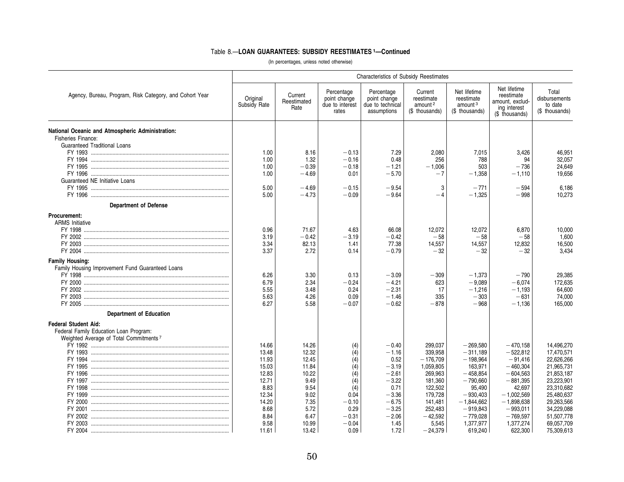|                                                                                                                                                                                 | Characteristics of Subsidy Reestimates                                                                        |                                                                                                             |                                                                                                        |                                                                                                                                 |                                                                                                                                                    |                                                                                                                                                                           |                                                                                                                                                                               |                                                                                                                                                                                    |
|---------------------------------------------------------------------------------------------------------------------------------------------------------------------------------|---------------------------------------------------------------------------------------------------------------|-------------------------------------------------------------------------------------------------------------|--------------------------------------------------------------------------------------------------------|---------------------------------------------------------------------------------------------------------------------------------|----------------------------------------------------------------------------------------------------------------------------------------------------|---------------------------------------------------------------------------------------------------------------------------------------------------------------------------|-------------------------------------------------------------------------------------------------------------------------------------------------------------------------------|------------------------------------------------------------------------------------------------------------------------------------------------------------------------------------|
| Agency, Bureau, Program, Risk Category, and Cohort Year                                                                                                                         | Original<br>Subsidy Rate                                                                                      | Current<br>Reestimated<br>Rate                                                                              | Percentage<br>point change<br>due to interest<br>rates                                                 | Percentage<br>point change<br>due to technical<br>assumptions                                                                   | Current<br>reestimate<br>amount <sup>2</sup><br>(\$ thousands)                                                                                     | Net lifetime<br>reestimate<br>amount <sup>3</sup><br>(\$ thousands)                                                                                                       | Net lifetime<br>reestimate<br>amount, exclud-<br>ing interest<br>(\$ thousands)                                                                                               | Total<br>disbursements<br>to date<br>(\$ thousands)                                                                                                                                |
| National Oceanic and Atmospheric Administration:<br>Fisheries Finance:<br><b>Guaranteed Traditional Loans</b><br>Guaranteed NE Initiative Loans<br><b>Department of Defense</b> | 1.00<br>1.00<br>1.00<br>1.00<br>5.00<br>5.00                                                                  | 8.16<br>1.32<br>$-0.39$<br>$-4.69$<br>$-4.69$<br>$-4.73$                                                    | $-0.13$<br>$-0.16$<br>$-0.18$<br>0.01<br>$-0.15$<br>$-0.09$                                            | 7.29<br>0.48<br>$-1.21$<br>$-5.70$<br>$-9.54$<br>$-9.64$                                                                        | 2,080<br>256<br>$-1,006$<br>$-7$<br>3<br>$-4$                                                                                                      | 7,015<br>788<br>503<br>$-1,358$<br>$-771$<br>$-1,325$                                                                                                                     | 3,426<br>94<br>$-736$<br>$-1,110$<br>$-594$<br>$-998$                                                                                                                         | 46,951<br>32,057<br>24,649<br>19,656<br>6.186<br>10.273                                                                                                                            |
| Procurement:<br><b>ARMS</b> Initiative                                                                                                                                          | 0.96<br>3.19<br>3.34<br>3.37                                                                                  | 71.67<br>$-0.42$<br>82.13<br>2.72                                                                           | 4.63<br>$-3.19$<br>1.41<br>0.14                                                                        | 66.08<br>$-0.42$<br>77.38<br>$-0.79$                                                                                            | 12,072<br>$-58$<br>14,557<br>$-32$                                                                                                                 | 12,072<br>$-58$<br>14,557<br>$-32$                                                                                                                                        | 6,870<br>$-58$<br>12,832<br>$-32$                                                                                                                                             | 10,000<br>1,600<br>16,500<br>3.434                                                                                                                                                 |
| <b>Family Housing:</b><br>Family Housing Improvement Fund Guaranteed Loans                                                                                                      | 6.26<br>6.79<br>5.55<br>5.63<br>6.27                                                                          | 3.30<br>2.34<br>3.48<br>4.26<br>5.58                                                                        | 0.13<br>$-0.24$<br>0.24<br>0.09<br>$-0.07$                                                             | $-3.09$<br>$-4.21$<br>$-2.31$<br>$-1.46$<br>$-0.62$                                                                             | $-309$<br>623<br>17<br>335<br>$-878$                                                                                                               | $-1,373$<br>$-9.089$<br>$-1,216$<br>$-303$<br>$-968$                                                                                                                      | $-790$<br>$-6.074$<br>$-1,193$<br>$-631$<br>$-1,136$                                                                                                                          | 29,385<br>172.635<br>64,600<br>74,000<br>165,000                                                                                                                                   |
| <b>Department of Education</b><br><b>Federal Student Aid:</b><br>Federal Family Education Loan Program:<br>Weighted Average of Total Commitments <sup>7</sup>                   | 14.66<br>13.48<br>11.93<br>15.03<br>12.83<br>12.71<br>8.83<br>12.34<br>14.20<br>8.68<br>8.84<br>9.58<br>11.61 | 14.26<br>12.32<br>12.45<br>11.84<br>10.22<br>9.49<br>9.54<br>9.02<br>7.35<br>5.72<br>6.47<br>10.99<br>13.42 | (4)<br>(4)<br>(4)<br>(4)<br>(4)<br>(4)<br>(4)<br>0.04<br>$-0.10$<br>0.29<br>$-0.31$<br>$-0.04$<br>0.09 | $-0.40$<br>$-1.16$<br>0.52<br>$-3.19$<br>$-2.61$<br>$-3.22$<br>0.71<br>$-3.36$<br>$-6.75$<br>$-3.25$<br>$-2.06$<br>1.45<br>1.72 | 299,037<br>339,958<br>$-176,709$<br>1,059,805<br>269,963<br>181,360<br>122,502<br>179.728<br>141,481<br>252,483<br>$-42,592$<br>5,545<br>$-24,379$ | $-269,580$<br>$-311,189$<br>$-198,964$<br>163,971<br>$-458.854$<br>$-790,660$<br>95,490<br>$-930.403$<br>$-1,844,662$<br>$-919,843$<br>$-779,028$<br>1,377,977<br>619,240 | $-470,158$<br>$-522,812$<br>$-91,416$<br>$-460.304$<br>$-604,563$<br>$-881,395$<br>42,697<br>$-1.002.569$<br>$-1.898.638$<br>$-993,011$<br>$-769,597$<br>1,377,274<br>622,300 | 14,496,270<br>17,470,571<br>22,626,266<br>21.965.731<br>21,853,187<br>23,223,901<br>23,310,682<br>25.480.637<br>29.263.566<br>34,229,088<br>51,507,778<br>69,057,709<br>75,309,613 |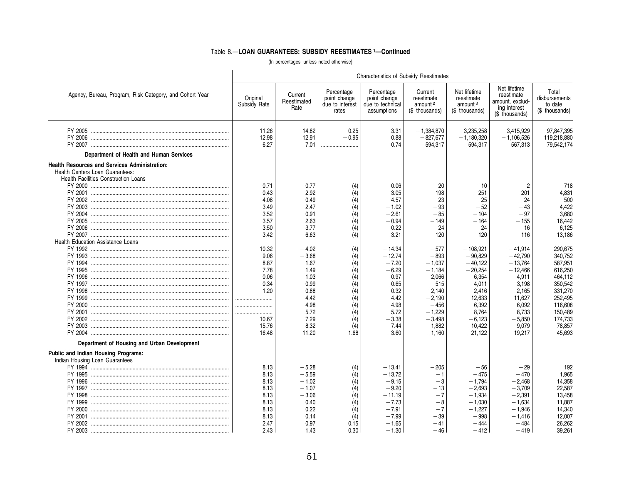|                                                                                                                                 | <b>Characteristics of Subsidy Reestimates</b>                                                |                                                                                                             |                                                                                             |                                                                                                                                |                                                                                                                                                  |                                                                                                                                                |                                                                                                                                              |                                                                                                                                           |  |  |
|---------------------------------------------------------------------------------------------------------------------------------|----------------------------------------------------------------------------------------------|-------------------------------------------------------------------------------------------------------------|---------------------------------------------------------------------------------------------|--------------------------------------------------------------------------------------------------------------------------------|--------------------------------------------------------------------------------------------------------------------------------------------------|------------------------------------------------------------------------------------------------------------------------------------------------|----------------------------------------------------------------------------------------------------------------------------------------------|-------------------------------------------------------------------------------------------------------------------------------------------|--|--|
| Agency, Bureau, Program, Risk Category, and Cohort Year                                                                         | Original<br>Subsidy Rate                                                                     | Current<br>Reestimated<br>Rate                                                                              | Percentage<br>point change<br>due to interest<br>rates                                      | Percentage<br>point change<br>due to technical<br>assumptions                                                                  | Current<br>reestimate<br>amount <sup>2</sup><br>(\$ thousands)                                                                                   | Net lifetime<br>reestimate<br>amount <sup>3</sup><br>(\$ thousands)                                                                            | Net lifetime<br>reestimate<br>amount, exclud-<br>ing interest<br>(\$ thousands)                                                              | Total<br>disbursements<br>to date<br>(\$ thousands)                                                                                       |  |  |
|                                                                                                                                 | 11.26<br>12.98<br>6.27                                                                       | 14.82<br>12.91<br>7.01                                                                                      | 0.25<br>$-0.95$<br>                                                                         | 3.31<br>0.88<br>0.74                                                                                                           | $-1,384,870$<br>$-827.677$<br>594,317                                                                                                            | 3,235,258<br>$-1,180,320$<br>594,317                                                                                                           | 3,415,929<br>$-1.106.526$<br>567,313                                                                                                         | 97,847,395<br>119.218.880<br>79,542,174                                                                                                   |  |  |
| Department of Health and Human Services                                                                                         |                                                                                              |                                                                                                             |                                                                                             |                                                                                                                                |                                                                                                                                                  |                                                                                                                                                |                                                                                                                                              |                                                                                                                                           |  |  |
| Health Resources and Services Administration:<br>Health Centers Loan Guarantees:<br><b>Health Facilities Construction Loans</b> | 0.71<br>0.43<br>4.08<br>3.49                                                                 | 0.77<br>$-2.92$<br>$-0.49$<br>2.47                                                                          | (4)<br>(4)<br>(4)<br>(4)                                                                    | 0.06<br>$-3.05$<br>$-4.57$<br>$-1.02$                                                                                          | $-20$<br>$-198$<br>$-23$<br>$-93$                                                                                                                | $-10$<br>$-251$<br>$-25$<br>$-52$                                                                                                              | $\overline{2}$<br>$-201$<br>$-24$<br>$-43$                                                                                                   | 718<br>4.831<br>500<br>4.422                                                                                                              |  |  |
| Health Education Assistance Loans                                                                                               | 3.52<br>3.57<br>3.50<br>3.42                                                                 | 0.91<br>2.63<br>3.77<br>6.63                                                                                | (4)<br>(4)<br>(4)<br>(4)                                                                    | $-2.61$<br>$-0.94$<br>0.22<br>3.21                                                                                             | $-85$<br>$-149$<br>24<br>$-120$                                                                                                                  | $-104$<br>$-164$<br>24<br>$-120$                                                                                                               | $-97$<br>$-155$<br>16<br>$-116$                                                                                                              | 3.680<br>16,442<br>6.125<br>13,186                                                                                                        |  |  |
| Department of Housing and Urban Development                                                                                     | 10.32<br>9.06<br>8.87<br>7.78<br>0.06<br>0.34<br>1.20<br><br><br><br>10.67<br>15.76<br>16.48 | $-4.02$<br>$-3.68$<br>1.67<br>1.49<br>1.03<br>0.99<br>0.88<br>4.42<br>4.98<br>5.72<br>7.29<br>8.32<br>11.20 | (4)<br>(4)<br>(4)<br>(4)<br>(4)<br>(4)<br>(4)<br>(4)<br>(4)<br>(4)<br>(4)<br>(4)<br>$-1.68$ | $-14.34$<br>$-12.74$<br>$-7.20$<br>$-6.29$<br>0.97<br>0.65<br>$-0.32$<br>4.42<br>4.98<br>5.72<br>$-3.38$<br>$-7.44$<br>$-3.60$ | $-577$<br>$-893$<br>$-1.037$<br>$-1,184$<br>$-2.066$<br>$-515$<br>$-2,140$<br>$-2,190$<br>$-456$<br>$-1,229$<br>$-3,498$<br>$-1,882$<br>$-1.160$ | $-108.921$<br>$-90,829$<br>$-40.122$<br>$-20,254$<br>6.354<br>4,011<br>2,416<br>12,633<br>6,392<br>8.764<br>$-6.123$<br>$-10,422$<br>$-21,122$ | $-41.914$<br>$-42,790$<br>$-13.764$<br>$-12,466$<br>4.911<br>3,198<br>2,165<br>11,627<br>6,092<br>8.733<br>$-5.850$<br>$-9,079$<br>$-19,217$ | 290,675<br>340,752<br>587,951<br>616,250<br>464.112<br>350,542<br>331,270<br>252,495<br>116,608<br>150.489<br>174,733<br>78,857<br>45.693 |  |  |
| Public and Indian Housing Programs:<br>Indian Housing Loan Guarantees                                                           | 8.13<br>8.13<br>8.13<br>8.13<br>8.13<br>8.13<br>8.13<br>8.13<br>2.47<br>2.43                 | $-5.28$<br>$-5.59$<br>$-1.02$<br>$-1.07$<br>$-3.06$<br>0.40<br>0.22<br>0.14<br>0.97<br>1.43                 | (4)<br>(4)<br>(4)<br>(4)<br>(4)<br>(4)<br>(4)<br>(4)<br>0.15<br>0.30                        | $-13.41$<br>$-13.72$<br>$-9.15$<br>$-9.20$<br>$-11.19$<br>$-7.73$<br>$-7.91$<br>$-7.99$<br>$-1.65$<br>$-1.30$                  | $-205$<br>$-1$<br>$-3$<br>$-13$<br>$-7$<br>$-8$<br>$-7$<br>$-39$<br>$-41$<br>$-46$                                                               | $-56$<br>$-475$<br>$-1,794$<br>$-2.693$<br>$-1.934$<br>$-1,030$<br>$-1,227$<br>$-998$<br>$-444$<br>$-412$                                      | $-29$<br>$-470$<br>$-2.468$<br>$-3,709$<br>$-2.391$<br>$-1.634$<br>$-1,946$<br>$-1.416$<br>$-484$<br>$-419$                                  | 192<br>1,965<br>14.358<br>22,587<br>13.458<br>11,887<br>14,340<br>12,007<br>26,262<br>39.261                                              |  |  |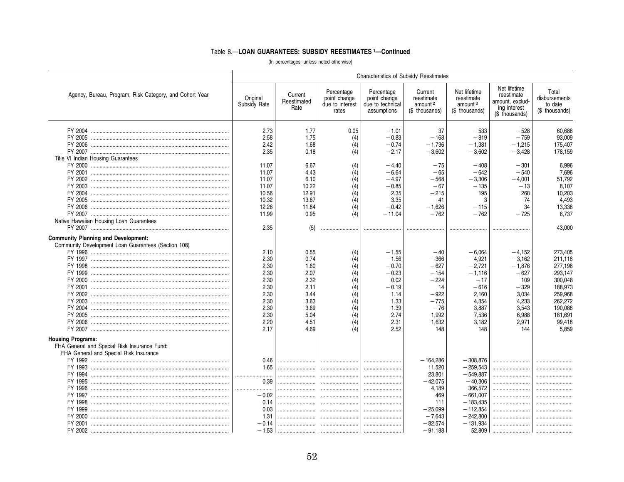|                                                         | <b>Characteristics of Subsidy Reestimates</b> |                                |                                                        |                                                               |                                                                |                                                                     |                                                                                 |                                                     |
|---------------------------------------------------------|-----------------------------------------------|--------------------------------|--------------------------------------------------------|---------------------------------------------------------------|----------------------------------------------------------------|---------------------------------------------------------------------|---------------------------------------------------------------------------------|-----------------------------------------------------|
| Agency, Bureau, Program, Risk Category, and Cohort Year | Original<br>Subsidy Rate                      | Current<br>Reestimated<br>Rate | Percentage<br>point change<br>due to interest<br>rates | Percentage<br>point change<br>due to technical<br>assumptions | Current<br>reestimate<br>amount <sup>2</sup><br>(\$ thousands) | Net lifetime<br>reestimate<br>amount <sup>3</sup><br>(\$ thousands) | Net lifetime<br>reestimate<br>amount, exclud-<br>ing interest<br>(\$ thousands) | Total<br>disbursements<br>to date<br>(\$ thousands) |
|                                                         | 2.73                                          | 1.77                           | 0.05                                                   | $-1.01$                                                       | 37                                                             | $-533$                                                              | $-528$                                                                          | 60,688                                              |
|                                                         | 2.58                                          | 1.75                           | (4)                                                    | $-0.83$                                                       | $-168$                                                         | $-819$                                                              | $-759$                                                                          | 93,009                                              |
|                                                         | 2.42                                          | 1.68                           | (4)                                                    | $-0.74$                                                       | $-1,736$                                                       | $-1,381$                                                            | $-1,215$                                                                        | 175,407                                             |
|                                                         | 2.35                                          | 0.18                           | (4)                                                    | $-2.17$                                                       | $-3,602$                                                       | $-3,602$                                                            | $-3,428$                                                                        | 178,159                                             |
| Title VI Indian Housing Guarantees                      |                                               |                                |                                                        |                                                               |                                                                |                                                                     |                                                                                 |                                                     |
|                                                         | 11.07                                         | 6.67                           | (4)                                                    | $-4.40$                                                       | $-75$                                                          | $-408$                                                              | $-301$                                                                          | 6,996                                               |
|                                                         | 11.07                                         | 4.43                           | (4)                                                    | $-6.64$                                                       | $-65$                                                          | $-642$                                                              | $-540$                                                                          | 7,696                                               |
|                                                         | 11.07                                         | 6.10                           | (4)                                                    | $-4.97$                                                       | $-568$                                                         | $-3,306$                                                            | $-4.001$                                                                        | 51,792                                              |
|                                                         | 11.07                                         | 10.22                          | (4)                                                    | $-0.85$                                                       | $-67$                                                          | $-135$                                                              | $-13$                                                                           | 8.107                                               |
|                                                         | 10.56                                         | 12.91                          | (4)                                                    | 2.35                                                          | $-215$                                                         | 195                                                                 | 268                                                                             | 10.203                                              |
|                                                         | 10.32                                         | 13.67                          | (4)                                                    | 3.35                                                          | $-41$                                                          | 3                                                                   | 74                                                                              | 4.493                                               |
|                                                         | 12.26                                         | 11.84                          | $\overline{(4)}$                                       | $-0.42$                                                       | $-1,626$                                                       | $-115$                                                              | 34                                                                              | 13,338                                              |
|                                                         | 11.99                                         | 0.95                           | (4)                                                    | $-11.04$                                                      | $-762$                                                         | $-762$                                                              | $-725$                                                                          | 6,737                                               |
| Native Hawaiian Housing Loan Guarantees                 |                                               |                                |                                                        |                                                               |                                                                |                                                                     |                                                                                 |                                                     |
|                                                         | 2.35                                          | (5)                            |                                                        |                                                               |                                                                |                                                                     |                                                                                 | 43,000                                              |
| <b>Community Planning and Development:</b>              |                                               |                                |                                                        |                                                               |                                                                |                                                                     |                                                                                 |                                                     |
| Community Development Loan Guarantees (Section 108)     |                                               |                                |                                                        |                                                               |                                                                |                                                                     |                                                                                 |                                                     |
|                                                         | 2.10                                          | 0.55                           | (4)                                                    | $-1.55$                                                       | $-40$                                                          | $-6,064$                                                            | $-4,152$                                                                        | 273,405                                             |
|                                                         | 2.30                                          | 0.74                           | (4)                                                    | $-1.56$                                                       | $-366$                                                         | $-4.921$                                                            | $-3.162$                                                                        | 211.118                                             |
|                                                         | 2.30                                          | 1.60                           | (4)                                                    | $-0.70$                                                       | $-627$                                                         | $-2,721$                                                            | $-1,876$                                                                        | 277,198                                             |
|                                                         | 2.30                                          | 2.07                           | (4)                                                    | $-0.23$                                                       | $-154$                                                         | $-1,116$                                                            | $-627$                                                                          | 293,147                                             |
|                                                         | 2.30                                          | 2.32                           | (4)                                                    | 0.02                                                          | $-224$                                                         | $-17$                                                               | 109                                                                             | 300,048                                             |
|                                                         | 2.30                                          | 2.11                           | (4)                                                    | $-0.19$                                                       | 14                                                             | $-616$                                                              | $-329$                                                                          | 188,973                                             |
|                                                         | 2.30                                          | 3.44                           | (4)                                                    | 1.14                                                          | $-922$                                                         | 2,160                                                               | 3.034                                                                           | 259,968                                             |
|                                                         | 2.30                                          | 3.63                           | (4)                                                    | 1.33                                                          | $-775$                                                         | 4,354                                                               | 4,233                                                                           | 262,272                                             |
|                                                         | 2.30                                          | 3.69                           | (4)                                                    | 1.39                                                          | $-76$                                                          | 3,887                                                               | 3,543                                                                           | 190,088                                             |
|                                                         | 2.30                                          | 5.04                           | (4)                                                    | 2.74                                                          | 1,992                                                          | 7,536                                                               | 6,988                                                                           | 181,691                                             |
|                                                         | 2.20                                          | 4.51                           | (4)                                                    | 2.31                                                          | 1,632                                                          | 3.182                                                               | 2.971                                                                           | 99,418                                              |
|                                                         | 2.17                                          | 4.69                           |                                                        | 2.52                                                          | 148                                                            | 148                                                                 | 144                                                                             | 5.859                                               |
| <b>Housing Programs:</b>                                |                                               |                                |                                                        |                                                               |                                                                |                                                                     |                                                                                 |                                                     |
| FHA General and Special Risk Insurance Fund:            |                                               |                                |                                                        |                                                               |                                                                |                                                                     |                                                                                 |                                                     |
| FHA General and Special Risk Insurance                  |                                               |                                |                                                        |                                                               |                                                                |                                                                     |                                                                                 |                                                     |
|                                                         | 0.46                                          |                                |                                                        |                                                               | $-164,286$                                                     | $-308,876$                                                          |                                                                                 |                                                     |
|                                                         | 1.65                                          |                                |                                                        |                                                               | 11,520                                                         | $-259.543$                                                          |                                                                                 |                                                     |
|                                                         |                                               |                                |                                                        |                                                               | 23,801                                                         | $-549,887$                                                          |                                                                                 |                                                     |
|                                                         | 0.39                                          |                                |                                                        |                                                               | $-42.075$                                                      | $-40,306$                                                           |                                                                                 |                                                     |
|                                                         |                                               |                                |                                                        |                                                               | 4,189                                                          | 366,572                                                             |                                                                                 |                                                     |
|                                                         | $-0.02$                                       |                                |                                                        |                                                               | 469                                                            | $-661.007$                                                          |                                                                                 |                                                     |
|                                                         | 0.14                                          |                                |                                                        |                                                               | 111                                                            | $-183,435$                                                          |                                                                                 |                                                     |
|                                                         | 0.03                                          |                                |                                                        |                                                               | $-25,099$                                                      | $-112,854$                                                          |                                                                                 |                                                     |
|                                                         | 1.31                                          |                                |                                                        |                                                               | $-7,643$                                                       | $-242,800$                                                          |                                                                                 |                                                     |
|                                                         | $-0.14$                                       |                                |                                                        |                                                               | $-82.574$                                                      | $-131,934$                                                          |                                                                                 |                                                     |
|                                                         |                                               |                                |                                                        |                                                               | $-91,188$                                                      | 52,809                                                              |                                                                                 |                                                     |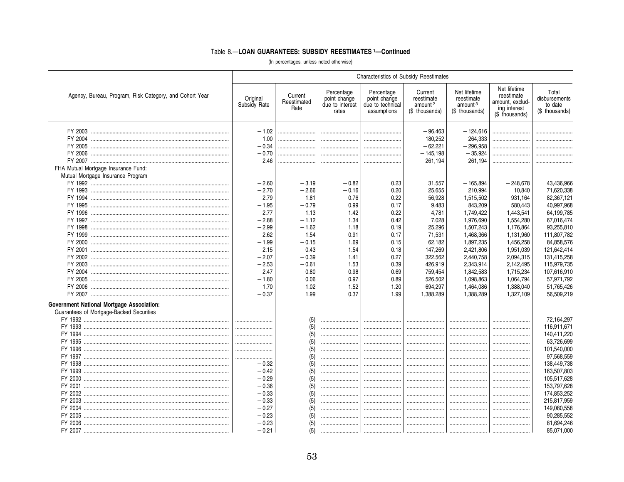|                                                                                       | Characteristics of Subsidy Reestimates |                                |                                                        |                                                               |                                                                |                                                                     |                                                                                 |                                                     |  |  |
|---------------------------------------------------------------------------------------|----------------------------------------|--------------------------------|--------------------------------------------------------|---------------------------------------------------------------|----------------------------------------------------------------|---------------------------------------------------------------------|---------------------------------------------------------------------------------|-----------------------------------------------------|--|--|
| Agency, Bureau, Program, Risk Category, and Cohort Year                               | Original<br>Subsidy Rate               | Current<br>Reestimated<br>Rate | Percentage<br>point change<br>due to interest<br>rates | Percentage<br>point change<br>due to technical<br>assumptions | Current<br>reestimate<br>amount <sup>2</sup><br>(\$ thousands) | Net lifetime<br>reestimate<br>amount <sup>3</sup><br>(\$ thousands) | Net lifetime<br>reestimate<br>amount, exclud-<br>ing interest<br>(\$ thousands) | Total<br>disbursements<br>to date<br>(\$ thousands) |  |  |
|                                                                                       | $-1.02$                                |                                |                                                        |                                                               | $-96,463$                                                      | $-124.616$                                                          |                                                                                 |                                                     |  |  |
|                                                                                       | $-1.00$                                |                                |                                                        |                                                               | $-180,252$                                                     | $-264,333$                                                          |                                                                                 |                                                     |  |  |
|                                                                                       | $-0.34$                                |                                |                                                        |                                                               | $-62.221$                                                      | $-296,958$                                                          |                                                                                 |                                                     |  |  |
|                                                                                       | $-0.70$                                |                                |                                                        |                                                               | $-145.198$                                                     | $-35,924$                                                           |                                                                                 |                                                     |  |  |
|                                                                                       | $-2.46$                                |                                |                                                        |                                                               | 261,194                                                        | 261,194                                                             |                                                                                 |                                                     |  |  |
| FHA Mutual Mortgage Insurance Fund:                                                   |                                        |                                |                                                        |                                                               |                                                                |                                                                     |                                                                                 |                                                     |  |  |
| Mutual Mortgage Insurance Program                                                     |                                        |                                |                                                        |                                                               |                                                                |                                                                     |                                                                                 |                                                     |  |  |
|                                                                                       | $-2.60$                                | $-3.19$                        | $-0.82$                                                | 0.23                                                          | 31,557                                                         | $-165,894$                                                          | $-248,678$                                                                      | 43,436,966                                          |  |  |
|                                                                                       | $-2.70$                                | $-2.66$                        | $-0.16$                                                | 0.20                                                          | 25,655                                                         | 210,994                                                             | 10,840                                                                          | 71,620,338                                          |  |  |
|                                                                                       | $-2.79$                                | $-1.81$                        | 0.76                                                   | 0.22                                                          | 56,928                                                         | 1,515,502                                                           | 931,164                                                                         | 82,367,121                                          |  |  |
|                                                                                       | $-1.95$                                | $-0.79$                        | 0.99                                                   | 0.17                                                          | 9,483                                                          | 843,209                                                             | 580,443                                                                         | 40,997,968                                          |  |  |
|                                                                                       | $-2.77$                                | $-1.13$                        | 1.42                                                   |                                                               |                                                                |                                                                     |                                                                                 |                                                     |  |  |
|                                                                                       | $-2.88$                                | $-1.12$                        |                                                        | 0.22<br>0.42                                                  | $-4,781$                                                       | 1,749,422                                                           | 1,443,541                                                                       | 64,199,785                                          |  |  |
|                                                                                       |                                        |                                | 1.34                                                   |                                                               | 7,028                                                          | 1,976,690                                                           | 1,554,280                                                                       | 67,016,474                                          |  |  |
|                                                                                       | $-2.99$                                | $-1.62$                        | 1.18                                                   | 0.19                                                          | 25,296                                                         | 1,507,243                                                           | 1,176,864                                                                       | 93,255,810                                          |  |  |
|                                                                                       | $-2.62$                                | $-1.54$                        | 0.91                                                   | 0.17                                                          | 71,531                                                         | 1,468,366                                                           | 1,131,960                                                                       | 111,807,782                                         |  |  |
|                                                                                       | $-1.99$                                | $-0.15$                        | 1.69                                                   | 0.15                                                          | 62,182                                                         | 1,897,235                                                           | 1,456,258                                                                       | 84.858.576                                          |  |  |
|                                                                                       | $-2.15$                                | $-0.43$                        | 1.54                                                   | 0.18                                                          | 147,269                                                        | 2,421,806                                                           | 1,951,039                                                                       | 121,642,414                                         |  |  |
|                                                                                       | $-2.07$                                | $-0.39$                        | 1.41                                                   | 0.27                                                          | 322,562                                                        | 2,440,758                                                           | 2,094,315                                                                       | 131,415,258                                         |  |  |
|                                                                                       | $-2.53$                                | $-0.61$                        | 1.53                                                   | 0.39                                                          | 426,919                                                        | 2,343,914                                                           | 2,142,495                                                                       | 115,979,735                                         |  |  |
|                                                                                       | $-2.47$                                | $-0.80$                        | 0.98                                                   | 0.69                                                          | 759,454                                                        | 1,842,583                                                           | 1,715,234                                                                       | 107,616,910                                         |  |  |
|                                                                                       | $-1.80$                                | 0.06                           | 0.97                                                   | 0.89                                                          | 526,502                                                        | 1,098,863                                                           | 1,064,794                                                                       | 57,971,792                                          |  |  |
|                                                                                       | $-1.70$                                | 1.02                           | 1.52                                                   | 1.20                                                          | 694,297                                                        | 1,464,086                                                           | 1,388,040                                                                       | 51,765,426                                          |  |  |
|                                                                                       | $-0.37$                                | 1.99                           | 0.37                                                   | 1.99                                                          | 1,388,289                                                      | 1,388,289                                                           | 1,327,109                                                                       | 56,509,219                                          |  |  |
| Government National Mortgage Association:<br>Guarantees of Mortgage-Backed Securities |                                        | (5)                            |                                                        |                                                               |                                                                |                                                                     |                                                                                 | 72,164,297                                          |  |  |
|                                                                                       |                                        | (5)                            |                                                        |                                                               |                                                                |                                                                     |                                                                                 | 116,911,671                                         |  |  |
|                                                                                       |                                        | (5)                            |                                                        |                                                               | <br>                                                           |                                                                     |                                                                                 | 140,411,220                                         |  |  |
|                                                                                       |                                        | (5)                            |                                                        |                                                               |                                                                |                                                                     |                                                                                 | 63.726.699                                          |  |  |
|                                                                                       |                                        | (5)                            |                                                        |                                                               |                                                                |                                                                     |                                                                                 | 101,540,000                                         |  |  |
|                                                                                       |                                        |                                |                                                        |                                                               |                                                                |                                                                     |                                                                                 | 97,568,559                                          |  |  |
|                                                                                       | <br>$-0.32$                            | (5)                            |                                                        |                                                               |                                                                |                                                                     |                                                                                 | 138.449.738                                         |  |  |
|                                                                                       | $-0.42$                                | (5)                            |                                                        |                                                               |                                                                |                                                                     |                                                                                 |                                                     |  |  |
|                                                                                       |                                        | (5)                            |                                                        |                                                               |                                                                |                                                                     |                                                                                 | 163,507,803                                         |  |  |
|                                                                                       | $-0.29$                                | (5)                            |                                                        |                                                               |                                                                |                                                                     |                                                                                 | 105,517,628                                         |  |  |
|                                                                                       | $-0.36$                                | (5)                            |                                                        |                                                               |                                                                |                                                                     |                                                                                 | 153,797,628                                         |  |  |
|                                                                                       | $-0.33$                                | (5)                            |                                                        |                                                               |                                                                |                                                                     |                                                                                 | 174,853,252                                         |  |  |
|                                                                                       | $-0.33$                                | (5)                            |                                                        |                                                               |                                                                |                                                                     |                                                                                 | 215,817,959                                         |  |  |
|                                                                                       | $-0.27$                                | (5)                            |                                                        |                                                               |                                                                |                                                                     |                                                                                 | 149,080,558                                         |  |  |
|                                                                                       | $-0.23$                                | (5)                            |                                                        |                                                               |                                                                |                                                                     |                                                                                 | 90,285,552                                          |  |  |
|                                                                                       | $-0.23$                                | (5)                            |                                                        |                                                               |                                                                |                                                                     |                                                                                 | 81,694,246                                          |  |  |
|                                                                                       | $-0.21$                                |                                |                                                        |                                                               |                                                                | <u>    </u>                                                         |                                                                                 | 85.071.000                                          |  |  |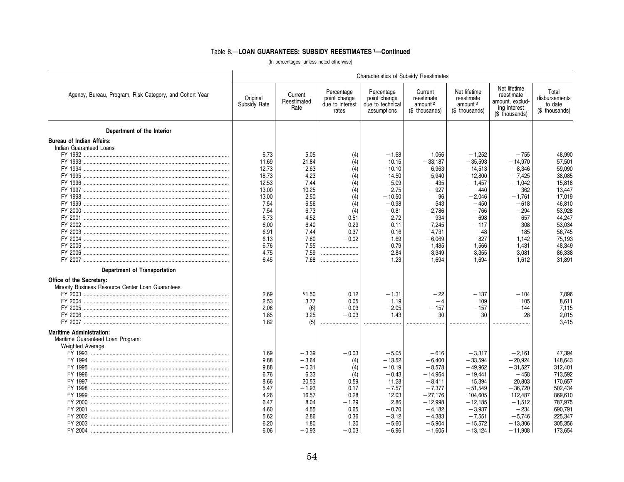|                                                                                                                           | <b>Characteristics of Subsidy Reestimates</b>                                                              |                                                                                                               |                                                                                                    |                                                                                                                                     |                                                                                                                                               |                                                                                                                                                  |                                                                                                                                            |                                                                                                                                 |  |  |
|---------------------------------------------------------------------------------------------------------------------------|------------------------------------------------------------------------------------------------------------|---------------------------------------------------------------------------------------------------------------|----------------------------------------------------------------------------------------------------|-------------------------------------------------------------------------------------------------------------------------------------|-----------------------------------------------------------------------------------------------------------------------------------------------|--------------------------------------------------------------------------------------------------------------------------------------------------|--------------------------------------------------------------------------------------------------------------------------------------------|---------------------------------------------------------------------------------------------------------------------------------|--|--|
| Agency, Bureau, Program, Risk Category, and Cohort Year                                                                   | Original<br>Subsidy Rate                                                                                   | Current<br>Reestimated<br>Rate                                                                                | Percentage<br>point change<br>due to interest<br>rates                                             | Percentage<br>point change<br>due to technical<br>assumptions                                                                       | Current<br>reestimate<br>amount <sup>2</sup><br>(\$ thousands)                                                                                | Net lifetime<br>reestimate<br>amount <sup>3</sup><br>(\$ thousands)                                                                              | Net lifetime<br>reestimate<br>amount, exclud-<br>ing interest<br>(\$ thousands)                                                            | Total<br>disbursements<br>to date<br>(\$ thousands)                                                                             |  |  |
| Department of the Interior                                                                                                |                                                                                                            |                                                                                                               |                                                                                                    |                                                                                                                                     |                                                                                                                                               |                                                                                                                                                  |                                                                                                                                            |                                                                                                                                 |  |  |
| <b>Bureau of Indian Affairs:</b><br>Indian Guaranteed Loans<br>FY 1994                                                    | 6.73<br>11.69<br>12.73<br>18.73<br>12.53<br>13.00<br>13.00<br>7.54<br>7.54<br>6.73<br>6.00<br>6.91<br>6.13 | 5.05<br>21.84<br>2.63<br>4.23<br>7.44<br>10.25<br>2.50<br>6.56<br>6.73<br>4.52<br>6.40<br>7.44<br>7.80        | (4)<br>(4)<br>(4)<br>(4)<br>(4)<br>(4)<br>(4)<br>(4)<br>(4)<br>0.51<br>0.29<br>0.37<br>$-0.02$     | $-1.68$<br>10.15<br>$-10.10$<br>$-14.50$<br>$-5.09$<br>$-2.75$<br>$-10.50$<br>$-0.98$<br>$-0.81$<br>$-2.72$<br>0.11<br>0.16<br>1.69 | 1,066<br>$-33.187$<br>$-6,963$<br>$-5,940$<br>$-435$<br>$-927$<br>96<br>543<br>$-2,786$<br>$-934$<br>$-7,245$<br>$-4.731$<br>$-6,069$         | $-1,252$<br>$-35.593$<br>$-14,513$<br>$-12.800$<br>$-1,457$<br>$-440$<br>$-2,046$<br>$-450$<br>$-766$<br>$-698$<br>$-117$<br>$-48$<br>827        | $-755$<br>$-14,970$<br>$-8,346$<br>$-7.425$<br>$-1,042$<br>$-362$<br>$-1,761$<br>$-618$<br>$-294$<br>$-657$<br>308<br>185<br>1,142         | 48,990<br>57,501<br>59,090<br>38.085<br>15,818<br>13,447<br>17,019<br>46,810<br>53,928<br>44,247<br>53,034<br>56.745<br>75,193  |  |  |
| Department of Transportation                                                                                              | 6.76<br>4.75<br>6.45                                                                                       | 7.55<br>7.59<br>7.68                                                                                          | <br>                                                                                               | 0.79<br>2.84<br>1.23                                                                                                                | 1,485<br>3,349<br>1.694                                                                                                                       | 1,566<br>3,355<br>1.694                                                                                                                          | 1,431<br>3.081<br>1.612                                                                                                                    | 48,349<br>86,338<br>31,891                                                                                                      |  |  |
| Office of the Secretary:<br>Minority Business Resource Center Loan Guarantees<br>FY 2005 …………………………………………………………………………………… | 2.69<br>2.53<br>2.08<br>1.85<br>1.82                                                                       | 61.50<br>3.77<br>(6)<br>3.25<br>(5)                                                                           | 0.12<br>0.05<br>$-0.03$<br>$-0.03$                                                                 | $-1.31$<br>1.19<br>$-2.05$<br>1.43                                                                                                  | $-22$<br>$-4$<br>$-157$<br>30                                                                                                                 | $-137$<br>109<br>$-157$<br>30                                                                                                                    | $-104$<br>105<br>$-144$<br>28                                                                                                              | 7.896<br>8,611<br>7.115<br>2,015<br>3.415                                                                                       |  |  |
| <b>Maritime Administration:</b><br>Maritime Guaranteed Loan Program:<br><b>Weighted Average</b>                           | 1.69<br>9.88<br>9.88<br>6.76<br>8.66<br>5.47<br>4.26<br>6.47<br>4.60<br>5.62<br>6.20<br>6.06               | $-3.39$<br>$-3.64$<br>$-0.31$<br>6.33<br>20.53<br>$-1.93$<br>16.57<br>8.04<br>4.55<br>2.86<br>1.80<br>$-0.93$ | $-0.03$<br>(4)<br>(4)<br>(4)<br>0.59<br>0.17<br>0.28<br>$-1.29$<br>0.65<br>0.36<br>1.20<br>$-0.03$ | $-5.05$<br>$-13.52$<br>$-10.19$<br>$-0.43$<br>11.28<br>$-7.57$<br>12.03<br>2.86<br>$-0.70$<br>$-3.12$<br>$-5.60$<br>$-6.96$         | $-616$<br>$-6.400$<br>$-8,578$<br>$-14.964$<br>$-8.411$<br>$-7,377$<br>$-27,176$<br>$-12,998$<br>$-4,182$<br>$-4,383$<br>$-5,904$<br>$-1.605$ | $-3,317$<br>$-33.594$<br>$-49,962$<br>$-19.441$<br>15,394<br>$-51,549$<br>104,605<br>$-12,185$<br>$-3,937$<br>$-7,551$<br>$-15,572$<br>$-13.124$ | $-2.161$<br>$-20.924$<br>$-31,527$<br>$-458$<br>20.803<br>$-36,720$<br>112,487<br>$-1,512$<br>$-234$<br>$-5.746$<br>$-13,306$<br>$-11.908$ | 47,394<br>148,643<br>312,401<br>713,592<br>170,657<br>502,434<br>869,610<br>787,975<br>690,791<br>225,347<br>305,356<br>173.654 |  |  |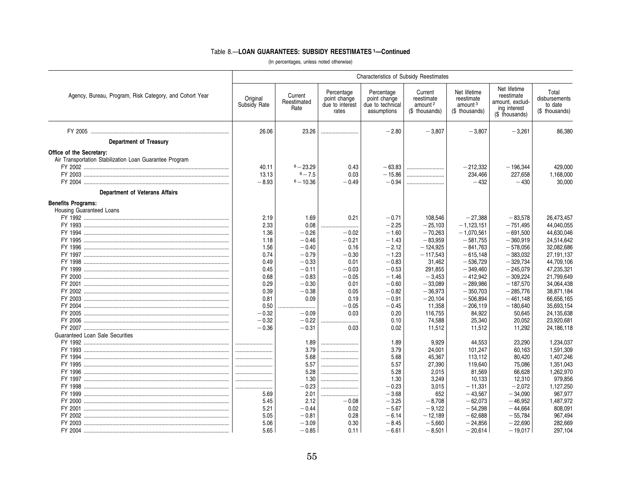|                                                                                     | <b>Characteristics of Subsidy Reestimates</b> |                                |                                                        |                                                               |                                                                |                                                                     |                                                                                 |                                                     |  |  |  |  |
|-------------------------------------------------------------------------------------|-----------------------------------------------|--------------------------------|--------------------------------------------------------|---------------------------------------------------------------|----------------------------------------------------------------|---------------------------------------------------------------------|---------------------------------------------------------------------------------|-----------------------------------------------------|--|--|--|--|
| Agency, Bureau, Program, Risk Category, and Cohort Year                             | Original<br>Subsidy Rate                      | Current<br>Reestimated<br>Rate | Percentage<br>point change<br>due to interest<br>rates | Percentage<br>point change<br>due to technical<br>assumptions | Current<br>reestimate<br>amount <sup>2</sup><br>(\$ thousands) | Net lifetime<br>reestimate<br>amount <sup>3</sup><br>(\$ thousands) | Net lifetime<br>reestimate<br>amount, exclud-<br>ing interest<br>(\$ thousands) | Total<br>disbursements<br>to date<br>(\$ thousands) |  |  |  |  |
|                                                                                     | 26.06                                         | 23.26                          |                                                        | $-2.80$                                                       | $-3.807$                                                       | $-3,807$                                                            | $-3,261$                                                                        | 86,380                                              |  |  |  |  |
| <b>Department of Treasury</b>                                                       |                                               |                                |                                                        |                                                               |                                                                |                                                                     |                                                                                 |                                                     |  |  |  |  |
| Office of the Secretary:<br>Air Transportation Stabilization Loan Guarantee Program | 40.11                                         | $6 - 23.29$                    | 0.43                                                   | $-63.83$                                                      |                                                                | $-212,332$                                                          | $-196.344$                                                                      | 429,000                                             |  |  |  |  |
|                                                                                     | 13.13                                         | $6 - 7.5$                      | 0.03                                                   | $-15.86$                                                      |                                                                | 234,466                                                             | 227,658                                                                         | 1,168,000                                           |  |  |  |  |
|                                                                                     | $-8.93$                                       | $6 - 10.36$                    | $-0.49$                                                | $-0.94$                                                       |                                                                | $-432$                                                              | $-430$                                                                          | 30.000                                              |  |  |  |  |
| <b>Department of Veterans Affairs</b>                                               |                                               |                                |                                                        |                                                               |                                                                |                                                                     |                                                                                 |                                                     |  |  |  |  |
| <b>Benefits Programs:</b>                                                           |                                               |                                |                                                        |                                                               |                                                                |                                                                     |                                                                                 |                                                     |  |  |  |  |
| Housing Guaranteed Loans                                                            |                                               |                                |                                                        |                                                               |                                                                |                                                                     |                                                                                 |                                                     |  |  |  |  |
|                                                                                     | 2.19                                          | 1.69                           | 0.21                                                   | $-0.71$                                                       | 108,546                                                        | $-27,388$                                                           | $-83,578$                                                                       | 26,473,457                                          |  |  |  |  |
|                                                                                     | 2.33                                          | 0.08                           |                                                        | $-2.25$                                                       | $-25,103$                                                      | $-1,123,151$                                                        | $-751,495$                                                                      | 44,040,055                                          |  |  |  |  |
|                                                                                     | 1.36                                          | $-0.26$                        | $-0.02$                                                | $-1.60$                                                       | $-70,263$                                                      | $-1,070,561$                                                        | $-691,500$                                                                      | 44,630,046                                          |  |  |  |  |
|                                                                                     | 1.18                                          | $-0.46$                        | $-0.21$                                                | $-1.43$                                                       | $-83,959$                                                      | $-581,755$                                                          | $-360,919$                                                                      | 24,514,642                                          |  |  |  |  |
|                                                                                     | 1.56                                          | $-0.40$                        | 0.16                                                   | $-2.12$                                                       | $-124,925$                                                     | $-841,763$                                                          | $-578,056$                                                                      | 32,082,686                                          |  |  |  |  |
|                                                                                     | 0.74                                          | $-0.79$                        | $-0.30$                                                | $-1.23$                                                       | $-117,543$                                                     | $-615,148$                                                          | $-383,032$                                                                      | 27, 191, 137                                        |  |  |  |  |
|                                                                                     | 0.49                                          | $-0.33$                        | 0.01                                                   | $-0.83$                                                       | 31,462                                                         | $-536,729$                                                          | $-329,734$                                                                      | 44,709,106                                          |  |  |  |  |
|                                                                                     | 0.45                                          | $-0.11$                        | $-0.03$                                                | $-0.53$                                                       | 291,855                                                        | $-349,460$                                                          | $-245,079$                                                                      | 47,235,321                                          |  |  |  |  |
|                                                                                     | 0.68                                          | $-0.83$                        | $-0.05$                                                | $-1.46$                                                       | $-3,453$                                                       | $-412,942$                                                          | $-309,224$                                                                      | 21,799,649                                          |  |  |  |  |
|                                                                                     | 0.29                                          | $-0.30$                        | 0.01                                                   | $-0.60$                                                       | $-33.089$                                                      | $-289.986$                                                          | $-187,570$                                                                      | 34,064,438                                          |  |  |  |  |
|                                                                                     | 0.39                                          | $-0.38$                        | 0.05                                                   | $-0.82$                                                       | $-36,973$                                                      | $-350,703$                                                          | $-285,776$                                                                      | 38,871,184                                          |  |  |  |  |
|                                                                                     | 0.81                                          | 0.09                           | 0.19                                                   | $-0.91$                                                       | $-20,104$                                                      | $-506,894$                                                          | $-461,148$                                                                      | 66,656,165                                          |  |  |  |  |
|                                                                                     | 0.50                                          |                                | $-0.05$                                                | $-0.45$                                                       | 11,358                                                         | $-206,119$                                                          | $-180,640$                                                                      | 35,693,154                                          |  |  |  |  |
|                                                                                     | $-0.32$                                       | $-0.09$                        | 0.03                                                   | 0.20                                                          | 116.755                                                        | 84.922                                                              | 50,645                                                                          | 24.135.638                                          |  |  |  |  |
|                                                                                     | $-0.32$                                       | $-0.22$                        |                                                        | 0.10                                                          | 74,588                                                         | 25,340                                                              | 20,052                                                                          | 23,920,681                                          |  |  |  |  |
|                                                                                     | $-0.36$                                       | $-0.31$                        | 0.03                                                   | 0.02                                                          | 11,512                                                         | 11,512                                                              | 11,292                                                                          | 24,186,118                                          |  |  |  |  |
| <b>Guaranteed Loan Sale Securities</b>                                              |                                               |                                |                                                        |                                                               |                                                                |                                                                     |                                                                                 |                                                     |  |  |  |  |
|                                                                                     |                                               | 1.89                           |                                                        | 1.89                                                          | 9,929                                                          | 44,553                                                              | 23,290                                                                          | 1,234,037                                           |  |  |  |  |
|                                                                                     |                                               | 3.79                           |                                                        | 3.79                                                          | 24,001                                                         | 101,247                                                             | 60,163                                                                          | 1,591,309                                           |  |  |  |  |
|                                                                                     |                                               | 5.68                           |                                                        | 5.68                                                          | 45,367                                                         | 113,112                                                             | 80,420                                                                          | 1,407,246                                           |  |  |  |  |
|                                                                                     |                                               | 5.57                           |                                                        | 5.57                                                          | 27,390                                                         | 119.640                                                             | 75,086                                                                          | 1,351,043                                           |  |  |  |  |
|                                                                                     |                                               | 5.28                           |                                                        | 5.28                                                          | 2,015                                                          | 81,569                                                              | 66,628                                                                          | 1,262,970                                           |  |  |  |  |
|                                                                                     |                                               | 1.30                           |                                                        | 1.30                                                          | 3.249                                                          | 10.133                                                              | 12.310                                                                          | 979,856                                             |  |  |  |  |
|                                                                                     |                                               | $-0.23$                        |                                                        | $-0.23$                                                       | 3,015                                                          | $-11,331$                                                           | $-2,072$                                                                        | 1,127,250                                           |  |  |  |  |
|                                                                                     | 5.69                                          | 2.01                           |                                                        | $-3.68$                                                       | 652                                                            | $-43,567$                                                           | $-34,090$                                                                       | 967,977                                             |  |  |  |  |
|                                                                                     | 5.45                                          | 2.12                           | $-0.08$                                                | $-3.25$                                                       | $-8.708$                                                       | $-62.073$                                                           | $-46.952$                                                                       | 1,487,972                                           |  |  |  |  |
|                                                                                     | 5.21                                          | $-0.44$                        | 0.02                                                   | $-5.67$                                                       | $-9,122$                                                       | $-54,298$                                                           | $-44,664$                                                                       | 808,091                                             |  |  |  |  |
|                                                                                     | 5.05                                          | $-0.81$                        | 0.28                                                   | $-6.14$                                                       | $-12.189$                                                      | $-62.688$                                                           | $-55.784$                                                                       | 967,494                                             |  |  |  |  |
|                                                                                     | 5.06                                          | $-3.09$                        | 0.30                                                   | $-8.45$                                                       | $-5,660$                                                       | $-24,856$                                                           | $-22,690$                                                                       | 282,669                                             |  |  |  |  |
|                                                                                     | 5.65                                          | $-0.85$                        | 0.11                                                   | $-6.61$                                                       | $-8.501$                                                       | $-20,614$                                                           | $-19.017$                                                                       | 297,104                                             |  |  |  |  |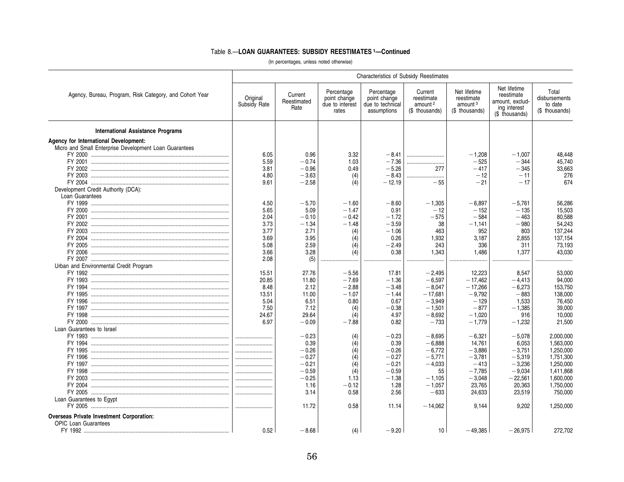|                                                         |                          |                                |                                                        | <b>Characteristics of Subsidy Reestimates</b>                 |                                                                |                                                                     |                                                                                 |                                                     |
|---------------------------------------------------------|--------------------------|--------------------------------|--------------------------------------------------------|---------------------------------------------------------------|----------------------------------------------------------------|---------------------------------------------------------------------|---------------------------------------------------------------------------------|-----------------------------------------------------|
| Agency, Bureau, Program, Risk Category, and Cohort Year | Original<br>Subsidy Rate | Current<br>Reestimated<br>Rate | Percentage<br>point change<br>due to interest<br>rates | Percentage<br>point change<br>due to technical<br>assumptions | Current<br>reestimate<br>amount <sup>2</sup><br>(\$ thousands) | Net lifetime<br>reestimate<br>amount <sup>3</sup><br>(\$ thousands) | Net lifetime<br>reestimate<br>amount, exclud-<br>ing interest<br>(\$ thousands) | Total<br>disbursements<br>to date<br>(\$ thousands) |
| <b>International Assistance Programs</b>                |                          |                                |                                                        |                                                               |                                                                |                                                                     |                                                                                 |                                                     |
| Agency for International Development:                   |                          |                                |                                                        |                                                               |                                                                |                                                                     |                                                                                 |                                                     |
| Micro and Small Enterprise Development Loan Guarantees  |                          |                                |                                                        |                                                               |                                                                |                                                                     |                                                                                 |                                                     |
|                                                         | 6.05                     | 0.96                           | 3.32                                                   | $-8.41$                                                       |                                                                | $-1,208$                                                            | $-1.007$                                                                        | 48.448                                              |
|                                                         | 5.59                     | $-0.74$                        | 1.03                                                   | $-7.36$                                                       |                                                                | $-525$                                                              | $-344$                                                                          | 45,740                                              |
|                                                         | 3.81                     | $-0.96$                        | 0.49                                                   | $-5.26$                                                       | 277                                                            | $-417$                                                              | $-345$                                                                          | 33,663                                              |
|                                                         | 4.80                     | $-3.63$                        | (4)                                                    | $-8.43$                                                       |                                                                | $-12$                                                               | $-11$                                                                           | 276                                                 |
|                                                         | 9.61                     | $-2.58$                        | (4)                                                    | $-12.19$                                                      | $-55$                                                          | $-21$                                                               | $-17$                                                                           | 674                                                 |
| Development Credit Authority (DCA):                     |                          |                                |                                                        |                                                               |                                                                |                                                                     |                                                                                 |                                                     |
| Loan Guarantees                                         |                          |                                |                                                        |                                                               |                                                                |                                                                     |                                                                                 |                                                     |
|                                                         | 4.50                     | $-5.70$                        | $-1.60$                                                | $-8.60$                                                       | $-1,305$                                                       | $-6,897$                                                            | $-5.761$                                                                        | 56,286                                              |
|                                                         | 5.65                     | 5.09                           | $-1.47$                                                | 0.91                                                          | $-12$                                                          | $-152$                                                              | $-135$                                                                          | 15,503                                              |
|                                                         | 2.04                     | $-0.10$                        | $-0.42$                                                | $-1.72$                                                       | $-575$                                                         | $-584$                                                              | $-463$                                                                          | 80,588                                              |
|                                                         | 3.73                     | $-1.34$                        | $-1.48$                                                | $-3.59$                                                       | 38                                                             | $-1,141$                                                            | $-980$                                                                          | 54,243                                              |
|                                                         | 3.77                     | 2.71                           | (4)                                                    | $-1.06$                                                       | 463                                                            | 952                                                                 | 803                                                                             | 137,244                                             |
|                                                         | 3.69                     | 3.95                           | (4)                                                    | 0.26                                                          | 1,932                                                          | 3,187                                                               | 2,855                                                                           | 137,154                                             |
|                                                         | 5.08                     | 2.59                           | (4)                                                    | $-2.49$                                                       | 243                                                            | 336                                                                 | 311                                                                             | 73,193                                              |
|                                                         | 3.66                     | 3.28                           | (4)                                                    | 0.38                                                          | 1,343                                                          | 1,486                                                               | 1.377                                                                           | 43,030                                              |
|                                                         | 2.08                     | (5)                            |                                                        |                                                               |                                                                |                                                                     |                                                                                 |                                                     |
| Urban and Environmental Credit Program                  |                          |                                |                                                        |                                                               |                                                                |                                                                     |                                                                                 |                                                     |
|                                                         | 15.51                    | 27.76                          | $-5.56$                                                | 17.81                                                         | $-2.495$                                                       | 12.223                                                              | 8.547                                                                           | 53,000                                              |
|                                                         | 20.85                    | 11.80                          | $-7.69$                                                | $-1.36$                                                       | $-6,597$                                                       | $-17,462$                                                           | $-4,413$                                                                        | 94,000                                              |
|                                                         | 8.48                     | 2.12                           | $-2.88$                                                | $-3.48$                                                       | $-8.047$                                                       | $-17.266$                                                           | $-6.273$                                                                        | 153,750                                             |
|                                                         | 13.51                    | 11.00                          | $-1.07$                                                | $-1.44$                                                       | $-17,681$                                                      | $-9,792$                                                            | $-883$                                                                          | 138,000                                             |
|                                                         | 5.04                     | 6.51                           | 0.80                                                   | 0.67                                                          | $-3,949$                                                       | $-129$                                                              | 1,533                                                                           | 76,450                                              |
|                                                         | 7.50                     | 7.12                           | (4)                                                    | $-0.38$                                                       | $-1,501$                                                       | $-877$                                                              | $-1,385$                                                                        | 39,000                                              |
|                                                         | 24.67                    | 29.64                          | (4)                                                    | 4.97                                                          | $-8,692$                                                       | $-1,020$                                                            | 916                                                                             | 10,000                                              |
|                                                         | 6.97                     | $-0.09$                        | $-7.88$                                                | 0.82                                                          | $-733$                                                         | $-1,779$                                                            | $-1,232$                                                                        | 21,500                                              |
| Loan Guarantees to Israel                               |                          |                                |                                                        |                                                               |                                                                |                                                                     |                                                                                 |                                                     |
|                                                         |                          | $-0.23$                        | (4)                                                    | $-0.23$                                                       | $-8,695$                                                       | $-6,321$                                                            | $-5,078$                                                                        | 2,000,000                                           |
|                                                         |                          | 0.39                           | (4)                                                    | 0.39                                                          | $-6.888$                                                       | 14,761                                                              | 6.053                                                                           | 1.563.000                                           |
|                                                         |                          | $-0.26$                        | (4)                                                    | $-0.26$                                                       | $-6,772$                                                       | $-3,886$                                                            | $-3,751$                                                                        | 1.250.000                                           |
|                                                         |                          | $-0.27$                        | (4)                                                    | $-0.27$                                                       | $-5,771$                                                       | $-3,781$                                                            | $-5,319$                                                                        | 1,751,300                                           |
|                                                         |                          | $-0.21$                        | (4)                                                    | $-0.21$                                                       | $-4,033$                                                       | $-413$                                                              | $-3,236$                                                                        | 1,250,000                                           |
|                                                         |                          | $-0.59$                        | (4)                                                    | $-0.59$                                                       | 55                                                             | $-7,785$                                                            | $-9,034$                                                                        | 1,411,868                                           |
|                                                         |                          | $-0.25$                        | 1.13                                                   | $-1.38$                                                       | $-1,105$                                                       | $-3,048$                                                            | $-22,561$                                                                       | 1,600,000                                           |
|                                                         |                          | 1.16                           | $-0.12$                                                | 1.28                                                          | $-1,057$                                                       | 23,765                                                              | 20,363                                                                          | 1,750,000                                           |
|                                                         |                          | 3.14                           | 0.58                                                   | 2.56                                                          | $-633$                                                         | 24,633                                                              | 23,519                                                                          | 750,000                                             |
| Loan Guarantees to Egypt                                |                          |                                |                                                        |                                                               |                                                                |                                                                     |                                                                                 |                                                     |
|                                                         |                          | 11.72                          | 0.58                                                   | 11.14                                                         | $-14,062$                                                      | 9,144                                                               | 9,202                                                                           | 1,250,000                                           |
|                                                         |                          |                                |                                                        |                                                               |                                                                |                                                                     |                                                                                 |                                                     |
| <b>Overseas Private Investment Corporation:</b>         |                          |                                |                                                        |                                                               |                                                                |                                                                     |                                                                                 |                                                     |
| <b>OPIC Loan Guarantees</b>                             |                          |                                |                                                        |                                                               |                                                                |                                                                     |                                                                                 |                                                     |
|                                                         | 0.52                     | $-8.68$                        | (4)                                                    | $-9.20$                                                       | 10 <sup>1</sup>                                                | $-49.385$                                                           | $-26.975$                                                                       | 272.702                                             |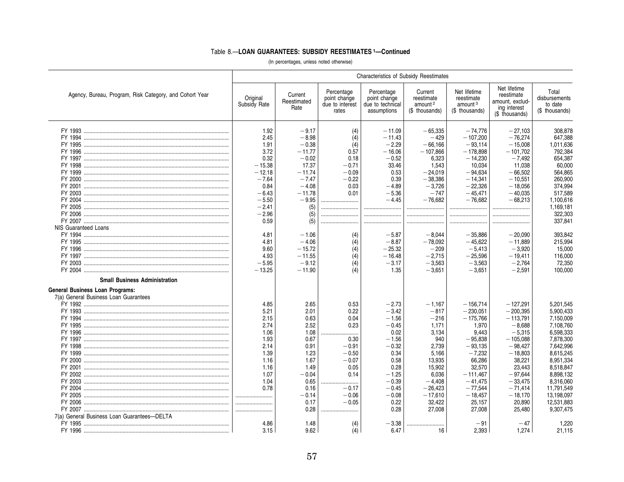|                                                         | <b>Characteristics of Subsidy Reestimates</b> |                                |                                                        |                                                               |                                                                |                                                                     |                                                                                 |                                                     |  |  |  |  |
|---------------------------------------------------------|-----------------------------------------------|--------------------------------|--------------------------------------------------------|---------------------------------------------------------------|----------------------------------------------------------------|---------------------------------------------------------------------|---------------------------------------------------------------------------------|-----------------------------------------------------|--|--|--|--|
| Agency, Bureau, Program, Risk Category, and Cohort Year | Original<br>Subsidy Rate                      | Current<br>Reestimated<br>Rate | Percentage<br>point change<br>due to interest<br>rates | Percentage<br>point change<br>due to technical<br>assumptions | Current<br>reestimate<br>amount <sup>2</sup><br>(\$ thousands) | Net lifetime<br>reestimate<br>amount <sup>3</sup><br>(\$ thousands) | Net lifetime<br>reestimate<br>amount, exclud-<br>ing interest<br>(\$ thousands) | Total<br>disbursements<br>to date<br>(\$ thousands) |  |  |  |  |
|                                                         | 1.92                                          | $-9.17$                        | (4)                                                    | $-11.09$                                                      | $-65,335$                                                      | $-74,776$                                                           | $-27,103$                                                                       | 308,878                                             |  |  |  |  |
|                                                         | 2.45                                          | $-8.98$                        | (4)                                                    | $-11.43$                                                      | $-429$                                                         | $-107.200$                                                          | $-76.274$                                                                       | 647,388                                             |  |  |  |  |
|                                                         | 1.91                                          | $-0.38$                        | (4)                                                    | $-2.29$                                                       | $-66.166$                                                      | $-93.114$                                                           | $-15,008$                                                                       | 1,011,636                                           |  |  |  |  |
|                                                         | 3.72                                          | $-11.77$                       | 0.57                                                   | $-16.06$                                                      | $-107,866$                                                     | $-178.898$                                                          | $-101,702$                                                                      | 792,384                                             |  |  |  |  |
|                                                         | 0.32                                          | $-0.02$                        | 0.18                                                   | $-0.52$                                                       | 6.323                                                          | $-14.230$                                                           | $-7.492$                                                                        | 654,387                                             |  |  |  |  |
|                                                         | $-15.38$                                      | 17.37                          | $-0.71$                                                | 33.46                                                         | 1,543                                                          | 10,034                                                              | 11,038                                                                          | 60,000                                              |  |  |  |  |
|                                                         | $-12.18$                                      | $-11.74$                       | $-0.09$                                                | 0.53                                                          | $-24,019$                                                      | $-94,634$                                                           | $-66,502$                                                                       | 564,865                                             |  |  |  |  |
|                                                         | $-7.64$                                       | $-7.47$                        | $-0.22$                                                | 0.39                                                          | $-38.386$                                                      | $-14.341$                                                           | $-10.551$                                                                       | 260,900                                             |  |  |  |  |
|                                                         | 0.84                                          | $-4.08$                        | 0.03                                                   | $-4.89$                                                       | $-3.726$                                                       | $-22.326$                                                           | $-18.056$                                                                       | 374,994                                             |  |  |  |  |
|                                                         | $-6.43$                                       | $-11.78$                       | 0.01                                                   | $-5.36$                                                       | $-747$                                                         | $-45,471$                                                           | $-40,035$                                                                       | 517,589                                             |  |  |  |  |
|                                                         | $-5.50$                                       | $-9.95$                        |                                                        | $-4.45$                                                       | $-76.682$                                                      | $-76.682$                                                           | $-68.213$                                                                       | 1.100.616                                           |  |  |  |  |
|                                                         | $-2.41$                                       | (5)                            |                                                        |                                                               |                                                                |                                                                     |                                                                                 | 1,169,181                                           |  |  |  |  |
|                                                         | $-2.96$                                       | (5)                            |                                                        |                                                               |                                                                |                                                                     |                                                                                 | 322,303                                             |  |  |  |  |
|                                                         | 0.59                                          | (5)                            |                                                        |                                                               |                                                                |                                                                     |                                                                                 | 337.841                                             |  |  |  |  |
| NIS Guaranteed Loans                                    |                                               |                                |                                                        |                                                               |                                                                |                                                                     |                                                                                 |                                                     |  |  |  |  |
|                                                         | 4.81                                          | $-1.06$                        | (4)                                                    | $-5.87$                                                       | $-8,044$                                                       | $-35,886$                                                           | $-20,090$                                                                       | 393,842                                             |  |  |  |  |
|                                                         | 4.81                                          | $-4.06$                        | (4)                                                    | $-8.87$                                                       | $-78,092$                                                      | $-45.622$                                                           | $-11.889$                                                                       | 215,994                                             |  |  |  |  |
|                                                         | 9.60                                          | $-15.72$                       | (4)                                                    | $-25.32$                                                      | $-209$                                                         | $-5.413$                                                            | $-3.920$                                                                        | 15,000                                              |  |  |  |  |
|                                                         | 4.93                                          | $-11.55$                       | (4)                                                    | $-16.48$                                                      | $-2,715$                                                       | $-25.596$                                                           | $-19,411$                                                                       | 116,000                                             |  |  |  |  |
|                                                         | $-5.95$                                       | $-9.12$                        | (4)                                                    | $-3.17$                                                       | $-3.563$                                                       | $-3.563$                                                            | $-2.764$                                                                        | 72.350                                              |  |  |  |  |
|                                                         | $-13.25$                                      | $-11.90$                       | (4)                                                    | 1.35                                                          | $-3,651$                                                       | $-3,651$                                                            | $-2,591$                                                                        | 100,000                                             |  |  |  |  |
|                                                         |                                               |                                |                                                        |                                                               |                                                                |                                                                     |                                                                                 |                                                     |  |  |  |  |
| <b>Small Business Administration</b>                    |                                               |                                |                                                        |                                                               |                                                                |                                                                     |                                                                                 |                                                     |  |  |  |  |
| <b>General Business Loan Programs:</b>                  |                                               |                                |                                                        |                                                               |                                                                |                                                                     |                                                                                 |                                                     |  |  |  |  |
| 7(a) General Business Loan Guarantees                   |                                               |                                |                                                        |                                                               |                                                                |                                                                     |                                                                                 |                                                     |  |  |  |  |
|                                                         | 4.85                                          | 2.65                           | 0.53                                                   | $-2.73$                                                       | $-1.167$                                                       | $-156.714$                                                          | $-127.291$                                                                      | 5,201,545                                           |  |  |  |  |
|                                                         | 5.21                                          | 2.01                           | 0.22                                                   | $-3.42$                                                       | $-817$                                                         | $-230,051$                                                          | $-200,395$                                                                      | 5,900,433                                           |  |  |  |  |
|                                                         | 2.15                                          | 0.63                           | 0.04                                                   | $-1.56$                                                       | $-216$                                                         | $-175,766$                                                          | $-113,791$                                                                      | 7,150,009                                           |  |  |  |  |
|                                                         | 2.74                                          | 2.52                           | 0.23                                                   | $-0.45$                                                       | 1.171                                                          | 1,970                                                               | $-8.688$                                                                        | 7,108,760                                           |  |  |  |  |
|                                                         | 1.06                                          | 1.08                           |                                                        | 0.02                                                          | 3,134                                                          | 9.443                                                               | $-5.315$                                                                        | 6,598,333                                           |  |  |  |  |
|                                                         | 1.93                                          | 0.67                           | 0.30                                                   | $-1.56$                                                       | 940                                                            | $-95,838$                                                           | $-105,088$                                                                      | 7,878,300                                           |  |  |  |  |
|                                                         | 2.14                                          | 0.91                           | $-0.91$                                                | $-0.32$                                                       | 2.739                                                          | $-93.135$                                                           | $-98.427$                                                                       | 7.642.996                                           |  |  |  |  |
|                                                         | 1.39                                          | 1.23                           | $-0.50$                                                | 0.34                                                          | 5,166                                                          | $-7,232$                                                            | $-18,803$                                                                       | 8,615,245                                           |  |  |  |  |
|                                                         | 1.16                                          | 1.67                           | $-0.07$                                                | 0.58                                                          | 13,935                                                         | 66,286                                                              | 38,221                                                                          | 8,951,334                                           |  |  |  |  |
|                                                         | 1.16                                          | 1.49                           | 0.05                                                   | 0.28                                                          | 15,902                                                         | 32,570                                                              | 23,443                                                                          | 8,518,847                                           |  |  |  |  |
|                                                         | 1.07                                          | $-0.04$                        | 0.14                                                   | $-1.25$                                                       | 6,036                                                          | $-111.467$                                                          | $-97,644$                                                                       | 8,898,132                                           |  |  |  |  |
|                                                         | 1.04                                          | 0.65                           |                                                        | $-0.39$                                                       | $-4,408$                                                       | $-41.475$                                                           | $-33,475$                                                                       | 8,316,060                                           |  |  |  |  |
|                                                         | 0.78                                          | 0.16                           | $-0.17$                                                | $-0.45$                                                       | $-26.423$                                                      | $-77.544$                                                           | $-71.414$                                                                       | 11,791,549                                          |  |  |  |  |
|                                                         |                                               | $-0.14$                        | $-0.06$                                                | $-0.08$                                                       | $-17,610$                                                      | $-18.457$                                                           | $-18,170$                                                                       | 13,198,097                                          |  |  |  |  |
|                                                         |                                               | 0.17                           | $-0.05$                                                | 0.22                                                          | 32,422                                                         | 25,157                                                              | 20,890                                                                          | 12,531,883                                          |  |  |  |  |
|                                                         |                                               | 0.28                           |                                                        | 0.28                                                          | 27.008                                                         | 27.008                                                              | 25,480                                                                          | 9,307,475                                           |  |  |  |  |
| 7(a) General Business Loan Guarantees-DELTA             |                                               |                                |                                                        |                                                               |                                                                |                                                                     |                                                                                 |                                                     |  |  |  |  |
|                                                         | 4.86                                          | 1.48                           | (4)                                                    | $-3.38$                                                       |                                                                | $-91$                                                               | $-47$                                                                           | 1,220                                               |  |  |  |  |
|                                                         | 3.15                                          | 9.62                           | (4)                                                    | 6.47                                                          | 16                                                             | 2.393                                                               | 1.274                                                                           | 21.115                                              |  |  |  |  |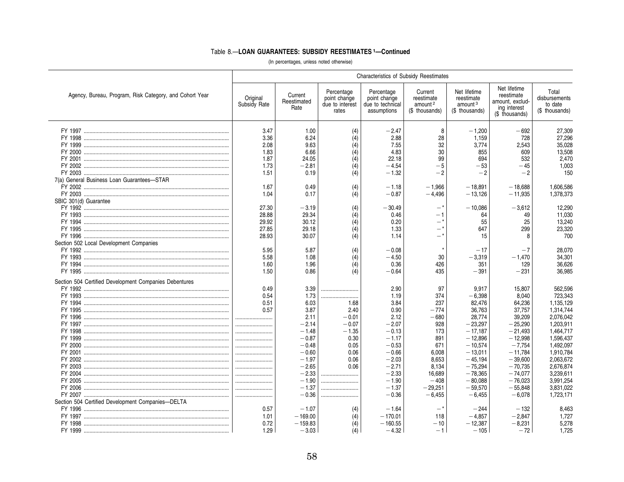|                                                         | <b>Characteristics of Subsidy Reestimates</b>            |                                                                                                                                                    |                                                                                       |                                                                                                                                                    |                                                                                                                              |                                                                                                                                                                                   |                                                                                                                                                                                |                                                                                                                                                                                             |  |  |  |  |
|---------------------------------------------------------|----------------------------------------------------------|----------------------------------------------------------------------------------------------------------------------------------------------------|---------------------------------------------------------------------------------------|----------------------------------------------------------------------------------------------------------------------------------------------------|------------------------------------------------------------------------------------------------------------------------------|-----------------------------------------------------------------------------------------------------------------------------------------------------------------------------------|--------------------------------------------------------------------------------------------------------------------------------------------------------------------------------|---------------------------------------------------------------------------------------------------------------------------------------------------------------------------------------------|--|--|--|--|
| Agency, Bureau, Program, Risk Category, and Cohort Year | Original<br>Subsidy Rate                                 | Current<br>Reestimated<br>Rate                                                                                                                     | Percentage<br>point change<br>due to interest<br>rates                                | Percentage<br>point change<br>due to technical<br>assumptions                                                                                      | Current<br>reestimate<br>amount <sup>2</sup><br>(\$ thousands)                                                               | Net lifetime<br>reestimate<br>amount <sup>3</sup><br>(\$ thousands)                                                                                                               | Net lifetime<br>reestimate<br>amount, exclud-<br>ing interest<br>(\$ thousands)                                                                                                | Total<br>disbursements<br>to date<br>(\$ thousands)                                                                                                                                         |  |  |  |  |
| 7(a) General Business Loan Guarantees-STAR              | 3.47<br>3.36<br>2.08<br>1.83<br>1.87<br>1.73<br>1.51     | 1.00<br>6.24<br>9.63<br>6.66<br>24.05<br>$-2.81$<br>0.19                                                                                           | (4)<br>(4)<br>(4)<br>(4)<br>(4)<br>(4)<br>(4)                                         | $-2.47$<br>2.88<br>7.55<br>4.83<br>22.18<br>$-4.54$<br>$-1.32$                                                                                     | 8<br>28<br>32<br>30<br>99<br>$-5$<br>$-2$                                                                                    | $-1.200$<br>1,159<br>3,774<br>855<br>694<br>$-53$<br>$-2$                                                                                                                         | $-692$<br>728<br>2,543<br>609<br>532<br>$-45$<br>$-2$                                                                                                                          | 27,309<br>27,296<br>35,028<br>13,508<br>2,470<br>1,003<br>150                                                                                                                               |  |  |  |  |
| SBIC 301(d) Guarantee                                   | 1.67<br>1.04                                             | 0.49<br>0.17                                                                                                                                       | (4)<br>(4)                                                                            | $-1.18$<br>$-0.87$                                                                                                                                 | $-1,966$<br>$-4,496$                                                                                                         | $-18,891$<br>$-13,126$                                                                                                                                                            | $-18,688$<br>$-11,935$                                                                                                                                                         | 1,606,586<br>1,378,373                                                                                                                                                                      |  |  |  |  |
| Section 502 Local Development Companies                 | 27.30<br>28.88<br>29.92<br>27.85<br>28.93                | $-3.19$<br>29.34<br>30.12<br>29.18<br>30.07                                                                                                        | (4)<br>(4)<br>(4)<br>(4)<br>(4)                                                       | $-30.49$<br>0.46<br>0.20<br>1.33<br>1.14                                                                                                           | - 1<br>$-$ *<br>_*                                                                                                           | $-10,086$<br>64<br>55<br>647<br>15                                                                                                                                                | $-3,612$<br>49<br>25<br>299<br>8                                                                                                                                               | 12,290<br>11,030<br>13,240<br>23,320<br>700                                                                                                                                                 |  |  |  |  |
|                                                         | 5.95<br>5.58<br>1.60<br>1.50                             | 5.87<br>1.08<br>1.96<br>0.86                                                                                                                       | (4)<br>(4)<br>(4)<br>(4)                                                              | $-0.08$<br>$-4.50$<br>0.36<br>$-0.64$                                                                                                              | 30<br>426<br>435                                                                                                             | $-17$<br>$-3,319$<br>351<br>$-391$                                                                                                                                                | $-7$<br>$-1,470$<br>129<br>$-231$                                                                                                                                              | 28,070<br>34,301<br>36,626<br>36,985                                                                                                                                                        |  |  |  |  |
| Section 504 Certified Development Companies Debentures  | 0.49<br>0.54<br>0.51<br>0.57<br><br><br><br><br><br><br> | 3.39<br>1.73<br>6.03<br>3.87<br>2.11<br>$-2.14$<br>$-1.48$<br>$-0.87$<br>$-0.48$<br>$-0.60$<br>$-1.97$<br>$-2.65$<br>$-2.33$<br>$-1.90$<br>$-1.37$ | 1.68<br>2.40<br>$-0.01$<br>$-0.07$<br>$-1.35$<br>0.30<br>0.05<br>0.06<br>0.06<br>0.06 | 2.90<br>1.19<br>3.84<br>0.90<br>2.12<br>$-2.07$<br>$-0.13$<br>$-1.17$<br>$-0.53$<br>$-0.66$<br>$-2.03$<br>$-2.71$<br>$-2.33$<br>$-1.90$<br>$-1.37$ | 97<br>374<br>237<br>$-774$<br>$-680$<br>928<br>173<br>891<br>671<br>6.008<br>8,653<br>8,134<br>16,689<br>$-408$<br>$-29,251$ | 9.917<br>$-6,398$<br>82,476<br>36,763<br>28,774<br>$-23,297$<br>$-17.187$<br>$-12,896$<br>$-10.574$<br>$-13.011$<br>$-45,194$<br>$-75,294$<br>$-78.365$<br>$-80.088$<br>$-59,570$ | 15,807<br>8.040<br>64,236<br>37,757<br>39,209<br>$-25,290$<br>$-21.493$<br>$-12.998$<br>$-7.754$<br>$-11.784$<br>$-39,600$<br>$-70,735$<br>$-74.077$<br>$-76.023$<br>$-55.848$ | 562,596<br>723.343<br>1,135,129<br>1,314,744<br>2,076,042<br>1,203,911<br>1,464,717<br>1,596,437<br>1.492.097<br>1,910,784<br>2,063,672<br>2,676,874<br>3,239,611<br>3,991,254<br>3,831,022 |  |  |  |  |
| Section 504 Certified Development Companies-DELTA       | <br>0.57<br>1.01                                         | $-0.36$<br>$-1.07$<br>$-169.00$                                                                                                                    | (4)<br>(4)                                                                            | $-0.36$<br>$-1.64$<br>$-170.01$                                                                                                                    | $-6,455$<br>$-*$<br>118                                                                                                      | $-6.455$<br>$-244$<br>$-4.857$                                                                                                                                                    | $-6.078$<br>$-132$<br>$-2,847$                                                                                                                                                 | 1,723,171<br>8.463<br>1,727                                                                                                                                                                 |  |  |  |  |
|                                                         | 0.72<br>1.29                                             | $-159.83$<br>$-3.03$                                                                                                                               | (4)<br>(4)                                                                            | $-160.55$<br>$-4.32$                                                                                                                               | $-10$<br>$-1$                                                                                                                | $-12,387$<br>$-105$                                                                                                                                                               | $-8,231$<br>$-72$                                                                                                                                                              | 5,278<br>1,725                                                                                                                                                                              |  |  |  |  |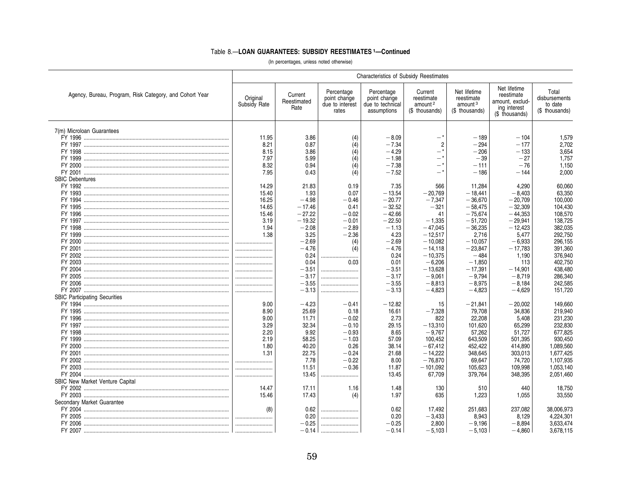|                                                         |                          |                                |                                                        | <b>Characteristics of Subsidy Reestimates</b>                 |                                                                |                                                                     |                                                                                 |                                                     |
|---------------------------------------------------------|--------------------------|--------------------------------|--------------------------------------------------------|---------------------------------------------------------------|----------------------------------------------------------------|---------------------------------------------------------------------|---------------------------------------------------------------------------------|-----------------------------------------------------|
| Agency, Bureau, Program, Risk Category, and Cohort Year | Original<br>Subsidy Rate | Current<br>Reestimated<br>Rate | Percentage<br>point change<br>due to interest<br>rates | Percentage<br>point change<br>due to technical<br>assumptions | Current<br>reestimate<br>amount <sup>2</sup><br>(\$ thousands) | Net lifetime<br>reestimate<br>amount <sup>3</sup><br>(\$ thousands) | Net lifetime<br>reestimate<br>amount, exclud-<br>ing interest<br>(\$ thousands) | Total<br>disbursements<br>to date<br>(\$ thousands) |
| 7(m) Microloan Guarantees                               |                          |                                |                                                        |                                                               |                                                                |                                                                     |                                                                                 |                                                     |
|                                                         | 11.95                    | 3.86                           | (4)                                                    | $-8.09$                                                       | -*                                                             | $-189$                                                              | $-104$                                                                          | 1,579                                               |
|                                                         | 8.21                     | 0.87                           | (4)                                                    | $-7.34$                                                       | $\overline{2}$                                                 | $-294$                                                              | $-177$                                                                          | 2.702                                               |
|                                                         | 8.15                     | 3.86                           | (4)                                                    | $-4.29$                                                       | $-$ *                                                          | $-206$                                                              | $-133$                                                                          | 3,654                                               |
|                                                         | 7.97                     | 5.99                           | (4)                                                    | $-1.98$                                                       |                                                                | $-39$                                                               | $-27$                                                                           | 1,757                                               |
|                                                         | 8.32                     | 0.94                           | (4)                                                    | $-7.38$                                                       | — *                                                            | $-111$                                                              | $-76$                                                                           | 1,150                                               |
|                                                         | 7.95                     | 0.43                           | (4)                                                    | $-7.52$                                                       | -*                                                             | $-186$                                                              | $-144$                                                                          | 2,000                                               |
| <b>SBIC Debentures</b>                                  |                          |                                |                                                        |                                                               |                                                                |                                                                     |                                                                                 |                                                     |
|                                                         | 14.29                    | 21.83                          | 0.19                                                   | 7.35                                                          | 566                                                            | 11,284                                                              | 4,290                                                                           | 60,060                                              |
|                                                         | 15.40                    | 1.93                           | 0.07                                                   | $-13.54$                                                      | $-20.769$                                                      | $-18.441$                                                           | $-8.403$                                                                        | 63,350                                              |
|                                                         | 16.25                    | $-4.98$                        | $-0.46$                                                | $-20.77$                                                      | $-7,347$                                                       | $-36.670$                                                           | $-20.709$                                                                       | 100,000                                             |
|                                                         | 14.65                    | $-17.46$                       | 0.41                                                   | $-32.52$                                                      | $-321$                                                         | $-58,475$                                                           | $-32.309$                                                                       | 104,430                                             |
|                                                         | 15.46                    | $-27.22$                       | $-0.02$                                                | $-42.66$                                                      | 41                                                             | $-75.674$                                                           | $-44.353$                                                                       | 108,570                                             |
|                                                         | 3.19                     | $-19.32$                       | $-0.01$                                                | $-22.50$                                                      | $-1.335$                                                       | $-51.720$                                                           | $-29.941$                                                                       | 138.725                                             |
|                                                         | 1.94<br>1.38             | $-2.08$<br>3.25                | $-2.89$<br>$-2.36$                                     | $-1.13$<br>4.23                                               | $-47,045$<br>$-12,517$                                         | $-36,235$<br>2,716                                                  | $-12,423$                                                                       | 382,035<br>292,750                                  |
|                                                         |                          | $-2.69$                        | (4)                                                    | $-2.69$                                                       | $-10,082$                                                      | $-10,057$                                                           | 5,477<br>$-6,933$                                                               | 296,155                                             |
|                                                         |                          | $-4.76$                        | (4)                                                    | $-4.76$                                                       | $-14,118$                                                      | $-23,847$                                                           | $-17,783$                                                                       | 391,360                                             |
|                                                         |                          | 0.24                           |                                                        | 0.24                                                          | $-10,375$                                                      | $-484$                                                              | 1,190                                                                           | 376,940                                             |
|                                                         |                          | 0.04                           | 0.03                                                   | 0.01                                                          | $-6,206$                                                       | $-1,850$                                                            | 113                                                                             | 402,750                                             |
|                                                         |                          | $-3.51$                        |                                                        | $-3.51$                                                       | $-13,628$                                                      | $-17,391$                                                           | $-14,901$                                                                       | 438,480                                             |
|                                                         |                          | $-3.17$                        |                                                        | $-3.17$                                                       | $-9,061$                                                       | $-9.794$                                                            | $-8.719$                                                                        | 286.340                                             |
|                                                         |                          | $-3.55$                        |                                                        | $-3.55$                                                       | $-8,813$                                                       | $-8,975$                                                            | $-8.184$                                                                        | 242,585                                             |
|                                                         |                          | $-3.13$                        |                                                        | $-3.13$                                                       | $-4,823$                                                       | $-4.823$                                                            | $-4.629$                                                                        | 151,720                                             |
| <b>SBIC Participating Securities</b>                    |                          |                                |                                                        |                                                               |                                                                |                                                                     |                                                                                 |                                                     |
|                                                         | 9.00                     | $-4.23$                        | $-0.41$                                                | $-12.82$                                                      | 15                                                             | $-21,841$                                                           | $-20.002$                                                                       | 149.660                                             |
|                                                         | 8.90                     | 25.69                          | 0.18                                                   | 16.61                                                         | $-7,328$                                                       | 79,708                                                              | 34,836                                                                          | 219,940                                             |
|                                                         | 9.00                     | 11.71                          | $-0.02$                                                | 2.73                                                          | 822                                                            | 22,208                                                              | 5,408                                                                           | 231,230                                             |
|                                                         | 3.29                     | 32.34                          | $-0.10$                                                | 29.15                                                         | $-13,310$                                                      | 101,620                                                             | 65,299                                                                          | 232,830                                             |
|                                                         | 2.20                     | 9.92                           | $-0.93$                                                | 8.65                                                          | $-9,767$                                                       | 57,262                                                              | 51,727                                                                          | 677,825                                             |
|                                                         | 2.19                     | 58.25                          | $-1.03$                                                | 57.09                                                         | 100,452                                                        | 643,509                                                             | 501,395                                                                         | 930,450                                             |
|                                                         | 1.80                     | 40.20                          | 0.26                                                   | 38.14                                                         | $-67.412$                                                      | 452,422                                                             | 414,890                                                                         | 1.089.560                                           |
|                                                         | 1.31                     | 22.75                          | $-0.24$                                                | 21.68                                                         | $-14.222$                                                      | 348.645                                                             | 303.013                                                                         | 1.677.425                                           |
|                                                         |                          | 7.78                           | $-0.22$                                                | 8.00                                                          | $-76.870$                                                      | 69,647                                                              | 74,720                                                                          | 1,107,935                                           |
|                                                         |                          | 11.51                          | $-0.36$                                                | 11.87                                                         | $-101,092$                                                     | 105,623                                                             | 109,998                                                                         | 1.053.140                                           |
|                                                         |                          | 13.45                          |                                                        | 13.45                                                         | 67,709                                                         | 379,764                                                             | 348,395                                                                         | 2,051,460                                           |
| <b>SBIC New Market Venture Capital</b>                  |                          |                                |                                                        |                                                               |                                                                |                                                                     |                                                                                 |                                                     |
|                                                         | 14.47                    | 17.11                          | 1.16                                                   | 1.48                                                          | 130                                                            | 510                                                                 | 440                                                                             | 18,750                                              |
|                                                         | 15.46                    | 17.43                          | (4)                                                    | 1.97                                                          | 635                                                            | 1,223                                                               | 1,055                                                                           | 33,550                                              |
| Secondary Market Guarantee                              |                          |                                |                                                        |                                                               |                                                                |                                                                     |                                                                                 |                                                     |
|                                                         | (8)<br>                  | 0.62<br>0.20                   |                                                        | 0.62<br>0.20                                                  | 17,492                                                         | 251,683                                                             | 237,082                                                                         | 38,006,973                                          |
|                                                         |                          | $-0.25$                        | <br>                                                   | $-0.25$                                                       | $-3,433$<br>2.800                                              | 8,943<br>$-9.196$                                                   | 8,129<br>$-8.894$                                                               | 4,224,301<br>3.633.474                              |
|                                                         |                          | $-0.14$                        |                                                        | $-0.14$                                                       | $-5.103$                                                       | $-5.103$                                                            | $-4.860$                                                                        | 3,678,115                                           |
|                                                         |                          |                                |                                                        |                                                               |                                                                |                                                                     |                                                                                 |                                                     |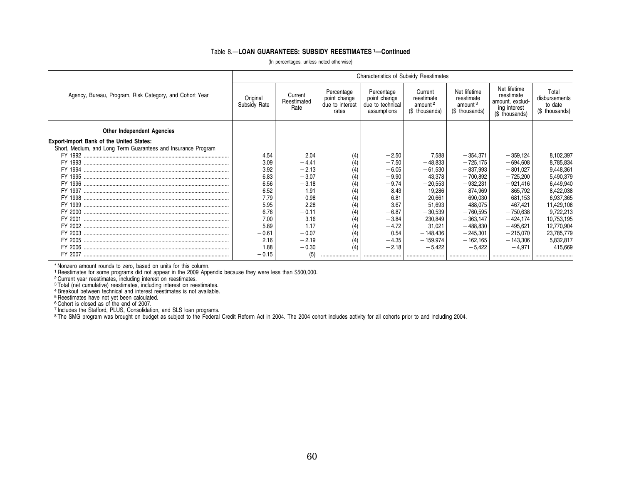(In percentages, unless noted otherwise)

|                                                                                                                  | <b>Characteristics of Subsidy Reestimates</b> |                                |                                                        |                                                               |                                                                |                                                                     |                                                                                 |                                                     |  |  |  |  |
|------------------------------------------------------------------------------------------------------------------|-----------------------------------------------|--------------------------------|--------------------------------------------------------|---------------------------------------------------------------|----------------------------------------------------------------|---------------------------------------------------------------------|---------------------------------------------------------------------------------|-----------------------------------------------------|--|--|--|--|
| Agency, Bureau, Program, Risk Category, and Cohort Year                                                          | Original<br>Subsidy Rate                      | Current<br>Reestimated<br>Rate | Percentage<br>point change<br>due to interest<br>rates | Percentage<br>point change<br>due to technical<br>assumptions | Current<br>reestimate<br>amount <sup>2</sup><br>(\$ thousands) | Net lifetime<br>reestimate<br>amount <sup>3</sup><br>(\$ thousands) | Net lifetime<br>reestimate<br>amount, exclud-<br>ing interest<br>(\$ thousands) | Total<br>disbursements<br>to date<br>(\$ thousands) |  |  |  |  |
| <b>Other Independent Agencies</b>                                                                                |                                               |                                |                                                        |                                                               |                                                                |                                                                     |                                                                                 |                                                     |  |  |  |  |
| <b>Export-Import Bank of the United States:</b><br>Short, Medium, and Long Term Guarantees and Insurance Program |                                               |                                |                                                        |                                                               |                                                                |                                                                     |                                                                                 |                                                     |  |  |  |  |
|                                                                                                                  | 4.54                                          | 2.04                           |                                                        | $-2.50$                                                       | 7,588                                                          | $-354,371$                                                          | $-359,124$                                                                      | 8,102,397                                           |  |  |  |  |
|                                                                                                                  | 3.09                                          | $-4.41$                        |                                                        | $-7.50$                                                       | $-48,833$                                                      | $-725,175$                                                          | $-694,608$                                                                      | 8,785,834                                           |  |  |  |  |
|                                                                                                                  | 3.92                                          | $-2.13$                        | (4)                                                    | $-6.05$                                                       | $-61,530$                                                      | $-837,993$                                                          | $-801,027$                                                                      | 9,448,361                                           |  |  |  |  |
|                                                                                                                  | 6.83                                          | $-3.07$                        | (4)                                                    | $-9.90$                                                       | 43,378                                                         | $-700,892$                                                          | $-725,200$                                                                      | 5,490,379                                           |  |  |  |  |
|                                                                                                                  | 6.56                                          | $-3.18$                        | (4)                                                    | $-9.74$                                                       | $-20,553$                                                      | $-932.231$                                                          | $-921.416$                                                                      | 6,449,940                                           |  |  |  |  |
|                                                                                                                  | 6.52                                          | $-1.91$                        |                                                        | $-8.43$                                                       | $-19,286$                                                      | $-874,969$                                                          | $-865,792$                                                                      | 8,422,038                                           |  |  |  |  |
|                                                                                                                  | 7.79                                          | 0.98                           |                                                        | $-6.81$                                                       | $-20,661$                                                      | $-690,030$                                                          | $-681,153$                                                                      | 6,937,365                                           |  |  |  |  |
|                                                                                                                  | 5.95                                          | 2.28                           |                                                        | $-3.67$                                                       | $-51,693$                                                      | $-488,075$                                                          | $-467,421$                                                                      | 11,429,108                                          |  |  |  |  |
|                                                                                                                  | 6.76                                          | $-0.11$                        | (4)                                                    | $-6.87$                                                       | $-30,539$                                                      | $-760,595$                                                          | $-750,638$                                                                      | 9,722,213                                           |  |  |  |  |
|                                                                                                                  | 7.00                                          | 3.16                           | (4)                                                    | $-3.84$                                                       | 230,849                                                        | $-363,147$                                                          | $-424,174$                                                                      | 10,753,195                                          |  |  |  |  |
|                                                                                                                  | 5.89                                          | 1.17                           |                                                        | $-4.72$                                                       | 31,021                                                         | $-488.830$                                                          | $-495.621$                                                                      | 12,770,904                                          |  |  |  |  |
|                                                                                                                  | $-0.61$                                       | $-0.07$                        |                                                        | 0.54                                                          | $-148,436$                                                     | $-245,301$                                                          | $-215,070$                                                                      | 23,785,779                                          |  |  |  |  |
|                                                                                                                  | 2.16                                          | $-2.19$                        | (4)                                                    | $-4.35$                                                       | $-159,974$                                                     | $-162,165$                                                          | $-143,306$                                                                      | 5,832,817                                           |  |  |  |  |
|                                                                                                                  | 1.88                                          | $-0.30$                        |                                                        | $-2.18$                                                       | $-5.422$                                                       | $-5.422$                                                            | $-4.971$                                                                        | 415.669                                             |  |  |  |  |
|                                                                                                                  | $-0.15$                                       |                                |                                                        |                                                               |                                                                |                                                                     |                                                                                 |                                                     |  |  |  |  |

\* Nonzero amount rounds to zero, based on units for this column. 1 Reestimates for some programs did not appear in the 2009 Appendix because they were less than \$500,000.

2 Current year reestimates, including interest on reestimates.

3 Total (net cumulative) reestimates, including interest on reestimates. 4 Breakout between technical and interest reestimates is not available.

5 Reestimates have not yet been calculated.

©Cohort is closed as of the end of 2007.<br><sup>7</sup> Includes the Stafford, PLUS, Consolidation, and SLS loan programs.<br>® The SMG program was brought on budget as subject to the Federal Credit Reform Act in 2004. The 2004 cohort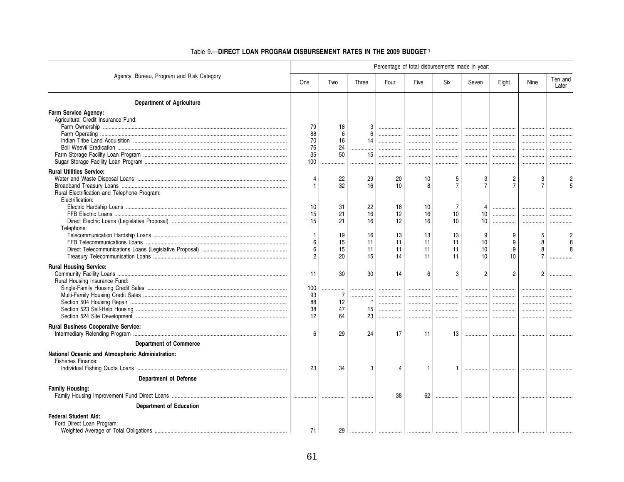|                                                                                                        | Percentage of total disbursements made in year: |                           |                      |                      |                      |                      |                        |                                  |                               |                  |  |
|--------------------------------------------------------------------------------------------------------|-------------------------------------------------|---------------------------|----------------------|----------------------|----------------------|----------------------|------------------------|----------------------------------|-------------------------------|------------------|--|
| Agency, Bureau, Program and Risk Category                                                              | One                                             | Two                       | Three                | Four                 | Five                 | Six                  | Seven                  | Eight                            | Nine                          | Ten and<br>Later |  |
| <b>Department of Agriculture</b>                                                                       |                                                 |                           |                      |                      |                      |                      |                        |                                  |                               |                  |  |
| Farm Service Agency:<br>Agricultural Credit Insurance Fund:                                            | 79<br>88<br>70<br>76<br>35<br>100               | 18<br>6<br>16<br>24<br>50 | 6<br>14<br>15        | .<br>.<br><br>       | <br><br><br>         | .<br><br><br>.       | <br>.<br><br><br>.     | <br>.<br><br>                    | .<br>.<br>.                   |                  |  |
| <b>Rural Utilities Service:</b><br>Rural Electrification and Telephone Program:                        | $\overline{4}$<br>-1                            | 22<br>32                  | 29<br>16             | 20<br>10             | 10<br>8              | 5<br>$\overline{7}$  | 3<br>$\overline{7}$    | $\overline{c}$<br>$\overline{7}$ | 3<br>$\overline{7}$           |                  |  |
| Electrification:<br>Telephone:                                                                         | 10<br>15<br>15                                  | 31<br>21<br>21            | 22<br>16<br>16       | 16<br>12<br>12       | 10<br>16<br>16       | 7<br>10<br>10        | 10<br>10 <sup>10</sup> | .<br>.                           | .                             |                  |  |
|                                                                                                        | $\overline{1}$<br>6<br>6<br>2                   | 19<br>15<br>15<br>20      | 16<br>11<br>11<br>15 | 13<br>11<br>11<br>14 | 13<br>11<br>11<br>11 | 13<br>11<br>11<br>11 | 9<br>10<br>10<br>10    | 9<br>9<br>9<br>10                | 5<br>8<br>8<br>$\overline{7}$ |                  |  |
| <b>Rural Housing Service:</b><br>Rural Housing Insurance Fund:                                         | 11<br>100                                       | 30                        | 30                   | 14                   | 6                    | 3                    | $\overline{c}$<br>     | $\overline{2}$<br>               | 2                             | .                |  |
|                                                                                                        | 93<br>88<br>38<br>12                            | 7<br>12<br>47<br>64       | .<br>15<br>23        | .<br>.               | <br><br><br>         | <br><br>.            | <br><br><br>           | <br><br><br>.                    | <br>.                         |                  |  |
| <b>Rural Business Cooperative Service:</b><br><b>Department of Commerce</b>                            | 6                                               | 29                        | 24                   | 17                   | 11                   | 13                   |                        |                                  |                               |                  |  |
| National Oceanic and Atmospheric Administration:<br>Fisheries Finance:<br><b>Department of Defense</b> | 23                                              | 34                        | 3                    | Δ                    | $\mathbf{1}$         |                      | .                      |                                  |                               |                  |  |
| <b>Family Housing:</b><br><b>Department of Education</b>                                               |                                                 |                           |                      | 38                   | 62                   | .                    |                        |                                  |                               |                  |  |
| <b>Federal Student Aid:</b><br>Ford Direct Loan Program:                                               | 71                                              | 29                        |                      |                      |                      |                      |                        |                                  |                               |                  |  |

### Table 9.-DIRECT LOAN PROGRAM DISBURSEMENT RATES IN THE 2009 BUDGET1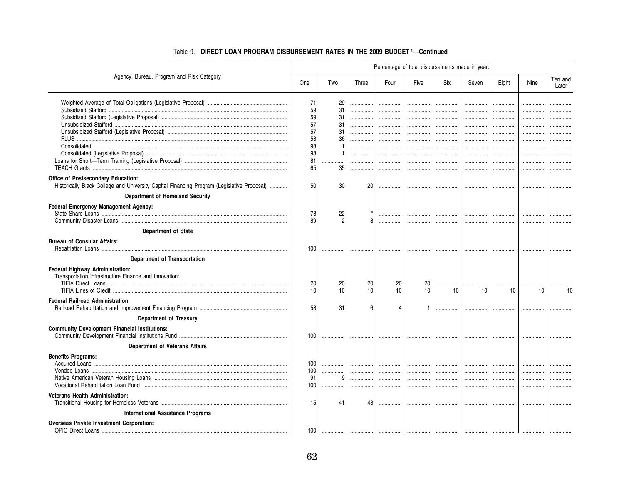|                                                                                            | Percentage of total disbursements made in year: |                |        |                 |                 |        |                 |       |      |                  |  |
|--------------------------------------------------------------------------------------------|-------------------------------------------------|----------------|--------|-----------------|-----------------|--------|-----------------|-------|------|------------------|--|
| Agency, Bureau, Program and Risk Category                                                  | One                                             | Two            | Three  | Four            | Five            | Six    | Seven           | Eight | Nine | Ten and<br>Later |  |
|                                                                                            | 71                                              | 29             | .      |                 | .               | .      | .               | .     |      |                  |  |
|                                                                                            | 59                                              | 31             |        |                 | .               | .      |                 | .     |      |                  |  |
|                                                                                            | 59                                              | 31             |        |                 |                 |        |                 | .     |      |                  |  |
|                                                                                            | 57<br>57                                        | 31<br>31       |        |                 |                 | .      | .               |       |      |                  |  |
|                                                                                            | 58                                              | 36             | .<br>. | <br>            |                 | .<br>. | <br>            | .     |      |                  |  |
|                                                                                            | 98                                              |                |        |                 |                 | .      |                 | .     |      |                  |  |
|                                                                                            | 98                                              |                |        | .               | .               |        |                 | .     | .    |                  |  |
|                                                                                            | 81                                              |                |        |                 |                 | .      |                 | .     |      |                  |  |
|                                                                                            | 65                                              | 35             | .      |                 | .               | .      |                 | .     |      |                  |  |
| Office of Postsecondary Education:                                                         |                                                 |                |        |                 |                 |        |                 |       |      |                  |  |
| Historically Black College and University Capital Financing Program (Legislative Proposal) | 50                                              | 30             | 20     | .               | .               |        |                 | .     | .    |                  |  |
| Department of Homeland Security                                                            |                                                 |                |        |                 |                 |        |                 |       |      |                  |  |
| Federal Emergency Management Agency:                                                       |                                                 |                |        |                 |                 |        |                 |       |      |                  |  |
|                                                                                            | 78                                              | 22             |        |                 |                 |        |                 |       |      |                  |  |
|                                                                                            | 89                                              | $\overline{2}$ | 8      | .               | .               | .      | .               |       |      |                  |  |
| Department of State                                                                        |                                                 |                |        |                 |                 |        |                 |       |      |                  |  |
| <b>Bureau of Consular Affairs:</b>                                                         | 100                                             |                |        |                 |                 |        |                 |       |      |                  |  |
| Department of Transportation                                                               |                                                 |                |        |                 |                 |        |                 |       |      |                  |  |
| Federal Highway Administration:                                                            |                                                 |                |        |                 |                 |        |                 |       |      |                  |  |
| Transportation Infrastructure Finance and Innovation:                                      |                                                 |                |        |                 |                 |        |                 |       |      |                  |  |
|                                                                                            | 20                                              | 20             | 20     | 20              | 20              | .      |                 |       |      |                  |  |
|                                                                                            | 10                                              | 10             | 10     | 10 <sup>1</sup> | 10 <sup>1</sup> | 10     | 10 <sup>°</sup> | 10    | 10   | 10               |  |
| <b>Federal Railroad Administration:</b>                                                    |                                                 |                |        |                 |                 |        |                 |       |      |                  |  |
|                                                                                            | 58                                              | 31             | 6      | Δ               |                 |        |                 |       |      |                  |  |
| <b>Department of Treasury</b>                                                              |                                                 |                |        |                 |                 |        |                 |       |      |                  |  |
| <b>Community Development Financial Institutions:</b>                                       |                                                 |                |        |                 |                 |        |                 |       |      |                  |  |
|                                                                                            | 100                                             |                |        |                 |                 | .      | .               | .     |      |                  |  |
| Department of Veterans Affairs                                                             |                                                 |                |        |                 |                 |        |                 |       |      |                  |  |
| <b>Benefits Programs:</b>                                                                  |                                                 |                |        |                 |                 |        |                 |       |      |                  |  |
|                                                                                            | 100                                             | .              |        |                 |                 | .      |                 |       |      |                  |  |
|                                                                                            | 100                                             |                |        | .               |                 |        |                 | .     | .    |                  |  |
|                                                                                            | 91                                              | 9              |        |                 |                 |        | .               |       |      |                  |  |
|                                                                                            | 100                                             | .              | .      |                 | .               | .      |                 | .     |      |                  |  |
| <b>Veterans Health Administration:</b>                                                     |                                                 |                |        |                 |                 |        |                 |       |      |                  |  |
|                                                                                            | 15                                              | 41             | 43     | .               | .               | .      | .               |       |      |                  |  |
| <b>International Assistance Programs</b>                                                   |                                                 |                |        |                 |                 |        |                 |       |      |                  |  |
| <b>Overseas Private Investment Corporation:</b>                                            |                                                 |                |        |                 |                 |        |                 |       |      |                  |  |
|                                                                                            | 100                                             |                |        |                 |                 |        |                 |       |      |                  |  |

### Table 9.-DIRECT LOAN PROGRAM DISBURSEMENT RATES IN THE 2009 BUDGET 1-Continued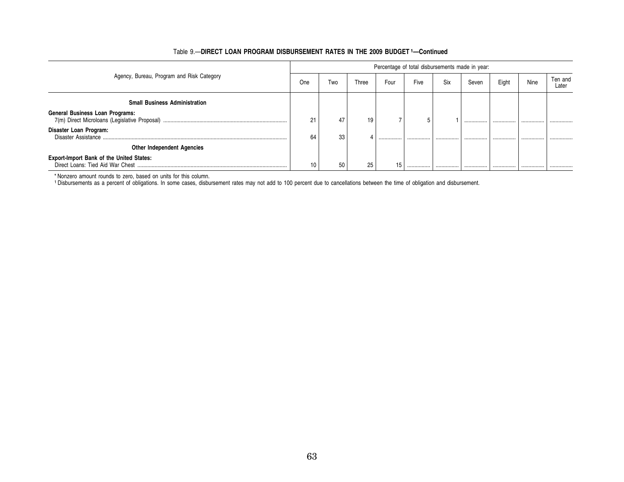|                                                 |     | Percentage of total disbursements made in year: |       |      |      |     |       |       |      |                  |  |  |  |
|-------------------------------------------------|-----|-------------------------------------------------|-------|------|------|-----|-------|-------|------|------------------|--|--|--|
| Agency, Bureau, Program and Risk Category       | One | Two                                             | Three | Four | Five | Six | Seven | Eight | Nine | Ten and<br>Later |  |  |  |
| <b>Small Business Administration</b>            |     |                                                 |       |      |      |     |       |       |      |                  |  |  |  |
| <b>General Business Loan Programs:</b>          | 21  | 47                                              | 19    |      | C    |     |       |       |      |                  |  |  |  |
| Disaster Loan Program:                          | 64  | 33                                              |       |      |      |     |       |       |      |                  |  |  |  |
| <b>Other Independent Agencies</b>               |     |                                                 |       |      |      |     |       |       |      |                  |  |  |  |
| <b>Export-Import Bank of the United States:</b> | 10  | 50                                              | 25    |      |      |     |       |       |      |                  |  |  |  |

### Table 9.—**DIRECT LOAN PROGRAM DISBURSEMENT RATES IN THE 2009 BUDGET 1—Continued**

\* Nonzero amount rounds to zero, based on units for this column.<br>1 Disbursements as a percent of obligations. In some cases, disbursement rates may not add to 100 percent due to cancellations between the time of obligation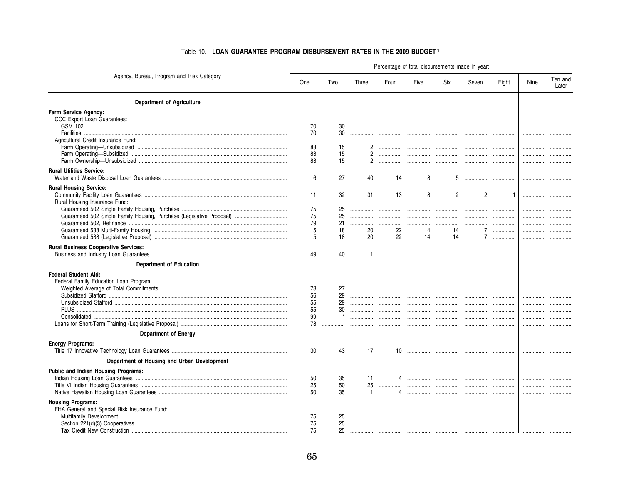|                                                                                                         | Percentage of total disbursements made in year: |                                  |                                                        |                         |                       |                          |                                                             |                                    |                  |                  |  |
|---------------------------------------------------------------------------------------------------------|-------------------------------------------------|----------------------------------|--------------------------------------------------------|-------------------------|-----------------------|--------------------------|-------------------------------------------------------------|------------------------------------|------------------|------------------|--|
| Agency, Bureau, Program and Risk Category                                                               | One                                             | Two                              | Three                                                  | Four                    | Five                  | Six                      | Seven                                                       | Eight                              | Nine             | Ten and<br>Later |  |
| <b>Department of Agriculture</b>                                                                        |                                                 |                                  |                                                        |                         |                       |                          |                                                             |                                    |                  |                  |  |
| Farm Service Agency:<br>CCC Export Loan Guarantees:<br>Agricultural Credit Insurance Fund:              | 70<br>70<br>83<br>83<br>83                      | 30<br>30<br>15<br>15<br>15       | <br>$\overline{c}$<br>$\overline{2}$<br>$\overline{2}$ | <br>.<br>.<br>.         | <br>.<br>             | <br>.<br>                | <br><br>.<br>                                               | <br>.<br>                          | <br>             |                  |  |
| <b>Rural Utilities Service:</b>                                                                         | 6                                               | 27                               | 40                                                     | 14                      | 8                     | 5                        | .                                                           |                                    |                  |                  |  |
| <b>Rural Housing Service:</b><br>Rural Housing Insurance Fund:                                          | 11<br>75<br>75<br>79<br>5<br>5                  | 32<br>25<br>25<br>21<br>18<br>18 | 31<br>.<br><br>20<br>20                                | 13<br>.<br><br>22<br>22 | R<br><br><br>14<br>14 | 2<br><br>.<br>14<br>14   | $\overline{2}$<br><br>.<br>$\overline{7}$<br>$\overline{7}$ | $\mathbf{1}$<br><br>.<br><br><br>. | <br><br><br><br> |                  |  |
| <b>Rural Business Cooperative Services:</b>                                                             | 49                                              | 40                               | 11                                                     | . 1                     |                       | .                        |                                                             |                                    |                  |                  |  |
| <b>Department of Education</b><br><b>Federal Student Aid:</b><br>Federal Family Education Loan Program: | 73<br>56<br>55<br>55<br>99<br>78                | 27<br>29<br>29<br>30             | .<br><br><br>.<br><br>                                 | .<br><br><br><br>.<br>. | <br><br><br><br>.     | .<br><br><br>.<br>.<br>. | <br><br><br><br><br>                                        | <br><br>.<br>.                     |                  |                  |  |
| <b>Department of Energy</b><br><b>Energy Programs:</b>                                                  | 30                                              | 43                               | 17                                                     | 10 <sup>1</sup>         |                       | .                        |                                                             |                                    |                  |                  |  |
| Department of Housing and Urban Development                                                             |                                                 |                                  |                                                        |                         |                       |                          |                                                             |                                    |                  |                  |  |
| <b>Public and Indian Housing Programs:</b>                                                              | 50<br>25<br>50                                  | 35<br>50<br>35                   | 11<br>25<br>11                                         | Δ                       | .<br><br>             | .<br><br>                | .<br><br>                                                   | <br><br>.                          |                  |                  |  |
| <b>Housing Programs:</b><br>FHA General and Special Risk Insurance Fund:                                | 75<br>75<br>75                                  | 25<br>25<br>25                   | .                                                      |                         |                       | <br>. 1                  | <br>                                                        | <br>.                              |                  |                  |  |

### Table 10.-LOAN GUARANTEE PROGRAM DISBURSEMENT RATES IN THE 2009 BUDGET1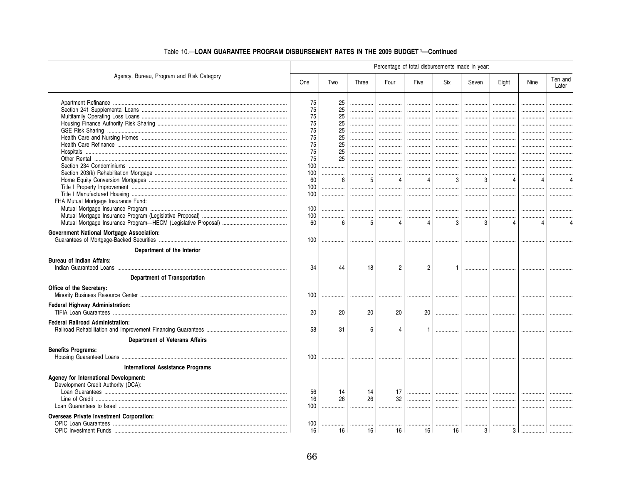|                                                  | Percentage of total disbursements made in year: |     |       |                |                |        |       |                  |      |                  |  |  |
|--------------------------------------------------|-------------------------------------------------|-----|-------|----------------|----------------|--------|-------|------------------|------|------------------|--|--|
| Agency, Bureau, Program and Risk Category        | <b>One</b>                                      | Two | Three | Four           | Five           | Six    | Seven | Eight            | Nine | Ten and<br>Later |  |  |
|                                                  | 75                                              | 25  | .     |                |                |        |       |                  |      |                  |  |  |
|                                                  | 75                                              | 25  |       |                |                |        |       |                  |      |                  |  |  |
|                                                  | 75                                              | 25  |       |                |                | .      | .     | .                |      |                  |  |  |
|                                                  | 75                                              | 25  |       |                |                |        |       |                  |      |                  |  |  |
|                                                  | 75                                              | 25  |       | .              |                | .      |       |                  |      |                  |  |  |
|                                                  | 75                                              | 25  |       | .              |                | .      | .     | .                |      |                  |  |  |
|                                                  | 75                                              | 25  |       |                |                |        |       | .                |      |                  |  |  |
|                                                  | 75                                              | 25  |       |                | .              | .      | .     | .                |      |                  |  |  |
|                                                  | 75                                              | 25  | .     |                | .              | .      | .     |                  |      |                  |  |  |
|                                                  | 100                                             |     |       |                |                |        |       |                  |      |                  |  |  |
|                                                  | 100                                             |     |       |                |                |        |       |                  |      |                  |  |  |
|                                                  | 60                                              | 6   | 5     | 4              | $\overline{4}$ | 3      | 3     | 4                | 4    |                  |  |  |
|                                                  | 100                                             |     | .     | .              |                |        | .     |                  |      |                  |  |  |
|                                                  | 100                                             |     |       | .              |                |        |       |                  |      |                  |  |  |
| FHA Mutual Mortgage Insurance Fund:              |                                                 |     |       |                |                |        |       |                  |      |                  |  |  |
|                                                  | 100                                             |     | .     | .              |                | .      |       |                  |      |                  |  |  |
|                                                  | 100                                             |     |       | .              |                | .      |       |                  |      |                  |  |  |
|                                                  | 60                                              | 6   | 5     | $\overline{4}$ | $\overline{4}$ | 3      | 3     |                  | 4    |                  |  |  |
| <b>Government National Mortgage Association:</b> | 100                                             |     |       |                |                |        |       |                  |      |                  |  |  |
| Department of the Interior                       |                                                 |     |       |                |                |        |       |                  |      |                  |  |  |
|                                                  |                                                 |     |       |                |                |        |       |                  |      |                  |  |  |
| <b>Bureau of Indian Affairs:</b>                 | 34                                              | 44  | 18    | 2              | $\overline{2}$ |        |       |                  |      |                  |  |  |
| Department of Transportation                     |                                                 |     |       |                |                |        |       |                  |      |                  |  |  |
| Office of the Secretary:                         | 100                                             |     |       |                |                |        |       |                  |      |                  |  |  |
| Federal Highway Administration:                  | 20                                              | 20  | 20    | 20             | 20             | .      |       |                  |      |                  |  |  |
| <b>Federal Railroad Administration:</b>          |                                                 |     |       |                |                |        |       |                  |      |                  |  |  |
|                                                  | 58                                              | 31  | 6     |                |                |        |       |                  |      |                  |  |  |
| <b>Department of Veterans Affairs</b>            |                                                 |     |       |                |                |        |       |                  |      |                  |  |  |
| <b>Benefits Programs:</b>                        |                                                 |     |       |                |                |        |       |                  |      |                  |  |  |
|                                                  | 100                                             |     |       |                |                |        |       |                  |      |                  |  |  |
| <b>International Assistance Programs</b>         |                                                 |     |       |                |                |        |       |                  |      |                  |  |  |
| Agency for International Development:            |                                                 |     |       |                |                |        |       |                  |      |                  |  |  |
| Development Credit Authority (DCA):              |                                                 |     |       |                |                |        |       |                  |      |                  |  |  |
|                                                  | 56                                              | 14  | 14    | 17             |                | .      |       |                  |      |                  |  |  |
|                                                  | 16                                              | 26  | 26    | 32             |                |        |       |                  |      |                  |  |  |
|                                                  | 100                                             |     |       |                |                | .      |       |                  |      |                  |  |  |
| <b>Overseas Private Investment Corporation:</b>  |                                                 |     |       |                |                |        |       |                  |      |                  |  |  |
|                                                  | 100                                             |     |       |                |                |        |       |                  |      |                  |  |  |
|                                                  | 16                                              | 16  | 16    | 16             | 16             | <br>16 | <br>3 | <br>$\mathbf{3}$ |      |                  |  |  |
|                                                  |                                                 |     |       |                |                |        |       |                  |      |                  |  |  |

# Table 10.-LOAN GUARANTEE PROGRAM DISBURSEMENT RATES IN THE 2009 BUDGET 1-Continued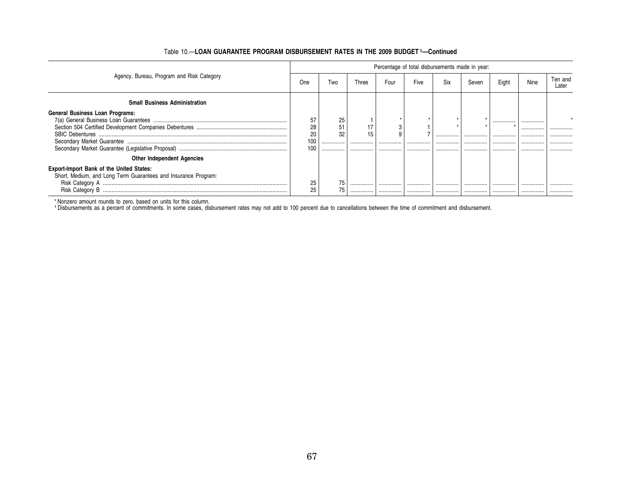| Agency, Bureau, Program and Risk Category                      | Percentage of total disbursements made in year: |     |       |      |      |     |       |       |      |                  |
|----------------------------------------------------------------|-------------------------------------------------|-----|-------|------|------|-----|-------|-------|------|------------------|
|                                                                | One                                             | Two | Three | Four | Five | Six | Seven | Eight | Nine | Ten and<br>Later |
| <b>Small Business Administration</b>                           |                                                 |     |       |      |      |     |       |       |      |                  |
| <b>General Business Loan Programs:</b>                         |                                                 |     |       |      |      |     |       |       |      |                  |
|                                                                | 57                                              | 25  |       |      |      |     | ÷     |       |      |                  |
|                                                                | 28                                              | 51  |       |      |      |     |       |       | .    |                  |
| <b>SBIC Debentures</b>                                         | 20                                              | 32  | 15    |      |      |     |       |       |      |                  |
|                                                                | 100                                             |     |       |      |      |     |       |       |      |                  |
|                                                                | 100                                             | .   |       |      |      |     |       |       |      |                  |
| <b>Other Independent Agencies</b>                              |                                                 |     |       |      |      |     |       |       |      |                  |
| <b>Export-Import Bank of the United States:</b>                |                                                 |     |       |      |      |     |       |       |      |                  |
| Short, Medium, and Long Term Guarantees and Insurance Program: |                                                 |     |       |      |      |     |       |       |      |                  |
|                                                                | 25                                              | 75  |       |      |      |     |       |       |      |                  |
| Risk Category B                                                | 25                                              | 75  |       | .    | .    |     |       |       |      |                  |

## Table 10.-LOAN GUARANTEE PROGRAM DISBURSEMENT RATES IN THE 2009 BUDGET 1-Continued

\* Nonzero amount rounds to zero, based on units for this column.<br>1 Disbursements as a percent of commitments. In some cases, disbursement rates may not add to 100 percent due to cancellations between the time of commitment